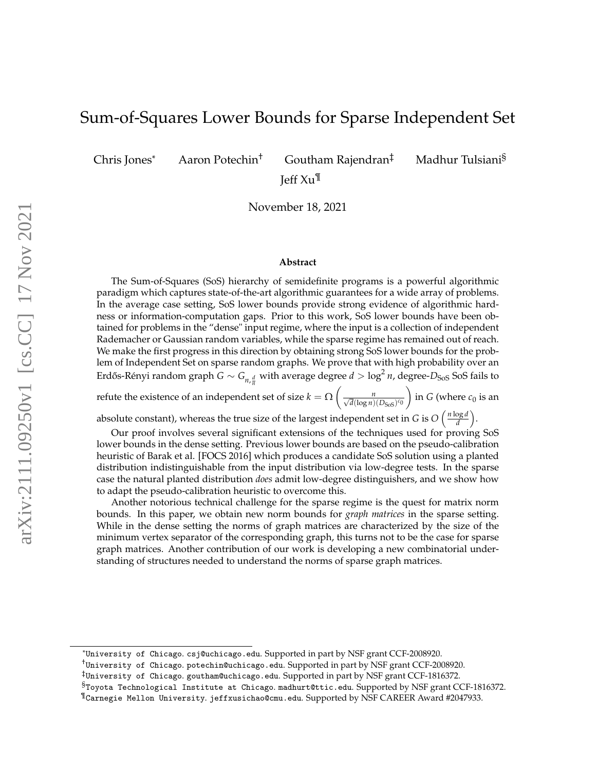# Sum-of-Squares Lower Bounds for Sparse Independent Set

Chris Jones\* Aaron Potechin† Goutham Rajendran‡ Madhur Tulsiani§ Jeff Xu¶

November 18, 2021

#### **Abstract**

The Sum-of-Squares (SoS) hierarchy of semidefinite programs is a powerful algorithmic paradigm which captures state-of-the-art algorithmic guarantees for a wide array of problems. In the average case setting, SoS lower bounds provide strong evidence of algorithmic hardness or information-computation gaps. Prior to this work, SoS lower bounds have been obtained for problems in the "dense" input regime, where the input is a collection of independent Rademacher or Gaussian random variables, while the sparse regime has remained out of reach. We make the first progress in this direction by obtaining strong SoS lower bounds for the problem of Independent Set on sparse random graphs. We prove that with high probability over an Erdős-Rényi random graph  $G \sim G_{n, \frac{d}{n}}$  with average degree  $d > \log^2 n$ , degree- $D_{\rm SoS}$  SoS fails to

refute the existence of an independent set of size  $k = \Omega \left( \frac{n}{\sqrt{d} \left( \log n \right)} \right)$  $\overline{d}(\log n)(D_{\text{SoS}})^{c_0}$  $\Big)$  in *G* (where  $c_0$  is an

absolute constant), whereas the true size of the largest independent set in *G* is  $O\left(\frac{n \log d}{d}\right)$  $\frac{\log d}{d}$ .

Our proof involves several significant extensions of the techniques used for proving SoS lower bounds in the dense setting. Previous lower bounds are based on the pseudo-calibration heuristic of Barak et al. [FOCS 2016] which produces a candidate SoS solution using a planted distribution indistinguishable from the input distribution via low-degree tests. In the sparse case the natural planted distribution *does* admit low-degree distinguishers, and we show how to adapt the pseudo-calibration heuristic to overcome this.

Another notorious technical challenge for the sparse regime is the quest for matrix norm bounds. In this paper, we obtain new norm bounds for *graph matrices* in the sparse setting. While in the dense setting the norms of graph matrices are characterized by the size of the minimum vertex separator of the corresponding graph, this turns not to be the case for sparse graph matrices. Another contribution of our work is developing a new combinatorial understanding of structures needed to understand the norms of sparse graph matrices.

<sup>\*</sup>University of Chicago. csj@uchicago.edu. Supported in part by NSF grant CCF-2008920.

<sup>†</sup>University of Chicago. potechin@uchicago.edu. Supported in part by NSF grant CCF-2008920.

<sup>‡</sup>University of Chicago. goutham@uchicago.edu. Supported in part by NSF grant CCF-1816372.

<sup>§</sup>Toyota Technological Institute at Chicago. madhurt@ttic.edu. Supported by NSF grant CCF-1816372.

<sup>¶</sup>Carnegie Mellon University. jeffxusichao@cmu.edu. Supported by NSF CAREER Award #2047933.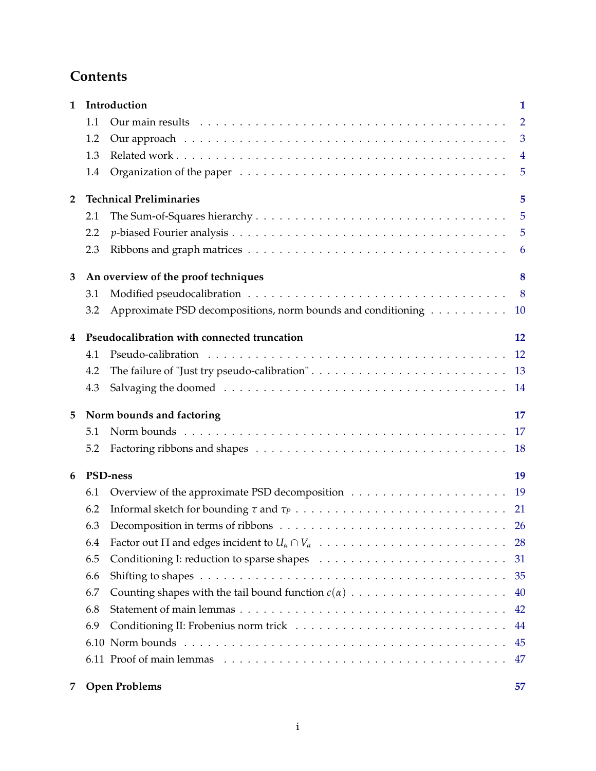# **Contents**

| $\mathbf{1}$   |                                          | Introduction                                                                                          | $\mathbf{1}$   |  |
|----------------|------------------------------------------|-------------------------------------------------------------------------------------------------------|----------------|--|
|                | 1.1                                      |                                                                                                       | $\overline{2}$ |  |
|                | 1.2                                      |                                                                                                       | $\overline{3}$ |  |
|                | 1.3                                      |                                                                                                       | $\overline{4}$ |  |
|                | 1.4                                      |                                                                                                       | $\sqrt{5}$     |  |
| $\overline{2}$ | <b>Technical Preliminaries</b><br>5      |                                                                                                       |                |  |
|                | 2.1                                      |                                                                                                       | 5              |  |
|                | 2.2                                      |                                                                                                       | 5              |  |
|                | 2.3                                      |                                                                                                       | 6              |  |
| 3              | An overview of the proof techniques<br>8 |                                                                                                       |                |  |
|                | 3.1                                      |                                                                                                       | 8              |  |
|                | 3.2                                      | Approximate PSD decompositions, norm bounds and conditioning                                          | <b>10</b>      |  |
| 4              |                                          | Pseudocalibration with connected truncation                                                           | 12             |  |
|                | 4.1                                      |                                                                                                       | 12             |  |
|                | 4.2                                      |                                                                                                       | 13             |  |
|                | 4.3                                      |                                                                                                       | 14             |  |
| 5              |                                          | Norm bounds and factoring                                                                             | 17             |  |
|                | 5.1                                      |                                                                                                       | 17             |  |
|                | 5.2                                      |                                                                                                       | <b>18</b>      |  |
| 6              | PSD-ness                                 |                                                                                                       |                |  |
|                | 6.1                                      |                                                                                                       | 19             |  |
|                | 6.2                                      |                                                                                                       | 21             |  |
|                | 6.3                                      | Decomposition in terms of ribbons $\dots \dots \dots \dots \dots \dots \dots \dots \dots \dots \dots$ | <b>26</b>      |  |
|                | 6.4                                      |                                                                                                       | 28             |  |
|                | 6.5                                      |                                                                                                       | 31             |  |
|                | 6.6                                      |                                                                                                       | 35             |  |
|                | 6.7                                      |                                                                                                       | 40             |  |
|                | 6.8                                      |                                                                                                       | 42             |  |
|                | 6.9                                      |                                                                                                       | 44             |  |
|                |                                          |                                                                                                       | 45             |  |
|                |                                          |                                                                                                       | 47             |  |
| 7              |                                          | <b>Open Problems</b>                                                                                  | 57             |  |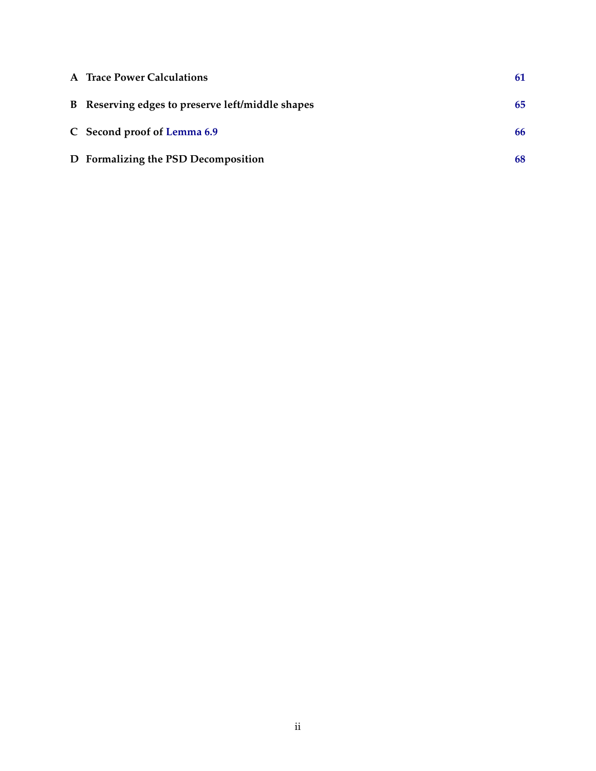| A Trace Power Calculations                       | 61 |
|--------------------------------------------------|----|
| B Reserving edges to preserve left/middle shapes | 65 |
| C Second proof of Lemma 6.9                      | 66 |
| D Formalizing the PSD Decomposition              | 68 |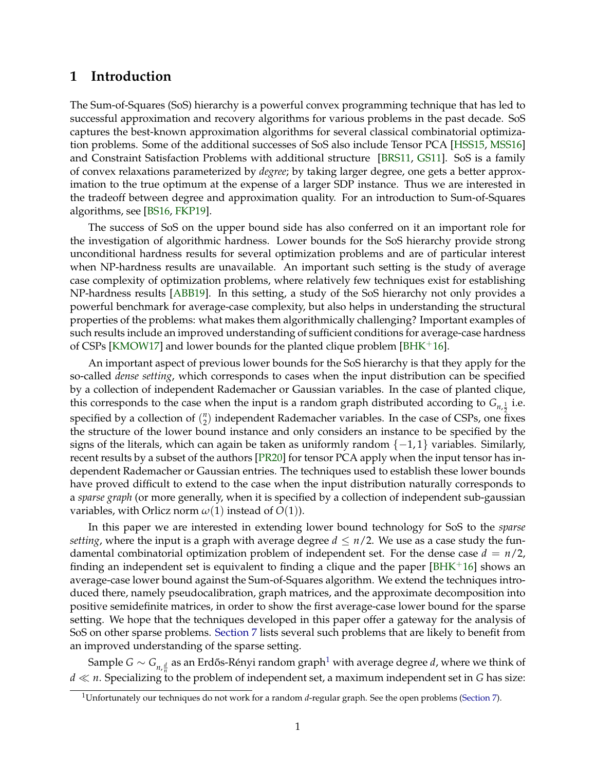# <span id="page-3-0"></span>**1 Introduction**

The Sum-of-Squares (SoS) hierarchy is a powerful convex programming technique that has led to successful approximation and recovery algorithms for various problems in the past decade. SoS captures the best-known approximation algorithms for several classical combinatorial optimization problems. Some of the additional successes of SoS also include Tensor PCA [\[HSS15,](#page-62-0) [MSS16\]](#page-62-1) and Constraint Satisfaction Problems with additional structure [\[BRS11,](#page-60-0) [GS11\]](#page-61-0). SoS is a family of convex relaxations parameterized by *degree*; by taking larger degree, one gets a better approximation to the true optimum at the expense of a larger SDP instance. Thus we are interested in the tradeoff between degree and approximation quality. For an introduction to Sum-of-Squares algorithms, see [\[BS16,](#page-60-1) [FKP19\]](#page-61-1).

The success of SoS on the upper bound side has also conferred on it an important role for the investigation of algorithmic hardness. Lower bounds for the SoS hierarchy provide strong unconditional hardness results for several optimization problems and are of particular interest when NP-hardness results are unavailable. An important such setting is the study of average case complexity of optimization problems, where relatively few techniques exist for establishing NP-hardness results [\[ABB19\]](#page-60-2). In this setting, a study of the SoS hierarchy not only provides a powerful benchmark for average-case complexity, but also helps in understanding the structural properties of the problems: what makes them algorithmically challenging? Important examples of such results include an improved understanding of sufficient conditions for average-case hardness of CSPs [\[KMOW17\]](#page-62-2) and lower bounds for the planted clique problem [\[BHK](#page-60-3)+16].

An important aspect of previous lower bounds for the SoS hierarchy is that they apply for the so-called *dense setting*, which corresponds to cases when the input distribution can be specified by a collection of independent Rademacher or Gaussian variables. In the case of planted clique, this corresponds to the case when the input is a random graph distributed according to  $G_{n,\frac{1}{2}}$  i.e. specified by a collection of  $\binom{n}{2}$  independent Rademacher variables. In the case of CSPs, one f  $n_2$ ) independent Rademacher variables. In the case of CSPs, one fixes the structure of the lower bound instance and only considers an instance to be specified by the signs of the literals, which can again be taken as uniformly random  $\{-1,1\}$  variables. Similarly, recent results by a subset of the authors [\[PR20\]](#page-62-3) for tensor PCA apply when the input tensor has independent Rademacher or Gaussian entries. The techniques used to establish these lower bounds have proved difficult to extend to the case when the input distribution naturally corresponds to a *sparse graph* (or more generally, when it is specified by a collection of independent sub-gaussian variables, with Orlicz norm  $\omega(1)$  instead of  $O(1)$ ).

In this paper we are interested in extending lower bound technology for SoS to the *sparse setting*, where the input is a graph with average degree  $d \leq n/2$ . We use as a case study the fundamental combinatorial optimization problem of independent set. For the dense case  $d = n/2$ , finding an independent set is equivalent to finding a clique and the paper  $[BHK^+16]$  $[BHK^+16]$  shows an average-case lower bound against the Sum-of-Squares algorithm. We extend the techniques introduced there, namely pseudocalibration, graph matrices, and the approximate decomposition into positive semidefinite matrices, in order to show the first average-case lower bound for the sparse setting. We hope that the techniques developed in this paper offer a gateway for the analysis of SoS on other sparse problems. [Section 7](#page-59-0) lists several such problems that are likely to benefit from an improved understanding of the sparse setting.

Sample  $G \sim G_{n, \frac{d}{n}}$  as an Erdős-Rényi random graph<sup>[1](#page-3-1)</sup> with average degree *d*, where we think of  $d \ll n$ . Specializing to the problem of independent set, a maximum independent set in *G* has size:

<span id="page-3-1"></span><sup>1</sup>Unfortunately our techniques do not work for a random *d*-regular graph. See the open problems [\(Section 7\)](#page-59-0).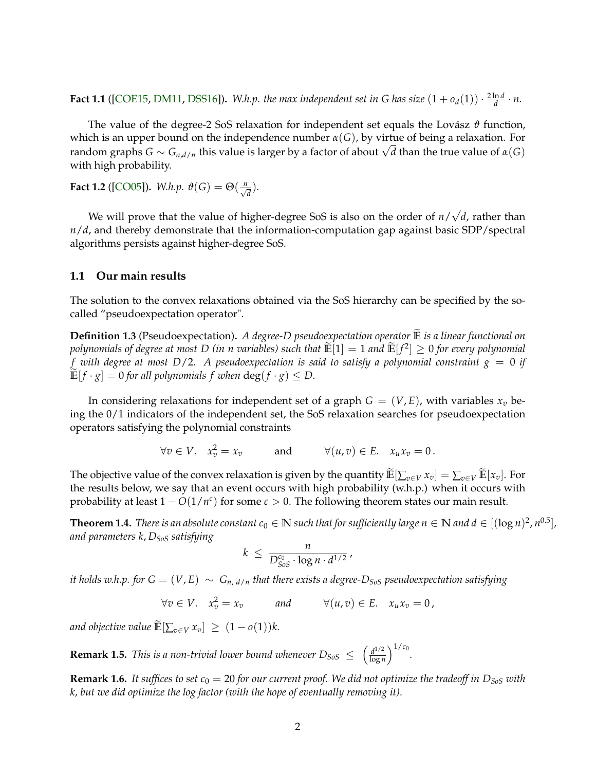**Fact 1.1** ([\[COE15,](#page-61-2) [DM11,](#page-61-3) [DSS16\]](#page-61-4)). *W.h.p. the max independent set in G has size*  $(1 + o_d(1)) \cdot \frac{2 \ln d}{d} \cdot n$ .

The value of the degree-2 SoS relaxation for independent set equals the Lovász  $\vartheta$  function, which is an upper bound on the independence number *α*(*G*), by virtue of being a relaxation. For random graphs *<sup>G</sup>* <sup>∼</sup> *<sup>G</sup>n*,*d*/*<sup>n</sup>* this value is larger by a factor of about <sup>√</sup> *d* than the true value of *α*(*G*) with high probability.

**Fact 1.2** ([\[CO05\]](#page-60-4)). *W.h.p.*  $\vartheta(G) = \Theta(\frac{n}{\sqrt{d}})$ .

We will prove that the value of higher-degree SoS is also on the order of *n*/ √ *d*, rather than *n*/*d*, and thereby demonstrate that the information-computation gap against basic SDP/spectral algorithms persists against higher-degree SoS.

## <span id="page-4-0"></span>**1.1 Our main results**

The solution to the convex relaxations obtained via the SoS hierarchy can be specified by the socalled "pseudoexpectation operator".

<span id="page-4-1"></span>**Definition 1.3** (Pseudoexpectation). *A degree-D pseudoexpectation operator* **E** *is a linear functional on*  $p$  *polynomials of degree at most D (in n variables) such that*  $E[1] = 1$  *and*  $E[f^2] \geq 0$  *for every polynomial f with degree at most D*/2*. A pseudoexpectation is said to satisfy a polynomial constraint g* = 0 *if*  $\mathbb{E}[f \cdot g] = 0$  *for all polynomials f when*  $\deg(f \cdot g) \leq D$ .

In considering relaxations for independent set of a graph  $G = (V, E)$ , with variables  $x_v$  being the 0/1 indicators of the independent set, the SoS relaxation searches for pseudoexpectation operators satisfying the polynomial constraints

$$
\forall v \in V. \quad x_v^2 = x_v \qquad \text{and} \qquad \forall (u, v) \in E. \quad x_u x_v = 0.
$$

The objective value of the convex relaxation is given by the quantity  $\widetilde{\mathbb{E}}[\sum_{v \in V} x_v] = \sum_{v \in V} \widetilde{\mathbb{E}}[x_v]$ . For the results below, we say that an event occurs with high probability (w.h.p.) when it occurs with probability at least  $1 - O(1/n^c)$  for some  $c > 0$ . The following theorem states our main result.

<span id="page-4-2"></span> $\bf{Theorem~1.4.}$   $There\ is\ an\ absolute\ constant\ c_0\in\mathbb N$  such that for sufficiently large  $n\in\mathbb N$  and  $d\in[(\log n)^2,n^{0.5}],$ *and parameters k*, *DSoS satisfying*

$$
k \ \leq \ \frac{n}{D_{SoS}^{c_0} \cdot \log n \cdot d^{1/2}} \, ,
$$

*it holds w.h.p. for*  $G = (V, E) ∼ G$ <sub>*n.d/n*</sub> *that there exists a degree-D<sub>SoS</sub> pseudoexpectation satisfying* 

$$
\forall v \in V. \quad x_v^2 = x_v \qquad \text{and} \qquad \forall (u, v) \in E. \quad x_u x_v = 0,
$$

*and objective value*  $\widetilde{\mathbb{E}}\left[\sum_{v \in V} x_v\right] \geq (1 - o(1))k$ .

**Remark 1.5.** *This is a non-trivial lower bound whenever*  $D_{SoS} \leq \left(\frac{d^{1/2}}{\log n}\right)$  $\frac{d^{1/2}}{\log n}$ <sup>1/*c*<sub>0</sub></sup>.

**Remark 1.6.** It suffices to set  $c_0 = 20$  for our current proof. We did not optimize the tradeoff in  $D_{Sos}$  with *k, but we did optimize the log factor (with the hope of eventually removing it).*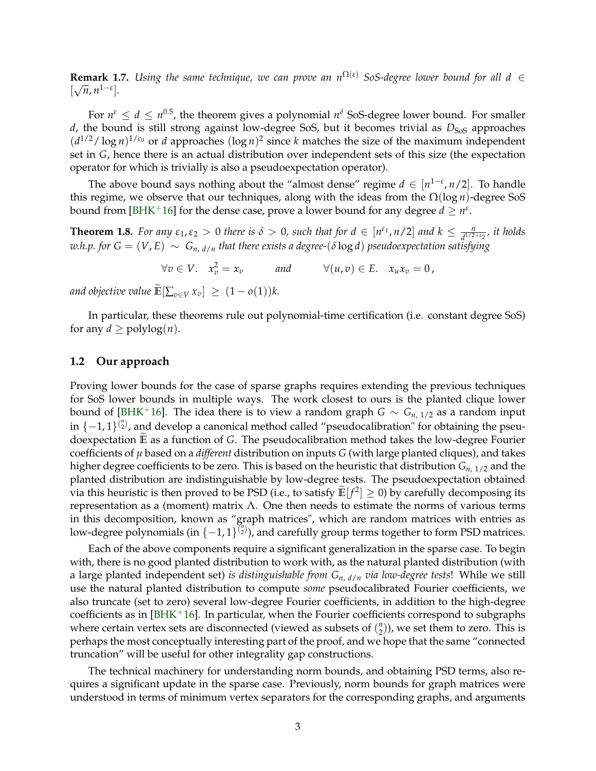**Remark 1.7.** *Using the same technique, we can prove an n*Ω(*ε*) *SoS-degree lower bound for all d* ∈  $\left[\sqrt{n}, n^{1-\epsilon}\right]$ .

For  $n^{\varepsilon} \leq d \leq n^{0.5}$ , the theorem gives a polynomial  $n^{\delta}$  SoS-degree lower bound. For smaller *d*, the bound is still strong against low-degree SoS, but it becomes trivial as  $D_{Sos}$  approaches  $(d^{1/2}/\log n)^{1/c_0}$  or *d* approaches  $(\log n)^2$  since *k* matches the size of the maximum independent set in *G*, hence there is an actual distribution over independent sets of this size (the expectation operator for which is trivially is also a pseudoexpectation operator).

The above bound says nothing about the "almost dense" regime  $d \in [n^{1-\epsilon}, n/2]$ . To handle this regime, we observe that our techniques, along with the ideas from the Ω(log *n*)-degree SoS bound from [\[BHK](#page-60-3)<sup>+</sup>16] for the dense case, prove a lower bound for any degree  $d \ge n^{\varepsilon}$ .

<span id="page-5-1"></span>**Theorem 1.8.** *For any*  $\varepsilon_1$ ,  $\varepsilon_2 > 0$  *there is*  $\delta > 0$ *, such that for*  $d \in [n^{\varepsilon_1}, n/2]$  *and*  $k \leq \frac{n}{d^{1/2+\varepsilon_2}}$ *, it holds*  $w.h.p.$  for  $G = (V, E) \sim G_{n, d/n}$  *that there exists a degree-*( $\delta \log d$ ) *pseudoexpectation satisfying* 

 $\forall v \in V$ .  $x_v^2 = x_v$  and  $\forall (u, v) \in E$ .  $x_u x_v = 0$ ,

*and objective value*  $\widetilde{\mathbb{E}}\left[\sum_{v \in V} x_v\right] \geq (1 - o(1))k$ .

In particular, these theorems rule out polynomial-time certification (i.e. constant degree SoS) for any  $d \geq \text{polylog}(n)$ .

### <span id="page-5-0"></span>**1.2 Our approach**

Proving lower bounds for the case of sparse graphs requires extending the previous techniques for SoS lower bounds in multiple ways. The work closest to ours is the planted clique lower bound of [\[BHK](#page-60-3)<sup>+</sup>16]. The idea there is to view a random graph *G* ~  $G_{n, 1/2}$  as a random input in {-1,1}<sup>(n<sub>1</sub>)</sup>, and develop a canonical method called "pseudocalibration" for obtaining the pseudoexpectation **<sup>E</sup>**<sup>e</sup> as a function of *<sup>G</sup>*. The pseudocalibration method takes the low-degree Fourier coefficients of *µ* based on a *different* distribution on inputs *G* (with large planted cliques), and takes higher degree coefficients to be zero. This is based on the heuristic that distribution *Gn*, 1/2 and the planted distribution are indistinguishable by low-degree tests. The pseudoexpectation obtained via this heuristic is then proved to be PSD (i.e., to satisfy  $\mathbb{E}[f^2] \ge 0$ ) by carefully decomposing its representation as a (moment) matrix Λ. One then needs to estimate the norms of various terms in this decomposition, known as "graph matrices", which are random matrices with entries as low-degree polynomials (in {−1,1}<sup>(1}</sup>), and carefully group terms together to form PSD matrices.

Each of the above components require a significant generalization in the sparse case. To begin with, there is no good planted distribution to work with, as the natural planted distribution (with a large planted independent set) *is distinguishable from Gn*, *<sup>d</sup>*/*<sup>n</sup> via low-degree tests*! While we still use the natural planted distribution to compute *some* pseudocalibrated Fourier coefficients, we also truncate (set to zero) several low-degree Fourier coefficients, in addition to the high-degree coefficients as in  $[BHK<sup>+</sup>16]$  $[BHK<sup>+</sup>16]$ . In particular, when the Fourier coefficients correspond to subgraphs where certain vertex sets are disconnected (viewed as subsets of  $\binom{n}{2}$  $\binom{n}{2}$ ), we set them to zero. This is perhaps the most conceptually interesting part of the proof, and we hope that the same "connected truncation" will be useful for other integrality gap constructions.

The technical machinery for understanding norm bounds, and obtaining PSD terms, also requires a significant update in the sparse case. Previously, norm bounds for graph matrices were understood in terms of minimum vertex separators for the corresponding graphs, and arguments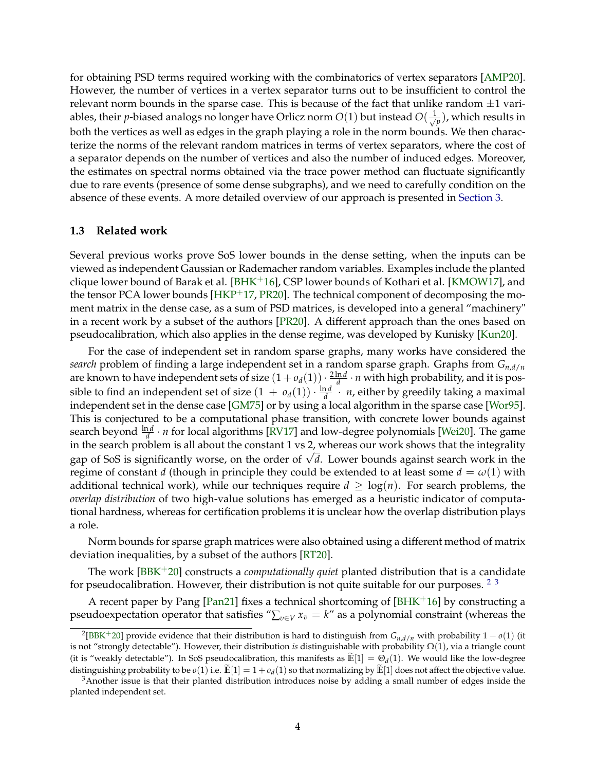for obtaining PSD terms required working with the combinatorics of vertex separators [\[AMP20\]](#page-60-5). However, the number of vertices in a vertex separator turns out to be insufficient to control the relevant norm bounds in the sparse case. This is because of the fact that unlike random  $\pm 1$  variables, their *p*-biased analogs no longer have Orlicz norm  $O(1)$  but instead  $O(\frac{1}{\sqrt{p}})$ , which results in both the vertices as well as edges in the graph playing a role in the norm bounds. We then characterize the norms of the relevant random matrices in terms of vertex separators, where the cost of a separator depends on the number of vertices and also the number of induced edges. Moreover, the estimates on spectral norms obtained via the trace power method can fluctuate significantly due to rare events (presence of some dense subgraphs), and we need to carefully condition on the absence of these events. A more detailed overview of our approach is presented in [Section 3.](#page-10-0)

## <span id="page-6-0"></span>**1.3 Related work**

Several previous works prove SoS lower bounds in the dense setting, when the inputs can be viewed as independent Gaussian or Rademacher random variables. Examples include the planted clique lower bound of Barak et al. [\[BHK](#page-60-3)<sup>+</sup>16], CSP lower bounds of Kothari et al. [\[KMOW17\]](#page-62-2), and the tensor PCA lower bounds  $[HKP^+17, PR20]$  $[HKP^+17, PR20]$  $[HKP^+17, PR20]$ . The technical component of decomposing the moment matrix in the dense case, as a sum of PSD matrices, is developed into a general "machinery" in a recent work by a subset of the authors [\[PR20\]](#page-62-3). A different approach than the ones based on pseudocalibration, which also applies in the dense regime, was developed by Kunisky [\[Kun20\]](#page-62-4).

For the case of independent set in random sparse graphs, many works have considered the *search* problem of finding a large independent set in a random sparse graph. Graphs from *Gn*,*d*/*<sup>n</sup>* are known to have independent sets of size  $(1+o_d(1)) \cdot \frac{2 \ln d}{d} \cdot n$  with high probability, and it is possible to find an independent set of size  $(1 + o_d(1)) \cdot \frac{\ln d}{d} + n$ , either by greedily taking a maximal independent set in the dense case [\[GM75\]](#page-61-6) or by using a local algorithm in the sparse case [\[Wor95\]](#page-62-5). This is conjectured to be a computational phase transition, with concrete lower bounds against search beyond  $\frac{\ln d}{d} \cdot n$  for local algorithms [\[RV17\]](#page-62-6) and low-degree polynomials [\[Wei20\]](#page-62-7). The game in the search problem is all about the constant 1 vs 2, whereas our work shows that the integrality gap of SoS is significantly worse, on the order of <sup>√</sup> *d*. Lower bounds against search work in the regime of constant *d* (though in principle they could be extended to at least some  $d = \omega(1)$  with additional technical work), while our techniques require  $d \geq \log(n)$ . For search problems, the *overlap distribution* of two high-value solutions has emerged as a heuristic indicator of computational hardness, whereas for certification problems it is unclear how the overlap distribution plays a role.

Norm bounds for sparse graph matrices were also obtained using a different method of matrix deviation inequalities, by a subset of the authors [\[RT20\]](#page-62-8).

The work [\[BBK](#page-60-6)+20] constructs a *computationally quiet* planted distribution that is a candidate for pseudocalibration. However, their distribution is not quite suitable for our purposes.  $23$  $23$ 

A recent paper by Pang [\[Pan21\]](#page-62-9) fixes a technical shortcoming of [\[BHK](#page-60-3)+16] by constructing a pseudoexpectation operator that satisfies " $\sum_{v \in V} x_v = k$ " as a polynomial constraint (whereas the

<span id="page-6-1"></span><sup>2</sup> [\[BBK](#page-60-6)+20] provide evidence that their distribution is hard to distinguish from *<sup>G</sup>n*,*d*/*<sup>n</sup>* with probability 1 − *<sup>o</sup>*(1) (it is not "strongly detectable"). However, their distribution *is* distinguishable with probability Ω(1), via a triangle count (it is "weakly detectable"). In SoS pseudocalibration, this manifests as  $\mathbb{E}[1] = \Theta_d(1)$ . We would like the low-degree distinguishing probability to be  $o(1)$  i.e.  $\mathbb{E}[1] = 1 + o_d(1)$  so that normalizing by  $\mathbb{E}[1]$  does not affect the objective value.

<span id="page-6-2"></span><sup>&</sup>lt;sup>3</sup> Another issue is that their planted distribution introduces noise by adding a small number of edges inside the planted independent set.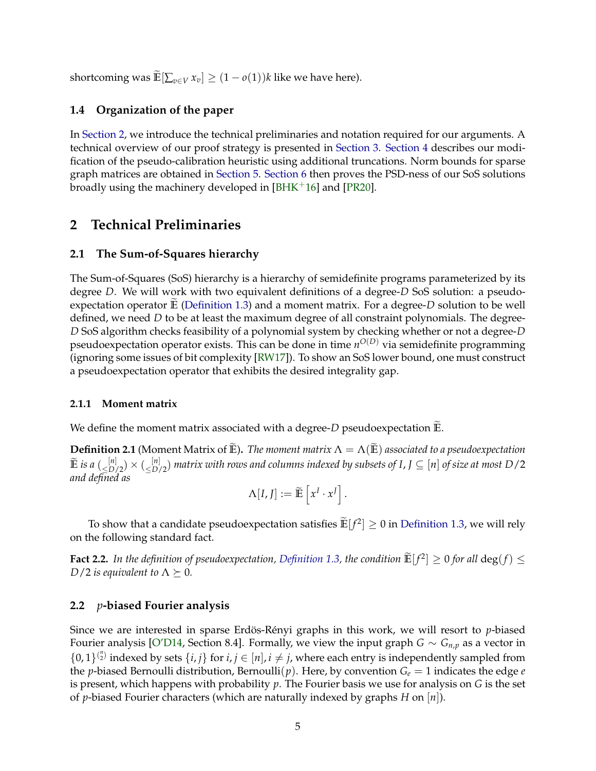shortcoming was  $\widetilde{\mathbb{E}}\left[\sum_{v \in V} x_v\right] \geq (1 - o(1))k$  like we have here).

# <span id="page-7-0"></span>**1.4 Organization of the paper**

In [Section 2,](#page-7-1) we introduce the technical preliminaries and notation required for our arguments. A technical overview of our proof strategy is presented in [Section 3.](#page-10-0) [Section 4](#page-14-0) describes our modification of the pseudo-calibration heuristic using additional truncations. Norm bounds for sparse graph matrices are obtained in [Section 5.](#page-19-0) [Section 6](#page-21-0) then proves the PSD-ness of our SoS solutions broadly using the machinery developed in  $[BHK<sup>+</sup>16]$  $[BHK<sup>+</sup>16]$  and  $[PR20]$ .

# <span id="page-7-1"></span>**2 Technical Preliminaries**

# <span id="page-7-2"></span>**2.1 The Sum-of-Squares hierarchy**

The Sum-of-Squares (SoS) hierarchy is a hierarchy of semidefinite programs parameterized by its degree *D*. We will work with two equivalent definitions of a degree-*D* SoS solution: a pseudoexpectation operator  $\mathbb E$  [\(Definition 1.3\)](#page-4-1) and a moment matrix. For a degree-*D* solution to be well defined, we need *D* to be at least the maximum degree of all constraint polynomials. The degree-*D* SoS algorithm checks feasibility of a polynomial system by checking whether or not a degree-*D* pseudoexpectation operator exists. This can be done in time  $n^{O(D)}$  via semidefinite programming (ignoring some issues of bit complexity [\[RW17\]](#page-62-10)). To show an SoS lower bound, one must construct a pseudoexpectation operator that exhibits the desired integrality gap.

# **2.1.1 Moment matrix**

We define the moment matrix associated with a degree- $D$  pseudoexpectation  $\mathbb{E}$ .

**Definition 2.1** (Moment Matrix of **E**). *The moment matrix*  $\Lambda = \Lambda(\mathbf{E})$  *associated to a pseudoexpectation*  $\widetilde{\mathbb{E}}$  *is a*  $(\leq^{\left[n\right]}_{D/2}) \times (\leq^{\left[n\right]}_{D/2})$  matrix with rows and columns indexed by subsets of I, J  $\subseteq$   $[n]$  of size at most D/2 *and defined as*

$$
\Lambda[I, J] := \widetilde{\mathbb{E}} \left[ x^I \cdot x^J \right].
$$

To show that a candidate pseudoexpectation satisfies  $\mathbb{E}[f^2] \ge 0$  in [Definition 1.3,](#page-4-1) we will rely on the following standard fact.

**Fact 2.2.** In the definition of pseudoexpectation, [Definition 1.3,](#page-4-1) the condition  $\mathbb{E}[f^2] \ge 0$  for all  $\deg(f) \le \mathbb{E}[f^2]$ *D*/2 *is equivalent to*  $\Lambda \succeq 0$ *.* 

# <span id="page-7-3"></span>**2.2** *p***-biased Fourier analysis**

Since we are interested in sparse Erdös-Rényi graphs in this work, we will resort to *p*-biased Fourier analysis [\[O'D14,](#page-62-11) Section 8.4]. Formally, we view the input graph *G* ∼ *G*<sub>*n*,*p*</sub> as a vector in  $\{0,1\}^{n \choose 2}$  indexed by sets  $\{i,j\}$  for  $i,j \in [n], i \neq j$ , where each entry is independently sampled from the *p*-biased Bernoulli distribution, Bernoulli(*p*). Here, by convention  $G_e = 1$  indicates the edge *e* is present, which happens with probability *p*. The Fourier basis we use for analysis on *G* is the set of *p*-biased Fourier characters (which are naturally indexed by graphs *H* on [*n*]).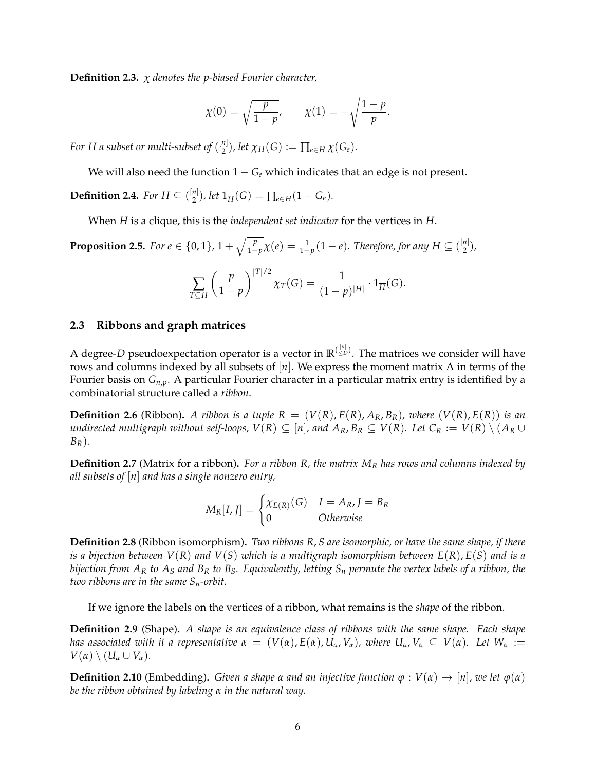**Definition 2.3.** *χ denotes the p-biased Fourier character,*

$$
\chi(0) = \sqrt{\frac{p}{1-p}}, \qquad \chi(1) = -\sqrt{\frac{1-p}{p}}.
$$

For H a subset or multi-subset of  $\binom{[n]}{2}$  $Z_2^{n_1}$ ), let  $\chi_H(G) := \prod_{e \in H} \chi(G_e)$ .

We will also need the function  $1 - G_e$  which indicates that an edge is not present.

**Definition 2.4.** *For*  $H \subseteq \binom{[n]}{2}$  $\binom{n}{2}$ , let  $1_{\overline{H}}(G) = \prod_{e \in H} (1 - G_e)$ .

When *H* is a clique, this is the *independent set indicator* for the vertices in *H*.

<span id="page-8-1"></span>**Proposition 2.5.** For  $e \in \{0,1\}$ ,  $1 + \sqrt{\frac{p}{1-p}}\chi(e) = \frac{1}{1-p}(1-e)$ . Therefore, for any  $H \subseteq \binom{[n]}{2}$  $\binom{n}{2}$ ,

$$
\sum_{T \subseteq H} \left( \frac{p}{1-p} \right)^{|T|/2} \chi_T(G) = \frac{1}{(1-p)^{|H|}} \cdot 1_{\overline{H}}(G).
$$

### <span id="page-8-0"></span>**2.3 Ribbons and graph matrices**

A degree-*D* pseudoexpectation operator is a vector in  $\mathbb{R}^{(\frac{[n]}{\leq D})}$ . The matrices we consider will have rows and columns indexed by all subsets of [*n*]. We express the moment matrix Λ in terms of the Fourier basis on *Gn*,*p*. A particular Fourier character in a particular matrix entry is identified by a combinatorial structure called a *ribbon*.

**Definition 2.6** (Ribbon). A ribbon is a tuple  $R = (V(R), E(R), A_R, B_R)$ , where  $(V(R), E(R))$  is an *undirected multigraph without self-loops,*  $V(R) \subseteq [n]$ , and  $A_R$ ,  $B_R \subseteq V(R)$ . Let  $C_R := V(R) \setminus (A_R \cup$ *BR*)*.*

**Definition 2.7** (Matrix for a ribbon)**.** *For a ribbon R, the matrix M<sup>R</sup> has rows and columns indexed by all subsets of* [*n*] *and has a single nonzero entry,*

$$
M_R[I, J] = \begin{cases} \chi_{E(R)}(G) & I = A_R, J = B_R \\ 0 & Otherwise \end{cases}
$$

**Definition 2.8** (Ribbon isomorphism)**.** *Two ribbons R*, *S are isomorphic, or have the same shape, if there is a bijection between V*(*R*) *and V*(*S*) *which is a multigraph isomorphism between E*(*R*), *E*(*S*) *and is a bijection from A<sup>R</sup> to A<sup>S</sup> and B<sup>R</sup> to BS. Equivalently, letting S<sup>n</sup> permute the vertex labels of a ribbon, the two ribbons are in the same Sn-orbit.*

If we ignore the labels on the vertices of a ribbon, what remains is the *shape* of the ribbon.

**Definition 2.9** (Shape)**.** *A shape is an equivalence class of ribbons with the same shape. Each shape has associated with it a representative*  $\alpha = (V(\alpha), E(\alpha), U_\alpha, V_\alpha)$ , where  $U_\alpha, V_\alpha \subseteq V(\alpha)$ . Let  $W_\alpha :=$  $V(\alpha) \setminus (U_\alpha \cup V_\alpha).$ 

**Definition 2.10** (Embedding). *Given a shape α and an injective function*  $φ$  :  $V(α) → [n]$ *, we let*  $φ(α)$ *be the ribbon obtained by labeling α in the natural way.*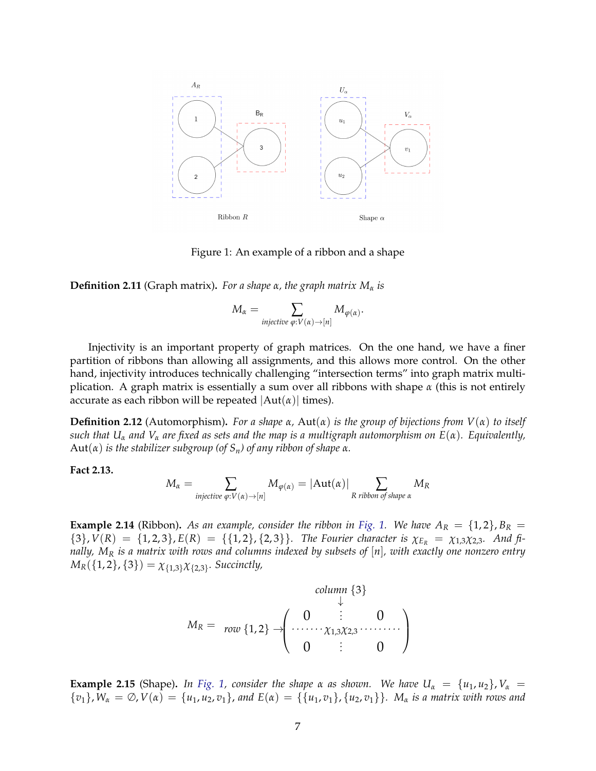

<span id="page-9-0"></span>Figure 1: An example of a ribbon and a shape

**Definition 2.11** (Graph matrix)**.** *For a shape α, the graph matrix M<sup>α</sup> is*

$$
M_{\alpha} = \sum_{\text{injective } \varphi: V(\alpha) \to [n]} M_{\varphi(\alpha)}.
$$

Injectivity is an important property of graph matrices. On the one hand, we have a finer partition of ribbons than allowing all assignments, and this allows more control. On the other hand, injectivity introduces technically challenging "intersection terms" into graph matrix multiplication. A graph matrix is essentially a sum over all ribbons with shape *α* (this is not entirely accurate as each ribbon will be repeated  $|Aut(\alpha)|$  times).

**Definition 2.12** (Automorphism)**.** *For a shape α,* Aut(*α*) *is the group of bijections from V*(*α*) *to itself such that U<sup>α</sup> and V<sup>α</sup> are fixed as sets and the map is a multigraph automorphism on E*(*α*)*. Equivalently,*  $Aut(\alpha)$  *is the stabilizer subgroup (of S<sub>n</sub>) of any ribbon of shape*  $\alpha$ *.* 

**Fact 2.13.**

$$
M_{\alpha} = \sum_{\text{injective } \varphi: V(\alpha) \to [n]} M_{\varphi(\alpha)} = |\text{Aut}(\alpha)| \sum_{R \text{ ribbon of shape } \alpha} M_R
$$

**Example 2.14** (Ribbon). As an example, consider the ribbon in [Fig. 1.](#page-9-0) We have  $A_R = \{1, 2\}$ ,  $B_R =$  ${3}$ ,  $V(R) = {1, 2, 3}$ ,  $E(R) = {1, 2}$ ,  ${2, 3}$ . The Fourier character is  $\chi_{E_R} = \chi_{1,3}\chi_{2,3}$ . And fi*nally, M<sup>R</sup> is a matrix with rows and columns indexed by subsets of* [*n*]*, with exactly one nonzero entry*  $M_R(\{1,2\},\{3\}) = \chi_{\{1,3\}}\chi_{\{2,3\}}$ *. Succinctly,* 

$$
M_R = \text{row } \{1,2\} \rightarrow \begin{pmatrix} 0 & \vdots & 0 \\ 0 & \vdots & 0 \\ 0 & \vdots & 0 \end{pmatrix}
$$

**Example 2.15** (Shape). *In [Fig. 1,](#page-9-0) consider the shape*  $\alpha$  *as shown. We have*  $U_{\alpha} = \{u_1, u_2\}$ ,  $V_{\alpha} =$  ${v_1}$ ,  $W_\alpha = \emptyset$ ,  $V(\alpha) = {u_1, u_2, v_1}$ , and  $E(\alpha) = {u_1, v_1}$ ,  ${u_2, v_1}$ .  $M_\alpha$  *is a matrix with rows and*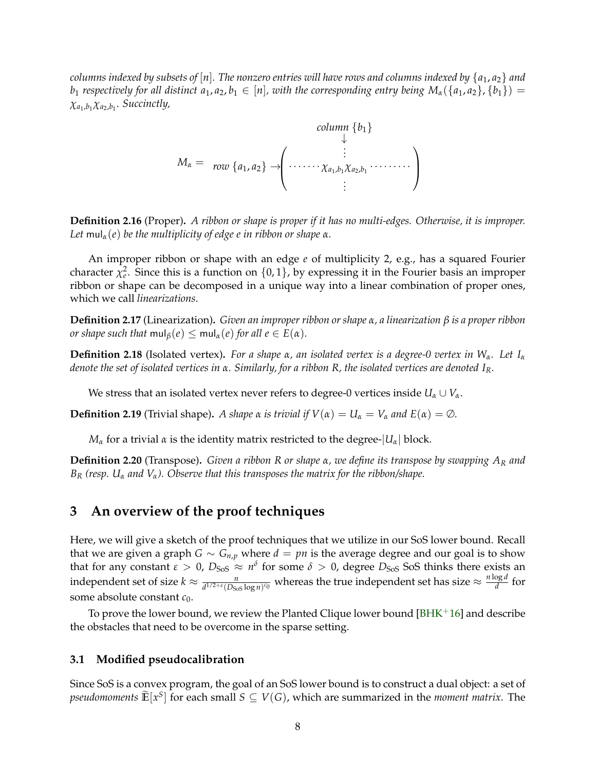*columns indexed by subsets of*  $[n]$ *. The nonzero entries will have rows and columns indexed by*  $\{a_1, a_2\}$  *and b*<sub>1</sub> *respectively for all distinct*  $a_1, a_2, b_1 \in [n]$ *, with the corresponding entry being*  $M_\alpha(\{a_1, a_2\}, \{b_1\}) =$ *χa*1,*b*<sup>1</sup> *χa*2,*b*<sup>1</sup> *. Succinctly,*



**Definition 2.16** (Proper)**.** *A ribbon or shape is proper if it has no multi-edges. Otherwise, it is improper. Let* mul<sub>α</sub>(*e*) *be the multiplicity of edge <i>e in ribbon or shape α.* 

An improper ribbon or shape with an edge *e* of multiplicity 2, e.g., has a squared Fourier character  $\chi^2_e$ . Since this is a function on  $\{0,1\}$ , by expressing it in the Fourier basis an improper ribbon or shape can be decomposed in a unique way into a linear combination of proper ones, which we call *linearizations*.

**Definition 2.17** (Linearization)**.** *Given an improper ribbon or shape α, a linearization β is a proper ribbon or shape such that*  $\text{mul}_\beta(e) \leq \text{mul}_\alpha(e)$  *for all*  $e \in E(\alpha)$ *.* 

**Definition 2.18** (Isolated vertex)**.** *For a shape α, an isolated vertex is a degree-0 vertex in Wα. Let I<sup>α</sup> denote the set of isolated vertices in α. Similarly, for a ribbon R, the isolated vertices are denoted IR.*

We stress that an isolated vertex never refers to degree-0 vertices inside  $U_\alpha \cup V_\alpha$ .

**Definition 2.19** (Trivial shape). *A shape*  $\alpha$  *is trivial if*  $V(\alpha) = U_{\alpha} = V_{\alpha}$  *and*  $E(\alpha) = \emptyset$ *.* 

*M*<sub>*α*</sub> for a trivial *α* is the identity matrix restricted to the degree- $|U<sub>α</sub>|$  block.

**Definition 2.20** (Transpose)**.** *Given a ribbon R or shape α, we define its transpose by swapping A<sup>R</sup> and B<sup>R</sup> (resp. U<sup>α</sup> and Vα). Observe that this transposes the matrix for the ribbon/shape.*

# <span id="page-10-0"></span>**3 An overview of the proof techniques**

Here, we will give a sketch of the proof techniques that we utilize in our SoS lower bound. Recall that we are given a graph *G* ∼ *G*<sub>*n*,*p*</sub> where *d* = *pn* is the average degree and our goal is to show that for any constant  $\varepsilon > 0$ ,  $D_{SoS} \approx n^{\delta}$  for some  $\delta > 0$ , degree  $D_{SoS}$  SoS thinks there exists an independent set of size  $k \approx \frac{n}{d^{1/2+\epsilon}(D_{Sos} \log n)^{c_0}}$  whereas the true independent set has size  $\approx \frac{n \log d}{d}$  $\frac{\partial g}{\partial t}$  for some absolute constant *c*0.

To prove the lower bound, we review the Planted Clique lower bound  $[BHK<sup>+</sup>16]$  $[BHK<sup>+</sup>16]$  and describe the obstacles that need to be overcome in the sparse setting.

### <span id="page-10-1"></span>**3.1 Modified pseudocalibration**

Since SoS is a convex program, the goal of an SoS lower bound is to construct a dual object: a set of *pseudomoments*  $\widetilde{\mathbb{E}}[x^S]$  for each small  $S \subseteq V(G)$ , which are summarized in the *moment matrix*. The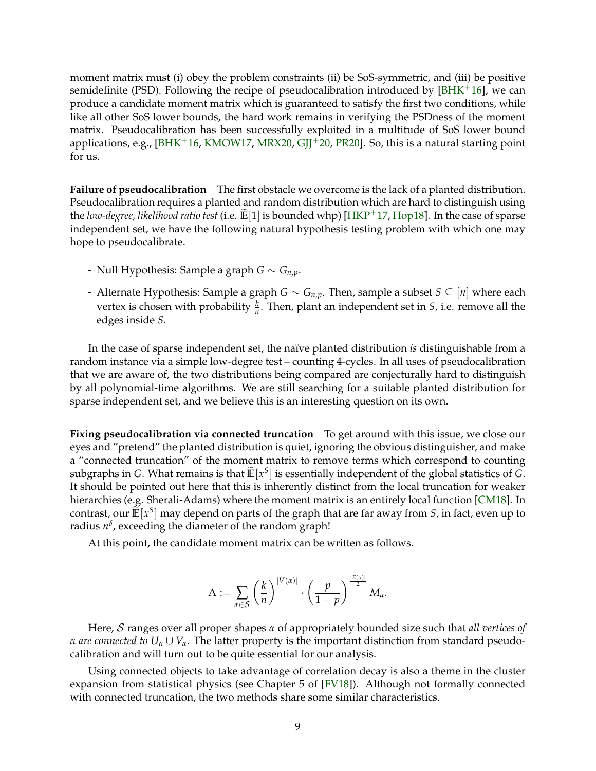moment matrix must (i) obey the problem constraints (ii) be SoS-symmetric, and (iii) be positive semidefinite (PSD). Following the recipe of pseudocalibration introduced by  $[BHK^+16]$  $[BHK^+16]$ , we can produce a candidate moment matrix which is guaranteed to satisfy the first two conditions, while like all other SoS lower bounds, the hard work remains in verifying the PSDness of the moment matrix. Pseudocalibration has been successfully exploited in a multitude of SoS lower bound applications, e.g.,  $[BHK^+16, KMOW17, MRX20, GJJ^+20, PR20]$  $[BHK^+16, KMOW17, MRX20, GJJ^+20, PR20]$  $[BHK^+16, KMOW17, MRX20, GJJ^+20, PR20]$  $[BHK^+16, KMOW17, MRX20, GJJ^+20, PR20]$  $[BHK^+16, KMOW17, MRX20, GJJ^+20, PR20]$  $[BHK^+16, KMOW17, MRX20, GJJ^+20, PR20]$  $[BHK^+16, KMOW17, MRX20, GJJ^+20, PR20]$  $[BHK^+16, KMOW17, MRX20, GJJ^+20, PR20]$  $[BHK^+16, KMOW17, MRX20, GJJ^+20, PR20]$ . So, this is a natural starting point for us.

**Failure of pseudocalibration** The first obstacle we overcome is the lack of a planted distribution. Pseudocalibration requires a planted and random distribution which are hard to distinguish using the *low-degree, likelihood ratio test* (i.e.  $\mathbb{E}[1]$  is bounded whp) [\[HKP](#page-61-5)<sup>+</sup>17, [Hop18\]](#page-61-8). In the case of sparse independent set, we have the following natural hypothesis testing problem with which one may hope to pseudocalibrate.

- Null Hypothesis: Sample a graph *G* ∼ *Gn*,*p*.
- Alternate Hypothesis: Sample a graph *G* ∼ *Gn*,*p*. Then, sample a subset *S* ⊆ [*n*] where each vertex is chosen with probability  $\frac{k}{n}$ . Then, plant an independent set in *S*, i.e. remove all the edges inside *S*.

In the case of sparse independent set, the naïve planted distribution *is* distinguishable from a random instance via a simple low-degree test – counting 4-cycles. In all uses of pseudocalibration that we are aware of, the two distributions being compared are conjecturally hard to distinguish by all polynomial-time algorithms. We are still searching for a suitable planted distribution for sparse independent set, and we believe this is an interesting question on its own.

**Fixing pseudocalibration via connected truncation** To get around with this issue, we close our eyes and "pretend" the planted distribution is quiet, ignoring the obvious distinguisher, and make a "connected truncation" of the moment matrix to remove terms which correspond to counting subgraphs in *G*. What remains is that  $\mathbb{E}[x^S]$  is essentially independent of the global statistics of *G*. It should be pointed out here that this is inherently distinct from the local truncation for weaker hierarchies (e.g. Sherali-Adams) where the moment matrix is an entirely local function [\[CM18\]](#page-60-7). In contrast, our  $\mathbb{E}[x^S]$  may depend on parts of the graph that are far away from *S*, in fact, even up to radius  $n^{\delta}$ , exceeding the diameter of the random graph!

At this point, the candidate moment matrix can be written as follows.

$$
\Lambda:=\sum_{\alpha\in\mathcal{S}}\left(\frac{k}{n}\right)^{|V(\alpha)|}\cdot\left(\frac{p}{1-p}\right)^{\frac{|E(\alpha)|}{2}}M_\alpha.
$$

Here, S ranges over all proper shapes *α* of appropriately bounded size such that *all vertices of α are connected to*  $U_\alpha \cup V_\alpha$ . The latter property is the important distinction from standard pseudocalibration and will turn out to be quite essential for our analysis.

Using connected objects to take advantage of correlation decay is also a theme in the cluster expansion from statistical physics (see Chapter 5 of [\[FV18\]](#page-61-9)). Although not formally connected with connected truncation, the two methods share some similar characteristics.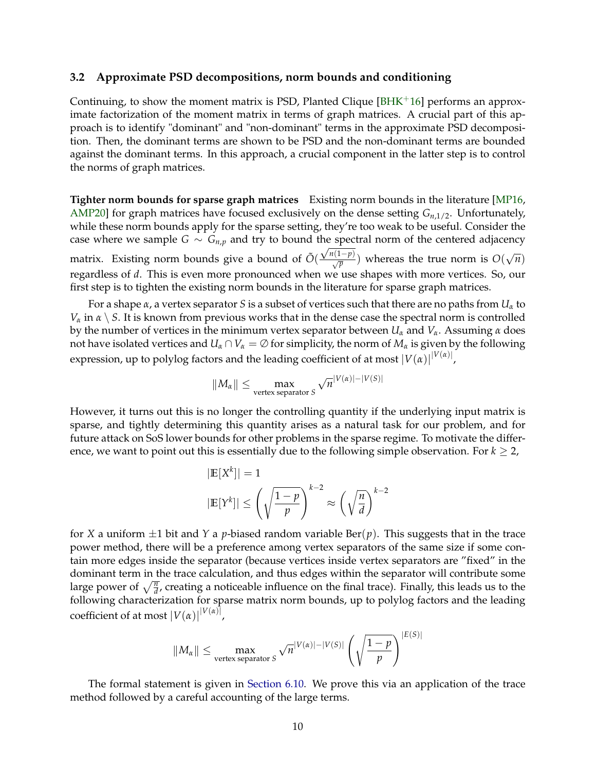### <span id="page-12-0"></span>**3.2 Approximate PSD decompositions, norm bounds and conditioning**

Continuing, to show the moment matrix is PSD, Planted Clique  $[BHK^+16]$  $[BHK^+16]$  performs an approximate factorization of the moment matrix in terms of graph matrices. A crucial part of this approach is to identify "dominant" and "non-dominant" terms in the approximate PSD decomposition. Then, the dominant terms are shown to be PSD and the non-dominant terms are bounded against the dominant terms. In this approach, a crucial component in the latter step is to control the norms of graph matrices.

**Tighter norm bounds for sparse graph matrices** Existing norm bounds in the literature [\[MP16,](#page-62-13) [AMP20\]](#page-60-5) for graph matrices have focused exclusively on the dense setting *Gn*,1/2. Unfortunately, while these norm bounds apply for the sparse setting, they're too weak to be useful. Consider the case where we sample  $G \sim G_{n,p}$  and try to bound the spectral norm of the centered adjacency matrix. Existing norm bounds give a bound of  $\tilde{O}(\frac{\sqrt{n}(1-p)}{\sqrt{p}})$  whereas the true norm is  $O(n)$ √ *n*) regardless of *d*. This is even more pronounced when we use shapes with more vertices. So, our first step is to tighten the existing norm bounds in the literature for sparse graph matrices.

For a shape *α*, a vertex separator *S* is a subset of vertices such that there are no paths from *U<sup>α</sup>* to *V*<sup> $\alpha$ </sup> in  $\alpha \setminus S$ . It is known from previous works that in the dense case the spectral norm is controlled by the number of vertices in the minimum vertex separator between  $U_\alpha$  and  $V_\alpha$ . Assuming  $\alpha$  does not have isolated vertices and  $U_\alpha \cap V_\alpha = \emptyset$  for simplicity, the norm of  $M_\alpha$  is given by the following expression, up to polylog factors and the leading coefficient of at most  $|V(\alpha)|^{|V(\alpha)|}$ ,

$$
||M_{\alpha}|| \leq \max_{\text{vertex separator } S} \sqrt{n}^{|V(\alpha)| - |V(S)|}
$$

However, it turns out this is no longer the controlling quantity if the underlying input matrix is sparse, and tightly determining this quantity arises as a natural task for our problem, and for future attack on SoS lower bounds for other problems in the sparse regime. To motivate the difference, we want to point out this is essentially due to the following simple observation. For  $k \geq 2$ ,

$$
|\mathbb{E}[X^k]| = 1
$$
  

$$
|\mathbb{E}[Y^k]| \le \left(\sqrt{\frac{1-p}{p}}\right)^{k-2} \approx \left(\sqrt{\frac{n}{d}}\right)^{k-2}
$$

for *X* a uniform  $\pm 1$  bit and *Y* a *p*-biased random variable Ber(*p*). This suggests that in the trace power method, there will be a preference among vertex separators of the same size if some contain more edges inside the separator (because vertices inside vertex separators are "fixed" in the dominant term in the trace calculation, and thus edges within the separator will contribute some large power of  $\sqrt{\frac{n}{d}}$ , creating a noticeable influence on the final trace). Finally, this leads us to the following characterization for sparse matrix norm bounds, up to polylog factors and the leading  $\text{coefficient of at most } |V(\alpha)|^{|V(\alpha)|},$ 

$$
||M_{\alpha}|| \le \max_{\text{vertex separator } S} \sqrt{n}^{|V(\alpha)| - |V(S)|} \left( \sqrt{\frac{1-p}{p}} \right)^{|E(S)|}
$$

The formal statement is given in [Section 6.10.](#page-47-0) We prove this via an application of the trace method followed by a careful accounting of the large terms.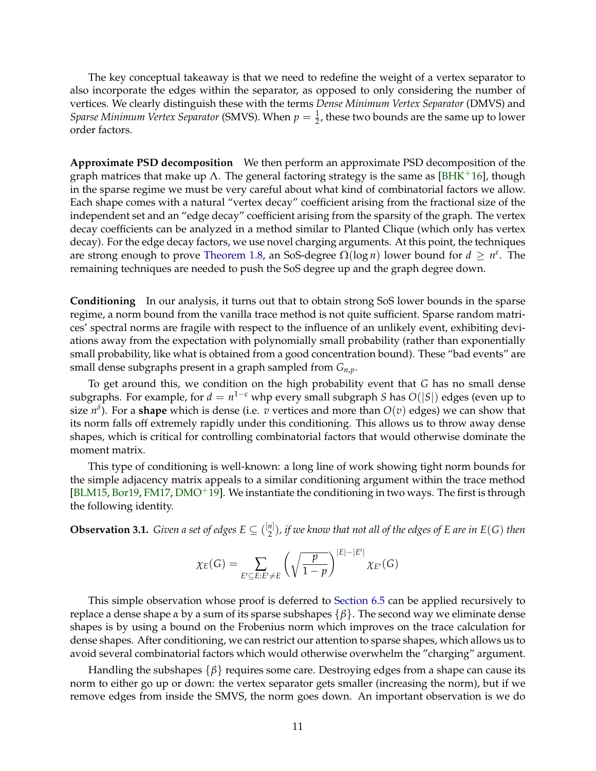The key conceptual takeaway is that we need to redefine the weight of a vertex separator to also incorporate the edges within the separator, as opposed to only considering the number of vertices. We clearly distinguish these with the terms *Dense Minimum Vertex Separator* (DMVS) and *Sparse Minimum Vertex Separator* (SMVS). When  $p=\frac{1}{2}$ , these two bounds are the same up to lower order factors.

**Approximate PSD decomposition** We then perform an approximate PSD decomposition of the graph matrices that make up Λ. The general factoring strategy is the same as [\[BHK](#page-60-3)<sup>+</sup>16], though in the sparse regime we must be very careful about what kind of combinatorial factors we allow. Each shape comes with a natural "vertex decay" coefficient arising from the fractional size of the independent set and an "edge decay" coefficient arising from the sparsity of the graph. The vertex decay coefficients can be analyzed in a method similar to Planted Clique (which only has vertex decay). For the edge decay factors, we use novel charging arguments. At this point, the techniques are strong enough to prove [Theorem 1.8,](#page-5-1) an SoS-degree  $\Omega(\log n)$  lower bound for  $d \geq n^{\varepsilon}$ . The remaining techniques are needed to push the SoS degree up and the graph degree down.

**Conditioning** In our analysis, it turns out that to obtain strong SoS lower bounds in the sparse regime, a norm bound from the vanilla trace method is not quite sufficient. Sparse random matrices' spectral norms are fragile with respect to the influence of an unlikely event, exhibiting deviations away from the expectation with polynomially small probability (rather than exponentially small probability, like what is obtained from a good concentration bound). These "bad events" are small dense subgraphs present in a graph sampled from *Gn*,*p*.

To get around this, we condition on the high probability event that *G* has no small dense subgraphs. For example, for  $d = n^{1-\epsilon}$  whp every small subgraph *S* has  $O(|S|)$  edges (even up to size *n δ* ). For a **shape** which is dense (i.e. *v* vertices and more than *O*(*v*) edges) we can show that its norm falls off extremely rapidly under this conditioning. This allows us to throw away dense shapes, which is critical for controlling combinatorial factors that would otherwise dominate the moment matrix.

This type of conditioning is well-known: a long line of work showing tight norm bounds for the simple adjacency matrix appeals to a similar conditioning argument within the trace method  $[BLM15, Bor19, FM17, DMO<sup>+</sup>19]$  $[BLM15, Bor19, FM17, DMO<sup>+</sup>19]$  $[BLM15, Bor19, FM17, DMO<sup>+</sup>19]$  $[BLM15, Bor19, FM17, DMO<sup>+</sup>19]$  $[BLM15, Bor19, FM17, DMO<sup>+</sup>19]$  $[BLM15, Bor19, FM17, DMO<sup>+</sup>19]$  $[BLM15, Bor19, FM17, DMO<sup>+</sup>19]$  $[BLM15, Bor19, FM17, DMO<sup>+</sup>19]$ . We instantiate the conditioning in two ways. The first is through the following identity.

<span id="page-13-0"></span>**Observation 3.1.** *Given a set of edges*  $E \subseteq {n \choose 2}$ 2 )*, if we know that not all of the edges of E are in E*(*G*) *then*

$$
\chi_E(G) = \sum_{E' \subseteq E: E' \neq E} \left( \sqrt{\frac{p}{1-p}} \right)^{|E| - |E'|} \chi_{E'}(G)
$$

This simple observation whose proof is deferred to [Section 6.5](#page-33-0) can be applied recursively to replace a dense shape *α* by a sum of its sparse subshapes {*β*}. The second way we eliminate dense shapes is by using a bound on the Frobenius norm which improves on the trace calculation for dense shapes. After conditioning, we can restrict our attention to sparse shapes, which allows us to avoid several combinatorial factors which would otherwise overwhelm the "charging" argument.

Handling the subshapes {*β*} requires some care. Destroying edges from a shape can cause its norm to either go up or down: the vertex separator gets smaller (increasing the norm), but if we remove edges from inside the SMVS, the norm goes down. An important observation is we do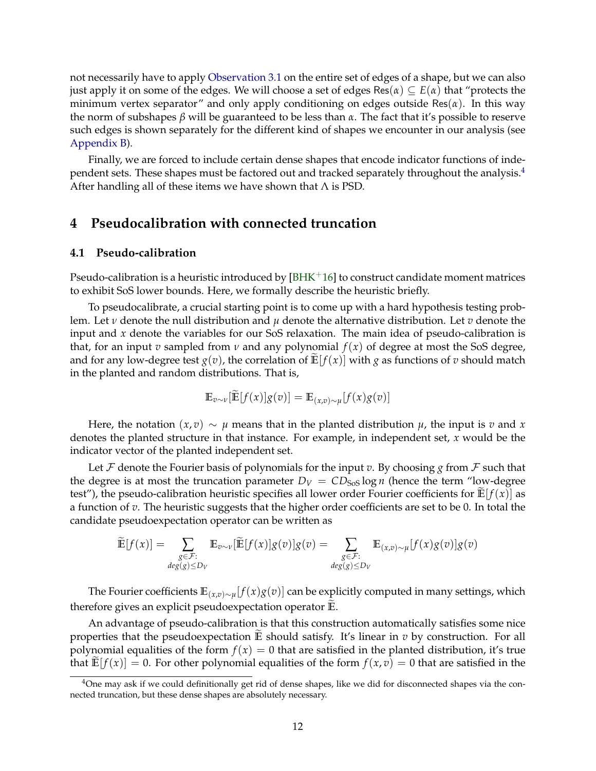not necessarily have to apply [Observation 3.1](#page-13-0) on the entire set of edges of a shape, but we can also just apply it on some of the edges. We will choose a set of edges Res $(\alpha) \subseteq E(\alpha)$  that "protects the minimum vertex separator" and only apply conditioning on edges outside Res(*α*). In this way the norm of subshapes *β* will be guaranteed to be less than *α*. The fact that it's possible to reserve such edges is shown separately for the different kind of shapes we encounter in our analysis (see [Appendix B\)](#page-67-0).

Finally, we are forced to include certain dense shapes that encode indicator functions of independent sets. These shapes must be factored out and tracked separately throughout the analysis.[4](#page-14-2) After handling all of these items we have shown that  $\Lambda$  is PSD.

# <span id="page-14-0"></span>**4 Pseudocalibration with connected truncation**

## <span id="page-14-1"></span>**4.1 Pseudo-calibration**

Pseudo-calibration is a heuristic introduced by  $[BHK+16]$  $[BHK+16]$  to construct candidate moment matrices to exhibit SoS lower bounds. Here, we formally describe the heuristic briefly.

To pseudocalibrate, a crucial starting point is to come up with a hard hypothesis testing problem. Let *ν* denote the null distribution and *µ* denote the alternative distribution. Let *v* denote the input and *x* denote the variables for our SoS relaxation. The main idea of pseudo-calibration is that, for an input *v* sampled from *v* and any polynomial  $f(x)$  of degree at most the SoS degree, and for any low-degree test  $g(v)$ , the correlation of  $E[f(x)]$  with *g* as functions of *v* should match in the planted and random distributions. That is,

$$
\mathbb{E}_{v \sim \nu}[\mathbb{E}[f(x)]g(v)] = \mathbb{E}_{(x,v) \sim \mu}[f(x)g(v)]
$$

Here, the notation  $(x, v) \sim \mu$  means that in the planted distribution  $\mu$ , the input is  $v$  and  $x$ denotes the planted structure in that instance. For example, in independent set, *x* would be the indicator vector of the planted independent set.

Let  $\mathcal F$  denote the Fourier basis of polynomials for the input  $v$ . By choosing  $g$  from  $\mathcal F$  such that the degree is at most the truncation parameter  $D_V = CD_{SoS} \log n$  (hence the term "low-degree test"), the pseudo-calibration heuristic specifies all lower order Fourier coefficients for  $\mathbb{E}[f(x)]$  as a function of *v*. The heuristic suggests that the higher order coefficients are set to be 0. In total the candidate pseudoexpectation operator can be written as

$$
\widetilde{\mathbb{E}}[f(x)] = \sum_{\substack{g \in \mathcal{F}: \\ deg(g) \le D_V}} \mathbb{E}_{v \sim \nu}[\widetilde{\mathbb{E}}[f(x)]g(v)]g(v) = \sum_{\substack{g \in \mathcal{F}: \\ deg(g) \le D_V}} \mathbb{E}_{(x,v) \sim \mu}[f(x)g(v)]g(v)
$$

The Fourier coefficients **E**(*x*,*v*)∼*<sup>µ</sup>* [ *f*(*x*)*g*(*v*)] can be explicitly computed in many settings, which therefore gives an explicit pseudoexpectation operator **E**.

An advantage of pseudo-calibration is that this construction automatically satisfies some nice properties that the pseudoexpectation  $E$  should satisfy. It's linear in  $v$  by construction. For all polynomial equalities of the form  $f(x) = 0$  that are satisfied in the planted distribution, it's true that  $\mathbb{E}[f(x)] = 0$ . For other polynomial equalities of the form  $f(x, v) = 0$  that are satisfied in the

<span id="page-14-2"></span> $4$ One may ask if we could definitionally get rid of dense shapes, like we did for disconnected shapes via the connected truncation, but these dense shapes are absolutely necessary.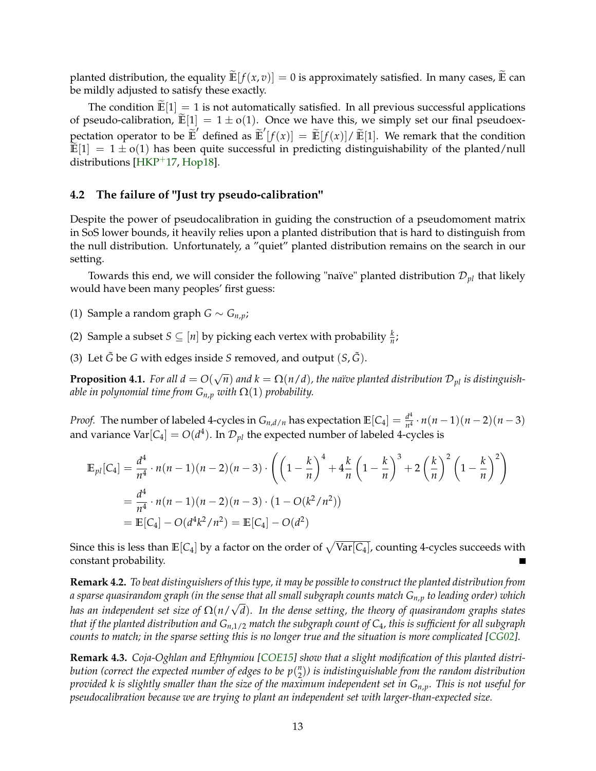planted distribution, the equality  $\widetilde{\mathbb{E}}[f(x,v)] = 0$  is approximately satisfied. In many cases,  $\widetilde{\mathbb{E}}$  can be mildly adjusted to satisfy these exactly.

The condition  $\mathbb{E}[1] = 1$  is not automatically satisfied. In all previous successful applications of pseudo-calibration,  $\tilde{E}[1] = 1 \pm o(1)$ . Once we have this, we simply set our final pseudoexpectation operator to be  $\tilde{\mathbb{E}}'$  defined as  $\tilde{\mathbb{E}}'[f(x)] = \tilde{\mathbb{E}}[f(x)] / \tilde{\mathbb{E}}[1]$ . We remark that the condition  $\mathbb{E}[1] = 1 \pm o(1)$  has been quite successful in predicting distinguishability of the planted/null distributions [ $HKP+17$ , [Hop18\]](#page-61-8).

## <span id="page-15-0"></span>**4.2 The failure of "Just try pseudo-calibration"**

Despite the power of pseudocalibration in guiding the construction of a pseudomoment matrix in SoS lower bounds, it heavily relies upon a planted distribution that is hard to distinguish from the null distribution. Unfortunately, a "quiet" planted distribution remains on the search in our setting.

Towards this end, we will consider the following "naïve" planted distribution  $\mathcal{D}_{pl}$  that likely would have been many peoples' first guess:

- (1) Sample a random graph *G* ∼ *Gn*,*p*;
- (2) Sample a subset  $S \subseteq [n]$  by picking each vertex with probability  $\frac{k}{n}$ ;
- (3) Let  $\tilde{G}$  be  $G$  with edges inside  $S$  removed, and output  $(S, \tilde{G})$ .

**Proposition 4.1.** *For all*  $d = O$ √  $\widehat{n})$  and  $k = \Omega(n/d)$ , the naïve planted distribution  $\mathcal{D}_{pl}$  is distinguish*able in polynomial time from*  $G_{n,p}$  *with*  $\Omega(1)$  *probability.* 

*Proof.* The number of labeled 4-cycles in  $G_{n,d/n}$  has expectation  $\mathbb{E}[C_4] = \frac{d^4}{n^4}$  $\frac{d^4}{n^4} \cdot n(n-1)(n-2)(n-3)$ and variance Var $[C_4]=O(d^4).$  In  ${\cal D}_{pl}$  the expected number of labeled 4-cycles is

$$
\mathbb{E}_{pl}[C_4] = \frac{d^4}{n^4} \cdot n(n-1)(n-2)(n-3) \cdot \left( \left( 1 - \frac{k}{n} \right)^4 + 4\frac{k}{n} \left( 1 - \frac{k}{n} \right)^3 + 2\left( \frac{k}{n} \right)^2 \left( 1 - \frac{k}{n} \right)^2 \right)
$$
  
= 
$$
\frac{d^4}{n^4} \cdot n(n-1)(n-2)(n-3) \cdot (1 - O(k^2/n^2))
$$
  
= 
$$
\mathbb{E}[C_4] - O(d^4k^2/n^2) = \mathbb{E}[C_4] - O(d^2)
$$

Since this is less than  $\mathbb{E}[{\mathsf C}_4]$  by a factor on the order of  $\sqrt{\text{Var}[{\mathsf C}_4]}$ , counting 4-cycles succeeds with constant probability.

**Remark 4.2.** *To beat distinguishers of this type, it may be possible to construct the planted distribution from a sparse quasirandom graph (in the sense that all small subgraph counts match Gn*,*<sup>p</sup> to leading order) which* √ *has an independent set size of* Ω(*n*/ *d*)*. In the dense setting, the theory of quasirandom graphs states that if the planted distribution and Gn*,1/2 *match the subgraph count of C*4*, this is sufficient for all subgraph counts to match; in the sparse setting this is no longer true and the situation is more complicated [\[CG02\]](#page-60-10)*.

**Remark 4.3.** *Coja-Oghlan and Efthymiou [\[COE15\]](#page-61-2) show that a slight modification of this planted distribution (correct the expected number of edges to be p*( *n* 2 )*) is indistinguishable from the random distribution provided k is slightly smaller than the size of the maximum independent set in Gn*,*p. This is not useful for pseudocalibration because we are trying to plant an independent set with larger-than-expected size.*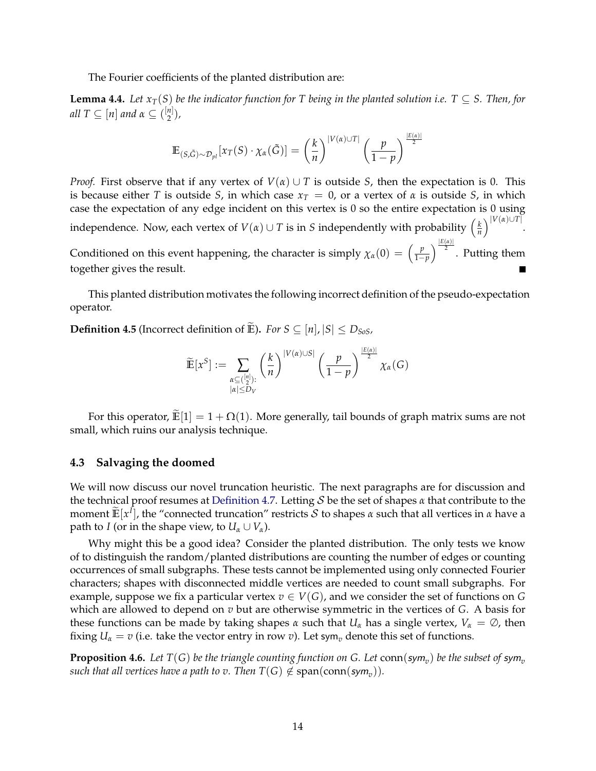The Fourier coefficients of the planted distribution are:

**Lemma 4.4.** *Let*  $x_T(S)$  *be the indicator function for* T *being in the planted solution i.e.*  $T \subseteq S$ . Then, for  $\mathit{all}\ T\subseteq [n]$  and  $\alpha\subseteq \binom{[n]}{2}$  $\binom{n}{2}$ ,

$$
\mathbb{E}_{(S,\tilde{G})\sim\mathcal{D}_{pl}}[x_T(S)\cdot \chi_{\alpha}(\tilde{G})] = \left(\frac{k}{n}\right)^{|V(\alpha)\cup T|} \left(\frac{p}{1-p}\right)^{\frac{|E(\alpha)|}{2}}
$$

*Proof.* First observe that if any vertex of  $V(\alpha) \cup T$  is outside *S*, then the expectation is 0. This is because either *T* is outside *S*, in which case  $x_T = 0$ , or a vertex of  $\alpha$  is outside *S*, in which case the expectation of any edge incident on this vertex is 0 so the entire expectation is 0 using independence. Now, each vertex of  $V(\alpha) \cup T$  is in *S* independently with probability  $\left(\frac{k}{n}\right)$  $\frac{k}{n}\right)^{|V(\alpha) \cup T|}.$ Conditioned on this event happening, the character is simply  $\chi_{\alpha}(0) = \left(\frac{p}{1-p}\right)^{\alpha}$  $\frac{p}{1-p}$ ) $\frac{|E(a)|}{2}$ . Putting them together gives the result.

This planted distribution motivates the following incorrect definition of the pseudo-expectation operator.

**Definition 4.5** (Incorrect definition of **E**). *For*  $S \subseteq [n]$ ,  $|S| \le D_{SoS}$ ,

$$
\widetilde{\mathbb{E}}[x^S] := \sum_{\substack{\alpha \subseteq \binom{[n]}{2}: \\ |\alpha| \le D_V}} \left(\frac{k}{n}\right)^{|V(\alpha) \cup S|} \left(\frac{p}{1-p}\right)^{\frac{|E(\alpha)|}{2}} \chi_\alpha(G)
$$

For this operator,  $\mathbb{E}[1] = 1 + \Omega(1)$ . More generally, tail bounds of graph matrix sums are not small, which ruins our analysis technique.

## <span id="page-16-0"></span>**4.3 Salvaging the doomed**

We will now discuss our novel truncation heuristic. The next paragraphs are for discussion and the technical proof resumes at [Definition 4.7.](#page-17-0) Letting S be the set of shapes *α* that contribute to the moment  $\mathbb{E}[x^I]$ , the "connected truncation" restricts S to shapes *α* such that all vertices in *α* have a path to *I* (or in the shape view, to  $U_\alpha \cup V_\alpha$ ).

Why might this be a good idea? Consider the planted distribution. The only tests we know of to distinguish the random/planted distributions are counting the number of edges or counting occurrences of small subgraphs. These tests cannot be implemented using only connected Fourier characters; shapes with disconnected middle vertices are needed to count small subgraphs. For example, suppose we fix a particular vertex  $v \in V(G)$ , and we consider the set of functions on G which are allowed to depend on *v* but are otherwise symmetric in the vertices of *G*. A basis for these functions can be made by taking shapes  $\alpha$  such that  $U_\alpha$  has a single vertex,  $V_\alpha = \emptyset$ , then fixing  $U_\alpha = v$  (i.e. take the vector entry in row *v*). Let sym<sub>*v*</sub> denote this set of functions.

**Proposition 4.6.** Let  $T(G)$  be the triangle counting function on G. Let  $\text{conn}(\textsf{sym}_{v})$  be the subset of  $\textsf{sym}_{v}$  $\mathit{such that all vertices have a path to v. Then } T(G) \not\in \mathrm{span}(\mathrm{conn}(\mathit{sym}_{v})).$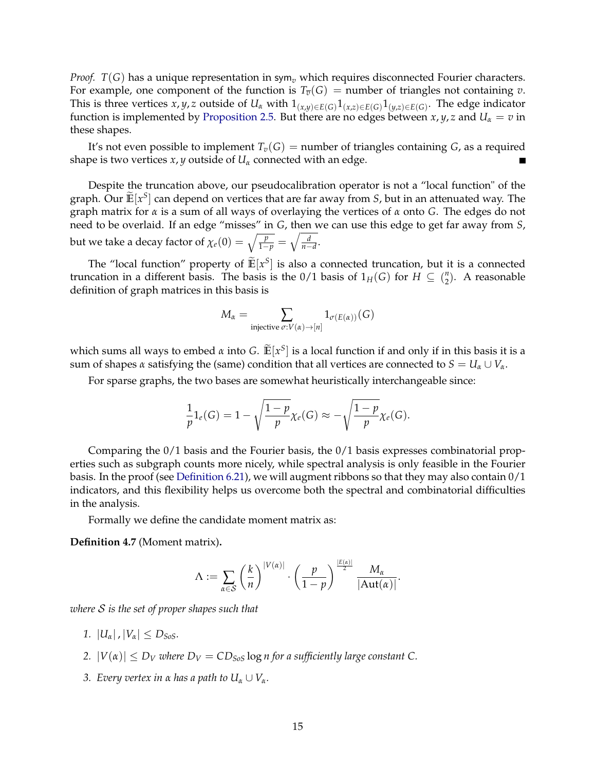*Proof.*  $T(G)$  has a unique representation in sym<sub>v</sub> which requires disconnected Fourier characters. For example, one component of the function is  $T_{\overline{v}}(G)$  = number of triangles not containing *v*. This is three vertices  $x, y, z$  outside of  $U_\alpha$  with  $1_{(x,y)\in E(G)}1_{(x,z)\in E(G)}1_{(y,z)\in E(G)}$ . The edge indicator function is implemented by [Proposition 2.5.](#page-8-1) But there are no edges between *x*, *y*, *z* and  $U_\alpha = v$  in these shapes.

It's not even possible to implement  $T_v(G)$  = number of triangles containing *G*, as a required shape is two vertices  $x$ ,  $y$  outside of  $U_\alpha$  connected with an edge.

Despite the truncation above, our pseudocalibration operator is not a "local function" of the graph. Our  $\mathbb{E}[x^S]$  can depend on vertices that are far away from *S*, but in an attenuated way. The graph matrix for *α* is a sum of all ways of overlaying the vertices of *α* onto *G*. The edges do not need to be overlaid. If an edge "misses" in *G*, then we can use this edge to get far away from *S*, but we take a decay factor of  $\chi_e(0) = \sqrt{\frac{p}{1-p}} = \sqrt{\frac{d}{n-d}}$ .

The "local function" property of  $\mathbb{E}[x^S]$  is also a connected truncation, but it is a connected truncation in a different basis. The basis is the 0/1 basis of  $1_H(G)$  for  $H \subseteq \binom{n}{2}$  $n<sub>2</sub>$ ). A reasonable definition of graph matrices in this basis is

$$
M_{\alpha} = \sum_{\text{injective } \sigma: V(\alpha) \to [n]} 1_{\sigma(E(\alpha))}(G)
$$

which sums all ways to embed *α* into *G*.  $\widetilde{\mathbb{E}}[x^S]$  is a local function if and only if in this basis it is a sum of shapes *α* satisfying the (same) condition that all vertices are connected to  $S = U_\alpha \cup V_\alpha$ .

For sparse graphs, the two bases are somewhat heuristically interchangeable since:

$$
\frac{1}{p}1_e(G) = 1 - \sqrt{\frac{1-p}{p}} \chi_e(G) \approx -\sqrt{\frac{1-p}{p}} \chi_e(G).
$$

Comparing the  $0/1$  basis and the Fourier basis, the  $0/1$  basis expresses combinatorial properties such as subgraph counts more nicely, while spectral analysis is only feasible in the Fourier basis. In the proof (see [Definition 6.21\)](#page-31-0), we will augment ribbons so that they may also contain 0/1 indicators, and this flexibility helps us overcome both the spectral and combinatorial difficulties in the analysis.

Formally we define the candidate moment matrix as:

<span id="page-17-0"></span>**Definition 4.7** (Moment matrix)**.**

$$
\Lambda := \sum_{\alpha \in \mathcal{S}} \left(\frac{k}{n}\right)^{|V(\alpha)|} \cdot \left(\frac{p}{1-p}\right)^{\frac{|E(\alpha)|}{2}} \frac{M_{\alpha}}{|\mathrm{Aut}(\alpha)|}.
$$

*where* S *is the set of proper shapes such that*

- *1.*  $|U_{\alpha}|, |V_{\alpha}| \leq D_{S_0S}$ .
- *2.*  $|V(\alpha)| \leq D_V$  *where*  $D_V = CD_{S_0S} \log n$  *for a sufficiently large constant* C.
- *3. Every vertex in α has a path to*  $U_α$  ∪  $V_α$ *.*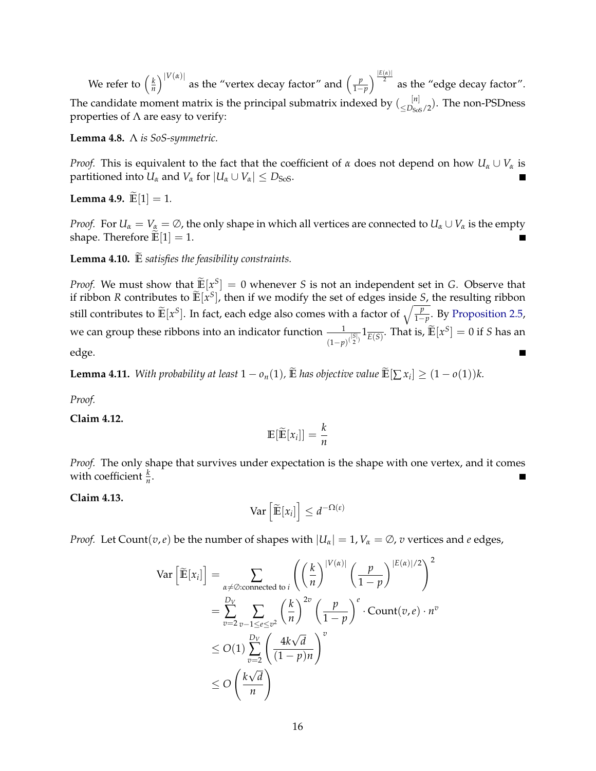We refer to  $\left(\frac{k}{n}\right)$  $\frac{k}{n}$ )<sup>|V( $\alpha$ )|</sup> as the "vertex decay factor" and  $\left(\frac{p}{1-p}\right)$  $\frac{p}{1-p}$   $\Big)$ <sup>E(*α*)]</sup> as the "edge decay factor". The candidate moment matrix is the principal submatrix indexed by  $\binom{[n]}{\leq D_{S\cup S}/2}$ . The non-PSDness properties of  $\Lambda$  are easy to verify:

**Lemma 4.8.** Λ *is SoS-symmetric.*

*Proof.* This is equivalent to the fact that the coefficient of *α* does not depend on how  $U_\alpha \cup V_\alpha$  is partitioned into  $U_\alpha$  and  $V_\alpha$  for  $|U_\alpha \cup V_\alpha| \leq D_{\text{SoS}}$ .

**Lemma 4.9.**  $\widetilde{E}[1] = 1$ .

*Proof.* For  $U_\alpha = V_\alpha = \emptyset$ , the only shape in which all vertices are connected to  $U_\alpha \cup V_\alpha$  is the empty shape. Therefore  $\mathbb{E}[1] = 1$ .

Lemma 4.10.  $\mathbb{\tilde{E}}$  *satisfies the feasibility constraints.* 

*Proof.* We must show that  $\widetilde{\mathbb{E}}[x^S] = 0$  whenever *S* is not an independent set in *G*. Observe that if ribbon *R* contributes to  $\mathbb{E}[x^S]$ , then if we modify the set of edges inside *S*, the resulting ribbon still contributes to  $\widetilde{\mathbb{E}}[x^S].$  In fact, each edge also comes with a factor of  $\sqrt{\frac{p}{1-p}}.$  By [Proposition 2.5,](#page-8-1) we can group these ribbons into an indicator function  $-\!\!-\!\!1$  $\frac{1}{(1-p)^{(\frac{|\mathcal{S}|}{2})}} 1_{\overline{E(S)}}.$  That is,  $\widetilde{\mathbb{E}}[x^S] = 0$  if *S* has an edge.  $\blacksquare$ 

**Lemma 4.11.** *With probability at least*  $1 - o_n(1)$ *,*  $\mathbb E$  *has objective value*  $\mathbb E}[\sum x_i] \geq (1 - o(1))k$ *.* 

*Proof.*

**Claim 4.12.**

$$
\mathbb{E}[\widetilde{\mathbb{E}}[x_i]] = \frac{k}{n}
$$

*Proof.* The only shape that survives under expectation is the shape with one vertex, and it comes with coefficient  $\frac{k}{n}$ .

**Claim 4.13.**

$$
\text{Var}\left[\widetilde{\mathbb{E}}[x_i]\right] \leq d^{-\Omega(\varepsilon)}
$$

*Proof.* Let Count(*v*,*e*) be the number of shapes with  $|U_\alpha| = 1$ ,  $V_\alpha = \emptyset$ , *v* vertices and *e* edges,

$$
\begin{split} \text{Var}\left[\widetilde{\mathbb{E}}[x_i]\right] &= \sum_{\alpha \neq \emptyset:\text{connected to }i} \left( \left(\frac{k}{n}\right)^{|V(\alpha)|} \left(\frac{p}{1-p}\right)^{|E(\alpha)|/2} \right)^2 \\ &= \sum_{v=2}^{D_V} \sum_{v-1 \leq e \leq v^2} \left(\frac{k}{n}\right)^{2v} \left(\frac{p}{1-p}\right)^e \cdot \text{Count}(v, e) \cdot n^v \\ &\leq O(1) \sum_{v=2}^{D_V} \left(\frac{4k\sqrt{d}}{(1-p)n}\right)^v \\ &\leq O\left(\frac{k\sqrt{d}}{n}\right) \end{split}
$$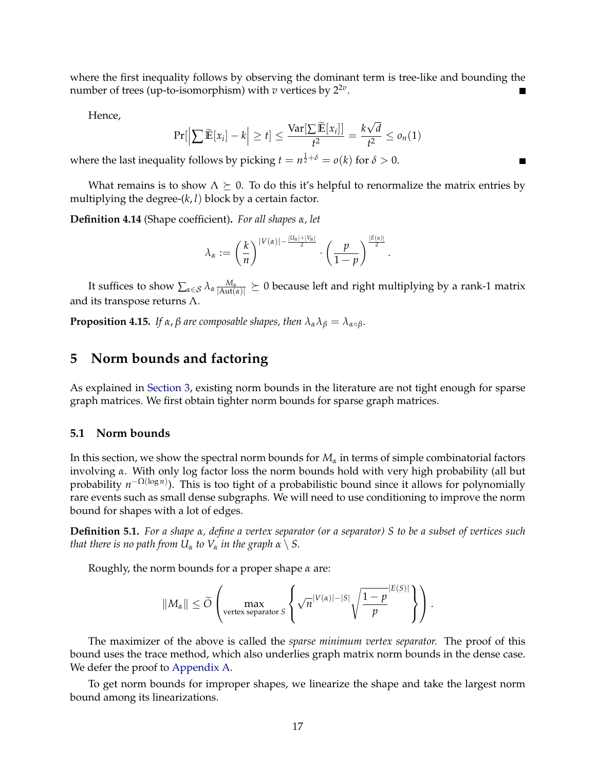where the first inequality follows by observing the dominant term is tree-like and bounding the number of trees (up-to-isomorphism) with  $v$  vertices by  $2^{2v}$ .

Hence,

$$
Pr[\left|\sum \widetilde{\mathbb{E}}[x_i] - k\right| \ge t] \le \frac{\text{Var}[\sum \widetilde{\mathbb{E}}[x_i]]}{t^2} = \frac{k\sqrt{d}}{t^2} \le o_n(1)
$$

where the last inequality follows by picking  $t = n^{\frac{1}{2} + \delta} = o(k)$  for  $\delta > 0$ .

What remains is to show  $\Lambda \succeq 0$ . To do this it's helpful to renormalize the matrix entries by multiplying the degree-(*k*, *l*) block by a certain factor.

**Definition 4.14** (Shape coefficient)**.** *For all shapes α, let*

$$
\lambda_{\alpha}:=\left(\frac{k}{n}\right)^{|V(\alpha)|-\frac{|U_{\alpha}|+|V_{\alpha}|}{2}}\cdot\left(\frac{p}{1-p}\right)^{\frac{|E(\alpha)|}{2}}.
$$

It suffices to show  $\sum_{\alpha\in\mathcal{S}}\lambda_\alpha\frac{M_\alpha}{|\text{Aut}(\alpha)|}\succeq 0$  because left and right multiplying by a rank-1 matrix and its transpose returns  $\Lambda$ .

**Proposition 4.15.** *If*  $\alpha$ ,  $\beta$  *are composable shapes, then*  $\lambda_{\alpha} \lambda_{\beta} = \lambda_{\alpha \circ \beta}$ *.* 

# <span id="page-19-0"></span>**5 Norm bounds and factoring**

As explained in [Section 3,](#page-10-0) existing norm bounds in the literature are not tight enough for sparse graph matrices. We first obtain tighter norm bounds for sparse graph matrices.

## <span id="page-19-1"></span>**5.1 Norm bounds**

In this section, we show the spectral norm bounds for *M<sup>α</sup>* in terms of simple combinatorial factors involving *α*. With only log factor loss the norm bounds hold with very high probability (all but probability *n*<sup>−Ω(log *n*)). This is too tight of a probabilistic bound since it allows for polynomially</sup> rare events such as small dense subgraphs. We will need to use conditioning to improve the norm bound for shapes with a lot of edges.

**Definition 5.1.** *For a shape α, define a vertex separator (or a separator) S to be a subset of vertices such that there is no path from*  $U_\alpha$  *to*  $V_\alpha$  *in the graph*  $\alpha \setminus S$ *.* 

Roughly, the norm bounds for a proper shape *α* are:

$$
||M_{\alpha}|| \leq \widetilde{O}\left(\max_{\text{vertex separator } S}\left\{\sqrt{n}^{|V(\alpha)|-|S|}\sqrt{\frac{1-p}{p}}^{|E(S)|}\right\}\right).
$$

The maximizer of the above is called the *sparse minimum vertex separator.* The proof of this bound uses the trace method, which also underlies graph matrix norm bounds in the dense case. We defer the proof to [Appendix A.](#page-63-0)

To get norm bounds for improper shapes, we linearize the shape and take the largest norm bound among its linearizations.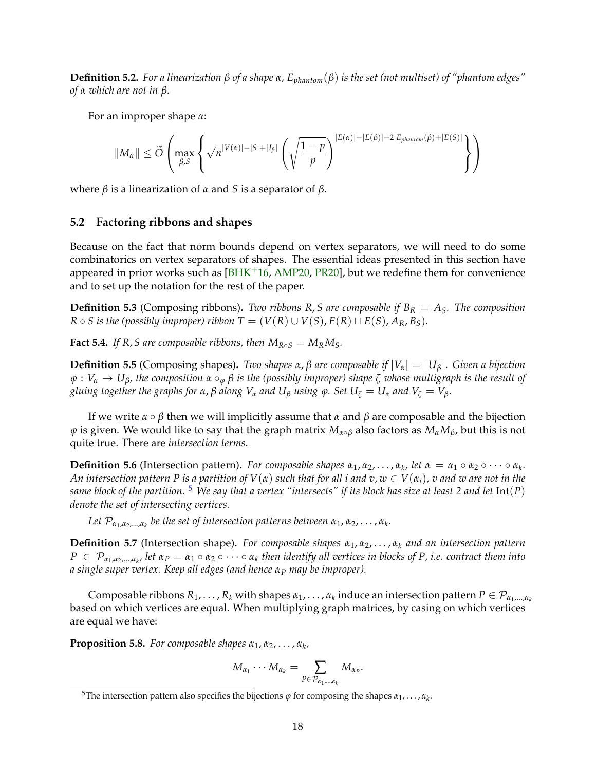**Definition 5.2.** *For a linearization β of a shape α, Ephantom*(*β*) *is the set (not multiset) of "phantom edges" of α which are not in β.*

For an improper shape *α*:

$$
||M_{\alpha}|| \leq \widetilde{O}\left(\max_{\beta,S} \left\{\sqrt{n}^{|V(\alpha)|-|S|+|I_{\beta}|}\left(\sqrt{\frac{1-p}{p}}\right)^{|E(\alpha)|-|E(\beta)|-2|E_{\text{phantom}}(\beta)+|E(S)|}\right\}\right)
$$

where *β* is a linearization of *α* and *S* is a separator of *β*.

## <span id="page-20-0"></span>**5.2 Factoring ribbons and shapes**

Because on the fact that norm bounds depend on vertex separators, we will need to do some combinatorics on vertex separators of shapes. The essential ideas presented in this section have appeared in prior works such as  $[BHK<sup>+</sup>16, AMP20, PR20]$  $[BHK<sup>+</sup>16, AMP20, PR20]$  $[BHK<sup>+</sup>16, AMP20, PR20]$  $[BHK<sup>+</sup>16, AMP20, PR20]$  $[BHK<sup>+</sup>16, AMP20, PR20]$ , but we redefine them for convenience and to set up the notation for the rest of the paper.

**Definition 5.3** (Composing ribbons). Two ribbons R, S are composable if  $B_R = A_S$ . The composition  $R \circ S$  *is the (possibly improper) ribbon*  $T = (V(R) \cup V(S), E(R) \sqcup E(S), A_R, B_S)$ *.* 

**Fact 5.4.** *If R, S are composable ribbons, then*  $M_{R \circ S} = M_R M_S$ *.* 

**Definition 5.5** (Composing shapes). Two shapes  $\alpha$ ,  $\beta$  are composable if  $|V_{\alpha}| = |U_{\beta}|$ . Given a bijection *ϕ* : *V<sup>α</sup>* → *Uβ, the composition α* ◦*<sup>ϕ</sup> β is the (possibly improper) shape ζ whose multigraph is the result of gluing together the graphs for*  $\alpha$ ,  $\beta$  *along*  $V_\alpha$  *and*  $U_\beta$  *using*  $\varphi$ *. Set*  $U_\zeta = U_\alpha$  *and*  $V_\zeta = V_\beta$ *.* 

If we write  $α \circ β$  then we will implicitly assume that  $α$  and  $β$  are composable and the bijection  $\varphi$  is given. We would like to say that the graph matrix  $M_{\alpha \circ \beta}$  also factors as  $M_{\alpha}M_{\beta}$ , but this is not quite true. There are *intersection terms*.

**Definition 5.6** (Intersection pattern). *For composable shapes*  $\alpha_1, \alpha_2, \ldots, \alpha_k$ , *let*  $\alpha = \alpha_1 \circ \alpha_2 \circ \cdots \circ \alpha_k$ . *An intersection pattern P is a partition of*  $V(\alpha)$  *such that for all <i>i* and  $v, w \in V(\alpha_i)$ , *v* and *w* are not in the *same block of the partition.* [5](#page-20-1) *We say that a vertex "intersects" if its block has size at least 2 and let* Int(*P*) *denote the set of intersecting vertices.*

Let  $\mathcal{P}_{\alpha_1,\alpha_2,...,\alpha_k}$  be the set of intersection patterns between  $\alpha_1,\alpha_2,\ldots,\alpha_k$ .

**Definition 5.7** (Intersection shape). *For composable shapes*  $\alpha_1, \alpha_2, \ldots, \alpha_k$  *and an intersection pattern*  $P~\in~\mathcal{P}_{\alpha_1,\alpha_2,...,\alpha_k}$ , let  $\alpha_P=\alpha_1\circ\alpha_2\circ\cdots\circ\alpha_k$  then identify all vertices in blocks of P, i.e. contract them into *a single super vertex. Keep all edges (and hence α<sup>P</sup> may be improper).*

 $\text{Composable ribbons } R_1,\ldots,R_k$  with shapes  $\alpha_1,\ldots,\alpha_k$  induce an intersection pattern  $P\in\mathcal{P}_{\alpha_1,\ldots,\alpha_k}$ based on which vertices are equal. When multiplying graph matrices, by casing on which vertices are equal we have:

**Proposition 5.8.** *For composable shapes α*1, *α*2, . . . , *α<sup>k</sup> ,*

$$
M_{\alpha_1}\cdots M_{\alpha_k}=\sum_{P\in \mathcal{P}_{\alpha_1,\ldots,\alpha_k}}M_{\alpha_P}.
$$

<span id="page-20-1"></span><sup>&</sup>lt;sup>5</sup>The intersection pattern also specifies the bijections  $\varphi$  for composing the shapes  $\alpha_1, \ldots, \alpha_k$ .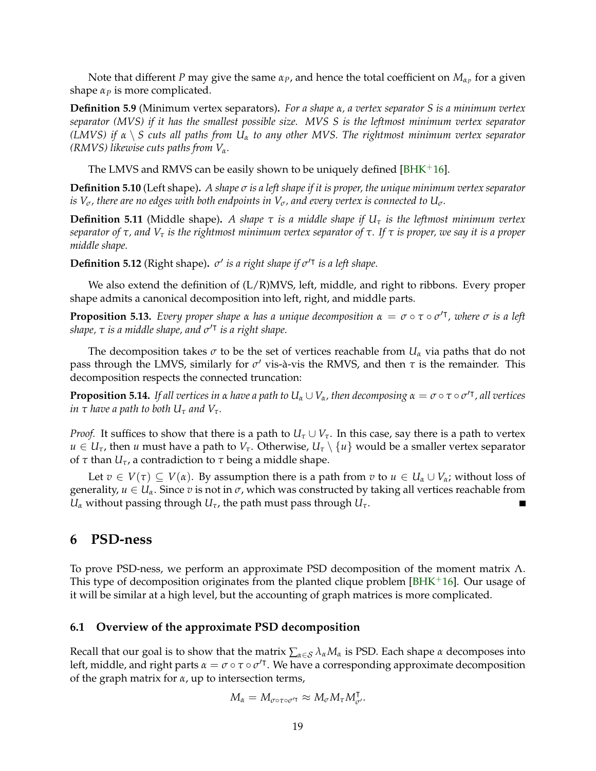Note that different  $P$  may give the same  $\alpha_P$ , and hence the total coefficient on  $M_{\alpha_P}$  for a given shape  $\alpha_P$  is more complicated.

**Definition 5.9** (Minimum vertex separators)**.** *For a shape α, a vertex separator S is a minimum vertex separator (MVS) if it has the smallest possible size. MVS S is the leftmost minimum vertex separator (LMVS) if α* \ *S cuts all paths from U<sup>α</sup> to any other MVS. The rightmost minimum vertex separator (RMVS) likewise cuts paths from Vα.*

The LMVS and RMVS can be easily shown to be uniquely defined  $[BHK+16]$  $[BHK+16]$ .

**Definition 5.10** (Left shape)**.** *A shape σ is a left shape if it is proper, the unique minimum vertex separator is*  $V_{\sigma}$ *, there are no edges with both endpoints in*  $V_{\sigma}$ *, and every vertex is connected to*  $U_{\sigma}$ *.* 

**Definition 5.11** (Middle shape)**.** *A shape τ is a middle shape if U<sup>τ</sup> is the leftmost minimum vertex separator of τ, and V<sup>τ</sup> is the rightmost minimum vertex separator of τ. If τ is proper, we say it is a proper middle shape.*

**Definition 5.12** (Right shape).  $\sigma'$  is a right shape if  $\sigma'^T$  is a left shape.

We also extend the definition of  $(L/R)$ MVS, left, middle, and right to ribbons. Every proper shape admits a canonical decomposition into left, right, and middle parts.

**Proposition 5.13.** *Every proper shape α has a unique decomposition α* = *σ* ◦ *τ* ◦ *σ* 0| *, where σ is a left shape, τ is a middle shape, and σ* 0| *is a right shape.*

The decomposition takes  $\sigma$  to be the set of vertices reachable from  $U_\alpha$  via paths that do not pass through the LMVS, similarly for *σ'* vis-à-vis the RMVS, and then *τ* is the remainder. This decomposition respects the connected truncation:

<span id="page-21-2"></span>**Proposition 5.14.** *If all vertices in α have a path to*  $U_\alpha\cup V_\alpha$ *, then decomposing*  $\alpha=\sigma\circ\tau\circ\sigma'$ *<sup>,</sup> all vertices in*  $\tau$  *have a path to both*  $U_{\tau}$  *and*  $V_{\tau}$ *.* 

*Proof.* It suffices to show that there is a path to  $U_\tau \cup V_\tau$ . In this case, say there is a path to vertex  $u \in U_{\tau}$ , then *u* must have a path to  $V_{\tau}$ . Otherwise,  $U_{\tau} \setminus \{u\}$  would be a smaller vertex separator of *τ* than *Uτ*, a contradiction to *τ* being a middle shape.

Let  $v \in V(\tau) \subseteq V(\alpha)$ . By assumption there is a path from  $v$  to  $u \in U_\alpha \cup V_\alpha$ ; without loss of generality,  $u \in U_\alpha$ . Since  $v$  is not in  $\sigma$ , which was constructed by taking all vertices reachable from *U*<sup>*α*</sup> without passing through *U*<sup>*τ*</sup>, the path must pass through *U*<sup>*τ*</sup>.

# <span id="page-21-0"></span>**6 PSD-ness**

To prove PSD-ness, we perform an approximate PSD decomposition of the moment matrix Λ. This type of decomposition originates from the planted clique problem  $[BHK^+16]$  $[BHK^+16]$ . Our usage of it will be similar at a high level, but the accounting of graph matrices is more complicated.

#### <span id="page-21-1"></span>**6.1 Overview of the approximate PSD decomposition**

Recall that our goal is to show that the matrix  $\sum_{\alpha \in S} \lambda_{\alpha} M_{\alpha}$  is PSD. Each shape  $\alpha$  decomposes into left, middle, and right parts  $\alpha = \sigma \circ \tau \circ \sigma'$ <sup>T</sup>. We have a corresponding approximate decomposition of the graph matrix for *α*, up to intersection terms,

$$
M_{\alpha}=M_{\sigma\circ\tau\circ\sigma'^{\mathsf{T}}}\approx M_{\sigma}M_{\tau}M_{\sigma'}^{\mathsf{T}}.
$$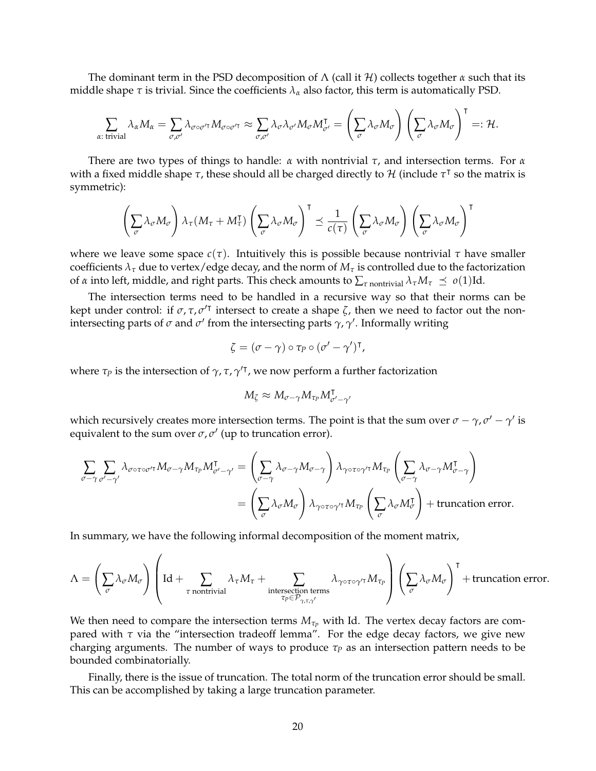The dominant term in the PSD decomposition of  $\Lambda$  (call it H) collects together  $\alpha$  such that its middle shape  $\tau$  is trivial. Since the coefficients  $\lambda_{\alpha}$  also factor, this term is automatically PSD.

$$
\sum_{\alpha:\text{ trivial}} \lambda_{\alpha} M_{\alpha} = \sum_{\sigma,\sigma'} \lambda_{\sigma \circ \sigma'^{\mathsf{T}}} M_{\sigma \circ \sigma'^{\mathsf{T}}} \approx \sum_{\sigma,\sigma'} \lambda_{\sigma} \lambda_{\sigma'} M_{\sigma} M_{\sigma'}^{\mathsf{T}} = \left(\sum_{\sigma} \lambda_{\sigma} M_{\sigma}\right) \left(\sum_{\sigma} \lambda_{\sigma} M_{\sigma}\right)^{\mathsf{T}} =: \mathcal{H}.
$$

There are two types of things to handle: *α* with nontrivial *τ*, and intersection terms. For *α* with a fixed middle shape *τ*, these should all be charged directly to *H* (include *τ*<sup>T</sup> so the matrix is symmetric):

$$
\left(\sum_{\sigma}\lambda_{\sigma}M_{\sigma}\right)\lambda_{\tau}(M_{\tau}+M_{\tau}^{\intercal})\left(\sum_{\sigma}\lambda_{\sigma}M_{\sigma}\right)^{\intercal}\preceq\frac{1}{c(\tau)}\left(\sum_{\sigma}\lambda_{\sigma}M_{\sigma}\right)\left(\sum_{\sigma}\lambda_{\sigma}M_{\sigma}\right)^{\intercal}
$$

where we leave some space  $c(\tau)$ . Intuitively this is possible because nontrivial  $\tau$  have smaller coefficients  $\lambda_{\tau}$  due to vertex/edge decay, and the norm of  $M_{\tau}$  is controlled due to the factorization of *α* into left, middle, and right parts. This check amounts to ∑*<sup>τ</sup>* nontrivial *λτM<sup>τ</sup> o*(1)Id.

The intersection terms need to be handled in a recursive way so that their norms can be kept under control: if  $\sigma$ ,  $\tau$ ,  $\sigma'$ <sup>T</sup> intersect to create a shape  $\zeta$ , then we need to factor out the nonintersecting parts of  $\sigma$  and  $\sigma'$  from the intersecting parts  $\gamma$ ,  $\gamma'$ . Informally writing

$$
\zeta = (\sigma - \gamma) \circ \tau_P \circ (\sigma' - \gamma')^{\intercal},
$$

where  $\tau_P$  is the intersection of  $\gamma$ ,  $\tau$ ,  $\gamma'$ <sup> $\tau$ </sup>, we now perform a further factorization

$$
M_{\zeta} \approx M_{\sigma-\gamma} M_{\tau_P} M_{\sigma'-\gamma'}^{\dagger}
$$

which recursively creates more intersection terms. The point is that the sum over  $\sigma-\gamma$ ,  $\sigma'-\gamma'$  is equivalent to the sum over  $\sigma$ ,  $\sigma'$  (up to truncation error).

$$
\sum_{\sigma-\gamma} \sum_{\sigma'-\gamma'} \lambda_{\sigma \circ \tau \circ \sigma'^{\mathsf{T}}} M_{\sigma-\gamma} M_{\tau_P} M_{\sigma'-\gamma'}^{\mathsf{T}} = \left( \sum_{\sigma-\gamma} \lambda_{\sigma-\gamma} M_{\sigma-\gamma} \right) \lambda_{\gamma \circ \tau \circ \gamma'^{\mathsf{T}}} M_{\tau_P} \left( \sum_{\sigma-\gamma} \lambda_{\sigma-\gamma} M_{\sigma-\gamma}^{\mathsf{T}} \right)
$$

$$
= \left( \sum_{\sigma} \lambda_{\sigma} M_{\sigma} \right) \lambda_{\gamma \circ \tau \circ \gamma'^{\mathsf{T}}} M_{\tau_P} \left( \sum_{\sigma} \lambda_{\sigma} M_{\sigma}^{\mathsf{T}} \right) + \text{truncation error.}
$$

In summary, we have the following informal decomposition of the moment matrix,

$$
\Lambda = \left(\sum_{\sigma} \lambda_{\sigma} M_{\sigma}\right) \left(\mathrm{Id} + \sum_{\tau \text{ nontrivial}} \lambda_{\tau} M_{\tau} + \sum_{\substack{\text{intersection terms} \\ \tau_P \in \mathcal{P}_{\gamma, \tau, \gamma'}}} \lambda_{\gamma \circ \tau \circ \gamma'} \tau M_{\tau_P}\right) \left(\sum_{\sigma} \lambda_{\sigma} M_{\sigma}\right)^{\mathsf{T}} + \text{truncation error}.
$$

We then need to compare the intersection terms  $M_{\tau_p}$  with Id. The vertex decay factors are compared with *τ* via the "intersection tradeoff lemma". For the edge decay factors, we give new charging arguments. The number of ways to produce *τ<sup>P</sup>* as an intersection pattern needs to be bounded combinatorially.

Finally, there is the issue of truncation. The total norm of the truncation error should be small. This can be accomplished by taking a large truncation parameter.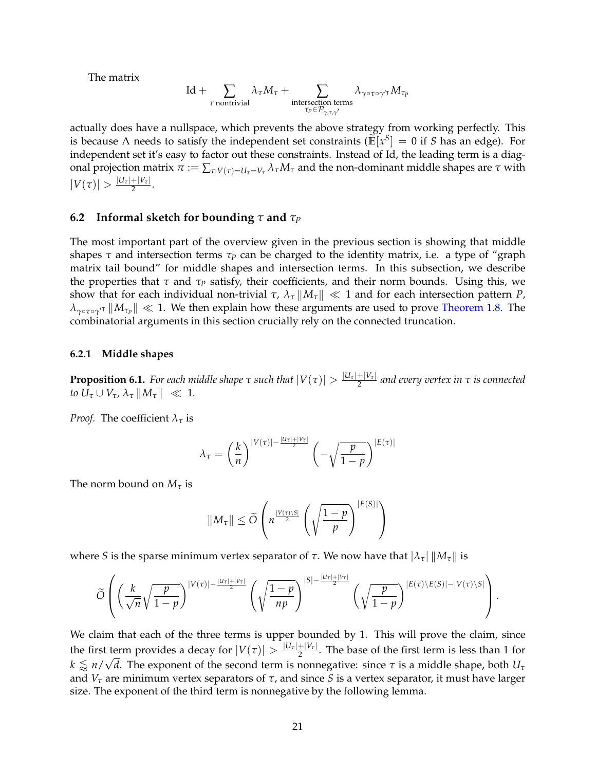The matrix

$$
\mathrm{Id} + \sum_{\tau \text{ nontrivial}} \lambda_\tau M_\tau + \sum_{\substack{\text{intersection terms} \\ \tau_P \in \mathcal{P}_{\gamma, \tau, \gamma'}}} \lambda_{\gamma \circ \tau \circ \gamma' \tau} M_{\tau_P}
$$

actually does have a nullspace, which prevents the above strategy from working perfectly. This is because  $\Lambda$  needs to satisfy the independent set constraints ( $\mathbb{E}[x^S] = 0$  if *S* has an edge). For independent set it's easy to factor out these constraints. Instead of Id, the leading term is a diagonal projection matrix *π* := ∑*τ*:*V*(*τ*)=*Uτ*=*V<sup>τ</sup> λτM<sup>τ</sup>* and the non-dominant middle shapes are *τ* with  $|V(\tau)| > \frac{|U_{\tau}|+|V_{\tau}|}{2}$  $\frac{1}{2}$ .

### <span id="page-23-0"></span>**6.2 Informal sketch for bounding** *τ* **and** *τ<sup>P</sup>*

The most important part of the overview given in the previous section is showing that middle shapes *τ* and intersection terms *τ<sup>P</sup>* can be charged to the identity matrix, i.e. a type of "graph matrix tail bound" for middle shapes and intersection terms. In this subsection, we describe the properties that *τ* and *τ<sup>P</sup>* satisfy, their coefficients, and their norm bounds. Using this, we show that for each individual non-trivial *τ*,  $\lambda_{\tau} ||M_{\tau}|| \ll 1$  and for each intersection pattern *P*,  $\lambda_{\gamma \circ \tau \circ \gamma'}$ <sup>*r*</sup>  $\|M_{\tau_P}\| \ll 1$ . We then explain how these arguments are used to prove [Theorem 1.8.](#page-5-1) The combinatorial arguments in this section crucially rely on the connected truncation.

#### **6.2.1 Middle shapes**

<span id="page-23-1"></span>**Proposition 6.1.** *For each middle shape*  $\tau$  *such that*  $|V(\tau)| > \frac{|U_{\tau}| + |V_{\tau}|}{2}$ 2 *and every vertex in τ is connected to*  $U_{\tau} \cup V_{\tau}$ ,  $\lambda_{\tau} ||M_{\tau}|| \ll 1$ .

*Proof.* The coefficient  $\lambda_{\tau}$  is

$$
\lambda_{\tau} = \left(\frac{k}{n}\right)^{|V(\tau)| - \frac{|U_{\tau}| + |V_{\tau}|}{2}} \left(-\sqrt{\frac{p}{1-p}}\right)^{|E(\tau)|}
$$

The norm bound on *M<sup>τ</sup>* is

$$
||M_{\tau}|| \le \widetilde{O}\left(n^{\frac{|V(\tau)\setminus S|}{2}}\left(\sqrt{\frac{1-p}{p}}\right)^{|E(S)|}\right)
$$

where *S* is the sparse minimum vertex separator of *τ*. We now have that  $|λ_τ| ||M_τ||$  is

$$
\widetilde{O}\left(\left(\frac{k}{\sqrt{n}}\sqrt{\frac{p}{1-p}}\right)^{|V(\tau)|-\frac{|U_{\tau}|+|V_{\tau}|}{2}}\left(\sqrt{\frac{1-p}{np}}\right)^{|S|-\frac{|U_{\tau}|+|V_{\tau}|}{2}}\left(\sqrt{\frac{p}{1-p}}\right)^{|E(\tau)\setminus E(S)|-|V(\tau)\setminus S|}\right).
$$

We claim that each of the three terms is upper bounded by 1. This will prove the claim, since the first term provides a decay for  $|V(\tau)| > \frac{|U_{\tau}| + |V_{\tau}|}{2}$ t term provides a decay for  $|V(\tau)| > \frac{|u_{\tau}| + |v_{\tau}|}{2}$ . The base of the first term is less than 1 for  $k \lessapprox n/\sqrt{d}$ . The exponent of the second term is nonnegative: since  $\tau$  is a middle shape, both  $U_\tau$ and  $V_\tau$  are minimum vertex separators of  $\tau$ , and since *S* is a vertex separator, it must have larger size. The exponent of the third term is nonnegative by the following lemma.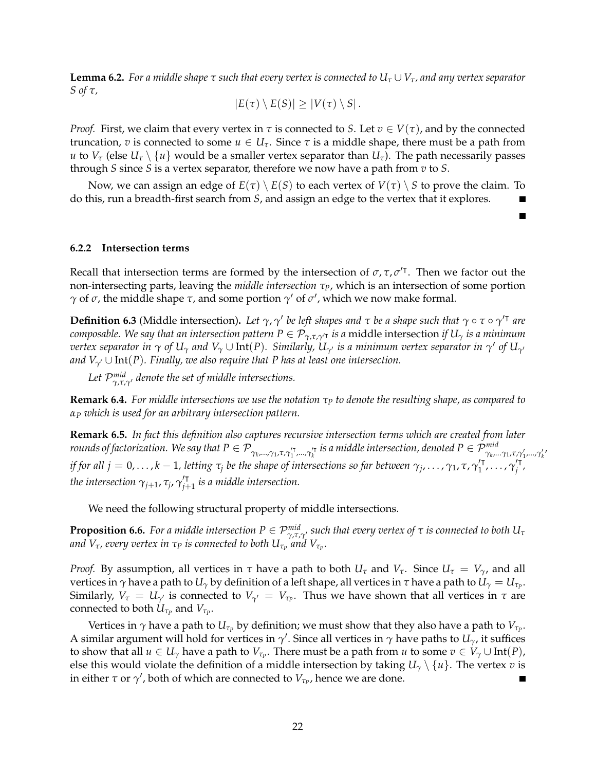**Lemma 6.2.** *For a middle shape*  $\tau$  *such that every vertex is connected to*  $U_{\tau} \cup V_{\tau}$ *, and any vertex separator S of τ,*

$$
|E(\tau)\setminus E(S)|\geq |V(\tau)\setminus S|.
$$

*Proof.* First, we claim that every vertex in  $\tau$  is connected to *S*. Let  $v \in V(\tau)$ , and by the connected truncation, *v* is connected to some *u* ∈ *Uτ*. Since *τ* is a middle shape, there must be a path from *u* to  $V_{\tau}$  (else  $U_{\tau} \setminus \{u\}$  would be a smaller vertex separator than  $U_{\tau}$ ). The path necessarily passes through *S* since *S* is a vertex separator, therefore we now have a path from *v* to *S*.

Now, we can assign an edge of  $E(\tau) \setminus E(S)$  to each vertex of  $V(\tau) \setminus S$  to prove the claim. To do this, run a breadth-first search from *S*, and assign an edge to the vertex that it explores.

#### **6.2.2 Intersection terms**

Recall that intersection terms are formed by the intersection of  $\sigma$ ,  $\tau$ ,  $\sigma'$ <sup> $\tau$ </sup>. Then we factor out the non-intersecting parts, leaving the *middle intersection τP*, which is an intersection of some portion *γ* of *σ*, the middle shape *τ*, and some portion  $\gamma'$  of  $\sigma'$ , which we now make formal.

**Definition 6.3** (Middle intersection). Let  $\gamma$ ,  $\gamma'$  be left shapes and  $\tau$  be a shape such that  $\gamma \circ \tau \circ \gamma'^{\dagger}$  are *composable. We say that an intersection pattern*  $P \in \mathcal{P}_{\gamma, \tau, \gamma'}$  *is a middle intersection <i>if*  $U_\gamma$  *is a minimum*  $\sigma$  *vertex separator in*  $\gamma$  *of*  $U_\gamma$  *and*  $V_\gamma\cup$  *Int(P). Similarly,*  $U_{\gamma'}$  *is a minimum vertex separator in*  $\gamma'$  *of*  $U_{\gamma'}$ *and*  $V_{\gamma'} \cup \text{Int}(P)$ *. Finally, we also require that P has at least one intersection.* 

Let  $\mathcal{P}_{\gamma,\tau,\gamma'}^{mid}$  denote the set of middle intersections.

**Remark 6.4.** *For middle intersections we use the notation τ<sup>P</sup> to denote the resulting shape, as compared to α<sup>P</sup> which is used for an arbitrary intersection pattern.*

<span id="page-24-0"></span>**Remark 6.5.** *In fact this definition also captures recursive intersection terms which are created from later* rounds of factorization. We say that  $P\in\mathcal{P}_{\gamma_k,...,\gamma_1,\tau,\gamma_1'',..., \gamma_k'}$  is a middle intersection, denoted  $P\in\mathcal{P}_{\gamma_k,...,\gamma_1,\tau,\gamma_1',..., \gamma_k'}^{mid}$ *if for all j* = 0, . . . , *k* – 1, letting  $\tau_j$  be the shape of intersections so far between  $\gamma_j$ , . . . ,  $\gamma_1$ ,  $\tau$ ,  $\gamma'^T_1$ *'*τ΄,...,γ΄'<sup>τ</sup> *j , the intersection*  $\gamma_{j+1}$ *,*  $\tau_j$ *,*  $\gamma_{j+1}^{\prime \textsf{T}}$ *j*+1 *is a middle intersection.*

We need the following structural property of middle intersections.

**Proposition 6.6.** *For a middle intersection*  $P \in \mathcal{P}^{mid}_{\gamma,\tau,\gamma'}$  *such that every vertex of*  $\tau$  *is connected to both*  $U_\tau$ *and*  $V_{\tau}$ *, every vertex in*  $\tau_P$  *is connected to both*  $U_{\tau_P}$  *and*  $V_{\tau_P}.$ 

*Proof.* By assumption, all vertices in  $\tau$  have a path to both  $U_{\tau}$  and  $V_{\tau}$ . Since  $U_{\tau} = V_{\gamma}$ , and all vertices in  $\gamma$  have a path to  $U_\gamma$  by definition of a left shape, all vertices in τ have a path to  $U_\gamma=U_{\tau_P}.$ Similarly,  $V_\tau = U_{\gamma'}$  is connected to  $V_{\gamma'} = V_{\tau_P}$ . Thus we have shown that all vertices in  $\tau$  are  $\epsilon$  connected to both  $U_{\tau_P}$  and  $V_{\tau_P}$ .

Vertices in  $\gamma$  have a path to  $U_{\tau_p}$  by definition; we must show that they also have a path to  $V_{\tau_p}.$ A similar argument will hold for vertices in  $\gamma'$ . Since all vertices in  $\gamma$  have paths to  $U_\gamma$ , it suffices to show that all  $u \in U_\gamma$  have a path to  $V_{\tau_P}$ . There must be a path from  $u$  to some  $v \in V_\gamma \cup \text{Int}(P)$ , else this would violate the definition of a middle intersection by taking  $U_\gamma \setminus \{u\}$ . The vertex *v* is in either  $\tau$  or  $\gamma'$ , both of which are connected to  $V_{\tau_P}$ , hence we are done. П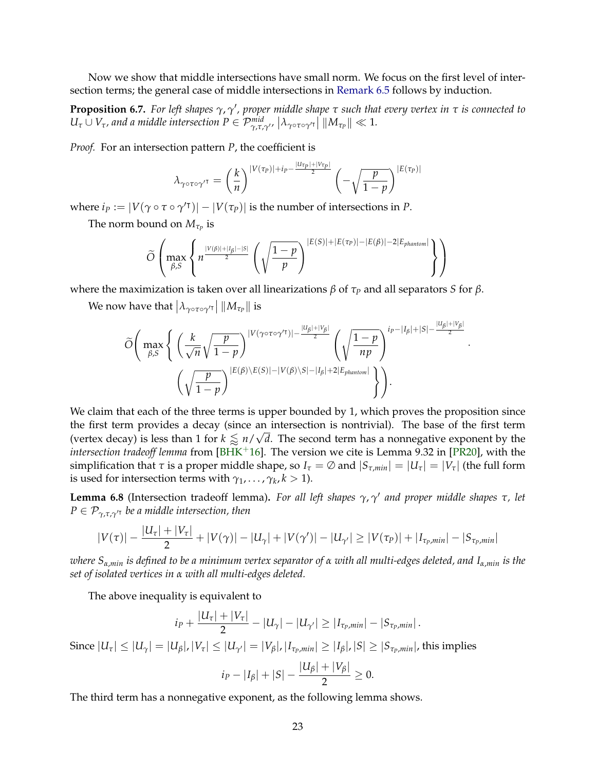Now we show that middle intersections have small norm. We focus on the first level of intersection terms; the general case of middle intersections in [Remark 6.5](#page-24-0) follows by induction.

<span id="page-25-1"></span>**Proposition 6.7.** For left shapes  $\gamma$ ,  $\gamma'$ , proper middle shape τ such that every vertex in τ is connected to  $U_\tau \cup V_\tau$ , and a middle intersection  $P \in \mathcal{P}^{mid}_{\gamma,\tau,\gamma'}$ ,  $\big| \lambda_{\gamma \circ \tau \circ \gamma' \tau} \big| \, \| M_{\tau_P} \| \ll 1$ .

*Proof.* For an intersection pattern *P*, the coefficient is

$$
\lambda_{\gamma \circ \tau \circ \gamma'} \tau = \left(\frac{k}{n}\right)^{|V(\tau_P)| + i_P - \frac{|U_{\tau_P}| + |V_{\tau_P}|}{2}} \left(-\sqrt{\frac{p}{1-p}}\right)^{|E(\tau_P)|}
$$

where  $i_P := |V(\gamma \circ \tau \circ \gamma'^\intercal)| - |V(\tau_P)|$  is the number of intersections in *P*.

The norm bound on  $M_{\tau_P}$  is

$$
\widetilde{O}\left(\max_{\beta,S}\left\{n^{\frac{|V(\beta)|+|I_{\beta}|-|S|}{2}}\left(\sqrt{\frac{1-p}{p}}\right)^{|E(S)|+|E(\tau_P)|-|E(\beta)|-2|E_{\text{phantom}}|}{n}\right\}\right)
$$

where the maximization is taken over all linearizations *β* of  $τ<sub>P</sub>$  and all separators *S* for *β*.

We now have that  $\left|\lambda_{\gamma\circ\tau\circ\gamma'^\intercal}\right|\|M_{\tau_P}\|$  is

$$
\widetilde{O}\Bigg(\max_{\beta,S}\Bigg\{\left(\frac{k}{\sqrt{n}}\sqrt{\frac{p}{1-p}}\right)^{|V(\gamma\circ\tau\circ\gamma'\tau)|-\frac{|U_{\beta}|+|V_{\beta}|}{2}}\left(\sqrt{\frac{1-p}{np}}\right)^{i_{P}-|I_{\beta}|+|S|-\frac{|U_{\beta}|+|V_{\beta}|}{2}}\left(\sqrt{\frac{p}{1-p}}\right)^{|E(\beta)\setminus E(S)|-|V(\beta)\setminus S|-|I_{\beta}|+2|E_{\text{phantmon}}|}\Bigg)\Bigg).
$$

·

We claim that each of the three terms is upper bounded by 1, which proves the proposition since the first term provides a decay (since an intersection is nontrivial). The base of the first term (vertex decay) is less than 1 for  $k \lessapprox n/\sqrt{d}$ . The second term has a nonnegative exponent by the *intersection tradeoff lemma* from [\[BHK](#page-60-3)<sup>+</sup>16]. The version we cite is Lemma 9.32 in [\[PR20\]](#page-62-3), with the simplification that  $\tau$  is a proper middle shape, so  $I_{\tau} = \emptyset$  and  $|S_{\tau,min}| = |U_{\tau}| = |V_{\tau}|$  (the full form is used for intersection terms with  $\gamma_1, \ldots, \gamma_k, k > 1$ ).

**Lemma 6.8** (Intersection tradeoff lemma)**.** *For all left shapes γ*, *γ* 0 *and proper middle shapes τ, let*  $P \in \mathcal{P}_{\gamma, \tau, \gamma}$ <sup>*r*</sup> *be a middle intersection, then* 

$$
|V(\tau)| - \frac{|U_{\tau}| + |V_{\tau}|}{2} + |V(\gamma)| - |U_{\gamma}| + |V(\gamma')| - |U_{\gamma'}| \ge |V(\tau_P)| + |I_{\tau_P,min}| - |S_{\tau_P,min}|
$$

*where Sα*,*min is defined to be a minimum vertex separator of α with all multi-edges deleted, and Iα*,*min is the set of isolated vertices in α with all multi-edges deleted.*

The above inequality is equivalent to

$$
i_P + \frac{|U_{\tau}| + |V_{\tau}|}{2} - |U_{\gamma}| - |U_{\gamma'}| \geq |I_{\tau_P,min}| - |S_{\tau_P,min}|.
$$

Since  $|U_\tau| \leq |U_\gamma| = |U_\beta|$ ,  $|V_\tau| \leq |U_{\gamma'}| = |V_\beta|$ ,  $|I_{\tau_p,min}| \geq |I_\beta|$ ,  $|S| \geq |S_{\tau_p,min}|$ , this implies

$$
i_P - |I_\beta| + |S| - \frac{|U_\beta| + |V_\beta|}{2} \ge 0.
$$

<span id="page-25-0"></span>The third term has a nonnegative exponent, as the following lemma shows.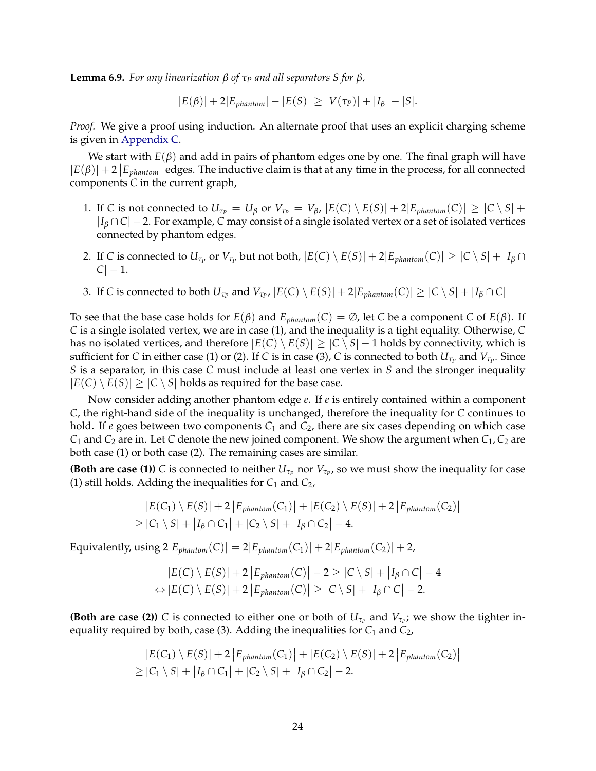**Lemma 6.9.** *For any linearization*  $β$  *of*  $τ<sub>P</sub>$  *and all separators*  $S$  *for*  $β$ *,* 

 $|E(\beta)| + 2|E_{\text{phantom}}| - |E(S)| \ge |V(\tau_P)| + |I_\beta| - |S|.$ 

*Proof.* We give a proof using induction. An alternate proof that uses an explicit charging scheme is given in [Appendix C.](#page-68-0)

We start with  $E(\beta)$  and add in pairs of phantom edges one by one. The final graph will have  $|E(\beta)| + 2|E_{\text{phantom}}|$  edges. The inductive claim is that at any time in the process, for all connected components *C* in the current graph,

- 1. If C is not connected to  $U_{\tau_P} = U_\beta$  or  $V_{\tau_P} = V_\beta$ ,  $|E(C) \setminus E(S)| + 2|E_{\text{phantom}}(C)| \geq |C \setminus S| +$ |*I<sup>β</sup>* ∩ *C*| − 2. For example, *C* may consist of a single isolated vertex or a set of isolated vertices connected by phantom edges.
- 2. If *C* is connected to  $U_{\tau_P}$  or  $V_{\tau_P}$  but not both,  $|E(C) \setminus E(S)| + 2|E_{phantom(C)}| \ge |C \setminus S| + |I_\beta \cap I_\beta|$  $|C| - 1.$
- 3. If C is connected to both  $U_{\tau_P}$  and  $V_{\tau_P}$ ,  $|E(C) \setminus E(S)| + 2|E_{\text{phantom}}(C)| \ge |C \setminus S| + |I_\beta \cap C|$

To see that the base case holds for  $E(\beta)$  and  $E_{\text{phantom}}(C) = \emptyset$ , let *C* be a component *C* of  $E(\beta)$ . If *C* is a single isolated vertex, we are in case (1), and the inequality is a tight equality. Otherwise, *C* has no isolated vertices, and therefore  $|E(C) \setminus E(S)| \ge |C \setminus S| - 1$  holds by connectivity, which is sufficient for  $C$  in either case (1) or (2). If  $C$  is in case (3),  $C$  is connected to both  $U_{\tau_P}$  and  $V_{\tau_P}.$  Since *S* is a separator, in this case *C* must include at least one vertex in *S* and the stronger inequality  $|E(C) \setminus E(S)| \ge |C \setminus S|$  holds as required for the base case.

Now consider adding another phantom edge *e*. If *e* is entirely contained within a component *C*, the right-hand side of the inequality is unchanged, therefore the inequality for *C* continues to hold. If  $e$  goes between two components  $C_1$  and  $C_2$ , there are six cases depending on which case  $C_1$  and  $C_2$  are in. Let *C* denote the new joined component. We show the argument when  $C_1$ ,  $C_2$  are both case (1) or both case (2). The remaining cases are similar.

**(Both are case (1))** *C* is connected to neither  $U_{\tau_p}$  nor  $V_{\tau_p}$ , so we must show the inequality for case (1) still holds. Adding the inequalities for *C*<sup>1</sup> and *C*2,

$$
|E(C_1) \setminus E(S)| + 2 |E_{\text{phantom}}(C_1)| + |E(C_2) \setminus E(S)| + 2 |E_{\text{phantom}}(C_2)|
$$
  
\n
$$
\geq |C_1 \setminus S| + |I_\beta \cap C_1| + |C_2 \setminus S| + |I_\beta \cap C_2| - 4.
$$

Equivalently, using  $2|E_{\text{phantom}}(C)| = 2|E_{\text{phantom}}(C_1)| + 2|E_{\text{phantom}}(C_2)| + 2$ ,

$$
|E(C) \setminus E(S)| + 2 |E_{\text{phantom}}(C)| - 2 \ge |C \setminus S| + |I_{\beta} \cap C| - 4
$$
  
\n
$$
\Leftrightarrow |E(C) \setminus E(S)| + 2 |E_{\text{phantom}}(C)| \ge |C \setminus S| + |I_{\beta} \cap C| - 2.
$$

**(Both are case (2))** *C* is connected to either one or both of  $U_{\tau_p}$  and  $V_{\tau_p}$ ; we show the tighter inequality required by both, case (3). Adding the inequalities for  $C_1$  and  $C_2$ ,

$$
|E(C_1) \setminus E(S)| + 2 |E_{\text{phantom}}(C_1)| + |E(C_2) \setminus E(S)| + 2 |E_{\text{phantom}}(C_2)|
$$
  
\n
$$
\geq |C_1 \setminus S| + |I_\beta \cap C_1| + |C_2 \setminus S| + |I_\beta \cap C_2| - 2.
$$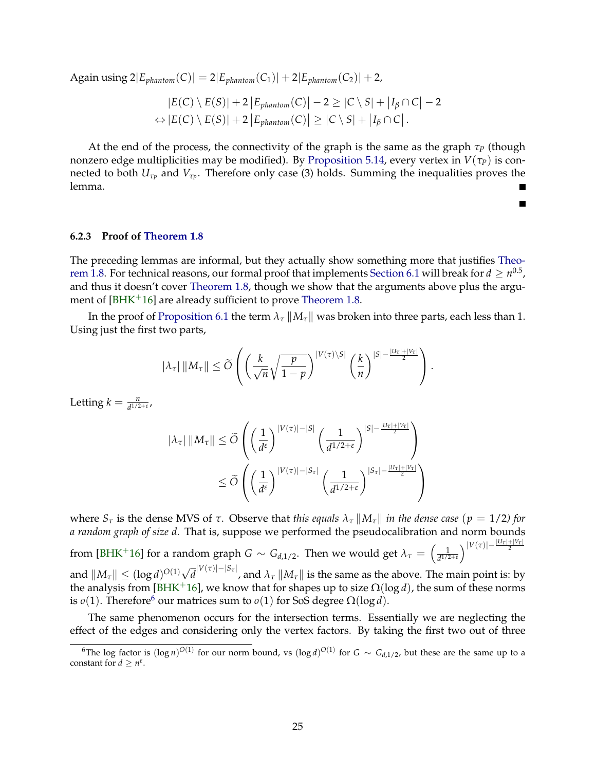Again using  $2|E_{\text{phantom}}(C)| = 2|E_{\text{phantom}}(C_1)| + 2|E_{\text{phantom}}(C_2)| + 2,$ 

$$
|E(C) \setminus E(S)| + 2 |E_{\text{phantom}}(C)| - 2 \geq |C \setminus S| + |I_{\beta} \cap C| - 2
$$
  
\n
$$
\Leftrightarrow |E(C) \setminus E(S)| + 2 |E_{\text{phantom}}(C)| \geq |C \setminus S| + |I_{\beta} \cap C|.
$$

At the end of the process, the connectivity of the graph is the same as the graph *τ<sup>P</sup>* (though nonzero edge multiplicities may be modified). By [Proposition 5.14,](#page-21-2) every vertex in  $V(\tau_P)$  is connected to both  $U_{\tau_P}$  and  $V_{\tau_P}$ . Therefore only case (3) holds. Summing the inequalities proves the lemma.

 $\blacksquare$ 

**6.2.3 Proof of [Theorem 1.8](#page-5-1)**

The preceding lemmas are informal, but they actually show something more that justifies [Theo](#page-5-1)[rem 1.8.](#page-5-1) For technical reasons, our formal proof that implements [Section 6.1](#page-21-1) will break for  $d\geq n^{0.5}$ , and thus it doesn't cover [Theorem 1.8,](#page-5-1) though we show that the arguments above plus the argu-ment of [\[BHK](#page-60-3)<sup>+</sup>16] are already sufficient to prove [Theorem 1.8.](#page-5-1)

In the proof of [Proposition 6.1](#page-23-1) the term  $\lambda_{\tau} || M_{\tau} ||$  was broken into three parts, each less than 1. Using just the first two parts,

$$
|\lambda_{\tau}| ||M_{\tau}|| \leq \widetilde{O}\left( \left(\frac{k}{\sqrt{n}}\sqrt{\frac{p}{1-p}}\right)^{|V(\tau)\setminus S|} \left(\frac{k}{n}\right)^{|S|-\frac{|U_{\tau}|+|V_{\tau}|}{2}} \right).
$$

Letting  $k = \frac{n}{d^{1/2+\varepsilon}}$ ,

$$
|\lambda_{\tau}| \, ||M_{\tau}|| \leq \widetilde{O}\left( \left(\frac{1}{d^{\epsilon}}\right)^{|V(\tau)|-|S|} \left(\frac{1}{d^{1/2+\epsilon}}\right)^{|S|-\frac{|U_{\tau}|+|V_{\tau}|}{2}} \right) \leq \widetilde{O}\left( \left(\frac{1}{d^{\epsilon}}\right)^{|V(\tau)|-|S_{\tau}|} \left(\frac{1}{d^{1/2+\epsilon}}\right)^{|S_{\tau}|-\frac{|U_{\tau}|+|V_{\tau}|}{2}} \right)
$$

where  $S_τ$  is the dense MVS of  $τ$ . Observe that *this equals*  $\lambda_τ \parallel M_τ \parallel$  *in the dense case* ( $p = 1/2$ *) for a random graph of size d.* That is, suppose we performed the pseudocalibration and norm bounds from [\[BHK](#page-60-3)<sup>+</sup>16] for a random graph  $G \sim G_{d,1/2}$ . Then we would get  $\lambda_{\tau} = \left(\frac{1}{d^{1/2}}\right)$  $\left|\frac{1}{d^{1/2+\varepsilon}}\right|V(\tau)|-\frac{|U_{\tau}|+|V_{\tau}|}{2}$ and  $||M_{\tau}|| \leq (\log d)^{O(1)} \sqrt{2}$  $\bar{d}^{|V(\tau)|-|S_{\tau}|}$ , and  $\lambda_{\tau}\, \|M_{\tau}\|$  is the same as the above. The main point is: by

the analysis from [\[BHK](#page-60-3)<sup>+</sup>16], we know that for shapes up to size  $\Omega(\log d)$ , the sum of these norms is  $o(1)$ . Therefore<sup>[6](#page-27-0)</sup> our matrices sum to  $o(1)$  for SoS degree  $\Omega(\log d)$ .

The same phenomenon occurs for the intersection terms. Essentially we are neglecting the effect of the edges and considering only the vertex factors. By taking the first two out of three

<span id="page-27-0"></span><sup>&</sup>lt;sup>6</sup>The log factor is  $(\log n)^{O(1)}$  for our norm bound, vs  $(\log d)^{O(1)}$  for  $G \sim G_{d,1/2}$ , but these are the same up to a constant for  $d \geq n^{\varepsilon}$ .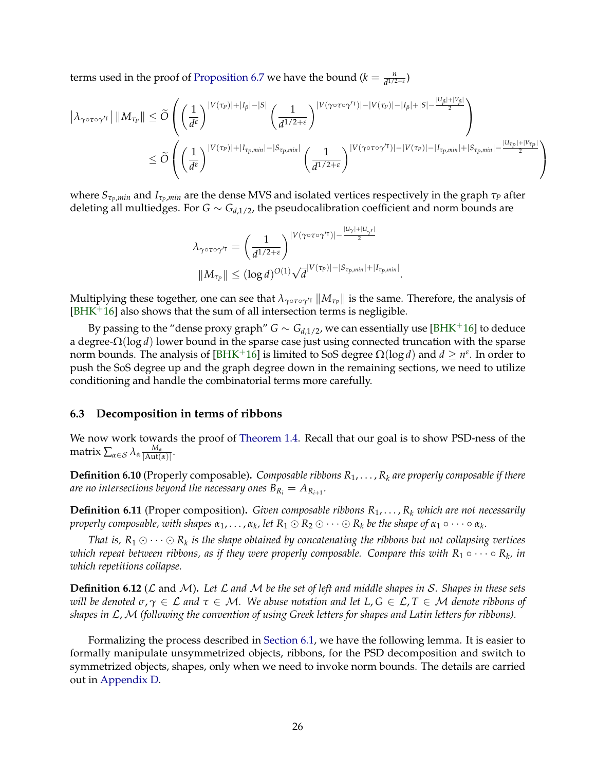terms used in the proof of [Proposition 6.7](#page-25-1) we have the bound  $(k = \frac{n}{d^{1/2+\epsilon}})$ 

$$
\left|\lambda_{\gamma \circ \tau \circ \gamma'^\intercal} \right| \|M_{\tau_p}\| \leq \widetilde{O} \left( \left(\frac{1}{d^{\epsilon}}\right)^{|V(\tau_p)| + |I_{\beta}| - |S|} \left(\frac{1}{d^{1/2+\epsilon}}\right)^{|V(\gamma \circ \tau \circ \gamma'^\intercal)| - |V(\tau_p)| - |I_{\beta}| + |S| - \frac{|U_{\beta}| + |V_{\beta}|}{2}} \right) \leq \widetilde{O} \left( \left(\frac{1}{d^{\epsilon}}\right)^{|V(\tau_p)| + |I_{\tau_p,min}| - |S_{\tau_p,min}|} \left(\frac{1}{d^{1/2+\epsilon}}\right)^{|V(\gamma \circ \tau \circ \gamma'^\intercal)| - |V(\tau_p)| - |I_{\tau_p,min}| + |S_{\tau_p,min}| - \frac{|U_{\tau_p}| + |V_{\tau_p}|}{2}} \right)
$$

where *SτP*,*min* and *IτP*,*min* are the dense MVS and isolated vertices respectively in the graph *τ<sup>P</sup>* after deleting all multiedges. For  $G \sim G_{d,1/2}$ , the pseudocalibration coefficient and norm bounds are

$$
\lambda_{\gamma \circ \tau \circ \gamma' \tau} = \left(\frac{1}{d^{1/2+\epsilon}}\right)^{|V(\gamma \circ \tau \circ \gamma' \tau)| - \frac{|U_{\gamma}| + |U_{\gamma'}|}{2}}
$$

$$
||M_{\tau_P}|| \le (\log d)^{O(1)} \sqrt{d}^{|V(\tau_P)| - |S_{\tau_P, min}| + |I_{\tau_P, min}|}
$$

Multiplying these together, one can see that  $\lambda_{\gamma\circ\tau\circ\gamma'\tau}\|M_{\tau_P}\|$  is the same. Therefore, the analysis of  $[BHK<sup>+</sup>16]$  $[BHK<sup>+</sup>16]$  also shows that the sum of all intersection terms is negligible.

.

By passing to the "dense proxy graph" *G* ~  $G_{d,1/2}$ , we can essentially use [\[BHK](#page-60-3)<sup>+</sup>16] to deduce a degree-Ω(log *d*) lower bound in the sparse case just using connected truncation with the sparse norm bounds. The analysis of [\[BHK](#page-60-3)<sup>+</sup>16] is limited to SoS degree  $\Omega(\log d)$  and  $d \geq n^{\varepsilon}$ . In order to push the SoS degree up and the graph degree down in the remaining sections, we need to utilize conditioning and handle the combinatorial terms more carefully.

#### <span id="page-28-0"></span>**6.3 Decomposition in terms of ribbons**

We now work towards the proof of [Theorem 1.4.](#page-4-2) Recall that our goal is to show PSD-ness of the  $\max \sum_{\alpha \in \mathcal{S}} \lambda_{\alpha} \frac{M_{\alpha}}{|\mathrm{Aut}(n)|}$  $\frac{M_{\alpha}}{|Aut(\alpha)|}$ .

**Definition 6.10** (Properly composable)**.** *Composable ribbons R*1, . . . , *R<sup>k</sup> are properly composable if there are no intersections beyond the necessary ones*  $B_{R_i} = A_{R_{i+1}}.$ 

**Definition 6.11** (Proper composition)**.** *Given composable ribbons R*1, . . . , *R<sup>k</sup> which are not necessarily*  $p$ roperly composable, with shapes  $\alpha_1,\dots,\alpha_k$ , let  $R_1\odot R_2\odot\dots\odot R_k$  be the shape of  $\alpha_1\circ\dots\circ\alpha_k.$ 

That is,  $R_1 \odot \cdots \odot R_k$  is the shape obtained by concatenating the ribbons but not collapsing vertices  $w$ hich repeat between ribbons, as if they were properly composable. Compare this with  $R_1 \circ \cdots \circ R_k$ , in *which repetitions collapse.*

**Definition 6.12** (L and M)**.** *Let* L *and* M *be the set of left and middle shapes in* S*. Shapes in these sets will be denoted*  $σ, γ ∈ L$  *and*  $τ ∈ M$ *. We abuse notation and let*  $L, G ∈ L, T ∈ M$  *denote ribbons of shapes in* L,M *(following the convention of using Greek letters for shapes and Latin letters for ribbons).*

Formalizing the process described in [Section 6.1,](#page-21-1) we have the following lemma. It is easier to formally manipulate unsymmetrized objects, ribbons, for the PSD decomposition and switch to symmetrized objects, shapes, only when we need to invoke norm bounds. The details are carried out in [Appendix D.](#page-70-0)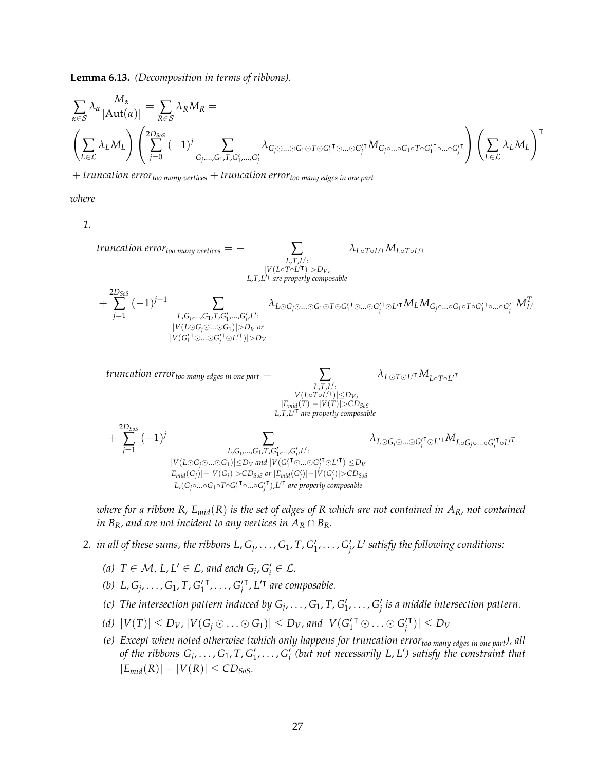**Lemma 6.13.** *(Decomposition in terms of ribbons).*

$$
\sum_{\alpha \in \mathcal{S}} \lambda_{\alpha} \frac{M_{\alpha}}{|\text{Aut}(\alpha)|} = \sum_{R \in \mathcal{S}} \lambda_{R} M_{R} = \left( \sum_{j=0}^{2D_{SoS}} (-1)^{j} \sum_{G_{j},...,G_{1},T,G'_{1},...,G'_{j}} \lambda_{G_{j} \odot ... \odot G_{1} \odot T \odot G'_{1} \cdots \odot G_{j}^{\prime \dagger}} M_{G_{j} \circ ... \circ G_{1} \circ T \circ G'_{1} \cdots \circ G'_{j}} \right) \left( \sum_{L \in \mathcal{L}} \lambda_{L} M_{L} \right)^{\mathsf{T}}
$$

+ *truncation errortoo many vertices* + *truncation errortoo many edges in one part*

*where*

*1.*

*truncation errortoo many vertices* = − ∑ *L*,*T*,*L* 0 : |*V*(*L*◦*T*◦*L* 0| )|>*DV*, *L*,*T*,*L* 0| *are properly composable λL*◦*T*◦*L* <sup>0</sup><sup>|</sup>*ML*◦*T*◦*<sup>L</sup>* 0| + 2*DSoS* ∑ *j*=1 (−1) *<sup>j</sup>*+<sup>1</sup> ∑ *L*,*G<sup>j</sup>* ,...,*G*1,*T*,*G* 0 1 ,...,*G* 0 *j* ,*L* 0 : |*V*(*L G<sup>j</sup>*...*G*1)|>*D<sup>V</sup> or* |*V*(*G* 0 1 <sup>|</sup>...*<sup>G</sup>* 0 *j* <sup>|</sup> *<sup>L</sup>* 0| )|>*D<sup>V</sup> λ<sup>L</sup> <sup>G</sup><sup>j</sup>*...*<sup>G</sup>*<sup>1</sup> *<sup>T</sup> <sup>G</sup>*<sup>0</sup> 1 <sup>|</sup>...*<sup>G</sup>*<sup>0</sup> *j* <sup>|</sup> *<sup>L</sup>* <sup>0</sup><sup>|</sup>*MLMGj*◦...◦*G*1◦*T*◦*G*<sup>0</sup> 1 | ◦...◦*G*<sup>0</sup> *j* <sup>|</sup>*M<sup>T</sup> L* 0 *truncation errortoo many edges in one part* = ∑ *L*,*T*,*L* 0 : |*V*(*L*◦*T*◦*L* 0| )|≤*DV*, |*Emid*(*T*)|−|*V*(*T*)|>*CDSoS L*,*T*,*L* 0| *are properly composable λ<sup>L</sup> <sup>T</sup> <sup>L</sup>* <sup>0</sup><sup>|</sup>*ML*◦*T*◦*<sup>L</sup>* 0*T* + 2*DSoS* ∑ *j*=1 (−1) *<sup>j</sup>* ∑ *L*,*G<sup>j</sup>* ,...,*G*1,*T*,*G* 0 1 ,...,*G* 0 *j* ,*L* 0 : |*V*(*L G<sup>j</sup>*...*G*1)|≤*D<sup>V</sup> and* |*V*(*G* 0 1 <sup>|</sup>...*<sup>G</sup>* 0 *j* <sup>|</sup> *<sup>L</sup>* 0| )|≤*D<sup>V</sup>* |*Emid*(*Gj*)|−|*V*(*Gj*)|>*CDSoS or* |*Emid*(*G* 0 *j* )|−|*V*(*G* 0 *j* )|>*CDSoS L*,(*Gj*◦...◦*G*1◦*T*◦*G* 0 1 | ◦...◦*G* 0 *j* | ),*L* 0| *are properly composable λ<sup>L</sup> <sup>G</sup><sup>j</sup>*...*<sup>G</sup>*<sup>0</sup> *j* <sup>|</sup> *<sup>L</sup>* <sup>0</sup><sup>|</sup>*ML*◦*Gj*◦...◦*G*<sup>0</sup> *j* | ◦*L* 0*T*

*where for a ribbon R, Emid*(*R*) *is the set of edges of R which are not contained in AR, not contained in*  $B_R$ *, and are not incident to any vertices in*  $A_R \cap B_R$ *.* 

- 2. *in all of these sums, the ribbons L,*  $G_j, \ldots, G_1, T, G'_1, \ldots, G'_{j'}$  *L' satisfy the following conditions:* 
	- (a)  $T \in \mathcal{M}$ ,  $L$ ,  $L' \in \mathcal{L}$ , and each  $G_i$ ,  $G'_i \in \mathcal{L}$ .
	- (*b*)  $L, G_j, \ldots, G_1, T, G'_1$  $\mathbf{F}_1, \ldots, \mathbf{G}'_j$ <sup>T</sup>, L<sup>'T</sup> are composable.
	- (c) The intersection pattern induced by  $G_j, \ldots, G_1, T, G'_1, \ldots, G'_j$  is a middle intersection pattern.
	- *(d)*  $|V(T)| \le D_V$ ,  $|V(G_j \odot \ldots \odot G_1)| \le D_V$ , and  $|V(G_1^{T} \odot \ldots \odot G_j^{T})|$  $|\mathbf{v}| \leq D_V$
	- *(e) Except when noted otherwise (which only happens for truncation errortoo many edges in one part), all* of the ribbons  $G_j, \ldots, G_1, T, G'_1, \ldots, G'_j$  (but not necessarily L, L') satisfy the constraint that  $|E_{mid}(R)| - |V(R)| \leq CD_{SoS}$ .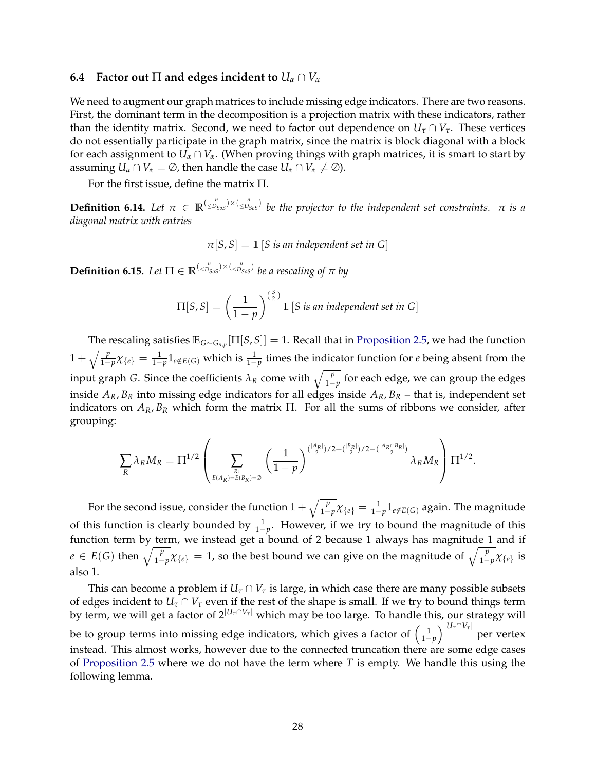## <span id="page-30-0"></span>**6.4** Factor out  $\Pi$  and edges incident to  $U_\alpha \cap V_\alpha$

We need to augment our graph matrices to include missing edge indicators. There are two reasons. First, the dominant term in the decomposition is a projection matrix with these indicators, rather than the identity matrix. Second, we need to factor out dependence on  $U_{\tau} \cap V_{\tau}$ . These vertices do not essentially participate in the graph matrix, since the matrix is block diagonal with a block for each assignment to  $U_\alpha \cap V_\alpha$ . (When proving things with graph matrices, it is smart to start by assuming  $U_\alpha \cap V_\alpha = \emptyset$ , then handle the case  $U_\alpha \cap V_\alpha \neq \emptyset$ ).

For the first issue, define the matrix Π.

**Definition 6.14.** Let  $\pi \in \mathbb{R}^{(\leq p_{SoS}) \times (\leq p_{SoS}^n)}$  be the projector to the independent set constraints.  $\pi$  is a *diagonal matrix with entries*

$$
\pi[S, S] = 1 \, [S \, \text{is an independent set in } G]
$$

 $\bf{Definition 6.15.}$  *Let*  $\Pi \in \mathbb{R}^{(\leq p_{Sos}^n) \times (\leq p_{Sos}^n)}$  *be a rescaling of*  $\pi$  *by* 

$$
\Pi[S, S] = \left(\frac{1}{1-p}\right)^{\binom{|S|}{2}} 1 \quad [S \text{ is an independent set in } G]
$$

The rescaling satisfies **E***G*∼*Gn*,*<sup>p</sup>* [Π[*S*, *S*]] = 1. Recall that in [Proposition 2.5,](#page-8-1) we had the function  $1 + \sqrt{\frac{p}{1-p}}\chi_{\{e\}} = \frac{1}{1-p}1_{e \notin E(G)}$  which is  $\frac{1}{1-p}$  times the indicator function for *e* being absent from the input graph *G*. Since the coefficients  $\lambda_R$  come with  $\sqrt{\frac{p}{1-p}}$  for each edge, we can group the edges inside  $A_R$ ,  $B_R$  into missing edge indicators for all edges inside  $A_R$ ,  $B_R$  – that is, independent set indicators on  $A_R$ ,  $B_R$  which form the matrix  $\Pi$ . For all the sums of ribbons we consider, after grouping:

$$
\sum_{R} \lambda_R M_R = \Pi^{1/2} \left( \sum_{\substack{R: \\ E(A_R) = E(B_R) = \emptyset}} \left( \frac{1}{1-p} \right)^{\binom{|A_R|}{2}/2 + \binom{|B_R|}{2}/2 - \binom{|A_R \cap B_R|}{2}} \lambda_R M_R \right) \Pi^{1/2}.
$$

For the second issue, consider the function  $1+\sqrt{\frac{p}{1-p}}\chi_{\{e\}}=\frac{1}{1-p}1_{e\notin E(G)}$  again. The magnitude of this function is clearly bounded by  $\frac{1}{1-p}$ . However, if we try to bound the magnitude of this function term by term, we instead get a bound of 2 because 1 always has magnitude 1 and if  $e \in E(G)$  then  $\sqrt{\frac{p}{1-p}}\chi_{\{e\}} = 1$ , so the best bound we can give on the magnitude of  $\sqrt{\frac{p}{1-p}}\chi_{\{e\}}$  is also 1.

This can become a problem if  $U_\tau \cap V_\tau$  is large, in which case there are many possible subsets of edges incident to  $U_\tau \cap V_\tau$  even if the rest of the shape is small. If we try to bound things term by term, we will get a factor of  $2^{|U_{\tau} \cap V_{\tau}|}$  which may be too large. To handle this, our strategy will be to group terms into missing edge indicators, which gives a factor of  $\left(\frac{1}{1-p}\right)^{|U_\tau \cap V_\tau|}$ per vertex instead. This almost works, however due to the connected truncation there are some edge cases of [Proposition 2.5](#page-8-1) where we do not have the term where *T* is empty. We handle this using the following lemma.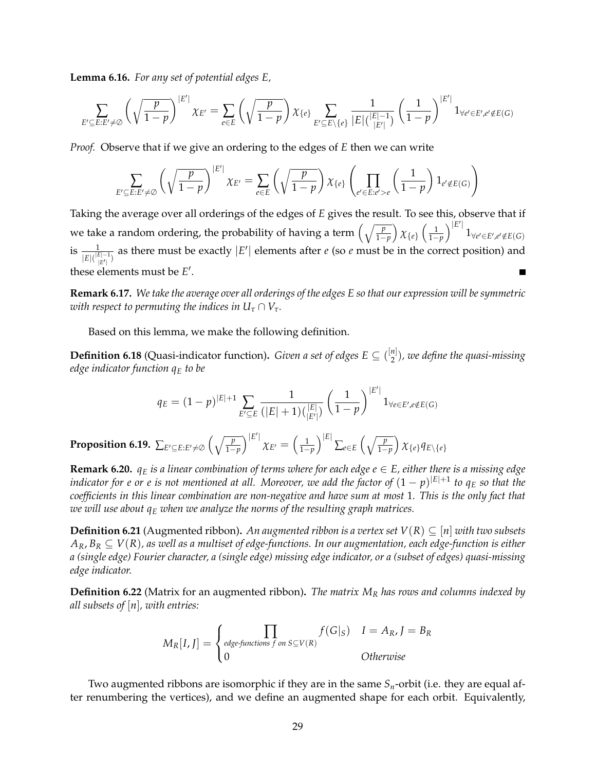**Lemma 6.16.** *For any set of potential edges E,*

$$
\sum_{E' \subseteq E: E' \neq \emptyset} \left( \sqrt{\frac{p}{1-p}} \right)^{|E'|} \chi_{E'} = \sum_{e \in E} \left( \sqrt{\frac{p}{1-p}} \right) \chi_{\{e\}} \sum_{E' \subseteq E \setminus \{e\}} \frac{1}{|E| {|\zeta| \choose |E'|}} \left( \frac{1}{1-p} \right)^{|E'|} \mathbf{1}_{\forall e' \in E', e' \notin E(G)}
$$

*Proof.* Observe that if we give an ordering to the edges of *E* then we can write

$$
\sum_{E' \subseteq E: E' \neq \emptyset} \left( \sqrt{\frac{p}{1-p}} \right)^{|E'|} \chi_{E'} = \sum_{e \in E} \left( \sqrt{\frac{p}{1-p}} \right) \chi_{\{e\}} \left( \prod_{e' \in E: e' > e} \left( \frac{1}{1-p} \right) 1_{e' \notin E(G)} \right)
$$

Taking the average over all orderings of the edges of *E* gives the result. To see this, observe that if we take a random ordering, the probability of having a term  $\left(\sqrt{\frac{p}{1-p}}\right)\chi_{\{e\}}\left(\frac{1}{1-p}\right)^{|E'|}$  $1_{\forall e' \in E', e' \notin E(G)}$ is  $\frac{1}{|E|(\frac{|E|-1}{|E'|})}$  as there must be exactly  $|E'|$  elements after *e* (so *e* must be in the correct position) and these elements must be *E'*.

**Remark 6.17.** *We take the average over all orderings of the edges E so that our expression will be symmetric with respect to permuting the indices in*  $U_{\tau} \cap V_{\tau}$ .

Based on this lemma, we make the following definition.

**Definition 6.18** (Quasi-indicator function). *Given a set of edges*  $E \subseteq \binom{[n]}{2}$ 2 )*, we define the quasi-missing edge indicator function q<sup>E</sup> to be*

$$
q_E = (1-p)^{|E|+1} \sum_{E' \subseteq E} \frac{1}{(|E|+1) { |E| \choose |E'|}} \left(\frac{1}{1-p}\right)^{|E'|} 1_{\forall e \in E', e \notin E(G)}
$$

Proposition 6.19.  $\sum_{E'\subseteq E: E'\neq \varnothing}\Big(\sqrt{\frac{p}{1-p}}\Big)^{|E'|}\chi_{E'}=\Big(\frac{1}{1-p}\Big)^{|E|}\sum_{e\in E}\Big(\sqrt{\frac{p}{1-p}}\Big)\,\chi_{\{e\}}q_{E\setminus\{e\}}$ 

**Remark 6.20.**  $q_E$  *is a linear combination of terms where for each edge*  $e \in E$ *, either there is a missing edge*  $i$ ndicator for  $e$  or  $e$  is not mentioned at all. Moreover, we add the factor of  $(1-p)^{|E|+1}$  to  $q_E$  so that the *coefficients in this linear combination are non-negative and have sum at most* 1*. This is the only fact that we will use about q<sup>E</sup> when we analyze the norms of the resulting graph matrices.*

<span id="page-31-0"></span>**Definition 6.21** (Augmented ribbon). *An augmented ribbon is a vertex set*  $V(R) \subseteq [n]$  *with two subsets*  $A_R$ ,  $B_R \subseteq V(R)$ , as well as a multiset of edge-functions. In our augmentation, each edge-function is either *a (single edge) Fourier character, a (single edge) missing edge indicator, or a (subset of edges) quasi-missing edge indicator.*

**Definition 6.22** (Matrix for an augmented ribbon)**.** *The matrix M<sup>R</sup> has rows and columns indexed by all subsets of* [*n*]*, with entries:*

$$
M_R[I, J] = \begin{cases} \prod_{edge functions f \text{ on } S \subseteq V(R)} f(G|_S) & I = A_R, J = B_R \\ 0 & \text{Otherwise} \end{cases}
$$

Two augmented ribbons are isomorphic if they are in the same *Sn*-orbit (i.e. they are equal after renumbering the vertices), and we define an augmented shape for each orbit. Equivalently,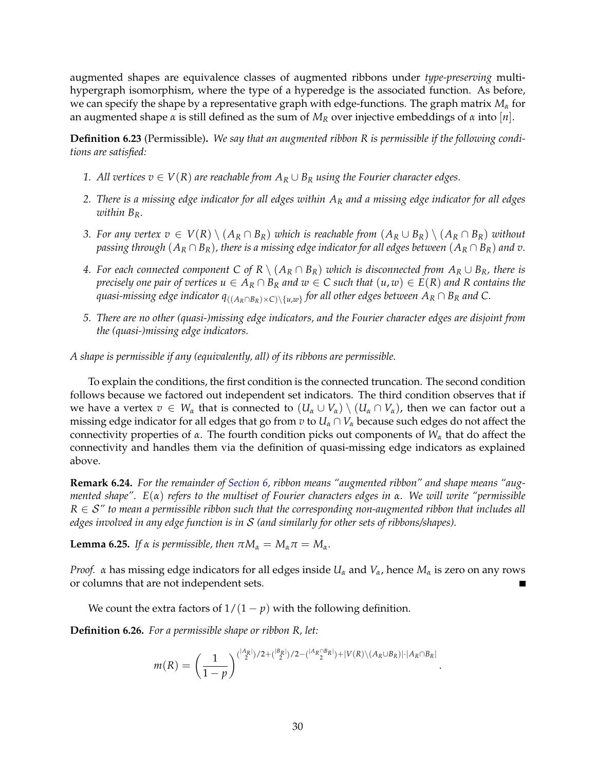augmented shapes are equivalence classes of augmented ribbons under *type-preserving* multihypergraph isomorphism, where the type of a hyperedge is the associated function. As before, we can specify the shape by a representative graph with edge-functions. The graph matrix *M<sup>α</sup>* for an augmented shape *α* is still defined as the sum of *M<sup>R</sup>* over injective embeddings of *α* into [*n*].

**Definition 6.23** (Permissible)**.** *We say that an augmented ribbon R is permissible if the following conditions are satisfied:*

- *1. All vertices*  $v \in V(R)$  *are reachable from*  $A_R ∪ B_R$  *using the Fourier character edges.*
- *2. There is a missing edge indicator for all edges within A<sup>R</sup> and a missing edge indicator for all edges within BR.*
- *3.* For any vertex  $v \in V(R) \setminus (A_R \cap B_R)$  which is reachable from  $(A_R \cup B_R) \setminus (A_R \cap B_R)$  without *passing through*  $(A_R \cap B_R)$ , there is a missing edge indicator for all edges between  $(A_R \cap B_R)$  and v.
- *4.* For each connected component C of R  $\setminus$  (A<sub>R</sub> ∩ B<sub>R</sub>) which is disconnected from A<sub>R</sub> ∪ B<sub>R</sub>*,* there is *precisely one pair of vertices*  $u \in A_R \cap B_R$  *and*  $w \in C$  *such that*  $(u, w) \in E(R)$  *and* R *contains the quasi-missing edge indicator q*((*AR*∩*BR*)×*C*)\{*u*,*w*} *for all other edges between A<sup>R</sup>* ∩ *B<sup>R</sup> and C.*
- *5. There are no other (quasi-)missing edge indicators, and the Fourier character edges are disjoint from the (quasi-)missing edge indicators.*

*A shape is permissible if any (equivalently, all) of its ribbons are permissible.*

To explain the conditions, the first condition is the connected truncation. The second condition follows because we factored out independent set indicators. The third condition observes that if we have a vertex  $v \in W_\alpha$  that is connected to  $(U_\alpha \cup V_\alpha) \setminus (U_\alpha \cap V_\alpha)$ , then we can factor out a missing edge indicator for all edges that go from  $v$  to  $U_\alpha \cap V_\alpha$  because such edges do not affect the connectivity properties of *α*. The fourth condition picks out components of *W<sup>α</sup>* that do affect the connectivity and handles them via the definition of quasi-missing edge indicators as explained above.

**Remark 6.24.** *For the remainder of [Section 6,](#page-21-0) ribbon means "augmented ribbon" and shape means "augmented shape". E*(*α*) *refers to the multiset of Fourier characters edges in α. We will write "permissible*  $R \in S''$  to mean a permissible ribbon such that the corresponding non-augmented ribbon that includes all *edges involved in any edge function is in* S *(and similarly for other sets of ribbons/shapes).*

**Lemma 6.25.** *If*  $\alpha$  *is permissible, then*  $\pi M_{\alpha} = M_{\alpha} \pi = M_{\alpha}$ *.* 

*Proof. α* has missing edge indicators for all edges inside  $U_\alpha$  and  $V_\alpha$ , hence  $M_\alpha$  is zero on any rows or columns that are not independent sets.

We count the extra factors of  $1/(1 - p)$  with the following definition.

**Definition 6.26.** *For a permissible shape or ribbon R, let:*

$$
m(R)=\left(\frac{1}{1-p}\right)^{\binom{|A_R|}{2}/2+\binom{|B_R|}{2}/2-\binom{|A_R\cap B_R|}{2}+|V(R)\setminus (A_R\cup B_R)|\cdot|A_R\cap B_R|}
$$

.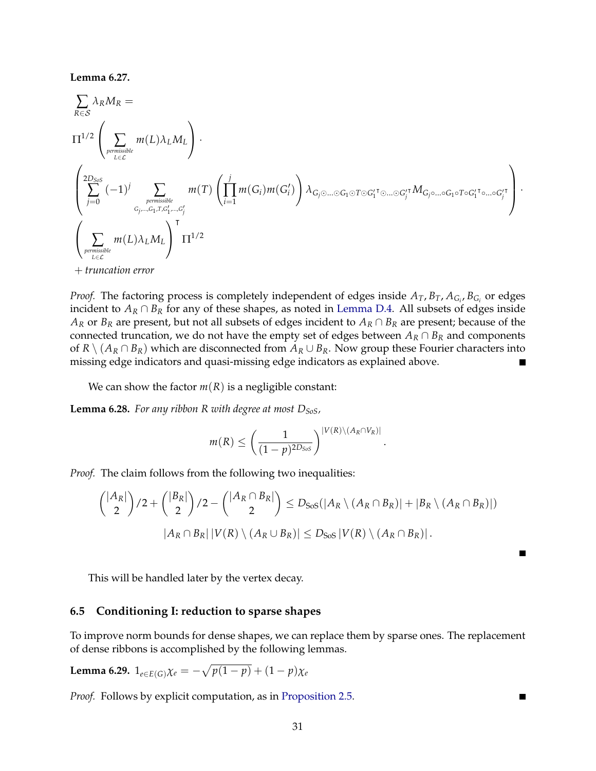#### **Lemma 6.27.**

$$
\sum_{R \in S} \lambda_R M_R =
$$
\n
$$
\Pi^{1/2} \left( \sum_{\substack{permisible \\ L \in \mathcal{L}}} m(L) \lambda_L M_L \right) \cdot
$$
\n
$$
\left( \sum_{j=0}^{2D_{SoS}} (-1)^j \sum_{\substack{permisible \\ G_j, \dots, G_1, T, G'_1, \dots, G'_j \\ G_j \dots G_1, T, G'_1, \dots, G'_j}} m(T) \left( \prod_{i=1}^j m(G_i) m(G'_i) \right) \lambda_{G_j \odot \dots \odot G_1 \odot T \odot G'_1} T \odot \dots \odot G'_j} T M_{G_j \odot \dots \odot G_1 \odot T \odot G'_1} T \odot \dots \odot G'_1} \right) \cdot
$$
\n
$$
\left( \sum_{\substack{permisible \\ L \in \mathcal{L}}} m(L) \lambda_L M_L \right)^T \Pi^{1/2}
$$
\n+ truncation error

*Proof.* The factoring process is completely independent of edges inside  $A_T$ ,  $B_T$ ,  $A_{G_i}$ ,  $B_{G_i}$  or edges incident to  $A_R \cap B_R$  for any of these shapes, as noted in [Lemma D.4.](#page-73-0) All subsets of edges inside *A<sup>R</sup>* or *B<sup>R</sup>* are present, but not all subsets of edges incident to *A<sup>R</sup>* ∩ *B<sup>R</sup>* are present; because of the connected truncation, we do not have the empty set of edges between  $A_R \cap B_R$  and components of  $R \setminus (A_R \cap B_R)$  which are disconnected from  $A_R \cup B_R$ . Now group these Fourier characters into missing edge indicators and quasi-missing edge indicators as explained above.

We can show the factor  $m(R)$  is a negligible constant:

**Lemma 6.28.** *For any ribbon R with degree at most DSoS,*

$$
m(R) \leq \left(\frac{1}{(1-p)^{2D_{SoS}}}\right)^{|V(R)\setminus (A_R \cap V_R)|}
$$

.

*Proof.* The claim follows from the following two inequalities:

$$
{|A_R| \choose 2}/2 + {|B_R| \choose 2}/2 - {|A_R \cap B_R| \choose 2} \le D_{SoS}(|A_R \setminus (A_R \cap B_R)| + |B_R \setminus (A_R \cap B_R)|)
$$
  

$$
|A_R \cap B_R| |V(R) \setminus (A_R \cup B_R)| \le D_{SoS} |V(R) \setminus (A_R \cap B_R)|.
$$

This will be handled later by the vertex decay.

## <span id="page-33-0"></span>**6.5 Conditioning I: reduction to sparse shapes**

To improve norm bounds for dense shapes, we can replace them by sparse ones. The replacement of dense ribbons is accomplished by the following lemmas.

**Lemma 6.29.** 
$$
1_{e \in E(G)} \chi_e = -\sqrt{p(1-p)} + (1-p)\chi_e
$$

<span id="page-33-1"></span>*Proof.* Follows by explicit computation, as in [Proposition 2.5.](#page-8-1)

 $\blacksquare$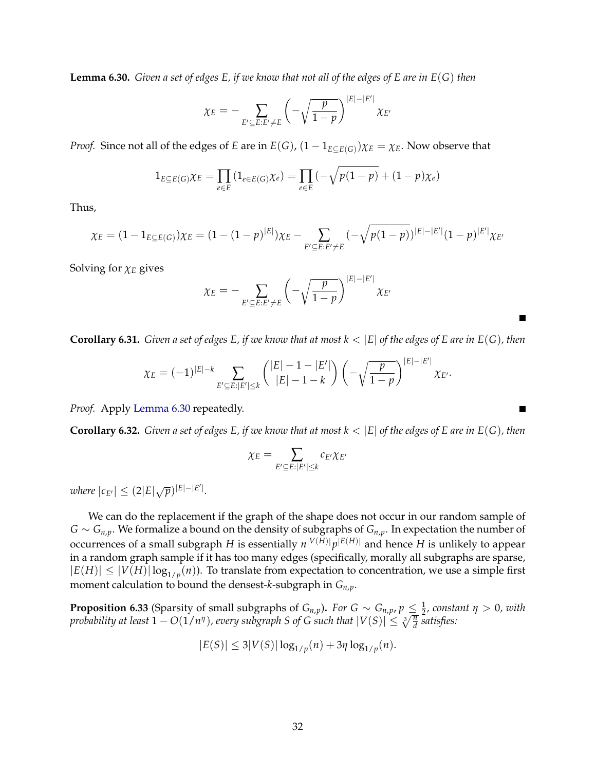**Lemma 6.30.** *Given a set of edges E, if we know that not all of the edges of E are in E*(*G*) *then*

$$
\chi_E = -\sum_{E' \subseteq E: E' \neq E} \left( -\sqrt{\frac{p}{1-p}} \right)^{|E| - |E'|} \chi_{E'}
$$

*Proof.* Since not all of the edges of *E* are in  $E(G)$ ,  $(1 - 1_{E \subseteq E(G)})\chi_E = \chi_E$ . Now observe that

$$
1_{E \subseteq E(G)} \chi_E = \prod_{e \in E} \left( 1_{e \in E(G)} \chi_e \right) = \prod_{e \in E} \left( -\sqrt{p(1-p)} + (1-p)\chi_e \right)
$$

Thus,

$$
\chi_E = (1 - 1_{E \subseteq E(G)}) \chi_E = (1 - (1 - p)^{|E|}) \chi_E - \sum_{E' \subseteq E: E' \neq E} (-\sqrt{p(1 - p)})^{|E| - |E'|} (1 - p)^{|E'|} \chi_{E'}
$$

Solving for *χ<sup>E</sup>* gives

$$
\chi_E = -\sum_{E' \subseteq E: E' \neq E} \left( -\sqrt{\frac{p}{1-p}} \right)^{|E| - |E'|} \chi_{E'}
$$

<span id="page-34-0"></span>**Corollary 6.31.** *Given a set of edges E, if we know that at most*  $k < |E|$  *of the edges of E are in E(G), then* 

$$
\chi_E = (-1)^{|E|-k} \sum_{E' \subseteq E: |E'| \leq k} {\binom{|E|-1-|E'|}{|E|-1-k}} \left( -\sqrt{\frac{p}{1-p}} \right)^{|E|-|E'|} \chi_{E'}.
$$

*Proof.* Apply [Lemma 6.30](#page-33-1) repeatedly.

**Corollary 6.32.** *Given a set of edges E, if we know that at most*  $k < |E|$  *of the edges of E are in E(G), then* 

$$
\chi_E = \sum_{E' \subseteq E : |E'| \leq k} c_{E'} \chi_{E'}
$$

 $\mathbb{E}[\text{where } |c_{E'}| \leq (2|E|\sqrt{p})^{|E|-|E'|}.$ 

We can do the replacement if the graph of the shape does not occur in our random sample of *G* ∼ *Gn*,*p*. We formalize a bound on the density of subgraphs of *Gn*,*p*. In expectation the number of occurrences of a small subgraph *H* is essentially  $n^{|V(H)|}p^{|E(H)|}$  and hence *H* is unlikely to appear in a random graph sample if it has too many edges (specifically, morally all subgraphs are sparse,  $|E(H)| \leq |V(H)| \log_{1/p}(n)$ ). To translate from expectation to concentration, we use a simple first moment calculation to bound the densest-*k*-subgraph in *Gn*,*p*.

**Proposition 6.33** (Sparsity of small subgraphs of  $G_{n,p}$ ). For  $G \sim G_{n,p}$ ,  $p \leq \frac{1}{2}$ , constant  $\eta > 0$ , with *probability at least*  $1 - O(1/n^{\eta})$ *, every subgraph S of G such that*  $|V(S)| \leq \sqrt[3]{\frac{\eta}{d}}$  *satisfies:* 

$$
|E(S)| \le 3|V(S)| \log_{1/p}(n) + 3\eta \log_{1/p}(n).
$$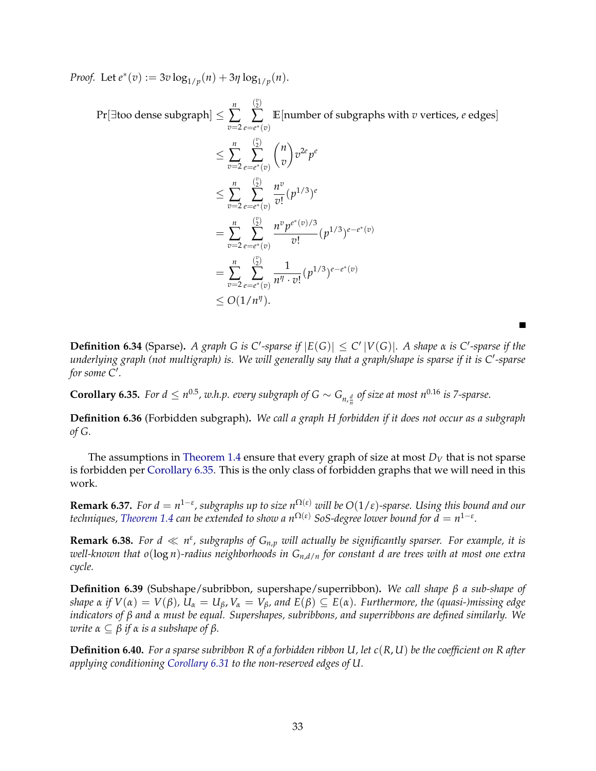*Proof.* Let  $e^*(v) := 3v \log_{1/p}(n) + 3\eta \log_{1/p}(n)$ .

Pr[∃too dense subgraph] ≤ *n* ∑ *v*=2  $\binom{v}{2}$ ∑ *e*=*e* <sup>∗</sup>(*v*) **E**[number of subgraphs with *v* vertices, *e* edges] ≤ *n* ∑ *v*=2  $\binom{v}{2}$ ∑ *e*=*e* <sup>∗</sup>(*v*) *n v*  $\setminus$ *v* 2*e p e* ≤ *n* ∑ *v*=2  $\binom{v}{2}$ ∑ *e*=*e* <sup>∗</sup>(*v*) *n v*  $\frac{n}{v!} (p^{1/3})^e$ = *n* ∑ *v*=2  $\binom{v}{2}$ ∑ *e*=*e* <sup>∗</sup>(*v*) *n v p e* ∗ (*v*)/3  $\frac{\partial}{\partial y} (p^{1/3})^{e-e^*(v)}$ = *n* ∑ *v*=2  $\binom{v}{2}$ ∑ *e*=*e* <sup>∗</sup>(*v*) 1  $\frac{1}{n^{\eta} \cdot v!} (p^{1/3})^{e-e^*(v)}$  $\leq O(1/n^{\eta}).$ 

**Definition 6.34** (Sparse). A graph G is C'-sparse if  $|E(G)| \le C' |V(G)|$ . A shape  $\alpha$  is C'-sparse if the underlying graph (not multigraph) is. We will generally say that a graph/shape is sparse if it is C'-sparse for some C'.

<span id="page-35-0"></span>**Corollary 6.35.** For  $d \leq n^{0.5}$ , w.h.p. every subgraph of  $G \sim G_{n, \frac{d}{n}}$  of size at most  $n^{0.16}$  is 7-sparse.

**Definition 6.36** (Forbidden subgraph)**.** *We call a graph H forbidden if it does not occur as a subgraph of G.*

The assumptions in [Theorem 1.4](#page-4-2) ensure that every graph of size at most  $D_V$  that is not sparse is forbidden per [Corollary 6.35.](#page-35-0) This is the only class of forbidden graphs that we will need in this work.

 $R$ emark 6.37. *For d*  $= n^{1-\varepsilon}$ *, subgraphs up to size n* $^{\Omega(\varepsilon)}$  *will be*  $O(1/\varepsilon)$ *-sparse. Using this bound and our*  $t$ echniques, [Theorem 1.4](#page-4-2)  $c$ an be extended to show a n $^{\Omega(\varepsilon)}$  SoS-degree lower bound for  $\bar{d}=n^{1-\varepsilon}.$ 

**Remark 6.38.** For  $d \ll n^{\varepsilon}$ , subgraphs of  $G_{n,p}$  will actually be significantly sparser. For example, it is *well-known that o*(log *n*)*-radius neighborhoods in Gn*,*d*/*<sup>n</sup> for constant d are trees with at most one extra cycle.*

**Definition 6.39** (Subshape/subribbon, supershape/superribbon)**.** *We call shape β a sub-shape of* shape  $\alpha$  if  $V(\alpha) = V(\beta)$ ,  $U_{\alpha} = U_{\beta}$ ,  $V_{\alpha} = V_{\beta}$ , and  $E(\beta) \subseteq E(\alpha)$ . Furthermore, the (quasi-)missing edge *indicators of β and α must be equal. Supershapes, subribbons, and superribbons are defined similarly. We write*  $\alpha \subset \beta$  *if*  $\alpha$  *is a subshape of*  $\beta$ *.* 

**Definition 6.40.** *For a sparse subribbon R of a forbidden ribbon U, let c*(*R*, *U*) *be the coefficient on R after applying conditioning [Corollary 6.31](#page-34-0) to the non-reserved edges of U.*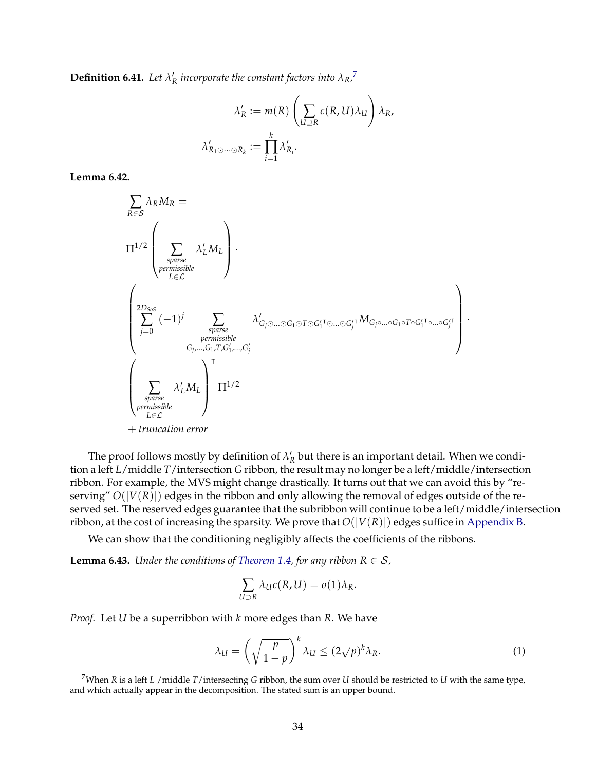**Definition 6.41.** Let  $\lambda'_R$  incorporate the constant factors into  $\lambda_R$ <sup>[7](#page-36-0)</sup>

$$
\lambda'_R := m(R) \left( \sum_{U \supseteq R} c(R, U) \lambda_U \right) \lambda_R,
$$
  

$$
\lambda'_{R_1 \odot \cdots \odot R_k} := \prod_{i=1}^k \lambda'_{R_i}.
$$

**Lemma 6.42.**

$$
\sum_{R \in S} \lambda_R M_R =
$$
\n
$$
\Pi^{1/2} \left( \sum_{\substack{sparse \\ permissions} \atop \text{permissible}} \lambda_L' M_L \right).
$$
\n
$$
\left( \sum_{\substack{2D_{So}S \\ j=0}}^{2D_{So}S} (-1)^j \sum_{\substack{sparse \\ \text{permissible} \\ G_j, \ldots, G_1, T, G_1', \ldots, G_j' \\ G_j \text{permissible}}} \lambda'_{G_j \odot \ldots \odot G_1 \odot T \odot G_1' \odot \ldots \odot G_j \circ T} M_{G_j \circ \ldots \circ G_1 \circ T \circ G_1' \odot \ldots \circ G_j'} \right)
$$
\n
$$
\left( \sum_{\substack{sparse \\ \text{permissible} \\ L \in \mathcal{L}}} \lambda_L' M_L \right) \Pi^{1/2}
$$
\n+ truncation error

The proof follows mostly by definition of  $\lambda'_R$  but there is an important detail. When we condition a left *L*/middle *T*/intersection *G* ribbon, the result may no longer be a left/middle/intersection ribbon. For example, the MVS might change drastically. It turns out that we can avoid this by "reserving" *O*(|*V*(*R*)|) edges in the ribbon and only allowing the removal of edges outside of the reserved set. The reserved edges guarantee that the subribbon will continue to be a left/middle/intersection ribbon, at the cost of increasing the sparsity. We prove that  $O(|V(R)|)$  edges suffice in [Appendix B.](#page-67-0)

We can show that the conditioning negligibly affects the coefficients of the ribbons.

<span id="page-36-2"></span>**Lemma 6.43.** *Under the conditions of [Theorem 1.4,](#page-4-0) for any ribbon*  $R \in S$ *,* 

$$
\sum_{U \supset R} \lambda_U c(R, U) = o(1) \lambda_R.
$$

*Proof.* Let *U* be a superribbon with *k* more edges than *R*. We have

<span id="page-36-1"></span>
$$
\lambda_U = \left(\sqrt{\frac{p}{1-p}}\right)^k \lambda_U \le (2\sqrt{p})^k \lambda_R. \tag{1}
$$

·

<span id="page-36-0"></span><sup>7</sup>When *R* is a left *L* /middle *T*/intersecting *G* ribbon, the sum over *U* should be restricted to *U* with the same type, and which actually appear in the decomposition. The stated sum is an upper bound.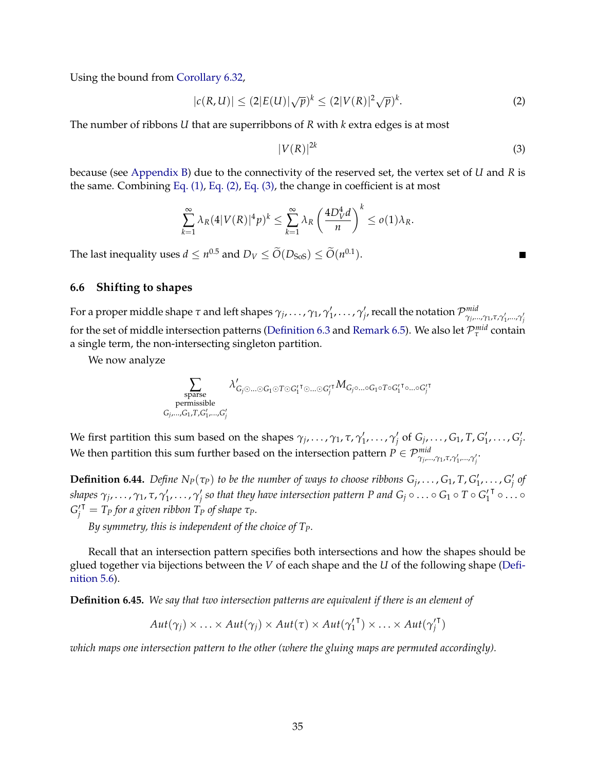Using the bound from [Corollary 6.32,](#page-34-0)

<span id="page-37-0"></span>
$$
|c(R, U)| \le (2|E(U)|\sqrt{p})^k \le (2|V(R)|^2\sqrt{p})^k.
$$
 (2)

The number of ribbons *U* that are superribbons of *R* with *k* extra edges is at most

<span id="page-37-1"></span>
$$
|V(R)|^{2k} \tag{3}
$$

because (see [Appendix B\)](#page-67-0) due to the connectivity of the reserved set, the vertex set of *U* and *R* is the same. Combining [Eq. \(1\),](#page-36-1) [Eq. \(2\),](#page-37-0) [Eq. \(3\),](#page-37-1) the change in coefficient is at most

$$
\sum_{k=1}^{\infty} \lambda_R (4|V(R)|^4 p)^k \leq \sum_{k=1}^{\infty} \lambda_R \left(\frac{4D_V^4 d}{n}\right)^k \leq o(1)\lambda_R.
$$

The last inequality uses  $d \leq n^{0.5}$  and  $D_V \leq O(D_{\text{SoS}}) \leq O(n^{0.1})$ .

#### **6.6 Shifting to shapes**

For a proper middle shape *τ* and left shapes  $\gamma_j,\ldots,\gamma_1,\gamma'_1,\ldots,\gamma'_j$ , recall the notation  $\mathcal{P}^{mid}_{\gamma_{j\cdots j}}$ *γj* ,...,*γ*1,*τ*,*γ* 0 1 ,...,*γ* 0 *j* for the set of middle intersection patterns [\(Definition 6.3](#page-24-0) and [Remark 6.5\)](#page-24-1). We also let  $\mathcal{P}_{\tau}^{mid}$  contain a single term, the non-intersecting singleton partition.

We now analyze

$$
\sum_{\substack{\text{sparse}\\\text{permissible}\\\text{G}_j,\ldots,\text{G}_1,T,G'_1,\ldots,G'_j}}\lambda'_{G_j\odot\ldots\odot G_1\odot T\odot G'_1{}^{\intercal}\odot\ldots\odot G'_j{}^{\intercal}\text{G}_{\ldots\odot G_1\circ T\circ G'_1{}^{\intercal}\circ\ldots\circ G'_j{}^{\intercal}\text{G}_{\ldots\odot G'_j}{}^{\intercal}\text{G}_{\ldots\odot G'_j}\\\text{permissible}}
$$

We first partition this sum based on the shapes  $\gamma_j, \ldots, \gamma_1, \tau, \gamma'_1, \ldots, \gamma'_j$  of  $G_j, \ldots, G_1, T, G'_1, \ldots, G'_j$ . We then partition this sum further based on the intersection pattern  $P\in\mathcal{P}_{\gamma_j,...,\gamma_1,\tau,\gamma'_1,...,\gamma'_j}^{mid}$ 

**Definition 6.44.** Define  $N_P(\tau_P)$  to be the number of ways to choose ribbons  $G_j, \ldots, G_1, T, G'_1, \ldots, G'_j$  of  $s$ hapes  $\gamma_j,\ldots,\gamma_1$ ,  $\tau$ ,  $\gamma'_1,\ldots,\gamma'_j$  so that they have intersection pattern P and  $G_j\circ\ldots\circ G_1\circ T\circ G_1'$ T ⊙ . . . ⊙  $G_j^{\prime \dagger} = T_P$  for a given ribbon  $T_P$  of shape  $\tau_P$ .

*By symmetry, this is independent of the choice of TP.*

Recall that an intersection pattern specifies both intersections and how the shapes should be glued together via bijections between the *V* of each shape and the *U* of the following shape [\(Defi](#page-20-0)[nition 5.6\)](#page-20-0).

**Definition 6.45.** *We say that two intersection patterns are equivalent if there is an element of*

$$
Aut(\gamma_j) \times \ldots \times Aut(\gamma_j) \times Aut(\tau) \times Aut(\gamma_1^{\mathsf{T}}) \times \ldots \times Aut(\gamma_j^{\mathsf{T}})
$$

*which maps one intersection pattern to the other (where the gluing maps are permuted accordingly).*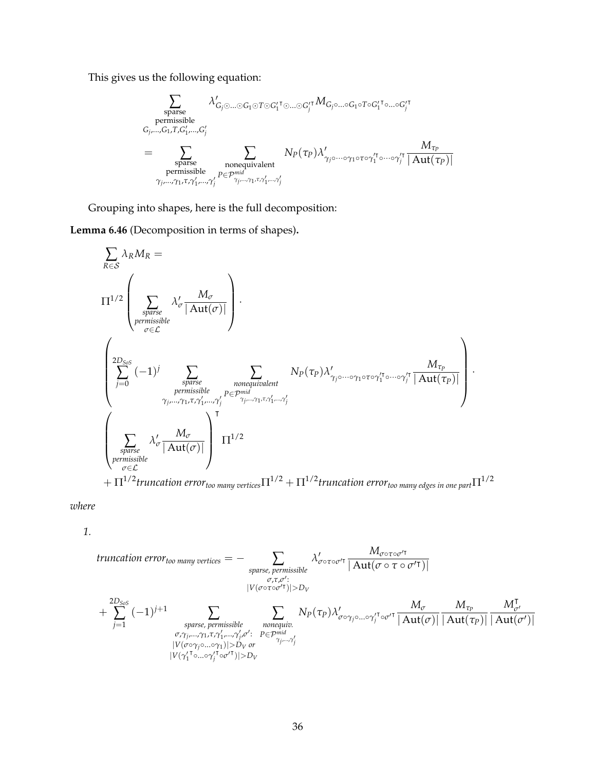This gives us the following equation:

$$
\sum_{\substack{\text{sparse}\\\text{prmissible}\\\text{G}_j,\dots,\text{G}_1,\text{T},\text{G}_1',\dots,\text{G}_j'\\\text{sparse}}} \lambda'_{\text{G}_j\odot\dots\odot \text{G}_1\odot \text{T}\odot \text{G}_1'^\intercal\odot\dots\odot \text{G}_j'^\intercal} M_{\text{G}_j\circ\dots\circ \text{G}_1\circ \text{T}\circ \text{G}_1'^\intercal\odot\dots\circ \text{G}_j'^\intercal} \dots \text{G}_j'^\intercal\odot \text{G}_j'^\intercal\odot \text{G}_j'^\intercal\odot\dots \text{G}_j'^\intercal\odot \text{G}_j'^\intercal\odot \text{G}_j'^\intercal\odot \text{G}_j'^\intercal\odot \text{G}_j'^\intercal\odot \text{G}_j'^\intercal\odot \text{G}_j'^\intercal\odot \text{G}_j'^\intercal\odot \text{G}_j'^\intercal\odot \text{G}_j'^\intercal\odot \text{G}_j'^\intercal\odot \text{G}_j'^\intercal\odot \text{G}_j'^\intercal\odot \text{G}_j'^\intercal\odot \text{G}_j'^\intercal\odot \text{G}_j'^\intercal\odot \text{G}_j'^\intercal\odot \text{G}_j'^\intercal\odot \text{G}_j'^\intercal\odot \text{G}_j'^\intercal\odot \text{G}_j'^\intercal\odot \text{G}_j'^\intercal\odot \text{G}_j'^\intercal\odot \text{G}_j'^\intercal\odot \text{G}_j'^\intercal\odot \text{G}_j'^\intercal\odot \text{G}_j'^\intercal\odot \text{G}_j'^\intercal\odot \text{G}_j'^\intercal\odot \text{G}_j'^\intercal\odot \text{G}_j'^\intercal\odot \text{G}_j'^\intercal\odot \text{G}_j'^\intercal\odot \text{G}_j'^\intercal\odot \text{G}_j'^\intercal\odot \text{G}_j'^\intercal\odot \text{G}_j'^\intercal\odot \text{G}_j'^\intercal\odot \text{G}_j'^\intercal\odot \text{G}_j'^\intercal\odot \text{G}_j'^\intercal\odot \text{G}_j'^\intercal
$$

Grouping into shapes, here is the full decomposition:

<span id="page-38-0"></span>**Lemma 6.46** (Decomposition in terms of shapes)**.**

$$
\sum_{R \in S} \lambda_R M_R =
$$
\n
$$
\Pi^{1/2} \left( \sum_{\substack{sparse \\ premisesible \\ \sigma \in \mathcal{L}}} \lambda'_{\sigma} \frac{M_{\sigma}}{|\mathrm{Aut}(\sigma)|} \right).
$$
\n
$$
\left( \sum_{\substack{2D_{SoS} \\ j=0}}^{2D_{SoS}} (-1)^j \sum_{\substack{sparse \\ premisesible \\ \sigma \text{remissible} \\ \gamma_{j}, \dots, \gamma_1, \tau, \gamma'_1, \dots, \gamma'_j}} \sum_{\substack{N = p \text{ prime} \\ \gamma_{j}, \dots, \gamma_1, \tau, \gamma'_1, \dots, \gamma'_j}} N_P(\tau_P) \lambda'_{\gamma_j \circ \dots \circ \gamma_1 \circ \tau \circ \gamma_1 \circ \dots \circ \gamma'_j} \frac{M_{\tau_P}}{|\mathrm{Aut}(\tau_P)|} \right).
$$
\n
$$
\left( \sum_{\substack{sparse \\ \sigma \text{remissible} \\ \sigma \in \mathcal{L}}} \lambda'_{\sigma} \frac{M_{\sigma}}{|\mathrm{Aut}(\sigma)|} \right) \Pi^{1/2} \prod^{1/2} \prod^{1/2} N^{1/2} \text{trivial}(\tau_P) \prod^{1/2} \prod^{1/2} N^{1/2} \text{trivial}(\tau_P) \prod^{1/2} N^{1/2} \text{trivial}(\tau_P) \prod^{1/2} N^{1/2} \text{trivial}(\tau_P) \prod^{1/2} N^{1/2} \text{trivial}(\tau_P) \prod^{1/2} N^{1/2} \text{trivial}(\tau_P) \prod^{1/2} N^{1/2} \text{trivial}(\tau_P) \prod^{1/2} N^{1/2} \text{trivial}(\tau_P) \prod^{1/2} N^{1/2} \text{trivial}(\tau_P) \prod^{1/2} N^{1/2} \text{trivial}(\tau_P) \prod^{1/2} N^{1/2} \text{trivial}(\tau_P) \prod^{1/2} N^{1/2} \text{trivial}(\tau_P) \prod^{1/2} N^{1/2} \text{trivial}(\tau_P) \prod^{1/2} N^{1/2} \text{trivial}(\tau_P) \prod^{1/2} N^{1/2} \text{trivial}(\tau_P) \prod^{1/2} N^{1/2} \text{trivial}(\tau_P) \prod^{1/2} N^{1/2} \text{trivial}
$$

 $+\Pi^{1/2}$ truncation error<sub>too many vertices $\Pi^{1/2}+\Pi^{1/2}$ truncation error<sub>too many edges in one part $\Pi^{1/2}$ </sub></sub>

*where*

*1.*

**truncation error**<sub>too many vertices</sub> = 
$$
- \sum_{\substack{\sigma, \tau, \sigma': \\ \sigma, \tau, \sigma': \\ |\mathcal{V}(\sigma \circ \tau \circ \sigma' \tau)| > D_V}} \lambda'_{\sigma \circ \tau \circ \sigma' \tau} \frac{M_{\sigma \circ \tau \circ \sigma' \tau}}{|\mathbf{Aut}(\sigma \circ \tau \circ \sigma' \tau)|}
$$

\n
$$
+ \sum_{j=1}^{2D_{SoS}} (-1)^{j+1} \sum_{\substack{\text{sparse, permissible} \\ \sigma, \gamma_{j}, \ldots, \gamma_{1}, \tau, \gamma'_{1}, \ldots, \gamma'_{j}, \sigma': \\ |\mathcal{V}(\sigma \circ \gamma_{j} \circ \ldots \circ \gamma_{1})| > D_V \text{ or } \gamma_{j}, \ldots, \gamma'_{j}}} \frac{M_{\sigma}}{|\mathbf{Aut}(\sigma)|} \frac{M_{\sigma}}{|\mathbf{Aut}(\tau_{P})|} \frac{M_{\tau_{P}}}{|\mathbf{Aut}(\tau_{P})|} \frac{M_{\sigma'} \tau}{|\mathbf{Aut}(\tau_{P})|}
$$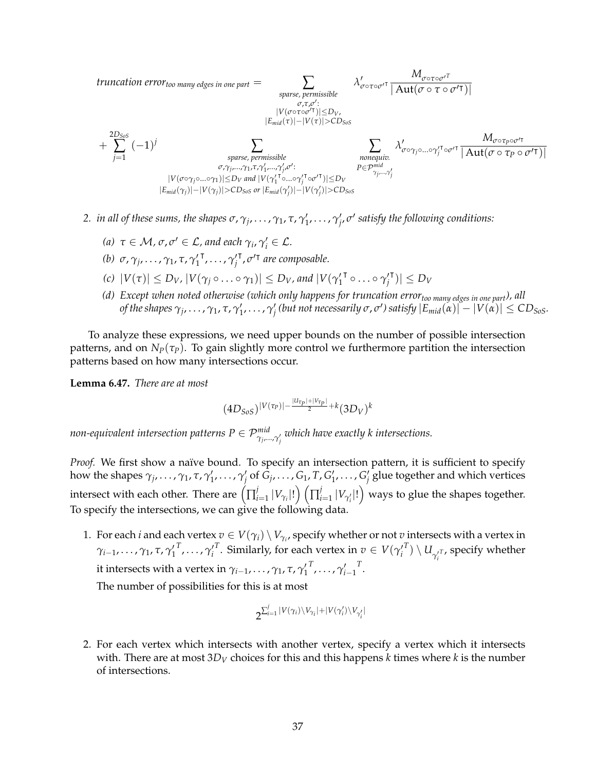truncation error<sub>too many edges in one part</sub> = 
$$
\sum_{\substack{\sigma,\tau,\sigma':\\ \sigma,\tau,\sigma':\\ |\text{Emid}(\tau)|-|\text{V}(\tau)|\leq D_{\text{V},}\\ \text{sparse, permissible}}}\lambda'_{\sigma\circ\tau\circ\sigma'^\intercal} \frac{M_{\sigma\circ\tau\circ\sigma'^\intercal}}{|\text{Aut}(\sigma\circ\tau\circ\sigma'^\intercal)|}
$$

$$
+ \sum_{j=1}^{2D_{SoS}} (-1)^j \sum_{\substack{\text{sparse, permissible}\\\sigma,\gamma_{j},\ldots,\gamma_{1},\tau,\gamma'_{1},\ldots,\gamma'_{j},\sigma':\\ |\text{Cov}_{\gamma_1},\ldots,\gamma_{j},\tau_{j},\ldots,\tau_{j'}\circ\sigma'^{\intercal}| \leq D_{\text{V}}}} \sum_{\substack{\text{nonequiv.}\\ \text{nonequiv.}\\ P \in \mathcal{P}_{\gamma_{j},\ldots,\gamma'_{j}}}^{\text{mid}}} \lambda'_{\sigma\circ\gamma_{j}\circ\ldots\circ\gamma'_{j}\circ\sigma'^{\intercal}} \frac{M_{\sigma\circ\tau_{p}\circ\sigma'^\intercal}}{|\text{Aut}(\sigma\circ\tau_{p}\circ\sigma'^\intercal)|}
$$

$$
|\text{V}(\sigma\circ\gamma_{j}\circ\ldots\circ\gamma_{1})| \leq D_{\text{V}} \text{ and } |\text{V}(\gamma_{1}'\circ\ldots\circ\gamma'_{j}\circ\sigma'^{\intercal})| \leq D_{\text{V}}} \sum_{\substack{P \in \mathcal{P}_{\gamma_{j},\ldots,\gamma'_{j}}^{\text{mid}}} \lambda'_{\sigma\circ\gamma_{j}\circ\ldots\circ\gamma'_{j} \leq D_{\text{V},\tau_{j'}\circ\tau_{j}}}} \frac{M_{\sigma\circ\tau_{p}\circ\sigma'\tau}}{|\text{Aut}(\sigma\circ\tau_{p}\circ\sigma'^{\intercal})|}
$$

- *2. in all of these sums, the shapes*  $\sigma$ ,  $\gamma_j$ , ...,  $\gamma_1$ ,  $\tau$ ,  $\gamma'_1$ , ...,  $\gamma'_j$ ,  $\sigma'$  satisfy the following conditions:
	- *(a)*  $\tau \in \mathcal{M}$ ,  $\sigma$ ,  $\sigma' \in \mathcal{L}$ , and each  $\gamma_i$ ,  $\gamma'_i \in \mathcal{L}$ .
	- *(b)*  $\sigma$ ,  $\gamma_j$ , ...,  $\gamma_1$ , τ,  $\gamma'_1$ <sup>τ</sup>, . . . , γ<sub>*j*</sub> <sup>T</sup>,  $\sigma$ <sup>*T*</sup> are composable.
	- *(c)*  $|V(\tau)| \le D_V$ ,  $|V(\gamma_j \circ \ldots \circ \gamma_1)| \le D_V$ , and  $|V(\gamma_1)|$ <sup>τ</sup> ∘…∘γ′<sub>*j*</sub>  $|\mathbf{v}| \le D_V$
	- *(d) Except when noted otherwise (which only happens for truncation errortoo many edges in one part), all* of the shapes  $\gamma_j,\ldots,\gamma_1,\tau,\gamma'_1,\ldots,\gamma'_j$  (but not necessarily  $\sigma,\sigma'$ ) satisfy  $|E_{mid}(\alpha)|-|V(\alpha)|\leq CD_{SoS}.$

To analyze these expressions, we need upper bounds on the number of possible intersection patterns, and on  $N_p(\tau_p)$ . To gain slightly more control we furthermore partition the intersection patterns based on how many intersections occur.

<span id="page-39-0"></span>**Lemma 6.47.** *There are at most*

$$
(4D_{SoS})^{|V(\tau_{P})|- \frac{|u_{\tau_{P}}|+|v_{\tau_{P}}|}{2}+k}(3D_{V})^{k}
$$

*non-equivalent intersection patterns*  $P \in \mathcal{P}^{mid}_{\gamma_j,...,\gamma'_j}$  *which have exactly k intersections.* 

*Proof.* We first show a naïve bound. To specify an intersection pattern, it is sufficient to specify how the shapes  $\gamma_j,\ldots,\gamma_1,\tau,\gamma'_1,\ldots,\gamma'_j$  of  $\bar{G}_j,\ldots,G_1,T,G'_1,\ldots,G'_j$  glue together and which vertices intersect with each other. There are  $\left(\prod_{i=1}^{j} x_i\right)$  $\int\limits_{i = 1}^j {|V_{\gamma_i}|!} \bigg) \left( \prod_{i = 1}^j$  $\int_{i=1}^j |V_{\gamma'_i}|! \bigr)$  ways to glue the shapes together. To specify the intersections, we can give the following data.

1. For each *i* and each vertex  $v \in V(\gamma_i) \setminus V_{\gamma_i}$ , specify whether or not  $v$  intersects with a vertex in *γ*<sub>i−1</sub>, . . . , *γ*<sub>1</sub>, τ, γ<sub>1</sub>  $^T$ , $\ldots$ , $\gamma'_i$ *T*. Similarly, for each vertex in  $v \in V(\gamma_i')$  $\left(T\right)\setminus U_{\gamma_{i}^{\prime T}}$ , specify whether it intersects with a vertex in  $\gamma_{i-1}, \ldots, \gamma_1, \tau, \gamma_1'$  $T$ , . . . ,  $\gamma'_{i-1}$ *T* .

The number of possibilities for this is at most

$$
2^{\sum_{i=1}^j |V(\gamma_i)\setminus V_{\gamma_i}|+|V(\gamma_i')\setminus V_{\gamma_i'}|}
$$

2. For each vertex which intersects with another vertex, specify a vertex which it intersects with. There are at most 3*D<sup>V</sup>* choices for this and this happens *k* times where *k* is the number of intersections.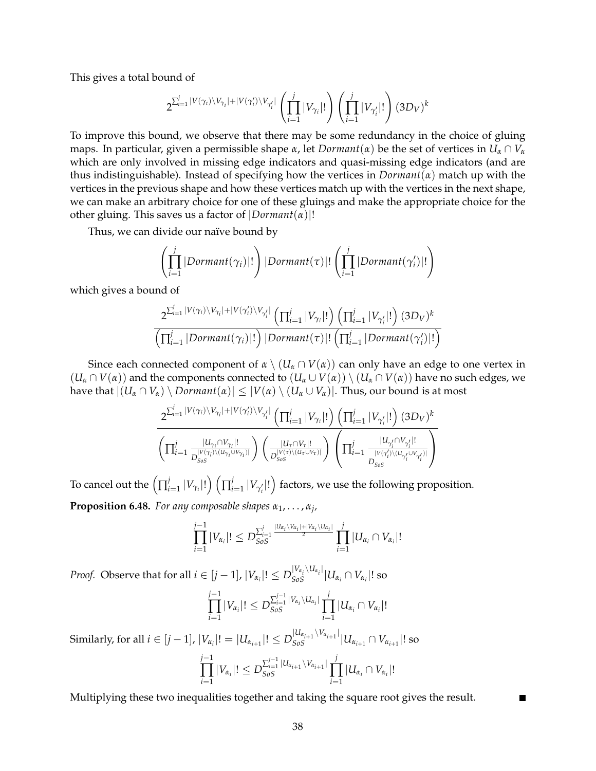This gives a total bound of

$$
2^{\sum_{i=1}^{j}|V(\gamma_i)\setminus V_{\gamma_i}|+|V(\gamma_i')\setminus V_{\gamma_i'}|}\left(\prod_{i=1}^{j}|V_{\gamma_i}|!\right)\left(\prod_{i=1}^{j}|V_{\gamma_i'}|!\right)(3D_V)^k
$$

To improve this bound, we observe that there may be some redundancy in the choice of gluing maps. In particular, given a permissible shape *α*, let *Dormant*(*α*) be the set of vertices in  $U_\alpha \cap V_\alpha$ which are only involved in missing edge indicators and quasi-missing edge indicators (and are thus indistinguishable). Instead of specifying how the vertices in *Dormant*(*α*) match up with the vertices in the previous shape and how these vertices match up with the vertices in the next shape, we can make an arbitrary choice for one of these gluings and make the appropriate choice for the other gluing. This saves us a factor of  $|Dormant(\alpha)|!$ 

Thus, we can divide our naïve bound by

$$
\left(\prod_{i=1}^{j} |Dormant(\gamma_i)|!\right)|Dormant(\tau)|! \left(\prod_{i=1}^{j} |Dormant(\gamma'_i)|!\right)
$$

which gives a bound of

$$
\frac{2^{\sum_{i=1}^{j}|V(\gamma_{i})\setminus V_{\gamma_{i}}|+|V(\gamma_{i}')\setminus V_{\gamma_{i}'}|}\left(\prod_{i=1}^{j}|V_{\gamma_{i}}|!\right)\left(\prod_{i=1}^{j}|V_{\gamma_{i}'}|!\right)(3D_{V})^{k}}{\left(\prod_{i=1}^{j}|Dormant(\gamma_{i})|!\right)|Dormant(\tau)|!\left(\prod_{i=1}^{j}|Dormant(\gamma_{i}')|!\right)}
$$

Since each connected component of  $\alpha \setminus (U_\alpha \cap V(\alpha))$  can only have an edge to one vertex in  $(U_\alpha \cap V(\alpha))$  and the components connected to  $(U_\alpha \cup V(\alpha)) \setminus (U_\alpha \cap V(\alpha))$  have no such edges, we have that  $|(U_\alpha \cap V_\alpha) \setminus \text{Dormant}(\alpha)| \leq |V(\alpha) \setminus (U_\alpha \cup V_\alpha)|$ . Thus, our bound is at most

$$
\frac{2^{\sum_{i=1}^j |V(\gamma_i)\backslash V_{\gamma_i}|+|V(\gamma_i')\backslash V_{\gamma_i'}|}\left(\prod_{i=1}^j |V_{\gamma_i}|!\right)\left(\prod_{i=1}^j |V_{\gamma_i'}|!\right)(3D_V)^k}{\left(\prod_{i=1}^j \frac{|U_{\gamma_i}\cap V_{\gamma_i}|!}{D_{Sos}^{|V(\gamma_i)\backslash (U_{\gamma_i}\cup V_{\gamma_i})|}}\right)\left(\frac{|U_{\tau}\cap V_{\tau}|!}{D_{Sos}^{|V(\tau)\backslash (U_{\tau}\cup V_{\tau})|}}\right)\left(\prod_{i=1}^j \frac{|U_{\gamma_i'}\cap V_{\gamma_i'}|!}{D_{Sos}^{|V(\gamma_i')\backslash (U_{\gamma_i'}\cup V_{\gamma_i'})|}}\right)}
$$

To cancel out the  $\left(\prod_{i=1}^{j} x_i\right)$  $\int\limits_{i = 1}^j {|V_{\gamma_i}|!} \bigg) \left( \prod_{i = 1}^j$  $\int_{i=1}^{j} |V_{\gamma_i'}|! \bigr)$  factors, we use the following proposition. **Proposition 6.48.** *For any composable shapes α*1, . . . , *α<sup>j</sup> ,*

$$
\prod_{i=1}^{j-1}|V_{\alpha_i}|! \leq D_{SoS}^{\sum_{i=1}^{j} \frac{|U_{\alpha_i}\setminus V_{\alpha_i}|+|V_{\alpha_i}\setminus U_{\alpha_i}|}{2}} \prod_{i=1}^{j} |U_{\alpha_i} \cap V_{\alpha_i}|!
$$

*Proof.* Observe that for all  $i\in[j-1]$ ,  $|V_{\alpha_i}|!\le D_{SoS}^{|V_{\alpha_i}\setminus U_{\alpha_i}|}|U_{\alpha_i}\cap V_{\alpha_i}|!$  so

*i*=1

$$
\prod_{i=1}^{j-1}|V_{\alpha_i}|! \le D_{SoS}^{\sum_{i=1}^{j-1}|V_{\alpha_i}\setminus U_{\alpha_i}|} \prod_{i=1}^{j} |U_{\alpha_i} \cap V_{\alpha_i}|!
$$

Similarly, for all  $i\in[j-1]$ ,  $|V_{\alpha_i}|!=|U_{\alpha_{i+1}}|!\leq D_{SoS}^{|U_{\alpha_{i+1}}\setminus V_{\alpha_{i+1}}|}|U_{\alpha_{i+1}}\cap V_{\alpha_{i+1}}|!$  so *j*−1 ∏  $|V_{\alpha_i}|! \leq D_{SoS}^{\sum_{i=1}^{j-1} |U_{\alpha_{i+1}} \setminus V_{\alpha_{i+1}}|}$ *j* ∏  $|U_{\alpha_i} \cap V_{\alpha_i}|!$ 

Multiplying these two inequalities together and taking the square root gives the result.

*SoS*

*i*=1

Г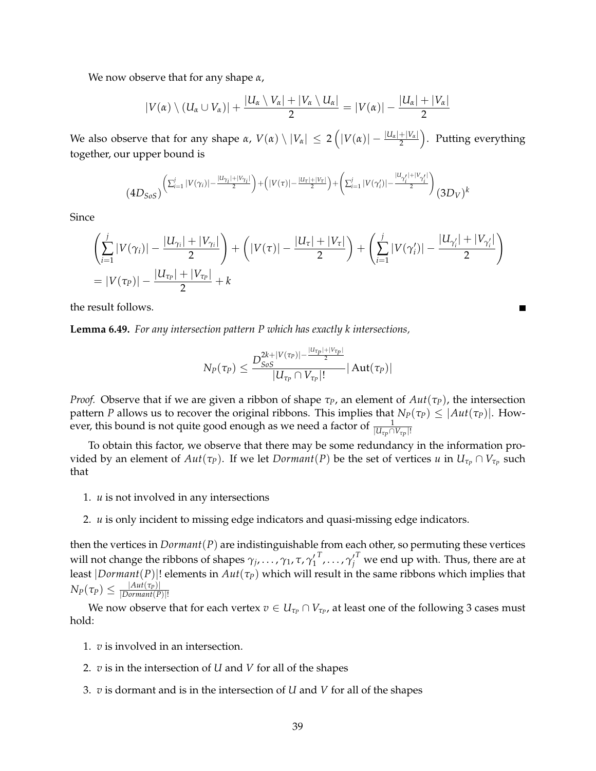We now observe that for any shape *α*,

$$
|V(\alpha) \setminus (U_{\alpha} \cup V_{\alpha})| + \frac{|U_{\alpha} \setminus V_{\alpha}| + |V_{\alpha} \setminus U_{\alpha}|}{2} = |V(\alpha)| - \frac{|U_{\alpha}| + |V_{\alpha}|}{2}
$$

We also observe that for any shape  $\alpha$ ,  $V(\alpha)\setminus |V_\alpha|\ \leq\ 2\left(|V(\alpha)|-\frac{|U_\alpha|+|V_\alpha|}{2}\right).$  Putting everything together, our upper bound is

$$
(4D_{SoS})\left(\sum_{i=1}^{j}|V(\gamma_i)|-\frac{|u_{\gamma_i}|+|v_{\gamma_i}|}{2}\right)+\left(|V(\tau)|-\frac{|u_{\tau}|+|v_{\tau}|}{2}\right)+\left(\sum_{i=1}^{j}|V(\gamma_i')|-\frac{|u_{\gamma_i'}|+|v_{\gamma_i'}|}{2}\right)(3D_V)^k
$$

Since

$$
\left(\sum_{i=1}^{j} |V(\gamma_i)| - \frac{|U_{\gamma_i}| + |V_{\gamma_i}|}{2}\right) + \left(|V(\tau)| - \frac{|U_{\tau}| + |V_{\tau}|}{2}\right) + \left(\sum_{i=1}^{j} |V(\gamma_i')| - \frac{|U_{\gamma_i'}| + |V_{\gamma_i'}|}{2}\right)
$$
  
=  $|V(\tau_P)| - \frac{|U_{\tau_P}| + |V_{\tau_P}|}{2} + k$ 

П

the result follows.

<span id="page-41-0"></span>**Lemma 6.49.** *For any intersection pattern P which has exactly k intersections,*

$$
N_P(\tau_P) \leq \frac{D_{SoS}^{2k+|V(\tau_P)|-\frac{|U_{\tau_P}|+|V_{\tau_P}|}{2}}}{|U_{\tau_P} \cap V_{\tau_P}|!} |\operatorname{Aut}(\tau_P)|
$$

*Proof.* Observe that if we are given a ribbon of shape  $τ$ *P*, an element of  $Aut(τ$ *P*), the intersection pattern *P* allows us to recover the original ribbons. This implies that  $N_P(\tau_P) \leq |Aut(\tau_P)|$ . However, this bound is not quite good enough as we need a factor of  $\frac{1}{|U_{\tau_{P}} \cap V_{\tau_{P}}|!}$ 

To obtain this factor, we observe that there may be some redundancy in the information provided by an element of  $Aut(\tau_P)$ . If we let  ${Dormant}(P)$  be the set of vertices  $u$  in  $U_{\tau_P} \cap V_{\tau_P}$  such that

- 1. *u* is not involved in any intersections
- 2. *u* is only incident to missing edge indicators and quasi-missing edge indicators.

then the vertices in *Dormant*(*P*) are indistinguishable from each other, so permuting these vertices will not change the ribbons of shapes  $\gamma_j, \ldots, \gamma_1, \tau, \gamma_1'$  $T$ ,..., ${\gamma'_j}^T$  we end up with. Thus, there are at least  $|Dormant(P)|!$  elements in  $Aut(\tau_P)$  which will result in the same ribbons which implies that  $N_P(\tau_P) \leq \frac{|Aut(\tau_P)|}{|Dormant(P)}$ |*Dormant*(*P*)|!

We now observe that for each vertex  $v \in U_{\tau_P} \cap V_{\tau_P}$ , at least one of the following 3 cases must hold:

- 1. *v* is involved in an intersection.
- 2. *v* is in the intersection of *U* and *V* for all of the shapes
- 3. *v* is dormant and is in the intersection of *U* and *V* for all of the shapes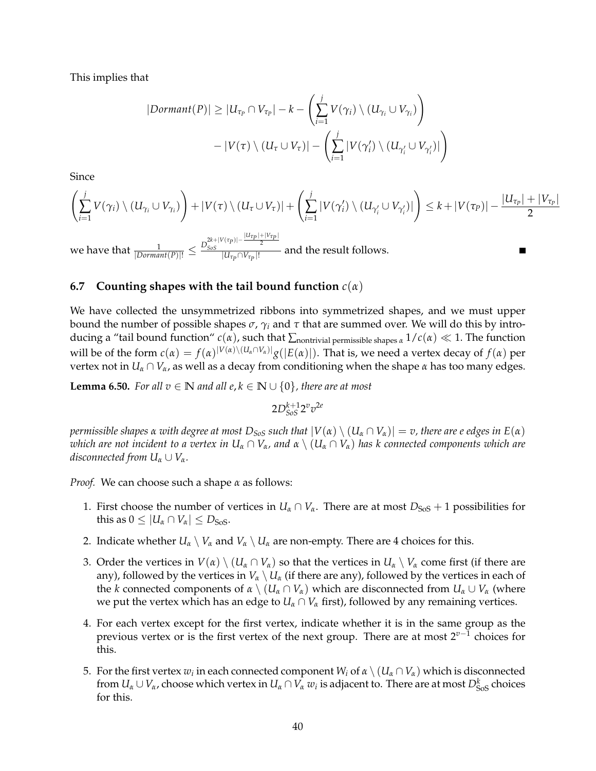This implies that

$$
|\text{Dormant}(P)| \geq |U_{\tau_P} \cap V_{\tau_P}| - k - \left(\sum_{i=1}^j V(\gamma_i) \setminus (U_{\gamma_i} \cup V_{\gamma_i})\right) - |V(\tau) \setminus (U_{\tau} \cup V_{\tau})| - \left(\sum_{i=1}^j |V(\gamma_i') \setminus (U_{\gamma_i'} \cup V_{\gamma_i'})|\right)
$$

Since

$$
\left(\sum_{i=1}^j V(\gamma_i) \setminus (U_{\gamma_i} \cup V_{\gamma_i})\right) + |V(\tau) \setminus (U_{\tau} \cup V_{\tau})| + \left(\sum_{i=1}^j |V(\gamma_i') \setminus (U_{\gamma_i'} \cup V_{\gamma_i'})|\right) \leq k + |V(\tau_P)| - \frac{|U_{\tau_P}| + |V_{\tau_P}|}{2}
$$

 $\frac{1}{|Dormant(P)|!} \leq \frac{D_{SoS}^{2k+|V(\tau_{P})|-\frac{|U\tau_{P}|+|V\tau_{P}|}{2}}}{|U_{\tau_{P}} \cap V_{\tau_{P}}|!}$  $\frac{S_{\text{obs}}}{|U_{\tau_p} \cap V_{\tau_p}|!}$  and the result follows.

#### **6.7 Counting shapes with the tail bound function** *c*(*α*)

We have collected the unsymmetrized ribbons into symmetrized shapes, and we must upper bound the number of possible shapes *σ*, *γ<sup>i</sup>* and *τ* that are summed over. We will do this by introducing a "tail bound function"  $c(\alpha)$ , such that  $\sum$ <sub>nontrivial permissible shapes  $\alpha$  1/ $c(\alpha) \ll 1$ . The function</sub> will be of the form  $c(\alpha) = f(\alpha)^{|V(\alpha) \setminus (U_\alpha \cap V_\alpha)|} g(|E(\alpha)|)$ . That is, we need a vertex decay of  $f(\alpha)$  per vertex not in  $U_\alpha \cap V_\alpha$ , as well as a decay from conditioning when the shape  $\alpha$  has too many edges.

<span id="page-42-0"></span>**Lemma 6.50.** *For all*  $v \in \mathbb{N}$  *and all*  $e, k \in \mathbb{N} \cup \{0\}$ *, there are at most* 

 $2D_{SoS}^{k+1}2^{v}v^{2e}$ 

*permissible shapes*  $\alpha$  *with degree at most*  $D_{SoS}$  *such that*  $|V(\alpha) \setminus (U_\alpha \cap V_\alpha)| = v$ , there are e edges in  $E(\alpha)$ *which are not incident to a vertex in*  $U_\alpha \cap V_\alpha$ , and  $\alpha \setminus (U_\alpha \cap V_\alpha)$  has k connected components which are *disconnected from*  $U_\alpha \cup V_\alpha$ *.* 

*Proof.* We can choose such a shape *α* as follows:

- 1. First choose the number of vertices in  $U_\alpha \cap V_\alpha$ . There are at most  $D_{Sos} + 1$  possibilities for this as  $0 \leq |U_{\alpha} \cap V_{\alpha}| \leq D_{\text{SoS}}$ .
- 2. Indicate whether  $U_\alpha \setminus V_\alpha$  and  $V_\alpha \setminus U_\alpha$  are non-empty. There are 4 choices for this.
- 3. Order the vertices in  $V(\alpha) \setminus (U_\alpha \cap V_\alpha)$  so that the vertices in  $U_\alpha \setminus V_\alpha$  come first (if there are any), followed by the vertices in  $V_\alpha \setminus U_\alpha$  (if there are any), followed by the vertices in each of the *k* connected components of  $\alpha \setminus (U_\alpha \cap V_\alpha)$  which are disconnected from  $U_\alpha \cup V_\alpha$  (where we put the vertex which has an edge to  $U_\alpha \cap V_\alpha$  first), followed by any remaining vertices.
- 4. For each vertex except for the first vertex, indicate whether it is in the same group as the previous vertex or is the first vertex of the next group. There are at most 2*v*−<sup>1</sup> choices for this.
- 5. For the first vertex  $w_i$  in each connected component  $W_i$  of  $\alpha \setminus (U_\alpha \cap V_\alpha)$  which is disconnected from  $U_a \cup V_\alpha$ , choose which vertex in  $U_a \cap V_\alpha$   $w_i$  is adjacent to. There are at most  $D^k_{Sos}$  choices for this.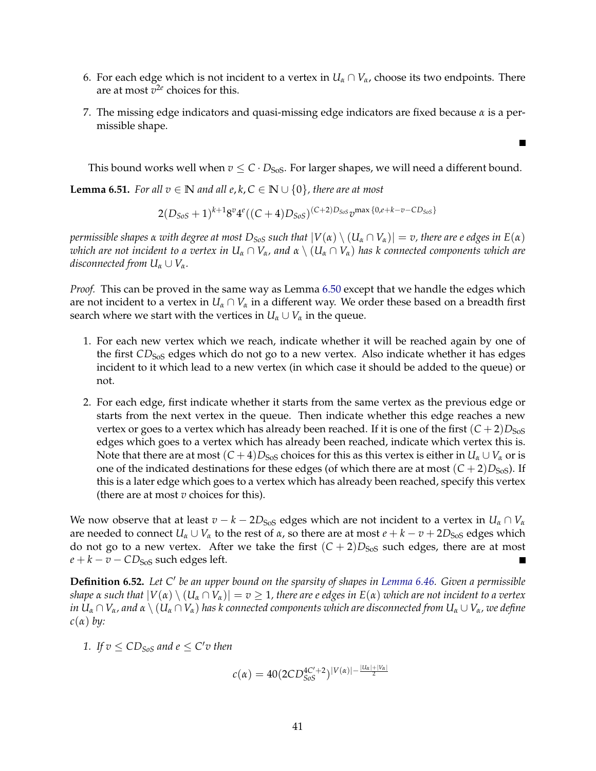- 6. For each edge which is not incident to a vertex in  $U_\alpha \cap V_\alpha$ , choose its two endpoints. There are at most  $v^{2e}$  choices for this.
- 7. The missing edge indicators and quasi-missing edge indicators are fixed because *α* is a permissible shape.

This bound works well when  $v \leq C \cdot D_{S_0S}$ . For larger shapes, we will need a different bound.

Г

**Lemma 6.51.** *For all*  $v \in \mathbb{N}$  *and all*  $e, k, C \in \mathbb{N} \cup \{0\}$ *, there are at most* 

$$
2(D_{SoS}+1)^{k+1}8^{v}4^{e}((C+4)D_{SoS})^{(C+2)D_{SoS}}v^{\max\{0,e+k-v-CD_{SoS}\}}
$$

*permissible shapes*  $\alpha$  *with degree at most*  $D_{SoS}$  *such that*  $|V(\alpha) \setminus (U_\alpha \cap V_\alpha)| = v$ , there are e edges in  $E(\alpha)$ *which are not incident to a vertex in*  $U_\alpha \cap V_\alpha$ , and  $\alpha \setminus (U_\alpha \cap V_\alpha)$  has k connected components which are *disconnected from*  $U_\alpha \cup V_\alpha$ *.* 

*Proof.* This can be proved in the same way as Lemma [6.50](#page-42-0) except that we handle the edges which are not incident to a vertex in  $U_\alpha \cap V_\alpha$  in a different way. We order these based on a breadth first search where we start with the vertices in  $U_\alpha \cup V_\alpha$  in the queue.

- 1. For each new vertex which we reach, indicate whether it will be reached again by one of the first *CD*<sub>SoS</sub> edges which do not go to a new vertex. Also indicate whether it has edges incident to it which lead to a new vertex (in which case it should be added to the queue) or not.
- 2. For each edge, first indicate whether it starts from the same vertex as the previous edge or starts from the next vertex in the queue. Then indicate whether this edge reaches a new vertex or goes to a vertex which has already been reached. If it is one of the first  $(C+2)D_{\text{Sos}}$ edges which goes to a vertex which has already been reached, indicate which vertex this is. Note that there are at most  $(C+4)D_{Sos}$  choices for this as this vertex is either in  $U_\alpha \cup V_\alpha$  or is one of the indicated destinations for these edges (of which there are at most  $(C+2)D<sub>SoS</sub>$ ). If this is a later edge which goes to a vertex which has already been reached, specify this vertex (there are at most *v* choices for this).

We now observe that at least  $v - k - 2D<sub>SoS</sub>$  edges which are not incident to a vertex in  $U<sub>\alpha</sub> \cap V<sub>\alpha</sub>$ are needed to connect  $U_\alpha \cup V_\alpha$  to the rest of  $\alpha$ , so there are at most  $e + k - v + 2D_{\text{SoS}}$  edges which do not go to a new vertex. After we take the first  $(C + 2)D<sub>SoS</sub>$  such edges, there are at most  $e + k - v - CD<sub>SoS</sub>$  such edges left.

<span id="page-43-0"></span>**Definition 6.52.** Let C' be an upper bound on the sparsity of shapes in [Lemma 6.46.](#page-38-0) Given a permissible *shape*  $\alpha$  *such that*  $|V(\alpha) \setminus (U_\alpha \cap V_\alpha)| = v \ge 1$ , there are e edges in  $E(\alpha)$  *which are not incident to a vertex*  $i$ *n*  $U_a \cap V_a$ , and  $\alpha \setminus (U_a \cap V_a)$  has k connected components which are disconnected from  $U_a \cup V_a$ , we define *c*(*α*) *by:*

*1. If*  $v \le CD_{SoS}$  and  $e \le C'v$  then

$$
c(\alpha) = 40(2CD_{SoS}^{4C'+2})^{|V(\alpha)|-\frac{|U_{\alpha}|+|V_{\alpha}|}{2}}
$$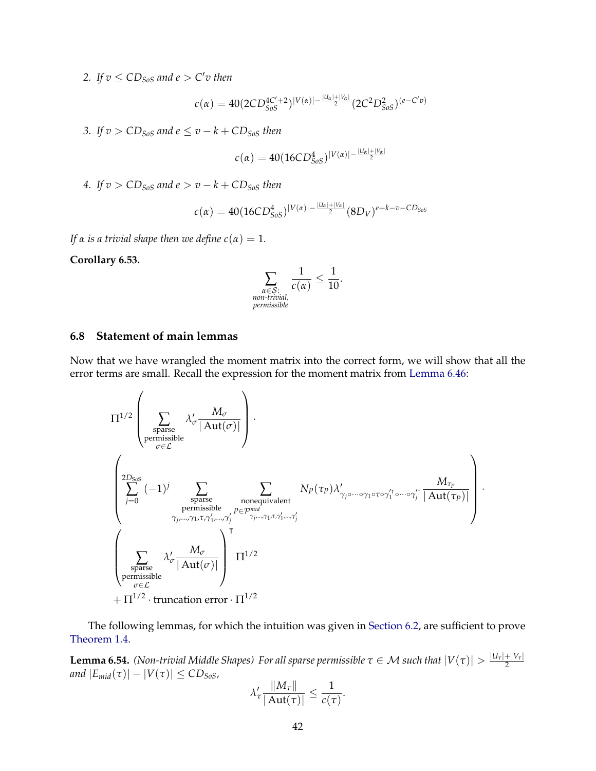2. If  $v \leq CD_{SoS}$  and  $e > C'v$  then

$$
c(\alpha) = 40(2CD_{SoS}^{4C'+2})^{|V(\alpha)|-\frac{|U_{\alpha}|+|V_{\alpha}|}{2}}(2C^2D_{SoS}^2)^{(e-C'v)}
$$

*3. If*  $v > CD_{SoS}$  *and*  $e \le v - k + CD_{SoS}$  *then* 

$$
c(\alpha) = 40(16CD_{SoS}^4)^{|V(\alpha)| - \frac{|U_{\alpha}| + |V_{\alpha}|}{2}}
$$

*4. If*  $v > CD_{SoS}$  *and*  $e > v - k + CD_{SoS}$  *then* 

$$
c(\alpha) = 40(16CD_{SoS}^4)^{|V(\alpha)| - \frac{|U_{\alpha}| + |V_{\alpha}|}{2}} (8D_V)^{e + k - v - CD_{SoS}}
$$

*If*  $\alpha$  *is a trivial shape then we define*  $c(\alpha) = 1$ *.* 

<span id="page-44-1"></span>**Corollary 6.53.**

$$
\sum_{\substack{\alpha \in \mathcal{S}: \\ non-trivial, \\ \text{permissible}}} \frac{1}{c(\alpha)} \le \frac{1}{10}.
$$

### **6.8 Statement of main lemmas**

Now that we have wrangled the moment matrix into the correct form, we will show that all the error terms are small. Recall the expression for the moment matrix from [Lemma 6.46:](#page-38-0)

$$
\Pi^{1/2}\left(\sum_{\substack{\text{sparse}\\\text{pemissible}}}\lambda'_{\sigma}\frac{M_{\sigma}}{|\mathrm{Aut}(\sigma)|}\right).
$$
\n
$$
\left(\sum_{j=0}^{2D_{\text{SoS}}}(-1)^{j}\sum_{\substack{\text{sparse}\\\text{permissible}\\\text{permissible}}}\sum_{\substack{N_{\text{p}}\\\text{permissible}\\\gamma_{j},\ldots,\gamma_{1},\tau,\gamma'_{1},\ldots,\gamma'_{j}}}N_{p}(\tau_{p})\lambda'_{\gamma_{j}\circ\cdots\circ\gamma_{1}\circ\tau\circ\gamma'_{1}\circ\cdots\circ\gamma'_{j}}\frac{M_{\tau_{p}}}{|\mathrm{Aut}(\tau_{p})|}\right)
$$
\n
$$
\left(\sum_{\substack{\text{sparse}\\\text{permissible}\\\sigma\in\mathcal{L}}} \lambda'_{\sigma}\frac{M_{\sigma}}{|\mathrm{Aut}(\sigma)|}\right)^{\mathsf{T}}\Pi^{1/2}
$$
\n
$$
+\Pi^{1/2}\cdot\text{truncation error}\cdot\Pi^{1/2}
$$

·

The following lemmas, for which the intuition was given in [Section 6.2,](#page-23-0) are sufficient to prove [Theorem 1.4.](#page-4-0)

<span id="page-44-0"></span>**Lemma 6.54.** *(Non-trivial Middle Shapes) For all sparse permissible*  $\tau \in M$  *such that*  $|V(\tau)| > \frac{|U_\tau| + |V_\tau|}{2}$ 2 *and*  $|E_{mid}(\tau)| - |V(\tau)| \leq CD_{SoS}$ *,* 

$$
\lambda_{\tau}' \frac{\|M_{\tau}\|}{|\operatorname{Aut}(\tau)|} \leq \frac{1}{c(\tau)}.
$$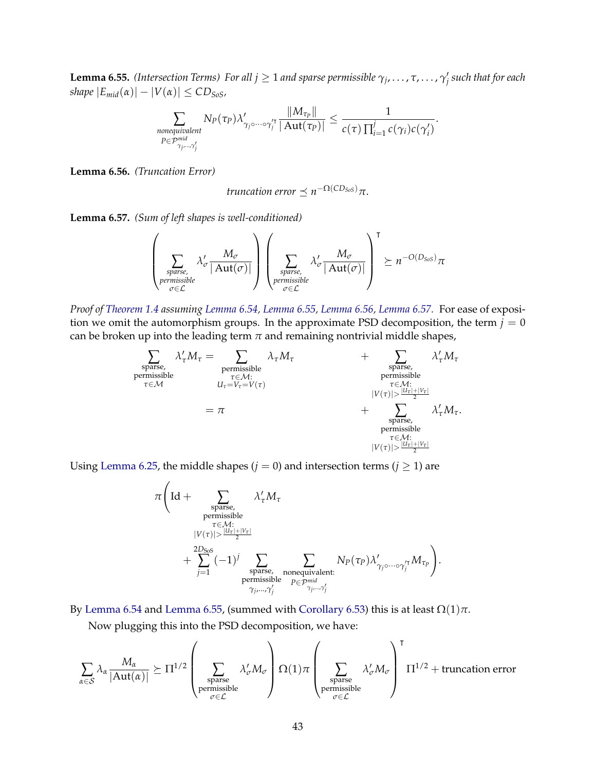<span id="page-45-0"></span> $\bf{l. emma}$  6.55. *(Intersection Terms) For all*  $j \geq 1$  *and sparse permissible*  $\gamma_j, \ldots, \tau, \ldots, \gamma'_j$  *such that for each shape*  $|E_{mid}(\alpha)| - |V(\alpha)| \leq CD_{SoS}$ ,

$$
\sum_{\substack{\text{nonequivalent} \\ P \in \mathcal{P}_{\gamma_j, \dots, \gamma'_j}^{\text{mid}}} } N_P(\tau_P) \lambda'_{\gamma_j \circ \dots \circ \gamma_j^{\prime \intercal}} \frac{\|M_{\tau_P}\|}{|\operatorname{Aut}(\tau_P)|} \le \frac{1}{c(\tau) \prod_{i=1}^j c(\gamma_i) c(\gamma'_i)}.
$$

<span id="page-45-1"></span>**Lemma 6.56.** *(Truncation Error)*

truncation error 
$$
\preceq n^{-\Omega(CD_{SoS})}\pi
$$
.

<span id="page-45-2"></span>**Lemma 6.57.** *(Sum of left shapes is well-conditioned)*

 $\overline{ }$ 

$$
\left(\sum_{\substack{\text{sparse,}\\\text{permissible}\\ \sigma \in \mathcal{L}}} \lambda'_{\sigma} \frac{M_{\sigma}}{|\operatorname{Aut}(\sigma)|}\right)\left(\sum_{\substack{\text{sparse,}\\\text{permissible}\\ \sigma \in \mathcal{L}}} \lambda'_{\sigma} \frac{M_{\sigma}}{|\operatorname{Aut}(\sigma)|}\right)^{\tau} \succeq n^{-O(D_{Sos})}\pi
$$

*Proof of [Theorem 1.4](#page-4-0) assuming [Lemma 6.54,](#page-44-0) [Lemma 6.55,](#page-45-0) [Lemma 6.56,](#page-45-1) [Lemma 6.57.](#page-45-2)* For ease of exposition we omit the automorphism groups. In the approximate PSD decomposition, the term  $j = 0$ can be broken up into the leading term  $\pi$  and remaining nontrivial middle shapes,

$$
\begin{array}{ccc} \displaystyle\sum_{\substack{\text{sparse},\\\text{permissible}\\ \tau\in\mathcal{M}:\\\ \tau\in\mathcal{M}:\\\ }}\lambda'_\tau M_\tau=\sum_{\substack{\tau\in\mathcal{M}:\\\ \tau\in\mathcal{M}:\\\ \mathcal{U}_\tau=V_\tau=V(\tau)\\ \tau\in\mathcal{M}:\\\ \text{permissible}\\ \tau\in\mathcal{M}:\\\ \text{permissible}\\ \tau\in\mathcal{M}:\\\ |V(\tau)|> \frac{|U_\tau|+|V_\tau|}{2}\\ \tau\in\mathcal{M}:\\\ |V(\tau)|>\frac{|U_\tau|+|V_\tau|}{2}\\ \end{array}\end{array}
$$

Using [Lemma 6.25,](#page-32-0) the middle shapes ( $j = 0$ ) and intersection terms ( $j \ge 1$ ) are

$$
\pi \Big( \text{Id} + \sum_{\substack{\text{sparse,} \\ \text{re-missible} \\ |V(\tau)| > \frac{|U\tau| + |V\tau|}{2}}} \lambda'_{\tau} M_{\tau} \n+ \sum_{j=1}^{\text{Poisson}} (-1)^j \sum_{\substack{\text{sparse,} \\ \text{sparse, nonequivalent:} \\ \text{premissible}}} \sum_{\substack{P \in \mathcal{P}^{\text{mid}} \\ P \in \mathcal{P}^{\text{mid}} \\ \gamma_j, \dots, \gamma'_j}} N_P(\tau_P) \lambda'_{\gamma_j \circ \dots \circ \gamma'^{\tau}_j} M_{\tau_P} \Big).
$$

By [Lemma 6.54](#page-44-0) and [Lemma 6.55,](#page-45-0) (summed with [Corollary 6.53\)](#page-44-1) this is at least  $\Omega(1)\pi$ .

Now plugging this into the PSD decomposition, we have:

$$
\sum_{\alpha \in \mathcal{S}} \lambda_{\alpha} \frac{M_{\alpha}}{|\mathrm{Aut}(\alpha)|} \succeq \Pi^{1/2} \left( \sum_{\substack{\text{sparse} \\ \text{permissible} \\ \sigma \in \mathcal{L}}} \lambda_{\sigma}' M_{\sigma} \right) \Omega(1) \pi \left( \sum_{\substack{\text{sparse} \\ \text{permissible} \\ \sigma \in \mathcal{L}}} \lambda_{\sigma}' M_{\sigma} \right)^{\mathsf{T}} \Pi^{1/2} + \text{truncation error}
$$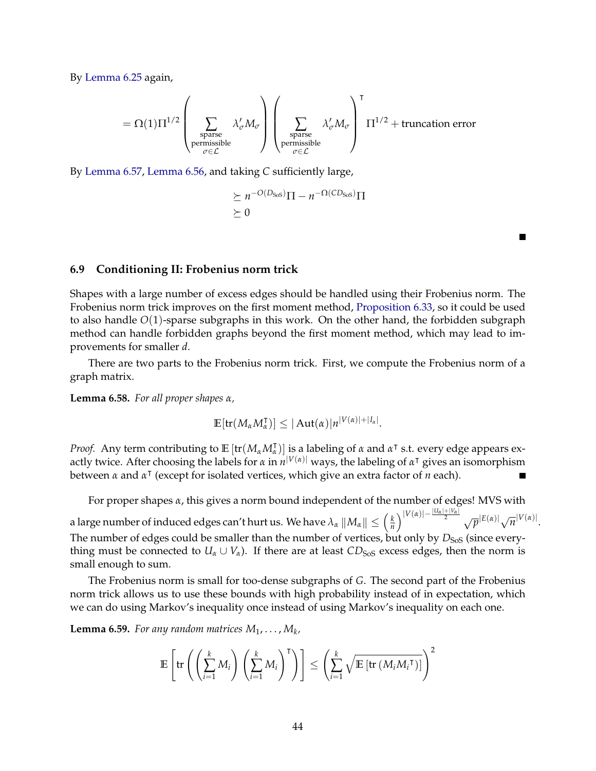By [Lemma 6.25](#page-32-0) again,

$$
= \Omega(1) \Pi^{1/2} \left(\sum_{\substack{\text{sparse} \\ \text{permissible} \\ \sigma \in \mathcal{L}}} \lambda_{\sigma}' M_{\sigma} \right) \left(\sum_{\substack{\text{sparse} \\ \text{permissible} \\ \sigma \in \mathcal{L}}} \lambda_{\sigma}' M_{\sigma} \right)^{\mathsf{T}} \Pi^{1/2} + \text{truncation error}
$$

By [Lemma 6.57,](#page-45-2) [Lemma 6.56,](#page-45-1) and taking *C* sufficiently large,

$$
\geq n^{-O(D_{\text{Sos}})}\Pi - n^{-\Omega(CD_{\text{Sos}})}\Pi
$$
  

$$
\geq 0
$$

П

#### **6.9 Conditioning II: Frobenius norm trick**

Shapes with a large number of excess edges should be handled using their Frobenius norm. The Frobenius norm trick improves on the first moment method, [Proposition 6.33,](#page-34-1) so it could be used to also handle *O*(1)-sparse subgraphs in this work. On the other hand, the forbidden subgraph method can handle forbidden graphs beyond the first moment method, which may lead to improvements for smaller *d*.

There are two parts to the Frobenius norm trick. First, we compute the Frobenius norm of a graph matrix.

<span id="page-46-0"></span>**Lemma 6.58.** *For all proper shapes α,*

$$
\mathbb{E}[\text{tr}(M_{\alpha}M_{\alpha}^{\intercal})] \leq |\text{Aut}(\alpha)|n^{|V(\alpha)|+|I_{\alpha}|}.
$$

*Proof.* Any term contributing to  $\mathbb{E} \left[ \text{tr}(M_\alpha M_\alpha^\dagger) \right]$  is a labeling of  $\alpha$  and  $\alpha^\dagger$  s.t. every edge appears exactly twice. After choosing the labels for *α* in *n* <sup>|</sup>*V*(*α*)<sup>|</sup> ways, the labeling of *α* <sup>|</sup> gives an isomorphism between *α* and *α* | (except for isolated vertices, which give an extra factor of *n* each).

For proper shapes *α*, this gives a norm bound independent of the number of edges! MVS with

a large number of induced edges can't hurt us. We have  $\lambda_\alpha\left\|M_\alpha\right\|\leq \left(\frac{k}{n}\right)$  $\frac{k}{n}\bigg\}^{|V(\alpha)|-\frac{|U_{\alpha}|+|V_{\alpha}|}{2}} \sqrt{p}|E(\alpha)|\sqrt{n}|V(\alpha)|.$ The number of edges could be smaller than the number of vertices, but only by  $D<sub>SoS</sub>$  (since everything must be connected to  $U_\alpha \cup V_\alpha$ ). If there are at least  $CD_{SoS}$  excess edges, then the norm is small enough to sum.

The Frobenius norm is small for too-dense subgraphs of *G*. The second part of the Frobenius norm trick allows us to use these bounds with high probability instead of in expectation, which we can do using Markov's inequality once instead of using Markov's inequality on each one.

<span id="page-46-1"></span>**Lemma 6.59.** *For any random matrices*  $M_1, \ldots, M_k$ *,* 

$$
\mathbb{E}\left[\text{tr}\left(\left(\sum_{i=1}^k M_i\right)\left(\sum_{i=1}^k M_i\right)^{\mathsf{T}}\right)\right] \leq \left(\sum_{i=1}^k \sqrt{\mathbb{E}\left[\text{tr}\left(M_i M_i^{\mathsf{T}}\right)\right]}\right)^2
$$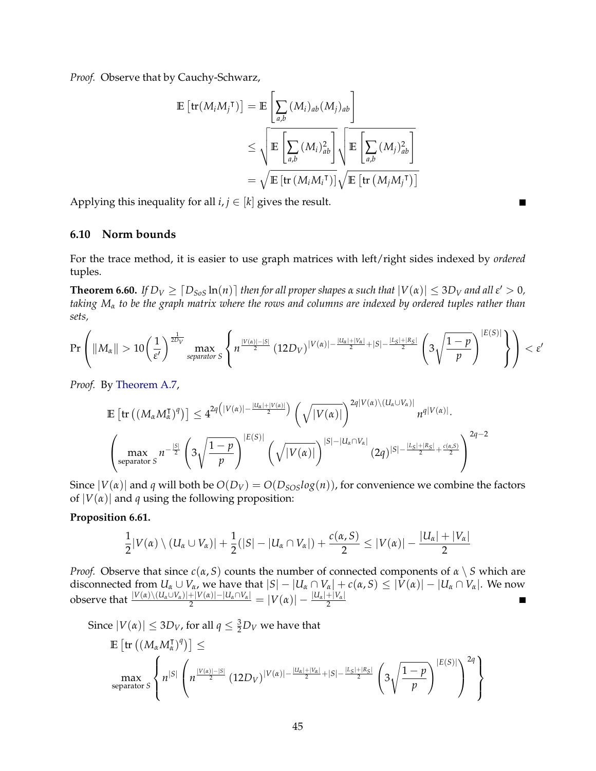*Proof.* Observe that by Cauchy-Schwarz,

$$
\mathbb{E}\left[\text{tr}(M_iM_j^{\mathsf{T}})\right] = \mathbb{E}\left[\sum_{a,b} (M_i)_{ab}(M_j)_{ab}\right]
$$
  

$$
\leq \sqrt{\mathbb{E}\left[\sum_{a,b} (M_i)_{ab}^2\right]}\sqrt{\mathbb{E}\left[\sum_{a,b} (M_j)_{ab}^2\right]}
$$
  

$$
= \sqrt{\mathbb{E}\left[\text{tr}\left(M_iM_i^{\mathsf{T}}\right)\right]}\sqrt{\mathbb{E}\left[\text{tr}\left(M_jM_j^{\mathsf{T}}\right)\right]}
$$

Applying this inequality for all  $i, j \in [k]$  gives the result.

### **6.10 Norm bounds**

For the trace method, it is easier to use graph matrices with left/right sides indexed by *ordered* tuples.

**Theorem 6.60.** If  $D_V \geq [D_{SoS} \ln(n)]$  then for all proper shapes  $\alpha$  such that  $|V(\alpha)| \leq 3D_V$  and all  $\varepsilon' > 0$ , *taking M<sup>α</sup> to be the graph matrix where the rows and columns are indexed by ordered tuples rather than sets,*

$$
\Pr\left(\|M_{\alpha}\|>10\left(\frac{1}{\varepsilon'}\right)^{\frac{1}{2D_V}}\max\limits_{separation\ S}\left\{n^{\frac{|V(\alpha)|-|S|}{2}}\left(12D_V\right)^{|V(\alpha)|-\frac{|U_{\alpha}|+|V_{\alpha}|}{2}+|S|-\frac{|L_S|+|R_S|}{2}}\left(3\sqrt{\frac{1-p}{p}}\right)^{|E(S)|}\right\}\right)<\varepsilon'
$$

*Proof.* By [Theorem A.7,](#page-64-0)

$$
\mathbb{E}\left[\text{tr}\left((M_{\alpha}M_{\alpha}^{\intercal})^{q}\right)\right] \leq 4^{2q\left(|V(\alpha)|-\frac{|U_{\alpha}|+|V(\alpha)|}{2}\right)}\left(\sqrt{|V(\alpha)|}\right)^{2q|V(\alpha)\setminus (U_{\alpha}\cup V_{\alpha})|}n^{q|V(\alpha)|}.
$$

$$
\left(\max_{\text{separation } S} n^{-\frac{|S|}{2}}\left(3\sqrt{\frac{1-p}{p}}\right)^{|E(S)|}\left(\sqrt{|V(\alpha)|}\right)^{|S|-|U_{\alpha}\cap V_{\alpha}|}(2q)^{|S|-\frac{|L_{S}|+|R_{S}|}{2}+\frac{c(\alpha,S)}{2}}\right)^{2q-2}
$$

Since  $|V(\alpha)|$  and *q* will both be  $O(D_V) = O(D_{SOS}log(n))$ , for convenience we combine the factors of  $|V(\alpha)|$  and *q* using the following proposition:

#### **Proposition 6.61.**

$$
\frac{1}{2}|V(\alpha) \setminus (U_{\alpha} \cup V_{\alpha})| + \frac{1}{2}(|S| - |U_{\alpha} \cap V_{\alpha}|) + \frac{c(\alpha,S)}{2} \leq |V(\alpha)| - \frac{|U_{\alpha}| + |V_{\alpha}|}{2}
$$

*Proof.* Observe that since *c*(*α*, *S*) counts the number of connected components of *α* \ *S* which are disconnected from  $U_\alpha \cup V_\alpha$ , we have that  $|S| - |U_\alpha \cap V_\alpha| + c(\alpha, S) \leq |V(\alpha)| - |U_\alpha \cap V_\alpha|$ . We now  $\frac{1}{2}$  observe that  $\frac{|V(\alpha) \setminus (U_\alpha \cup V_\alpha)| + |V(\alpha)| - |U_\alpha \cap V_\alpha|}{2} = |V(\alpha)| - \frac{|U_\alpha| + |V_\alpha|}{2}$ 

Since  $|V(\alpha)| \le 3D_V$ , for all  $q \le \frac{3}{2}D_V$  we have that

$$
\mathbb{E}\left[\text{tr}\left((M_{\alpha}M_{\alpha}^{\intercal})^{q}\right)\right] \leq \\ \max_{\text{separation } S}\left\{n^{|S|}\left(n^{\frac{|V(\alpha)|-|S|}{2}}\left(12D_{V}\right)^{|V(\alpha)|-\frac{|U_{\alpha}|+|V_{\alpha}|}{2}+|S|-\frac{|L_{S}|+|R_{S}|}{2}}\left(3\sqrt{\frac{1-p}{p}}\right)^{|E(S)|}\right)^{2q}\right\}
$$

ш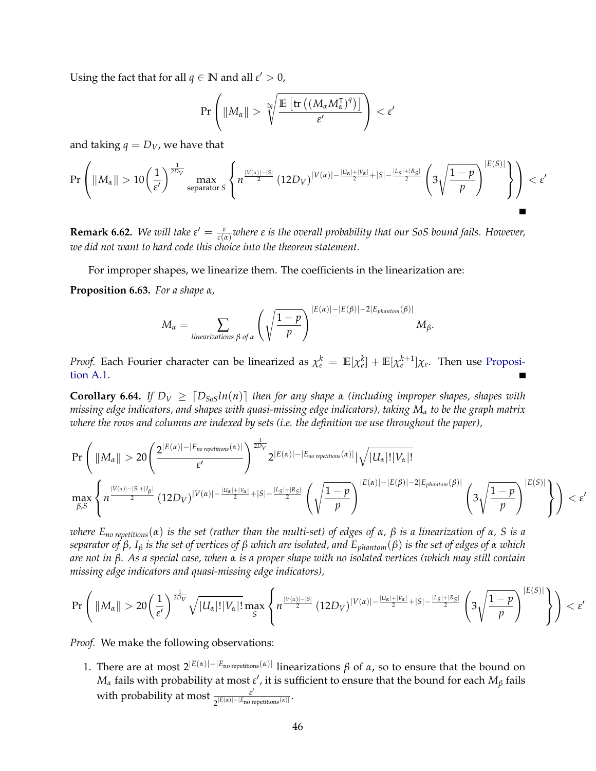Using the fact that for all  $q \in \mathbb{N}$  and all  $\varepsilon' > 0$ ,

$$
\Pr\left(\|M_\alpha\| > \sqrt[2q]{\frac{\mathbb{E}\left[\text{tr}\left(\left(M_\alpha M_\alpha^\intercal\right)^q\right)\right]}{\varepsilon'}}\right) < \varepsilon'
$$

and taking  $q = D_V$ , we have that

$$
\Pr\left(\|M_{\alpha}\|>10\left(\frac{1}{\varepsilon'}\right)^{\frac{1}{2D_V}}\max_{\text{separation }S}\left\{n^{\frac{|V(\alpha)|-|S|}{2}}\left(12D_V\right)^{|V(\alpha)|-\frac{|U_{\alpha}|+|V_{\alpha}|}{2}+|S|-\frac{|L_S|+|R_S|}{2}}\left(3\sqrt{\frac{1-p}{p}}\right)^{|E(S)|}\right\}\right)<\varepsilon'
$$

**Remark 6.62.** We will take  $\varepsilon' = \frac{\varepsilon}{c(\alpha)}$  where  $\varepsilon$  is the overall probability that our SoS bound fails. However, *we did not want to hard code this choice into the theorem statement.*

For improper shapes, we linearize them. The coefficients in the linearization are:

<span id="page-48-0"></span>**Proposition 6.63.** *For a shape α,*

$$
M_{\alpha} = \sum_{linearizations \beta \text{ of } \alpha} \left( \sqrt{\frac{1-p}{p}} \right)^{|E(\alpha)| - |E(\beta)| - 2|E_{phantom}(\beta)|} M_{\beta}.
$$

*Proof.* Each Fourier character can be linearized as  $\chi_e^k = \mathbb{E}[\chi_e^k] + \mathbb{E}[\chi_e^{k+1}]\chi_e$ . Then use [Proposi](#page-63-0)[tion A.1.](#page-63-0)

<span id="page-48-1"></span>**Corollary 6.64.** *If*  $D_V \geq [D_{SoS}ln(n)]$  *then for any shape α (including improper shapes, shapes with missing edge indicators, and shapes with quasi-missing edge indicators), taking M<sup>α</sup> to be the graph matrix where the rows and columns are indexed by sets (i.e. the definition we use throughout the paper),*

$$
\Pr\left(\|M_{\alpha}\|>20\left(\frac{2^{|E(\alpha)|-|E_{no\;\textit{repetitions}}(\alpha)|}}{\varepsilon'}\right)^{\frac{1}{2D_V}}2^{|E(\alpha)|-|E_{no\;\textit{repetitions}}(\alpha)|}|\sqrt{|U_{\alpha}|!|V_{\alpha}|!}\right)
$$
\n
$$
\max_{\beta,S}\left\{n^{\frac{|V(\alpha)|-|S|+|I_{\beta}|}{2}}(12D_V)^{|V(\alpha)|-\frac{|U_{\alpha}|+|V_{\alpha}|}{2}+|S|-\frac{|L_S|+|R_S|}{2}}\left(\sqrt{\frac{1-p}{p}}\right)^{|E(\alpha)|-|E(\beta)|-2|E_{\textit{phantom}}(\beta)|}\left(3\sqrt{\frac{1-p}{p}}\right)^{|E(S)|}\right)\right\}<\varepsilon'
$$

*where Eno repetitions*(*α*) *is the set (rather than the multi-set) of edges of α, β is a linearization of α, S is a separator of β, I<sup>β</sup> is the set of vertices of β which are isolated, and Ephantom*(*β*) *is the set of edges of α which are not in β. As a special case, when α is a proper shape with no isolated vertices (which may still contain missing edge indicators and quasi-missing edge indicators),*

$$
\Pr\left(\|M_{\alpha}\|>20\left(\frac{1}{\varepsilon'}\right)^{\frac{1}{2D_V}}\sqrt{|U_{\alpha}|!|V_{\alpha}|!}\max_{S}\left\{n^{\frac{|V(\alpha)|-|S|}{2}}\left(12D_V\right)^{|V(\alpha)|-\frac{|U_{\alpha}|+|V_{\alpha}|}{2}+|S|-\frac{|L_S|+|R_S|}{2}}\left(3\sqrt{\frac{1-p}{p}}\right)^{|E(S)|}\right\}\right)<\varepsilon'
$$

*Proof.* We make the following observations:

1. There are at most  $2^{|E(\alpha)|-|E_{\text{no repetitions}}(\alpha)|}$  linearizations *β* of *α*, so to ensure that the bound on  $M_{\alpha}$  fails with probability at most  $\varepsilon'$ , it is sufficient to ensure that the bound for each  $M_{\beta}$  fails with probability at most <sub>*<u><sub>δ</sub>|Ε(α)|</u>-|Ε*<sub>ρο</sub>,</sub>  $\frac{\varepsilon}{2^{|E(\alpha)|-|E_{\text{no repetitions}}(\alpha)|}}$ .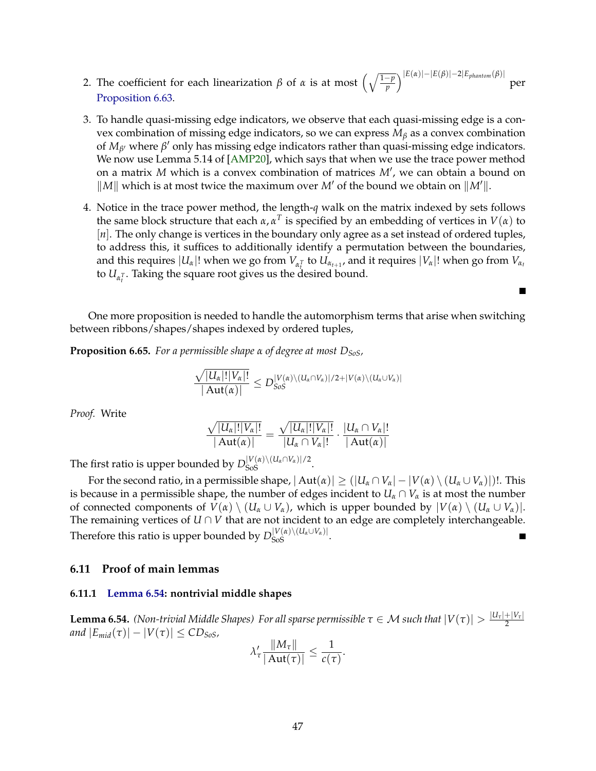- <span id="page-49-1"></span>2. The coefficient for each linearization  $\beta$  of  $\alpha$  is at most  $\left(\sqrt{\frac{1-p}{p}}\right)^{|E(\alpha)|-|E(\beta)|-2|E_{phantom}(\beta)|}$ per [Proposition 6.63.](#page-48-0)
- 3. To handle quasi-missing edge indicators, we observe that each quasi-missing edge is a convex combination of missing edge indicators, so we can express *M<sup>β</sup>* as a convex combination of  $M_{\beta}$ <sup>*w*</sup> where  $\beta$ <sup>*'*</sup> only has missing edge indicators rather than quasi-missing edge indicators. We now use Lemma 5.14 of [\[AMP20\]](#page-60-0), which says that when we use the trace power method on a matrix M which is a convex combination of matrices M', we can obtain a bound on  $\|M\|$  which is at most twice the maximum over *M'* of the bound we obtain on  $\|M'\|$ .
- 4. Notice in the trace power method, the length-*q* walk on the matrix indexed by sets follows the same block structure that each  $\alpha$ ,  $\alpha^T$  is specified by an embedding of vertices in  $V(\alpha)$  to [n]. The only change is vertices in the boundary only agree as a set instead of ordered tuples, to address this, it suffices to additionally identify a permutation between the boundaries, and this requires  $|U_\alpha|!$  when we go from  $V_{\alpha_t}$  to  $U_{\alpha_{t+1}}$ , and it requires  $|V_\alpha|!$  when go from  $V_{\alpha_t}$ to  $U_{\alpha_i^T}$ . Taking the square root gives us the desired bound.

Е

One more proposition is needed to handle the automorphism terms that arise when switching between ribbons/shapes/shapes indexed by ordered tuples,

<span id="page-49-0"></span>**Proposition 6.65.** *For a permissible shape α of degree at most DSoS,*

$$
\frac{\sqrt{|U_{\alpha}|!|V_{\alpha}|!}}{|\operatorname{Aut}(\alpha)|}\le D_{SoS}^{|V(\alpha)\setminus (U_{\alpha}\cap V_{\alpha})|/2+|V(\alpha)\setminus (U_{\alpha}\cup V_{\alpha})|}
$$

*Proof.* Write

$$
\frac{\sqrt{|U_{\alpha}|!|V_{\alpha}|!}}{|\operatorname{Aut}(\alpha)|}=\frac{\sqrt{|U_{\alpha}|!|V_{\alpha}|!}}{|U_{\alpha}\cap V_{\alpha}|!}\cdot\frac{|U_{\alpha}\cap V_{\alpha}|!}{|\operatorname{Aut}(\alpha)|}
$$

The first ratio is upper bounded by  $D_{\text{SoS}}^{|V(\alpha) \setminus (U_{\alpha} \cap V_{\alpha})|/2}$ .

For the second ratio, in a permissible shape,  $|\text{Aut}(\alpha)| \geq (|U_{\alpha} \cap V_{\alpha}| - |V(\alpha) \setminus (U_{\alpha} \cup V_{\alpha})|)!$ . This is because in a permissible shape, the number of edges incident to  $U_\alpha \cap V_\alpha$  is at most the number of connected components of  $V(\alpha) \setminus (U_\alpha \cup V_\alpha)$ , which is upper bounded by  $|V(\alpha) \setminus (U_\alpha \cup V_\alpha)|$ . The remaining vertices of  $U \cap V$  that are not incident to an edge are completely interchangeable. Therefore this ratio is upper bounded by  $D_{\text{SoS}}^{|V(\alpha) \setminus (U_{\alpha} \cup V_{\alpha})|}$ .

### **6.11 Proof of main lemmas**

### **6.11.1 [Lemma 6.54:](#page-44-0) nontrivial middle shapes**

 $\bf{Lemma 6.54.}$  *(Non-trivial Middle Shapes) For all sparse permissible*  $\tau \in \cal{M}$  *such that*  $|V(\tau)| > \frac{|U_\tau| + |V_\tau|}{2}$ 2 *and*  $|E_{mid}(\tau)| - |V(\tau)| \leq CD_{SoS}$ *,* k*Mτ*k

$$
\lambda_{\tau}' \frac{\|M_{\tau}\|}{|\operatorname{Aut}(\tau)|} \leq \frac{1}{c(\tau)}.
$$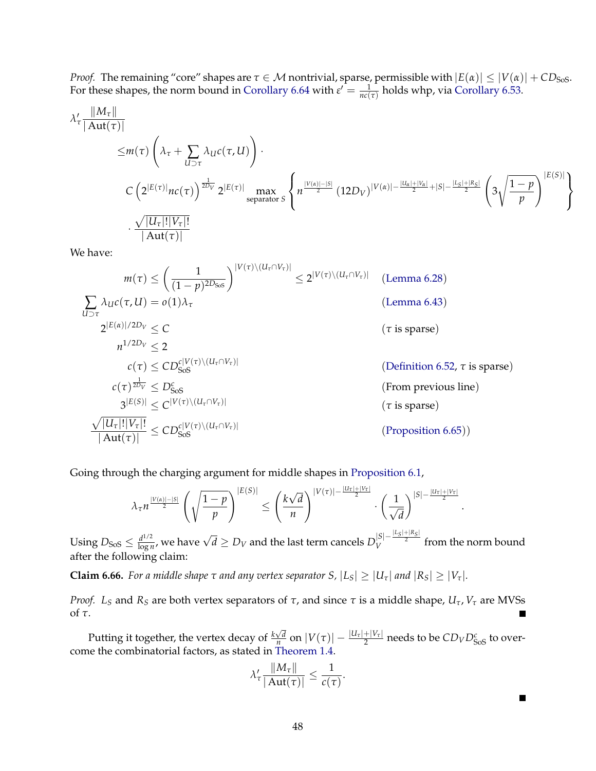*Proof.* The remaining "core" shapes are  $\tau\in\mathcal{M}$  nontrivial, sparse, permissible with  $|E(\alpha)|\leq |V(\alpha)|+CD_{\rm{SoS}}.$ For these shapes, the norm bound in [Corollary 6.64](#page-48-1) with  $\varepsilon' = \frac{1}{nc(\tau)}$  holds whp, via [Corollary 6.53.](#page-44-1)

$$
\lambda'_{\tau} \frac{\|M_{\tau}\|}{|\mathrm{Aut}(\tau)|} \leq m(\tau) \left(\lambda_{\tau} + \sum_{U \supset \tau} \lambda_{U}c(\tau, U)\right).
$$
  

$$
C \left(2^{|E(\tau)|}nc(\tau)\right)^{\frac{1}{2D_{V}}} 2^{|E(\tau)|} \max_{\mathrm{separator } S} \left\{ n^{\frac{|V(\alpha)| - |S|}{2}} (12D_{V})^{|V(\alpha)| - \frac{|U_{\alpha}| + |V_{\alpha}|}{2} + |S| - \frac{|L_{S}| + |R_{S}|}{2}} \left( 3\sqrt{\frac{1-p}{p}} \right)^{|E(S)|} \right\}.
$$

We have:

$$
m(\tau) \leq \left(\frac{1}{(1-p)^{2D_{SoS}}}\right)^{|V(\tau)\setminus (U_{\tau}\cap V_{\tau})|} \leq 2^{|V(\tau)\setminus (U_{\tau}\cap V_{\tau})|} \quad \text{(Lemma 6.28)}
$$
\n
$$
\sum_{U\supset\tau} \lambda_U c(\tau, U) = o(1)\lambda_{\tau} \quad \text{(Lemma 6.43)}
$$
\n
$$
2^{|E(\alpha)|/2D_V} \leq C \quad \text{(} \tau \text{ is sparse)}
$$
\n
$$
n^{1/2D_V} \leq 2
$$
\n
$$
c(\tau) \leq CD_{SoS}^{c|V(\tau)\setminus (U_{\tau}\cap V_{\tau})|} \quad \text{(Definition 6.52, } \tau \text{ is sparse)}
$$
\n
$$
c(\tau)^{\frac{1}{2D_V}} \leq D_{SoS}^c \quad \text{(From previous line)}
$$
\n
$$
3^{|E(S)|} \leq C^{|V(\tau)\setminus (U_{\tau}\cap V_{\tau})|} \quad \text{(} \tau \text{ is sparse)}
$$
\n
$$
\frac{\sqrt{|U_{\tau}|!|V_{\tau}|!}}{\left|\text{Aut}(\tau)\right|} \leq CD_{SoS}^{c|V(\tau)\setminus (U_{\tau}\cap V_{\tau})|} \quad \text{(Proposition 6.65)}
$$

Going through the charging argument for middle shapes in [Proposition 6.1,](#page-23-1)

$$
\lambda_{\tau} n^{\frac{|V(\alpha)|-|S|}{2}} \left(\sqrt{\frac{1-p}{p}}\right)^{|E(S)|} \leq \left(\frac{k\sqrt{d}}{n}\right)^{|V(\tau)|-\frac{|U_{\tau}|+|V_{\tau}|}{2}} \cdot \left(\frac{1}{\sqrt{d}}\right)^{|S|-\frac{|U_{\tau}|+|V_{\tau}|}{2}}
$$

Using  $D_{\text{SoS}} \leq \frac{d^{1/2}}{\log n}$  $\frac{d^{1/2}}{\log n}$ , we have  $\sqrt{d}$  ≥  $D_V$  and the last term cancels  $D_V^{|S|-\frac{|L_S|+|R_S|}{2}}$  from the norm bound after the following claim:

**Claim 6.66.** For a middle shape  $\tau$  and any vertex separator S,  $|L_S| \geq |U_\tau|$  and  $|R_S| \geq |V_\tau|$ .

*Proof. L*<sub>*S*</sub> and *R*<sub>*S*</sub> are both vertex separators of *τ*, and since *τ* is a middle shape,  $U_τ$ ,  $V_τ$  are MVSs of *τ*. П

Putting it together, the vertex decay of  $\frac{k\sqrt{d}}{n}$  $\frac{\sqrt{d}}{n}$  on  $|V(\tau)| - \frac{|U_\tau| + |V_\tau|}{2}$  needs to be  $CD_V D^c_{\rm{SoS}}$  to overcome the combinatorial factors, as stated in [Theorem 1.4.](#page-4-0)

$$
\lambda_{\tau}' \frac{\|M_{\tau}\|}{|\operatorname{Aut}(\tau)|} \leq \frac{1}{c(\tau)}.
$$

П

.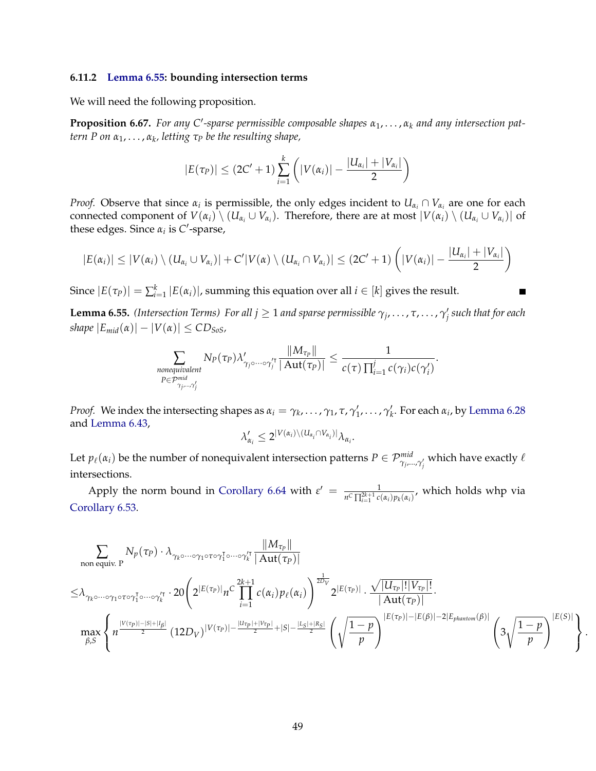#### **6.11.2 [Lemma 6.55:](#page-45-0) bounding intersection terms**

We will need the following proposition.

<span id="page-51-0"></span>**Proposition 6.67.** For any C'-sparse permissible composable shapes  $α_1, …, α_k$  and any intersection pat*tern P on α*1, . . . , *α<sup>k</sup> , letting τ<sup>P</sup> be the resulting shape,*

$$
|E(\tau_P)| \leq (2C' + 1) \sum_{i=1}^k \left( |V(\alpha_i)| - \frac{|U_{\alpha_i}| + |V_{\alpha_i}|}{2} \right)
$$

*Proof.* Observe that since  $\alpha_i$  is permissible, the only edges incident to  $U_{\alpha_i} \cap V_{\alpha_i}$  are one for each connected component of  $V(\alpha_i)\setminus (U_{\alpha_i}\cup V_{\alpha_i})$ . Therefore, there are at most  $|V(\alpha_i)\setminus (U_{\alpha_i}\cup V_{\alpha_i})|$  of these edges. Since  $\alpha_i$  is *C*'-sparse,

$$
|E(\alpha_i)| \leq |V(\alpha_i) \setminus (U_{\alpha_i} \cup V_{\alpha_i})| + C'|V(\alpha) \setminus (U_{\alpha_i} \cap V_{\alpha_i})| \leq (2C'+1)\left(|V(\alpha_i)| - \frac{|U_{\alpha_i}| + |V_{\alpha_i}|}{2}\right)
$$

Since  $|E(\tau_P)| = \sum_{i=1}^k |E(\alpha_i)|$ , summing this equation over all  $i \in [k]$  gives the result.

**Lemma 6.55.** *(Intersection Terms) For all j*  $\geq$  1 *and sparse permissible*  $\gamma_j, \ldots, \tau, \ldots, \gamma'_j$  *such that for each shape*  $|E_{mid}(\alpha)| - |V(\alpha)| \leq CD_{SoS}$ ,

$$
\sum_{\substack{\text{nonequivalent} \\ P \in \mathcal{P}_{\gamma_j, \dots, \gamma'_j}^{\text{mid}}} } N_P(\tau_P) \lambda'_{\gamma_j \circ \dots \circ \gamma'^\intercal} \frac{\|M_{\tau_P}\|}{|\operatorname{Aut}(\tau_P)|} \le \frac{1}{c(\tau) \prod_{i=1}^j c(\gamma_i) c(\gamma'_i)}
$$

.

Б

.

*Proof.* We index the intersecting shapes as  $\alpha_i = \gamma_k, \dots, \gamma_1, \tau, \gamma'_1, \dots, \gamma'_k$ . For each  $\alpha_i$ , by [Lemma 6.28](#page-33-0) and [Lemma 6.43,](#page-36-2)

$$
\lambda'_{\alpha_i} \leq 2^{|V(\alpha_i)\setminus (U_{\alpha_i} \cap V_{\alpha_i})|} \lambda_{\alpha_i}.
$$

Let  $p_\ell(\alpha_i)$  be the number of nonequivalent intersection patterns  $P\in\mathcal{P}_{\gamma_j,...,\gamma'_j}^{mid}$  which have exactly  $\ell$ intersections.

Apply the norm bound in [Corollary 6.64](#page-48-1) with  $\varepsilon' = \frac{1}{n^C \prod_{i=1}^{2k+1} c(\alpha_i) p_k(\alpha_i)}$ , which holds whp via [Corollary 6.53.](#page-44-1)

$$
\sum_{\substack{\text{non equiv. }P}} N_p(\tau_p) \cdot \lambda_{\gamma_k \circ \dots \circ \gamma_1 \circ \tau \circ \gamma_1^{\tau} \circ \dots \circ \gamma_k^{\prime \tau} \mid \mathbf{Aut}(\tau_p) \mid} \frac{\|M_{\tau_p}\|}{\| \mathbf{Aut}(\tau_p) \|}
$$
\n
$$
\leq \lambda_{\gamma_k \circ \dots \circ \gamma_1 \circ \tau \circ \gamma_1^{\tau} \circ \dots \circ \gamma_k^{\prime \tau}} \cdot 20 \left( 2^{|E(\tau_p)|} n^C \prod_{i=1}^{2k+1} c(\alpha_i) p_\ell(\alpha_i) \right)^{\frac{1}{2D_V}} 2^{|E(\tau_p)|} \cdot \frac{\sqrt{|U_{\tau_p}|! |V_{\tau_p}|!}}{|\mathbf{Aut}(\tau_p)|}.
$$
\n
$$
\max_{\beta, S} \left\{ n^{\frac{|V(\tau_p)| - |S| + |I_\beta|}{2}} (12D_V)^{|V(\tau_p)| - \frac{|U_{\tau_p}| + |V_{\tau_p}|}{2} + |S| - \frac{|I_S| + |R_S|}{2}} \left( \sqrt{\frac{1-p}{p}} \right)^{|E(\tau_p)| - |E(\beta)| - 2|E_{\text{phantom}}(\beta)|} \left( 3\sqrt{\frac{1-p}{p}} \right)^{|E(S)|} \right\}
$$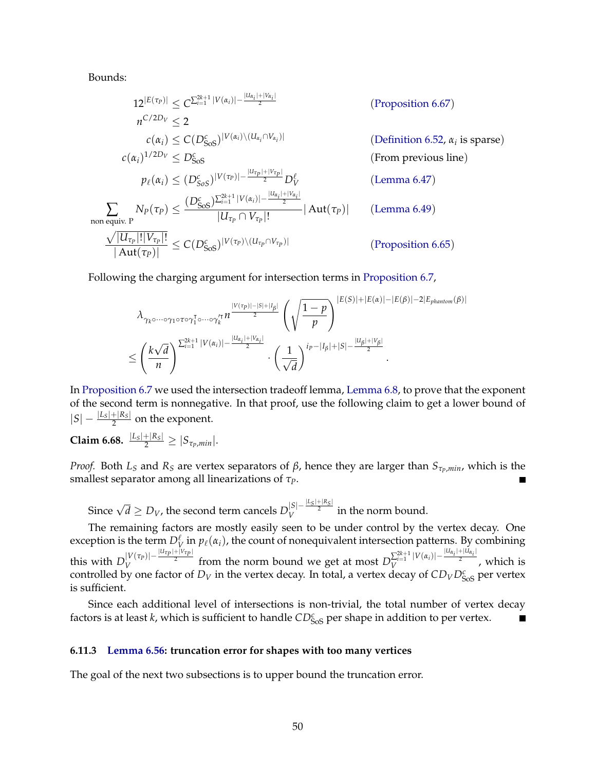Bounds:

$$
12^{|E(\tau_P)|} \leq C^{\sum_{i=1}^{2k+1} |V(\alpha_i)| - \frac{|U_{\alpha_i}| + |V_{\alpha_i}|}{2}}
$$
 (Proposition 6.67)  
\n
$$
n^{C/2D_V} \leq 2
$$
 (Cn<sub>i</sub>)  $\leq C(D_{\text{SoS}}^c)^{|V(\alpha_i)\setminus (U_{\alpha_i} \cap V_{\alpha_i})|}$  (Definition 6.52,  $\alpha_i$  is sparse)  
\n
$$
c(\alpha_i)^{1/2D_V} \leq D_{\text{SoS}}^c
$$
 (From previous line)  
\n
$$
p_{\ell}(\alpha_i) \leq (D_{\text{SoS}}^c)^{|V(\tau_P)| - \frac{|U_{\tau_P}| + |V_{\tau_P}|}{2} D_V^{\ell}}
$$
 (Lemma 6.47)  
\n
$$
\sum_{\text{non equiv. } P} N_P(\tau_P) \leq \frac{(D_{\text{SoS}}^c)^{\sum_{i=1}^{2k+1} |V(\alpha_i)| - \frac{|U_{\alpha_i}| + |V_{\alpha_i}|}{2}}}{|U_{\tau_P} \cap V_{\tau_P}|!}
$$
 (Lemma 6.49)  
\n
$$
\frac{\sqrt{|U_{\tau_P}|!|V_{\tau_P}|!}}{|Aut(\tau_P)|} \leq C(D_{\text{SOS}}^c)^{|V(\tau_P)\setminus (U_{\tau_P} \cap V_{\tau_P})|}
$$
 (Proposition 6.65)

Following the charging argument for intersection terms in [Proposition 6.7,](#page-25-0)

$$
\lambda_{\gamma_k \circ \cdots \circ \gamma_1 \circ \tau \circ \gamma_1^{\tau} \circ \cdots \circ \gamma_k^{\prime \tau}} n^{\frac{|V(\tau_p)| - |S| + |I_{\beta}|}{2}} \left( \sqrt{\frac{1-p}{p}} \right)^{|E(S)| + |E(\alpha)| - |E(\beta)| - 2|E_{\text{phantom}}(\beta)|}
$$
  

$$
\leq \left( \frac{k\sqrt{d}}{n} \right)^{\sum_{i=1}^{2k+1} |V(\alpha_i)| - \frac{|U_{\alpha_i}| + |V_{\alpha_i}|}{2}} \cdot \left( \frac{1}{\sqrt{d}} \right)^{i_p - |I_{\beta}| + |S| - \frac{|U_{\beta}| + |V_{\beta}|}{2}}.
$$

In [Proposition 6.7](#page-25-0) we used the intersection tradeoff lemma, [Lemma 6.8,](#page-25-1) to prove that the exponent of the second term is nonnegative. In that proof, use the following claim to get a lower bound of  $|S| - \frac{|L_s| + |R_s|}{2}$  on the exponent.

**Claim 6.68.**  $\frac{|L_S| + |R_S|}{2} \ge |S_{\tau_P,min}|$ .

*Proof.* Both *L*<sub>*S*</sub> and *R*<sub>*S*</sub> are vertex separators of *β*, hence they are larger than  $S_{τ_{P},min}$ , which is the smallest separator among all linearizations of *τP*.

Since  $\sqrt{d} \ge D_V$ , the second term cancels  $D_V^{|S|-\frac{|L_S|+|R_S|}{2}}$  in the norm bound.

The remaining factors are mostly easily seen to be under control by the vertex decay. One exception is the term  $D_V^\ell$  in  $p_\ell(\alpha_i)$ , the count of nonequivalent intersection patterns. By combining this with  $D_V^{|V(\tau_P)|-\frac{|U_{\tau_P}|+|V_{\tau_P}|}{2}}$  $|V(\tau_P)| - \frac{|u_{\tau_P}| + |v_{\tau_P}|}{2}$  from the norm bound we get at most  $D_V^{\sum_{i=1}^{2k+1} |V(\alpha_i)| - \frac{|u_{\alpha_i}| + |u_{\alpha_i}|}{2}}$  $V^{\frac{2}{\nu+1}+\nu(\alpha_i)}$   $\frac{2}{\nu}$ , which is controlled by one factor of  $D_V$  in the vertex decay. In total, a vertex decay of  $CD_VD^c_{Sos}$  per vertex is sufficient.

Since each additional level of intersections is non-trivial, the total number of vertex decay factors is at least *k*, which is sufficient to handle  $CD_{SoS}^c$  per shape in addition to per vertex. П

#### **6.11.3 [Lemma 6.56:](#page-45-1) truncation error for shapes with too many vertices**

The goal of the next two subsections is to upper bound the truncation error.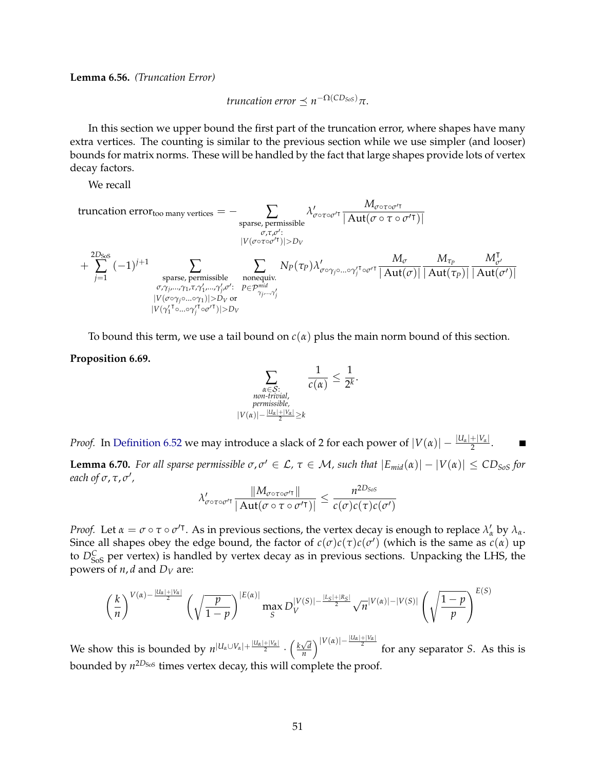**Lemma 6.56.** *(Truncation Error)*

*truncation error*  $\preceq n^{-\Omega(CD_{Sos})}\pi$ .

In this section we upper bound the first part of the truncation error, where shapes have many extra vertices. The counting is similar to the previous section while we use simpler (and looser) bounds for matrix norms. These will be handled by the fact that large shapes provide lots of vertex decay factors.

We recall

truncation error<sub>too many vertices</sub> = 
$$
- \sum_{\substack{\sigma, \tau, \sigma':\\|\mathcal{V}(\sigma \circ \tau \circ \sigma' \tau)| > D_V}} \lambda'_{\sigma \circ \tau \circ \sigma' \tau} \frac{M_{\sigma \circ \tau \circ \sigma' \tau}}{|\mathrm{Aut}(\sigma \circ \tau \circ \sigma' \tau)|}
$$
\n
$$
+ \sum_{j=1}^{2D_{SoS}} (-1)^{j+1} \sum_{\substack{\sigma \text{sparse, permissible} \\ \text{sparse, permissible} \\ \sigma, \gamma_{j}, \ldots, \gamma_{1}, \tau, \gamma'_{1}, \ldots, \gamma'_{j}, \sigma': \\ |\mathcal{V}(\sigma \circ \gamma_{j} \circ \ldots \circ \gamma_{j} \circ \tau)| > D_V}} \sum_{\substack{N_P(\tau_P) \\ \gamma_{j}, \ldots, \gamma'_{j} \\ \gamma_{j}, \ldots, \gamma'_{j}}} \frac{M_{\sigma} M_{\sigma}}{|\mathrm{Aut}(\sigma)|} \frac{M_{\sigma}}{|\mathrm{Aut}(\tau_P)|} \frac{M_{\sigma'}}{|\mathrm{Aut}(\tau_P)|} \frac{M_{\sigma'}}{|\mathrm{Aut}(\sigma')|}
$$

To bound this term, we use a tail bound on  $c(\alpha)$  plus the main norm bound of this section.

#### <span id="page-53-1"></span>**Proposition 6.69.**

$$
\sum_{\substack{\alpha \in \mathcal{S}: \\ \text{non-trivial,} \\ \text{permissible,} \\ |V(\alpha)| - \frac{|U\alpha| + |V\alpha|}{2} \ge k}} \frac{1}{c(\alpha)} \le \frac{1}{2^k}.
$$

*Proof.* In [Definition 6.52](#page-43-0) we may introduce a slack of 2 for each power of  $|V(\alpha)| - \frac{|U_\alpha| + |V_\alpha|}{2}$ .

<span id="page-53-0"></span>**Lemma 6.70.** For all sparse permissible  $\sigma, \sigma' \in \mathcal{L}$ ,  $\tau \in \mathcal{M}$ , such that  $|E_{mid}(\alpha)| - |V(\alpha)| \leq CD_{SoS}$  for *each of σ*, τ, σ',

$$
\lambda'_{\sigma \circ \tau \circ \sigma'^\intercal} \frac{\|M_{\sigma \circ \tau \circ \sigma'^\intercal}\|}{|\operatorname{Aut}(\sigma \circ \tau \circ \sigma'^\intercal)|} \leq \frac{n^{2D_{SoS}}}{c(\sigma)c(\tau)c(\sigma')}
$$

*Proof.* Let  $\alpha = \sigma \circ \tau \circ \sigma'$ <sup>T</sup>. As in previous sections, the vertex decay is enough to replace  $\lambda'_\alpha$  by  $\lambda_\alpha$ . Since all shapes obey the edge bound, the factor of  $c(\sigma)c(\tau)c(\sigma')$  (which is the same as  $c(\alpha)$  up to  $D_{\text{SoS}}^C$  per vertex) is handled by vertex decay as in previous sections. Unpacking the LHS, the powers of  $n$ ,  $d$  and  $D_V$  are:

$$
\left(\frac{k}{n}\right)^{V(\alpha)-\frac{|U_{\alpha}|+|V_{\alpha}|}{2}} \left(\sqrt{\frac{p}{1-p}}\right)^{|E(\alpha)|} \max_{S} D_V^{|V(S)|-\frac{|L_S|+|R_S|}{2}} \sqrt{n}^{|V(\alpha)|-|V(S)|} \left(\sqrt{\frac{1-p}{p}}\right)^{E(S)}
$$

We show this is bounded by  $n^{|U_a \cup V_a| + \frac{|U_a| + |V_a|}{2}} \cdot \left(\frac{k\sqrt{d}}{n}\right)$  $\left(\frac{\sqrt{d}}{n}\right)^{|V(\alpha)|-\frac{|U_\alpha|+|V_\alpha|}{2}}$  for any separator *S*. As this is bounded by  $n^{2D_\text{SoS}}$  times vertex decay, this will complete the proof.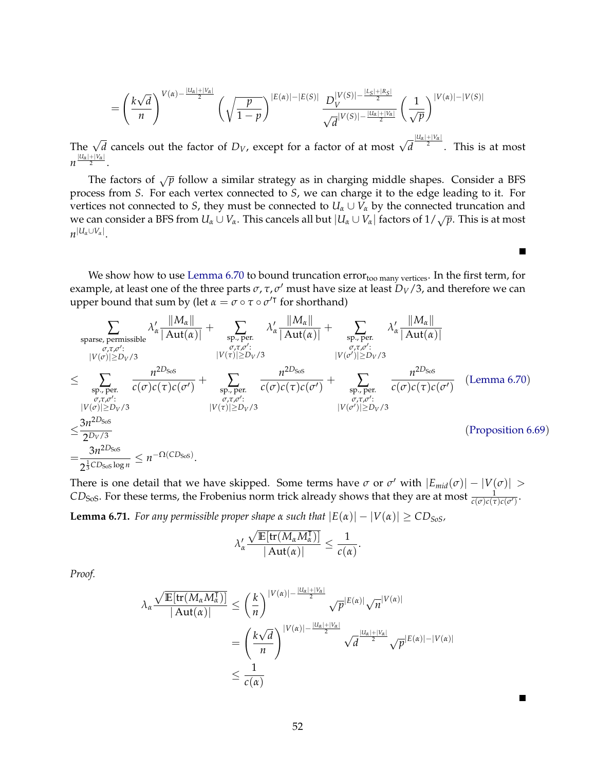$$
= \left(\frac{k\sqrt{d}}{n}\right)^{V(\alpha)-\frac{|U_{\alpha}|+|V_{\alpha}|}{2}}\left(\sqrt{\frac{p}{1-p}}\right)^{|E(\alpha)|-|E(S)|}\frac{D_{V}^{|V(S)|-\frac{|L_{S}|+|R_{S}|}{2}}}{\sqrt{d}^{|V(S)|-\frac{|U_{\alpha}|+|V_{\alpha}|}{2}}}\left(\frac{1}{\sqrt{p}}\right)^{|V(\alpha)|-|V(S)|}
$$

The  $\sqrt{d}$  cancels out the factor of  $D_V$ , except for a factor of at most  $\sqrt{d}$ |*Uα*|+|*Vα*| 2 . This is at most  $n^{\frac{|U_{\alpha}|+|V_{\alpha}|}{2}}$ .

The factors of  $\sqrt{p}$  follow a similar strategy as in charging middle shapes. Consider a BFS process from *S*. For each vertex connected to *S*, we can charge it to the edge leading to it. For vertices not connected to *S*, they must be connected to  $U_\alpha \cup V_\alpha$  by the connected truncation and we can consider a BFS from  $U_\alpha \cup V_\alpha$ . This cancels all but  $|U_\alpha \cup V_\alpha|$  factors of  $1/\sqrt{p}$ . This is at most  $n^{|U_{\alpha} \cup V_{\alpha}|}.$ 

We show how to use [Lemma 6.70](#page-53-0) to bound truncation error<sub>too many vertices</sub>. In the first term, for example, at least one of the three parts  $\sigma$ ,  $\tau$ ,  $\sigma'$  must have size at least  $D_V/3$ , and therefore we can upper bound that sum by (let  $\alpha = \sigma \circ \tau \circ \sigma'^{\intercal}$  for shorthand)

Е

П

$$
\sum_{\substack{\text{sparse, permissible}\\\text{type, }(\mathcal{C},\mathcal{T},\mathcal{O}':\\\|\mathcal{V}(\sigma)|\geq D_V/3}} \lambda'_{\alpha} \frac{\|M_{\alpha}\|}{|\text{Aut}(\alpha)|} + \sum_{\substack{\sigma,\tau,\sigma':\\\text{type, }(\mathcal{T},\mathcal{O}':\\\|\mathcal{V}(\tau)|\geq D_V/3}} \lambda'_{\alpha} \frac{\|M_{\alpha}\|}{|\text{Aut}(\alpha)|} + \sum_{\substack{\text{spr},\text{per.}\\\text{spr},\mathcal{C},\tau,\mathcal{O}':\\\|\mathcal{V}(\sigma)|\geq D_V/3}} \lambda'_{\alpha} \frac{\|M_{\alpha}\|}{|\text{Aut}(\alpha)|} + \sum_{\substack{\text{sp.},\text{per.}\\\|\mathcal{V}(\sigma)|\geq D_V/3}} \lambda'_{\alpha} \frac{\|M_{\alpha}\|}{|\text{Aut}(\alpha)|} + \sum_{\substack{\text{sp.},\text{per.}\\\|\mathcal{V}(\sigma')| \geq D_V/3}} \lambda'_{\alpha} \frac{\|M_{\alpha}\|}{|\text{Aut}(\alpha)|} + \sum_{\substack{\text{sp.},\text{per.}\\\|\mathcal{V}(\sigma')| \geq D_V/3}} \lambda'_{\alpha} \frac{\|M_{\alpha}\|}{|\text{Aut}(\alpha)|} + \sum_{\substack{\text{sp.},\text{per.}\\\|\mathcal{V}(\sigma')| \geq D_V/3}} \lambda'_{\alpha} \frac{\|M_{\alpha}\|}{|\text{Aut}(\alpha)|} + \sum_{\substack{\text{sp.},\text{per.}\\\|\mathcal{V}(\sigma')| \geq D_V/3}} \lambda'_{\alpha} \frac{\|M_{\alpha}\|}{|\text{Aut}(\alpha)|} + \sum_{\substack{\text{sp.},\text{per.}\\\|\mathcal{V}(\sigma)| \geq D_V/3}} \lambda'_{\alpha} \frac{\|M_{\alpha}\|}{|\text{Aut}(\alpha)|} + \sum_{\substack{\text{sp.},\text{per.}\\\|\mathcal{V}(\sigma)| \geq D_V/3}} \lambda'_{\alpha} \frac{\|M_{\alpha}\|}{|\text{Aut}(\alpha)|} + \sum_{\substack{\text{sp.},\text{per.}\\\|\mathcal{V}(\sigma)| \geq D_V/3}} \lambda'_{\alpha} \frac{\|M_{\alpha}\|}{|\text{Aut}(\alpha)|} + \
$$

There is one detail that we have skipped. Some terms have  $\sigma$  or  $\sigma'$  with  $|E_{mid}(\sigma)| - |V(\sigma)| >$  $CD_{SoS}$ . For these terms, the Frobenius norm trick already shows that they are at most  $\frac{1}{c(\sigma)c(\tau)c(\sigma')}$ .

**Lemma 6.71.** *For any permissible proper shape*  $\alpha$  *such that*  $|E(\alpha)| - |V(\alpha)| \geq CD_{SoS}$ ,

$$
\lambda_{\alpha}' \frac{\sqrt{\mathbb{E}[\operatorname{tr}(M_{\alpha} M_{\alpha}^{\intercal})]}}{|\operatorname{Aut}(\alpha)|} \leq \frac{1}{c(\alpha)}.
$$

*Proof.*

$$
\lambda_{\alpha} \frac{\sqrt{\mathbb{E}[\text{tr}(M_{\alpha}M_{\alpha}^{\mathsf{T}})]}}{|\operatorname{Aut}(\alpha)|} \leq \left(\frac{k}{n}\right)^{|V(\alpha)|-\frac{|U_{\alpha}|+|V_{\alpha}|}{2}} \sqrt{p}^{|E(\alpha)|} \sqrt{n}^{|V(\alpha)|}
$$

$$
= \left(\frac{k\sqrt{d}}{n}\right)^{|V(\alpha)|-\frac{|U_{\alpha}|+|V_{\alpha}|}{2}} \sqrt{d}^{\frac{|U_{\alpha}|+|V_{\alpha}|}{2}} \sqrt{p}^{|E(\alpha)|-|V(\alpha)|}
$$

$$
\leq \frac{1}{c(\alpha)}
$$

52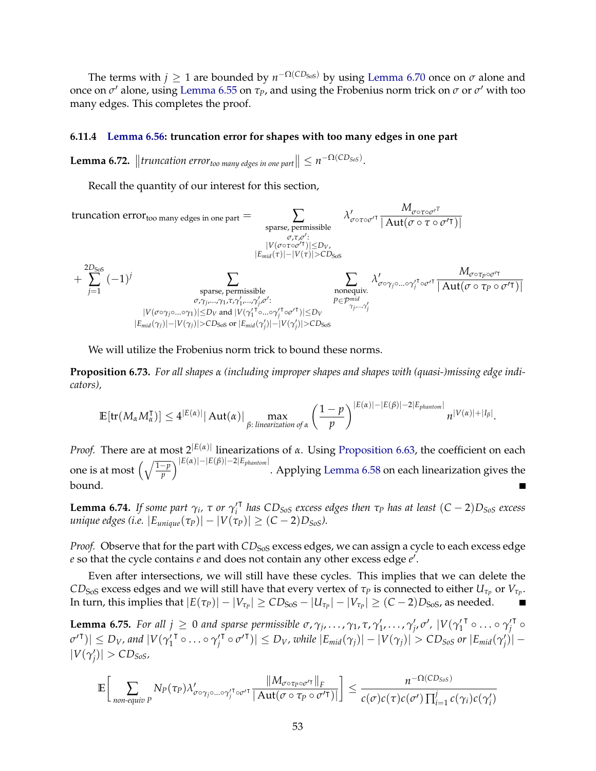The terms with  $j \geq 1$  are bounded by  $n^{-\Omega(CD_{Sos})}$  by using [Lemma 6.70](#page-53-0) once on  $\sigma$  alone and once on  $\sigma'$  alone, using [Lemma 6.55](#page-45-0) on  $\tau_P$ , and using the Frobenius norm trick on  $\sigma$  or  $\sigma'$  with too many edges. This completes the proof.

#### **6.11.4 [Lemma 6.56:](#page-45-1) truncation error for shapes with too many edges in one part**

**Lemma 6.72.**  $\left\|$  *truncation error<sub>too many edges in one part*  $\left\| \leq n^{-\Omega(CD_{Sos})} \right\|$ .</sub>

Recall the quantity of our interest for this section,

truncation errortoo many edges in one part = ∑ sparse, permissible *σ*,*τ*,*σ* 0 : |*V*(*σ*◦*τ*◦*σ* 0| )|≤*DV*, |*Emid*(*τ*)|−|*V*(*τ*)|>*CD*SoS *λ* 0 *σ*◦*τ*◦*σ* 0| *Mσ*◦*τ*◦*<sup>σ</sup>* 0*T* | Aut(*σ* ◦ *τ* ◦ *σ* <sup>0</sup>|)| + 2*D*SoS ∑ *j*=1 (−1) *<sup>j</sup>* ∑ sparse, permissible *σ*,*γ<sup>j</sup>* ,...,*γ*1,*τ*,*γ* 0 1 ,...,*γ* 0 *j* ,*σ* 0 : |*V*(*σ*◦*γj*◦...◦*γ*1)|≤*D<sup>V</sup>* and |*V*(*γ* 0 1 | ◦...◦*γ* 0 *j* | ◦*σ* 0| )|≤*D<sup>V</sup>* |*Emid*(*γj*)|−|*V*(*γj*)|>*CD*SoS or |*Emid*(*γ* 0 *j* )|−|*V*(*γ* 0 *j* )|>*CD*SoS ∑ nonequiv. *P*∈P*mid γj* ,...,*γ* 0 *j λ* 0 *σ*◦*γj*◦...◦*γ* 0 *j* | ◦*σ* 0| *Mσ*◦*τP*◦*<sup>σ</sup>* 0| | Aut(*σ* ◦ *τ<sup>P</sup>* ◦ *σ* <sup>0</sup>|)|

We will utilize the Frobenius norm trick to bound these norms.

<span id="page-55-1"></span>**Proposition 6.73.** *For all shapes α (including improper shapes and shapes with (quasi-)missing edge indicators),*

$$
\mathbb{E}[\text{tr}(M_{\alpha}M_{\alpha}^{\intercal})] \leq 4^{|E(\alpha)|} |\operatorname{Aut}(\alpha)| \max_{\beta:\text{ linearization of }\alpha} \left(\frac{1-p}{p}\right)^{|E(\alpha)|-|E(\beta)|-2|E_{\text{phantom}}|}{n^{|V(\alpha)|+|I_{\beta}|}}.
$$

*Proof.* There are at most  $2^{|E(\alpha)|}$  linearizations of *α*. Using [Proposition 6.63,](#page-48-0) the coefficient on each one is at most q1−*<sup>p</sup> p* |*E*(*α*)|−|*E*(*β*)|−2|*Ephantom*<sup>|</sup> . Applying [Lemma 6.58](#page-46-0) on each linearization gives the bound.

<span id="page-55-0"></span>**Lemma 6.74.** *If some part*  $\gamma_i$ ,  $\tau$  *or*  $\gamma'_i$ | *has CDSoS excess edges then τ<sup>P</sup> has at least* (*C* − 2)*DSoS excess unique edges (i.e.*  $|E_{unique}(\tau_P)| - |V(\tau_P)| \ge (C - 2)D_{SoS}$ ).

*Proof.* Observe that for the part with  $CD<sub>SoS</sub>$  excess edges, we can assign a cycle to each excess edge e so that the cycle contains *e* and does not contain any other excess edge *e*<sup>'</sup>.

Even after intersections, we will still have these cycles. This implies that we can delete the  $CD_{\rm{SoS}}$  excess edges and we will still have that every vertex of  $\tau_P$  is connected to either  $U_{\tau_P}$  or  $V_{\tau_P}.$ In turn, this implies that  $|E(\tau_P)| - |V_{\tau_P}| \ge CD_{\rm{SoS}} - |U_{\tau_P}| - |V_{\tau_P}| \ge (C-2)D_{\rm{SoS}}$ , as needed.

**Lemma 6.75.** For all  $j \geq 0$  and sparse permissible  $\sigma$ ,  $\gamma_j$ , ...,  $\gamma_1$ ,  $\tau$ ,  $\gamma'_1$ , ...,  $\gamma'_j$ ,  $\sigma'$ ,  $|V(\gamma'_1)$ <sup>τ</sup> ∘ … ∘ γ′*j*  $\mathsf{r}_{\circ}$  $|\sigma'^{\mathsf{T}})| \le D_V$ , and  $|V(\gamma'_1)|$ <sup>τ</sup> ∘…∘γ′<sub>*j*</sub>  $|\overline{V} \circ \sigma'^{\mathsf{T}})| \leq D_V$ , while  $|E_{mid}(\gamma_j)| - |V(\gamma_j)| > CD_{SoS}$  or  $|E_{mid}(\gamma'_j)| |V(\gamma'_j)| > CD_{SoS}$ ,

$$
\mathbb{E}\bigg[\sum_{\text{non-equiv }P}N_{P}(\tau_{P})\lambda'_{\sigma\circ\gamma_{j}\circ\ldots\circ\gamma'_{j}\circ\sigma'^{\mathsf{T}}}\frac{\|M_{\sigma\circ\tau_{P}\circ\sigma'^{\mathsf{T}}}\|_{F}}{|\operatorname{Aut}(\sigma\circ\tau_{P}\circ\sigma'^{\mathsf{T}})|}\bigg]\leq\frac{n^{-\Omega(CD_{S\circ S})}}{c(\sigma)c(\tau)c(\sigma')\prod_{i=1}^{j}c(\gamma_{i})c(\gamma'_{i})}
$$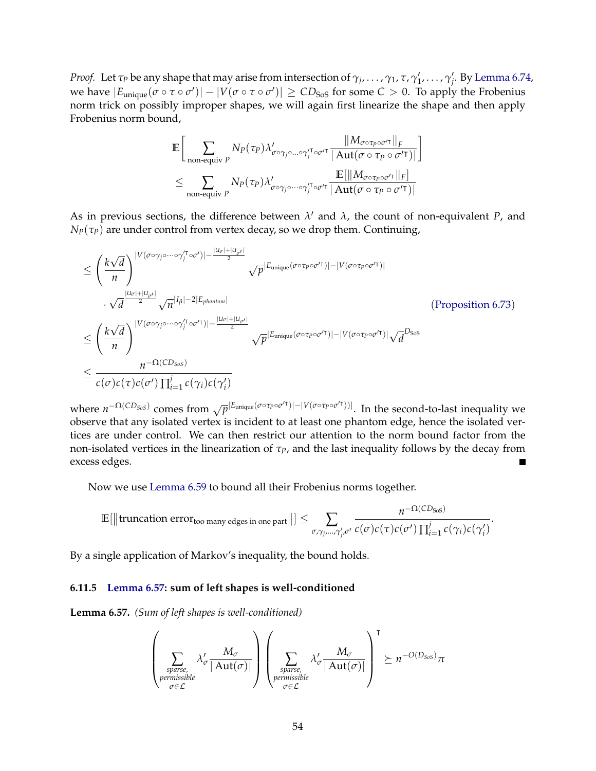*Proof.* Let  $\tau_P$  be any shape that may arise from intersection of  $\gamma_j, \ldots, \gamma_1, \tau, \gamma'_1, \ldots, \gamma'_j$ . By [Lemma 6.74,](#page-55-0) we have  $|E_{\text{unique}}(\sigma \circ \tau \circ \sigma')| - |V(\sigma \circ \tau \circ \sigma')| \geq CD_{\text{SoS}}$  for some  $C > 0$ . To apply the Frobenius norm trick on possibly improper shapes, we will again first linearize the shape and then apply Frobenius norm bound,

$$
\mathbb{E}\Big[\sum_{\substack{\text{non-equiv }P}} N_P(\tau_P) \lambda'_{\sigma \circ \gamma_j \circ \dots \circ \gamma_j' \circ \sigma'^\intercal} \frac{\|M_{\sigma \circ \tau_P \circ \sigma'^\intercal}\|_F}{\|Aut(\sigma \circ \tau_P \circ \sigma'^\intercal)\|_F}\Big]
$$
  

$$
\leq \sum_{\substack{\text{non-equiv }P}} N_P(\tau_P) \lambda'_{\sigma \circ \gamma_j \circ \dots \circ \gamma_j' \circ \sigma'^\intercal} \frac{\mathbb{E}[\|M_{\sigma \circ \tau_P \circ \sigma'^\intercal}\|_F]}{\|Aut(\sigma \circ \tau_P \circ \sigma'^\intercal)\|_F}
$$

As in previous sections, the difference between  $\lambda'$  and  $\lambda$ , the count of non-equivalent *P*, and  $N_P(\tau_P)$  are under control from vertex decay, so we drop them. Continuing,

$$
\leq \left(\frac{k\sqrt{d}}{n}\right)^{|V(\sigma\circ\gamma_{j}\circ\cdots\circ\gamma_{j}^{T}\circ\sigma')|- \frac{|U_{\sigma}|+|U_{\sigma'}|}{2}} \sqrt{p}^{|E_{\text{unique}}(\sigma\circ\tau_{p}\circ\sigma'^{T})|-|V(\sigma\circ\tau_{p}\circ\sigma'^{T})|}
$$
\n
$$
\cdot \sqrt{d}^{\frac{|U_{\sigma}|+|U_{\sigma'}|}{2}} \sqrt{n}^{|I_{\beta}|-2|E_{\text{phantom}}|}
$$
\n
$$
\leq \left(\frac{k\sqrt{d}}{n}\right)^{|V(\sigma\circ\gamma_{j}\circ\cdots\circ\gamma_{j}^{T}\circ\sigma'^{T})|- \frac{|U_{\sigma}|+|U_{\sigma'}|}{2}} \sqrt{p}^{|E_{\text{unique}}(\sigma\circ\tau_{p}\circ\sigma'^{T})|-|V(\sigma\circ\tau_{p}\circ\sigma'^{T})|} \sqrt{d}^{D_{Sos}}
$$
\n
$$
\leq \frac{n^{-\Omega(CD_{Sos})}}{c(\sigma)c(\tau)c(\sigma')\prod_{i=1}^{j}c(\gamma_{i})c(\gamma_{i}')}
$$
\n
$$
(P_{\text{two-1}}(C_{\text{two-1}}(C_{\text{two-1}}(C_{\text{two-1}}))\sqrt{d}^{D_{Sos}}
$$

where  $n^{-\Omega(CD_{SoS})}$  comes from  $\sqrt{p}^{|E_{\text{unique}}(\sigma \circ \tau_P \circ \sigma'')| - |V(\sigma \circ \tau_P \circ \sigma'')|}$ . In the second-to-last inequality we observe that any isolated vertex is incident to at least one phantom edge, hence the isolated vertices are under control. We can then restrict our attention to the norm bound factor from the non-isolated vertices in the linearization of *τP*, and the last inequality follows by the decay from excess edges.

Now we use [Lemma 6.59](#page-46-1) to bound all their Frobenius norms together.

$$
\mathbb{E}[\|\text{truncation error}_{\text{too many edges in one part}}\|] \leq \sum_{\sigma, \gamma_j, \dots, \gamma'_j, \sigma'} \frac{n^{-\Omega(CD_{\text{SoS}})}}{c(\sigma)c(\tau)c(\sigma')} \frac{1}{\prod_{i=1}^j c(\gamma_i)c(\gamma'_i)}
$$

.

By a single application of Markov's inequality, the bound holds.

#### **6.11.5 [Lemma 6.57:](#page-45-2) sum of left shapes is well-conditioned**

**Lemma 6.57.** *(Sum of left shapes is well-conditioned)*

$$
\left(\sum_{\substack{sparse, \text{prmissible} \\ \text{premissible}}} \lambda'_{\sigma} \frac{M_{\sigma}}{|\operatorname{Aut}(\sigma)|}\right)\left(\sum_{\substack{sparse, \text{prmissible} \\ \text{premissible}}} \lambda'_{\sigma} \frac{M_{\sigma}}{|\operatorname{Aut}(\sigma)|}\right)^{\mathsf{T}} \succeq n^{-O(D_{SoS})}\pi
$$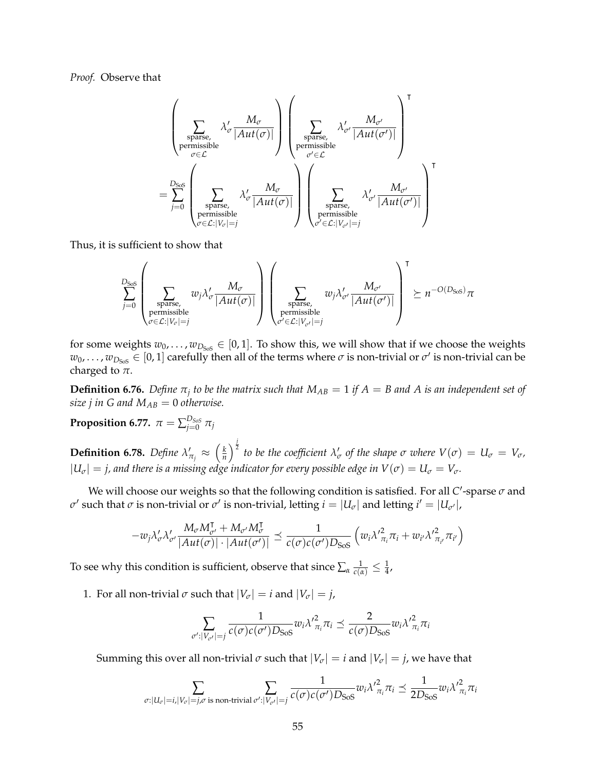*Proof.* Observe that

$$
\left(\sum_{\substack{\text{sparse,}\\ \text{permissible}}}\lambda'_{\sigma}\frac{M_{\sigma}}{|Aut(\sigma)|}\right)\left(\sum_{\substack{\text{sparse,}\\ \sigma'\in\mathcal{L}}}\lambda'_{\sigma'}\frac{M_{\sigma'}}{|Aut(\sigma')|}\right)^{\mathsf{T}}\\ \sum_{\substack{\sigma'\in\mathcal{L}\\ \sigma'\in\mathcal{L}}} \lambda'_{\sigma'}\frac{M_{\sigma'}}{|Aut(\sigma')|}\right)^{\mathsf{T}}\\ \sum_{\substack{\sigma'\in\mathcal{L}\\ \text{sparse,}\\ \text{permissible}}}\lambda'_{\sigma'}\frac{M_{\sigma'}}{|Aut(\sigma')|}\right)^{\mathsf{T}}
$$

Thus, it is sufficient to show that

$$
\sum_{j=0}^{D_\text{SoS}}\left(\sum_{\substack{\text{sparse,}\\\text{permissible}\\ \sigma\in\mathcal{L}: |V_\sigma|=j}}w_j\lambda'_\sigma\frac{M_\sigma}{|Aut(\sigma)|}\right)\left(\sum_{\substack{\text{sparse,}\\\text{permissible}\\ \sigma'\in\mathcal{L}: |V_{\sigma'}|=j}}w_j\lambda'_{\sigma'}\frac{M_{\sigma'}}{|Aut(\sigma')|}\right)^\intercal\succeq n^{-O(D_\text{SoS})}\pi
$$

for some weights  $w_0, \ldots, w_{D_{S \cap S}} \in [0, 1]$ . To show this, we will show that if we choose the weights  $w_0, \ldots, w_{D_{Sos}} \in [0, 1]$  carefully then all of the terms where  $\sigma$  is non-trivial or  $\sigma'$  is non-trivial can be charged to *π*.

**Definition 6.76.** Define  $\pi_j$  to be the matrix such that  $M_{AB} = 1$  if  $A = B$  and  $A$  is an independent set of *size j in G and*  $M_{AB} = 0$  *otherwise.* 

**Proposition 6.77.** 
$$
\pi = \sum_{j=0}^{D_{SoS}} \pi_j
$$

**Definition 6.78.** *Define*  $\lambda'_i$  $\pi_{\tilde{r}} \approx \left(\frac{k}{n}\right)$  $\frac{k}{n}$ <sup>)</sup> $\frac{j}{2}$  to be the coefficient  $\lambda'_{\sigma}$  of the shape  $\sigma$  where  $V(\sigma) = U_{\sigma} = V_{\sigma}$ ,  $|U_{\sigma}| = j$ , and there is a missing edge indicator for every possible edge in  $V(\sigma) = U_{\sigma} = V_{\sigma}$ .

We will choose our weights so that the following condition is satisfied. For all C'-sparse  $\sigma$  and *σ*' such that *σ* is non-trivial or *σ'* is non-trivial, letting  $i = |U_{\sigma}|$  and letting  $i' = |U_{\sigma'}|$ ,

$$
-w_j\lambda'_{\sigma}\lambda'_{\sigma'}\frac{M_{\sigma}M_{\sigma'}^{\mathsf{T}}+M_{\sigma'}M_{\sigma}^{\mathsf{T}}}{|Aut(\sigma)|\cdot|Aut(\sigma')|} \preceq \frac{1}{c(\sigma)c(\sigma')D_{\text{SoS}}}\left(w_i\lambda'_{\pi_i}\pi_i+w_{i'}\lambda'_{\pi_{i'}}^2\pi_{i'}\right)
$$

To see why this condition is sufficient, observe that since  $\sum_{\alpha}\frac{1}{c(\alpha)}\leq\frac{1}{4}$ 

1. For all non-trivial  $\sigma$  such that  $|V_{\sigma}| = i$  and  $|V_{\sigma}| = j$ ,

$$
\sum_{\sigma':|V_{\sigma'}|=j}\frac{1}{c(\sigma)c(\sigma')D_{SoS}}w_i\lambda'^{2}_{\pi_i}\pi_i \preceq \frac{2}{c(\sigma)D_{SoS}}w_i\lambda'^{2}_{\pi_i}\pi_i
$$

Summing this over all non-trivial *σ* such that  $|V_\sigma| = i$  and  $|V_\sigma| = j$ , we have that

$$
\sum_{\sigma: |U_{\sigma}|=i, |V_{\sigma}|=j, \sigma \text{ is non-trivial } \sigma': |V_{\sigma'}|=j} \frac{1}{c(\sigma)c(\sigma')D_{\text{SoS}}} w_i \lambda'^{2}_{\pi_i} \pi_i \preceq \frac{1}{2D_{\text{SoS}}} w_i \lambda'^{2}_{\pi_i} \pi_i
$$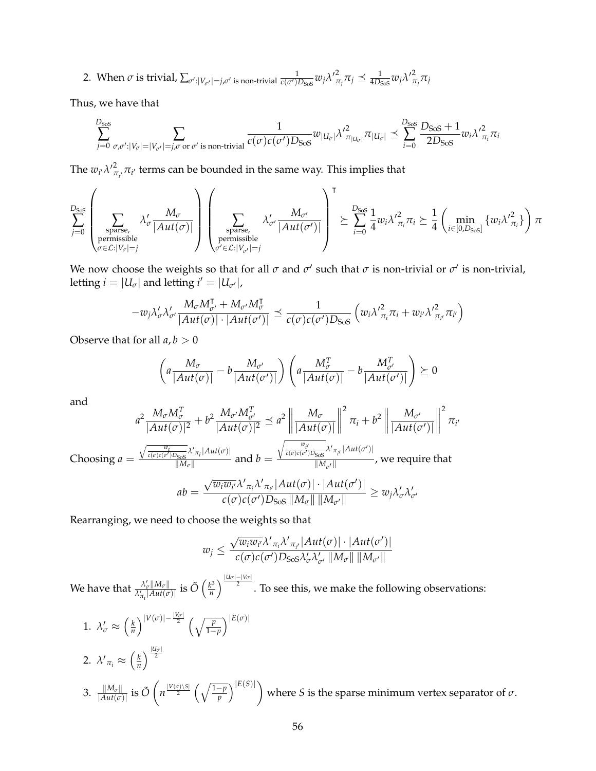2. When  $\sigma$  is trivial,  $\sum_{\sigma':|V_{\sigma'}|=j,\sigma'}$  is non-trivial  $\frac{1}{c(\sigma')D_{\rm{SoS}}}w_j\lambda'^2_{\pi}$  $\frac{2}{\pi_j}\pi_j \preceq \frac{1}{4D_{\text{SoS}}}w_j\lambda'^2$ *πj πj*

Thus, we have that

$$
\sum_{j=0}^{D_{\rm{SoS}}}\sum_{\sigma,\sigma':|V_{\sigma}|-|V_{\sigma'}|=j,\sigma\text{ or }\sigma'\text{ is non-trivial}}\frac{1}{c(\sigma)c(\sigma')D_{\rm{SoS}}}w_{|U_{\sigma}|}\lambda'^{2}_{\pi_{|U_{\sigma}|}}\pi_{|U_{\sigma}|}\preceq \sum_{i=0}^{D_{\rm{SoS}}}\frac{D_{\rm{SoS}}+1}{2D_{\rm{SoS}}}w_{i}\lambda'^{2}_{\pi_{i}}\pi_{i}
$$

The  $w_{i'} \lambda'{}_{\pi}^2$  $\pi_{\mu}$  π $_{\mu'}$  terms can be bounded in the same way. This implies that

$$
\sum_{j=0}^{D_\text{SoS}}\left(\sum_{\substack{\text{sparse,}\\ \text{permissible}\\ \sigma\in\mathcal{L}:|V_\sigma|=j}}\lambda'_\sigma\frac{M_\sigma}{|Aut(\sigma)|}\right)\left(\sum_{\substack{\text{sparse,}\\ \text{permissible}\\ \sigma'\in\mathcal{L}:|V_{\sigma'}|=j}}\lambda'_{\sigma'}\frac{M_{\sigma'}}{|Aut(\sigma')|}\right)^\intercal \succeq \sum_{i=0}^{D_\text{SoS}}\frac{1}{4}w_i\lambda'^2_{\pi_i}\pi_i \succeq \frac{1}{4}\left(\min_{i\in[0,D_\text{SoS}]} \{w_i\lambda'^2_{\pi_i}\}\right)\pi
$$

We now choose the weights so that for all  $\sigma$  and  $\sigma'$  such that  $\sigma$  is non-trivial or  $\sigma'$  is non-trivial, letting  $i = |U_{\sigma}|$  and letting  $i' = |U_{\sigma'}|$ ,

$$
-w_j\lambda'_{\sigma}\lambda'_{\sigma'}\frac{M_{\sigma}M_{\sigma'}^{\mathsf{T}}+M_{\sigma'}M_{\sigma}^{\mathsf{T}}}{|Aut(\sigma)|\cdot|Aut(\sigma')|} \preceq \frac{1}{c(\sigma)c(\sigma')D_{SoS}}\left(w_i\lambda'_{\pi_i}\pi_i+w_{i'}\lambda'_{\pi_{i'}}^2\pi_{i'}\right)
$$

Observe that for all  $a, b > 0$ 

$$
\left(a\frac{M_{\sigma}}{|Aut(\sigma)|} - b\frac{M_{\sigma'}}{|Aut(\sigma')|}\right)\left(a\frac{M_{\sigma}^T}{|Aut(\sigma)|} - b\frac{M_{\sigma'}^T}{|Aut(\sigma')|}\right) \succeq 0
$$

and

$$
a^{2} \frac{M_{\sigma} M_{\sigma}^{T}}{|Aut(\sigma)|^{2}} + b^{2} \frac{M_{\sigma'} M_{\sigma'}^{T}}{|Aut(\sigma)|^{2}} \preceq a^{2} \left\| \frac{M_{\sigma}}{|Aut(\sigma)|} \right\|^{2} \pi_{i} + b^{2} \left\| \frac{M_{\sigma'}}{|Aut(\sigma')|} \right\|^{2} \pi_{i'}
$$
  
Choosing  $a = \frac{\sqrt{\frac{w_{i}}{c(\sigma)c(\sigma')D_{S0S}} \lambda' \pi_{i} |Aut(\sigma)|}}{|M_{\sigma}|}$  and  $b = \frac{\sqrt{\frac{w_{i'}}{c(\sigma)c(\sigma')D_{S0S}} \lambda' \pi_{i'} |Aut(\sigma')}}{|M_{\sigma'}|}$ , we require that  

$$
ab = \frac{\sqrt{w_{i}w_{i'}} \lambda' \pi_{i} \lambda' \pi_{i'} |Aut(\sigma)| \cdot |Aut(\sigma')|}{c(\sigma)c(\sigma')D_{S0S} ||M_{\sigma}|| ||M_{\sigma'}||} \ge w_{j} \lambda'_{\sigma} \lambda'_{\sigma'}
$$

Rearranging, we need to choose the weights so that

$$
w_j \leq \frac{\sqrt{w_i w_{i'}} \lambda'_{\pi_i} \lambda'_{\pi_{i'}} |Aut(\sigma)| \cdot |Aut(\sigma')|}{c(\sigma)c(\sigma')D_{SoS}\lambda'_{\sigma'}\lambda'_{\sigma'} ||M_{\sigma}|| \, ||M_{\sigma'}||}
$$

We have that  $\frac{\lambda'_{\sigma} \| M_{\sigma} \|}{\lambda'_{\sigma} \| A u t (\sigma)}$  $\frac{\lambda'_{\sigma}\|M_{\sigma}\|}{\lambda'_{\pi_{i}}|Aut(\sigma)|}$  is  $\tilde{O}\left(\frac{k^{3}}{n}\right)$  $\frac{N^{3}}{n}\bigg\}^{\frac{|U_{\sigma}|-|V_{\sigma}|}{2}}.$  To see this, we make the following observations:

1. 
$$
\lambda'_{\sigma} \approx \left(\frac{k}{n}\right)^{|V(\sigma)| - \frac{|V_{\sigma}|}{2}} \left(\sqrt{\frac{p}{1-p}}\right)^{|E(\sigma)|}
$$
  
\n2.  $\lambda'_{\pi_i} \approx \left(\frac{k}{n}\right)^{\frac{|U_{\sigma}|}{2}}$   
\n3.  $\frac{||M_{\sigma}||}{|Aut(\sigma)|}$  is  $\tilde{O}\left(n^{\frac{|V(\sigma)| \setminus S|}{2}} \left(\sqrt{\frac{1-p}{p}}\right)^{|E(S)|}\right)$  where *S* is the sparse minimum vertex separator of  $\sigma$ .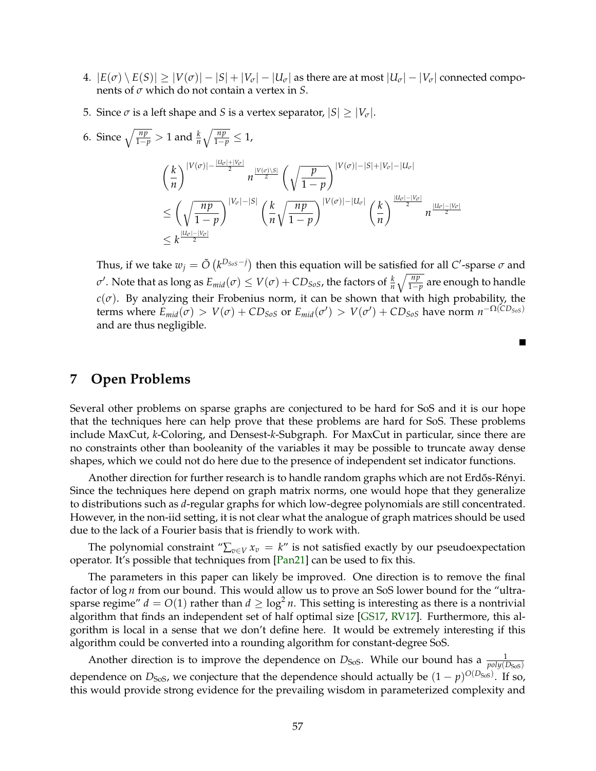- <span id="page-59-0"></span>4.  $|E(\sigma) \setminus E(S)| \ge |V(\sigma)| - |S| + |V_{\sigma}| - |U_{\sigma}|$  as there are at most  $|U_{\sigma}| - |V_{\sigma}|$  connected components of *σ* which do not contain a vertex in *S*.
- 5. Since  $\sigma$  is a left shape and *S* is a vertex separator,  $|S| \geq |V_{\sigma}|$ .
- 6. Since  $\sqrt{\frac{np}{1-p}} > 1$  and  $\frac{k}{n}\sqrt{\frac{np}{1-p}} \leq 1$ , *k n*  $\int_{0}^{\left|V(\sigma)\right|-\frac{\left|U_{\sigma}\right|+\left|V_{\sigma}\right|}{2}} n^{\frac{\left|V(\sigma)\setminus S\right|}{2}} \left(\sqrt{n}\right)$ 1 − *p*  $\bigvee$ <sup>[</sup> $V(\sigma)$ ]−|S|+| $V_{\sigma}$ |−| $U_{\sigma}$ |  $\leq \left( \sqrt{\frac{np}{p}} \right)$ 1 − *p*  $\bigwedge$ <sup>|V</sup> $σ$ |−|S|</sup>  $\bigwedge k$ *n* r *np* 1 − *p*  $\bigwedge$ <sup>|*V*( $\sigma$ )|−|U<sub> $\sigma$ </sub>|  $\bigwedge$  *k*</sup> *n*  $\int_0^{\frac{|U_\mathcal{O}|-|V_\mathcal{O}|}{2}} n^{\frac{|U_\mathcal{O}|-|V_\mathcal{O}|}{2}}$  $\leq k^{\frac{|U_{\sigma}|-|V_{\sigma}|}{2}}$

Thus, if we take  $w_j = \tilde{O}\left(k^{D_{SoS}-j}\right)$  then this equation will be satisfied for all *C*'-sparse  $\sigma$  and  $\sigma'$ . Note that as long as  $E_{mid}(\sigma) \leq V(\sigma) + CD_{SoS}$ , the factors of  $\frac{k}{n}\sqrt{\frac{np}{1-p}}$  are enough to handle  $c(\sigma)$ . By analyzing their Frobenius norm, it can be shown that with high probability, the terms where  $E_{mid}(\sigma) > V(\sigma) + CD_{SoS}$  or  $E_{mid}(\sigma') > V(\sigma') + CD_{SoS}$  have norm  $n^{-\Omega(CD_{SoS})}$ and are thus negligible.

 $\blacksquare$ 

# **7 Open Problems**

Several other problems on sparse graphs are conjectured to be hard for SoS and it is our hope that the techniques here can help prove that these problems are hard for SoS. These problems include MaxCut, *k*-Coloring, and Densest-*k*-Subgraph. For MaxCut in particular, since there are no constraints other than booleanity of the variables it may be possible to truncate away dense shapes, which we could not do here due to the presence of independent set indicator functions.

Another direction for further research is to handle random graphs which are not Erdős-Rényi. Since the techniques here depend on graph matrix norms, one would hope that they generalize to distributions such as *d*-regular graphs for which low-degree polynomials are still concentrated. However, in the non-iid setting, it is not clear what the analogue of graph matrices should be used due to the lack of a Fourier basis that is friendly to work with.

The polynomial constraint " $\sum_{v \in V} x_v = k$ " is not satisfied exactly by our pseudoexpectation operator. It's possible that techniques from [\[Pan21\]](#page-62-0) can be used to fix this.

The parameters in this paper can likely be improved. One direction is to remove the final factor of log *n* from our bound. This would allow us to prove an SoS lower bound for the "ultrasparse regime"  $d = O(1)$  rather than  $d \geq \log^2 n$ . This setting is interesting as there is a nontrivial algorithm that finds an independent set of half optimal size [\[GS17,](#page-61-0) [RV17\]](#page-62-1). Furthermore, this algorithm is local in a sense that we don't define here. It would be extremely interesting if this algorithm could be converted into a rounding algorithm for constant-degree SoS.

Another direction is to improve the dependence on  $D_{\text{SoS}}$ . While our bound has a  $\frac{1}{poly(D_{\text{SoS}})}$ dependence on  $D_{\rm{SoS}}$ , we conjecture that the dependence should actually be  $(1-p)^{O(D_{\rm{SoS}})}$ . If so, this would provide strong evidence for the prevailing wisdom in parameterized complexity and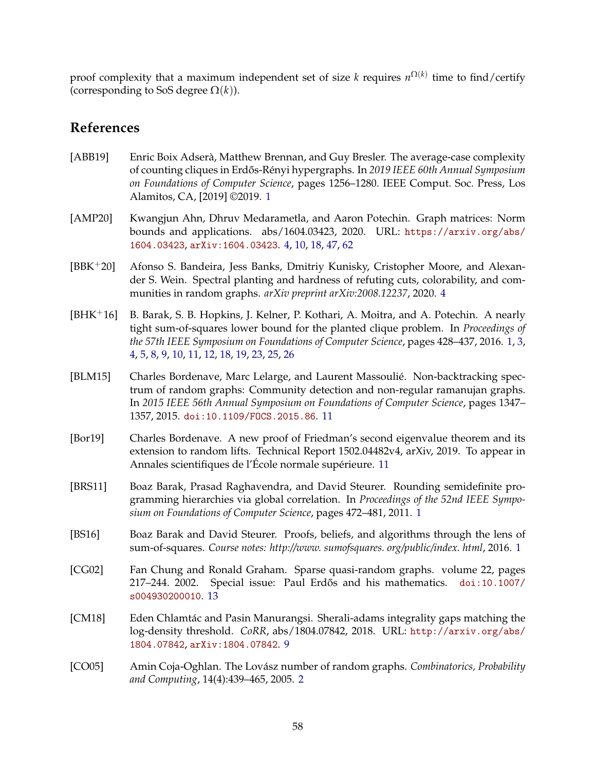proof complexity that a maximum independent set of size *k* requires *n* Ω(*k*) time to find/certify (corresponding to SoS degree  $\Omega(k)$ ).

# **References**

- [ABB19] Enric Boix Adserà, Matthew Brennan, and Guy Bresler. The average-case complexity of counting cliques in Erd˝os-Rényi hypergraphs. In *2019 IEEE 60th Annual Symposium on Foundations of Computer Science*, pages 1256–1280. IEEE Comput. Soc. Press, Los Alamitos, CA, [2019] ©2019. [1](#page-0-0)
- <span id="page-60-0"></span>[AMP20] Kwangjun Ahn, Dhruv Medarametla, and Aaron Potechin. Graph matrices: Norm bounds and applications. abs/1604.03423, 2020. URL: [https://arxiv.org/abs/](https://arxiv.org/abs/1604.03423) [1604.03423](https://arxiv.org/abs/1604.03423), [arXiv:1604.03423](http://arxiv.org/abs/1604.03423). [4,](#page-6-0) [10,](#page-12-0) [18,](#page-20-1) [47,](#page-49-1) [62](#page-64-1)
- [BBK+20] Afonso S. Bandeira, Jess Banks, Dmitriy Kunisky, Cristopher Moore, and Alexander S. Wein. Spectral planting and hardness of refuting cuts, colorability, and communities in random graphs. *arXiv preprint arXiv:2008.12237*, 2020. [4](#page-6-0)
- [BHK+16] B. Barak, S. B. Hopkins, J. Kelner, P. Kothari, A. Moitra, and A. Potechin. A nearly tight sum-of-squares lower bound for the planted clique problem. In *Proceedings of the 57th IEEE Symposium on Foundations of Computer Science*, pages 428–437, 2016. [1,](#page-0-0) [3,](#page-5-0) [4,](#page-6-0) [5,](#page-7-0) [8,](#page-10-0) [9,](#page-11-0) [10,](#page-12-0) [11,](#page-13-0) [12,](#page-14-0) [18,](#page-20-1) [19,](#page-21-0) [23,](#page-25-2) [25,](#page-27-0) [26](#page-28-0)
- [BLM15] Charles Bordenave, Marc Lelarge, and Laurent Massoulié. Non-backtracking spectrum of random graphs: Community detection and non-regular ramanujan graphs. In *2015 IEEE 56th Annual Symposium on Foundations of Computer Science*, pages 1347– 1357, 2015. [doi:10.1109/FOCS.2015.86](https://doi.org/10.1109/FOCS.2015.86). [11](#page-13-0)
- [Bor19] Charles Bordenave. A new proof of Friedman's second eigenvalue theorem and its extension to random lifts. Technical Report 1502.04482v4, arXiv, 2019. To appear in Annales scientifiques de l'École normale supérieure. [11](#page-13-0)
- [BRS11] Boaz Barak, Prasad Raghavendra, and David Steurer. Rounding semidefinite programming hierarchies via global correlation. In *Proceedings of the 52nd IEEE Symposium on Foundations of Computer Science*, pages 472–481, 2011. [1](#page-0-0)
- [BS16] Boaz Barak and David Steurer. Proofs, beliefs, and algorithms through the lens of sum-of-squares. *Course notes: http://www. sumofsquares. org/public/index. html*, 2016. [1](#page-0-0)
- [CG02] Fan Chung and Ronald Graham. Sparse quasi-random graphs. volume 22, pages 217–244. 2002. Special issue: Paul Erd˝os and his mathematics. [doi:10.1007/](https://doi.org/10.1007/s004930200010) [s004930200010](https://doi.org/10.1007/s004930200010). [13](#page-15-0)
- [CM18] Eden Chlamtác and Pasin Manurangsi. Sherali-adams integrality gaps matching the log-density threshold. *CoRR*, abs/1804.07842, 2018. URL: [http://arxiv.org/abs/](http://arxiv.org/abs/1804.07842) [1804.07842](http://arxiv.org/abs/1804.07842), [arXiv:1804.07842](http://arxiv.org/abs/1804.07842). [9](#page-11-0)
- [CO05] Amin Coja-Oghlan. The Lovász number of random graphs. *Combinatorics, Probability and Computing*, 14(4):439–465, 2005. [2](#page-4-1)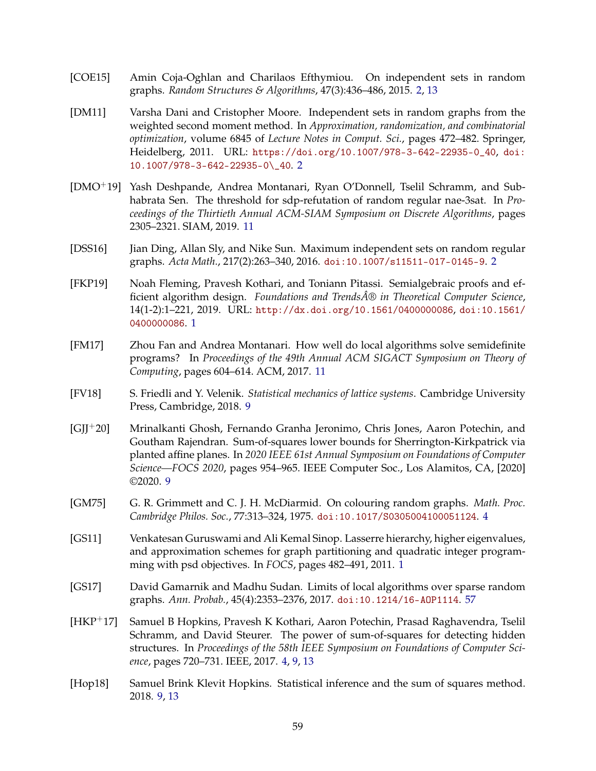- [COE15] Amin Coja-Oghlan and Charilaos Efthymiou. On independent sets in random graphs. *Random Structures & Algorithms*, 47(3):436–486, 2015. [2,](#page-4-1) [13](#page-15-0)
- [DM11] Varsha Dani and Cristopher Moore. Independent sets in random graphs from the weighted second moment method. In *Approximation, randomization, and combinatorial optimization*, volume 6845 of *Lecture Notes in Comput. Sci.*, pages 472–482. Springer, Heidelberg, 2011. URL: [https://doi.org/10.1007/978-3-642-22935-0\\_40](https://doi.org/10.1007/978-3-642-22935-0_40), [doi:](https://doi.org/10.1007/978-3-642-22935-0_40) [10.1007/978-3-642-22935-0\\\_40](https://doi.org/10.1007/978-3-642-22935-0_40). [2](#page-4-1)
- [DMO+19] Yash Deshpande, Andrea Montanari, Ryan O'Donnell, Tselil Schramm, and Subhabrata Sen. The threshold for sdp-refutation of random regular nae-3sat. In *Proceedings of the Thirtieth Annual ACM-SIAM Symposium on Discrete Algorithms*, pages 2305–2321. SIAM, 2019. [11](#page-13-0)
- [DSS16] Jian Ding, Allan Sly, and Nike Sun. Maximum independent sets on random regular graphs. *Acta Math.*, 217(2):263–340, 2016. [doi:10.1007/s11511-017-0145-9](https://doi.org/10.1007/s11511-017-0145-9). [2](#page-4-1)
- [FKP19] Noah Fleming, Pravesh Kothari, and Toniann Pitassi. Semialgebraic proofs and efficient algorithm design. *Foundations and Trends® in Theoretical Computer Science*, 14(1-2):1–221, 2019. URL: <http://dx.doi.org/10.1561/0400000086>, [doi:10.1561/](https://doi.org/10.1561/0400000086) [0400000086](https://doi.org/10.1561/0400000086). [1](#page-0-0)
- [FM17] Zhou Fan and Andrea Montanari. How well do local algorithms solve semidefinite programs? In *Proceedings of the 49th Annual ACM SIGACT Symposium on Theory of Computing*, pages 604–614. ACM, 2017. [11](#page-13-0)
- [FV18] S. Friedli and Y. Velenik. *Statistical mechanics of lattice systems*. Cambridge University Press, Cambridge, 2018. [9](#page-11-0)
- [GJJ+20] Mrinalkanti Ghosh, Fernando Granha Jeronimo, Chris Jones, Aaron Potechin, and Goutham Rajendran. Sum-of-squares lower bounds for Sherrington-Kirkpatrick via planted affine planes. In *2020 IEEE 61st Annual Symposium on Foundations of Computer Science—FOCS 2020*, pages 954–965. IEEE Computer Soc., Los Alamitos, CA, [2020] ©2020. [9](#page-11-0)
- [GM75] G. R. Grimmett and C. J. H. McDiarmid. On colouring random graphs. *Math. Proc. Cambridge Philos. Soc.*, 77:313–324, 1975. [doi:10.1017/S0305004100051124](https://doi.org/10.1017/S0305004100051124). [4](#page-6-0)
- [GS11] Venkatesan Guruswami and Ali Kemal Sinop. Lasserre hierarchy, higher eigenvalues, and approximation schemes for graph partitioning and quadratic integer programming with psd objectives. In *FOCS*, pages 482–491, 2011. [1](#page-0-0)
- <span id="page-61-0"></span>[GS17] David Gamarnik and Madhu Sudan. Limits of local algorithms over sparse random graphs. *Ann. Probab.*, 45(4):2353–2376, 2017. [doi:10.1214/16-AOP1114](https://doi.org/10.1214/16-AOP1114). [57](#page-59-0)
- [HKP+17] Samuel B Hopkins, Pravesh K Kothari, Aaron Potechin, Prasad Raghavendra, Tselil Schramm, and David Steurer. The power of sum-of-squares for detecting hidden structures. In *Proceedings of the 58th IEEE Symposium on Foundations of Computer Science*, pages 720–731. IEEE, 2017. [4,](#page-6-0) [9,](#page-11-0) [13](#page-15-0)
- [Hop18] Samuel Brink Klevit Hopkins. Statistical inference and the sum of squares method. 2018. [9,](#page-11-0) [13](#page-15-0)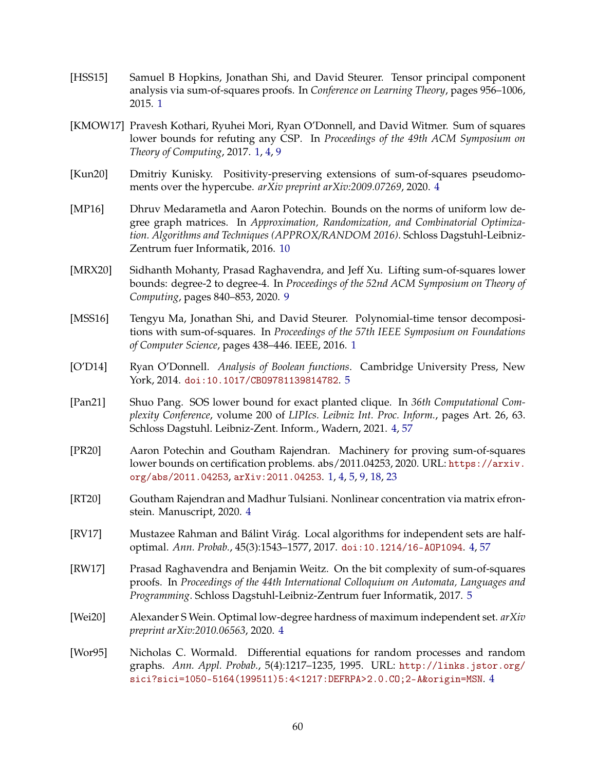- [HSS15] Samuel B Hopkins, Jonathan Shi, and David Steurer. Tensor principal component analysis via sum-of-squares proofs. In *Conference on Learning Theory*, pages 956–1006, 2015. [1](#page-0-0)
- [KMOW17] Pravesh Kothari, Ryuhei Mori, Ryan O'Donnell, and David Witmer. Sum of squares lower bounds for refuting any CSP. In *Proceedings of the 49th ACM Symposium on Theory of Computing*, 2017. [1,](#page-0-0) [4,](#page-6-0) [9](#page-11-0)
- [Kun20] Dmitriy Kunisky. Positivity-preserving extensions of sum-of-squares pseudomoments over the hypercube. *arXiv preprint arXiv:2009.07269*, 2020. [4](#page-6-0)
- [MP16] Dhruv Medarametla and Aaron Potechin. Bounds on the norms of uniform low degree graph matrices. In *Approximation, Randomization, and Combinatorial Optimization. Algorithms and Techniques (APPROX/RANDOM 2016)*. Schloss Dagstuhl-Leibniz-Zentrum fuer Informatik, 2016. [10](#page-12-0)
- [MRX20] Sidhanth Mohanty, Prasad Raghavendra, and Jeff Xu. Lifting sum-of-squares lower bounds: degree-2 to degree-4. In *Proceedings of the 52nd ACM Symposium on Theory of Computing*, pages 840–853, 2020. [9](#page-11-0)
- [MSS16] Tengyu Ma, Jonathan Shi, and David Steurer. Polynomial-time tensor decompositions with sum-of-squares. In *Proceedings of the 57th IEEE Symposium on Foundations of Computer Science*, pages 438–446. IEEE, 2016. [1](#page-0-0)
- [O'D14] Ryan O'Donnell. *Analysis of Boolean functions*. Cambridge University Press, New York, 2014. [doi:10.1017/CBO9781139814782](https://doi.org/10.1017/CBO9781139814782). [5](#page-7-0)
- <span id="page-62-0"></span>[Pan21] Shuo Pang. SOS lower bound for exact planted clique. In *36th Computational Complexity Conference*, volume 200 of *LIPIcs. Leibniz Int. Proc. Inform.*, pages Art. 26, 63. Schloss Dagstuhl. Leibniz-Zent. Inform., Wadern, 2021. [4,](#page-6-0) [57](#page-59-0)
- [PR20] Aaron Potechin and Goutham Rajendran. Machinery for proving sum-of-squares lower bounds on certification problems. abs/2011.04253, 2020. URL: [https://arxiv.](https://arxiv.org/abs/2011.04253) [org/abs/2011.04253](https://arxiv.org/abs/2011.04253), [arXiv:2011.04253](http://arxiv.org/abs/2011.04253). [1,](#page-0-0) [4,](#page-6-0) [5,](#page-7-0) [9,](#page-11-0) [18,](#page-20-1) [23](#page-25-2)
- [RT20] Goutham Rajendran and Madhur Tulsiani. Nonlinear concentration via matrix efronstein. Manuscript, 2020. [4](#page-6-0)
- <span id="page-62-1"></span>[RV17] Mustazee Rahman and Bálint Virág. Local algorithms for independent sets are halfoptimal. *Ann. Probab.*, 45(3):1543–1577, 2017. [doi:10.1214/16-AOP1094](https://doi.org/10.1214/16-AOP1094). [4,](#page-6-0) [57](#page-59-0)
- [RW17] Prasad Raghavendra and Benjamin Weitz. On the bit complexity of sum-of-squares proofs. In *Proceedings of the 44th International Colloquium on Automata, Languages and Programming*. Schloss Dagstuhl-Leibniz-Zentrum fuer Informatik, 2017. [5](#page-7-0)
- [Wei20] Alexander S Wein. Optimal low-degree hardness of maximum independent set. *arXiv preprint arXiv:2010.06563*, 2020. [4](#page-6-0)
- [Wor95] Nicholas C. Wormald. Differential equations for random processes and random graphs. *Ann. Appl. Probab.*, 5(4):1217–1235, 1995. URL: [http://links.jstor.org/](http://links.jstor.org/sici?sici=1050-5164(199511)5:4<1217:DEFRPA>2.0.CO;2-A&origin=MSN) [sici?sici=1050-5164\(199511\)5:4<1217:DEFRPA>2.0.CO;2-A&origin=MSN](http://links.jstor.org/sici?sici=1050-5164(199511)5:4<1217:DEFRPA>2.0.CO;2-A&origin=MSN). [4](#page-6-0)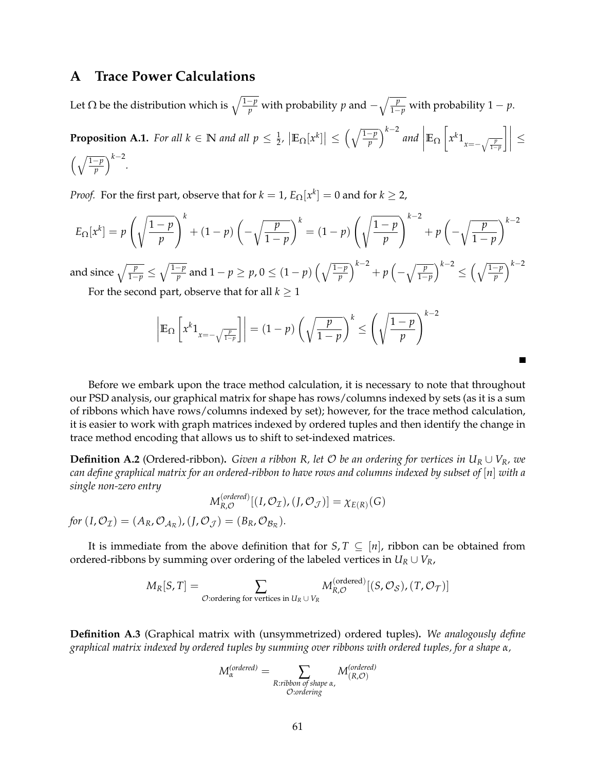## **A Trace Power Calculations**

<span id="page-63-0"></span>Let  $\Omega$  be the distribution which is  $\sqrt{\frac{1-p}{p}}$  with probability  $p$  and  $-\sqrt{\frac{p}{1-p}}$  with probability  $1-p$ . **Proposition A.1.** For all  $k \in \mathbb{N}$  and all  $p \leq \frac{1}{2}$ ,  $\left|\mathbb{E}_{\Omega}[x^k]\right| \leq \left(\sqrt{\frac{1-p}{p}}\right)^{k-2}$  and  $\mathbb{E}_{\Omega}$  $x^k 1$ <sub>*x*=− $\sqrt{\frac{p}{1-p}}$ </sub>  $\left.\rule{0pt}{2.5pt}\right] \left.\rule{0pt}{2.5pt}\right\}$ ≤  $\left(\sqrt{\frac{1-p}{p}}\right)^{k-2}$ .

*Proof.* For the first part, observe that for  $k = 1$ ,  $E_{\Omega}[x^k] = 0$  and for  $k \geq 2$ ,

$$
E_{\Omega}[x^k] = p\left(\sqrt{\frac{1-p}{p}}\right)^k + (1-p)\left(-\sqrt{\frac{p}{1-p}}\right)^k = (1-p)\left(\sqrt{\frac{1-p}{p}}\right)^{k-2} + p\left(-\sqrt{\frac{p}{1-p}}\right)^{k-2}
$$

and since  $\sqrt{\frac{p}{1-p}} \leq \sqrt{\frac{1-p}{p}}$  $\frac{-p}{p}$  and  $1-p\geq p$ ,  $0\leq (1-p)\left(\sqrt{\frac{1-p}{p}}\right)^{k-2}+p\left(-\sqrt{\frac{p}{1-p}}\right)^{k-2}\leq \left(\sqrt{\frac{1-p}{p}}\right)^{k-2}$ 

For the second part, observe that for all  $k \geq 1$ 

$$
\left| \mathbb{E}_{\Omega} \left[ x^{k} 1_{x=-\sqrt{\frac{p}{1-p}}} \right] \right| = (1-p) \left( \sqrt{\frac{p}{1-p}} \right)^{k} \le \left( \sqrt{\frac{1-p}{p}} \right)^{k-2}
$$

Before we embark upon the trace method calculation, it is necessary to note that throughout our PSD analysis, our graphical matrix for shape has rows/columns indexed by sets (as it is a sum of ribbons which have rows/columns indexed by set); however, for the trace method calculation, it is easier to work with graph matrices indexed by ordered tuples and then identify the change in trace method encoding that allows us to shift to set-indexed matrices.

**Definition A.2** (Ordered-ribbon). *Given a ribbon R, let*  $O$  *be an ordering for vertices in*  $U_R \cup V_R$ *, we can define graphical matrix for an ordered-ribbon to have rows and columns indexed by subset of* [*n*] *with a single non-zero entry*

$$
M_{R,O}^{(ordered)}[(I,\mathcal{O}_{\mathcal{I}}), (J,\mathcal{O}_{\mathcal{J}})] = \chi_{E(R)}(G)
$$

*for*  $(I, \mathcal{O}_{\mathcal{I}}) = (A_R, \mathcal{O}_{\mathcal{A}_R})$ ,  $(J, \mathcal{O}_{\mathcal{J}}) = (B_R, \mathcal{O}_{\mathcal{B}_R})$ .

It is immediate from the above definition that for *S*, *T*  $\subseteq$  [*n*], ribbon can be obtained from ordered-ribbons by summing over ordering of the labeled vertices in  $U_R \cup V_R$ ,

$$
M_R[S,T] = \sum_{\mathcal{O}: \text{ordering for vertices in } U_R \cup V_R} M_{R,\mathcal{O}}^{(\text{ordered})}[(S,\mathcal{O}_S), (T,\mathcal{O}_T)]
$$

**Definition A.3** (Graphical matrix with (unsymmetrized) ordered tuples)**.** *We analogously define graphical matrix indexed by ordered tuples by summing over ribbons with ordered tuples, for a shape α,*

$$
M_{\alpha}^{(ordered)} = \sum_{\substack{R: ribbon \text{ of shape } \alpha, \\ \text{ } \text{ }O: ordering}} M_{(R,\mathcal{O})}^{(ordered)}
$$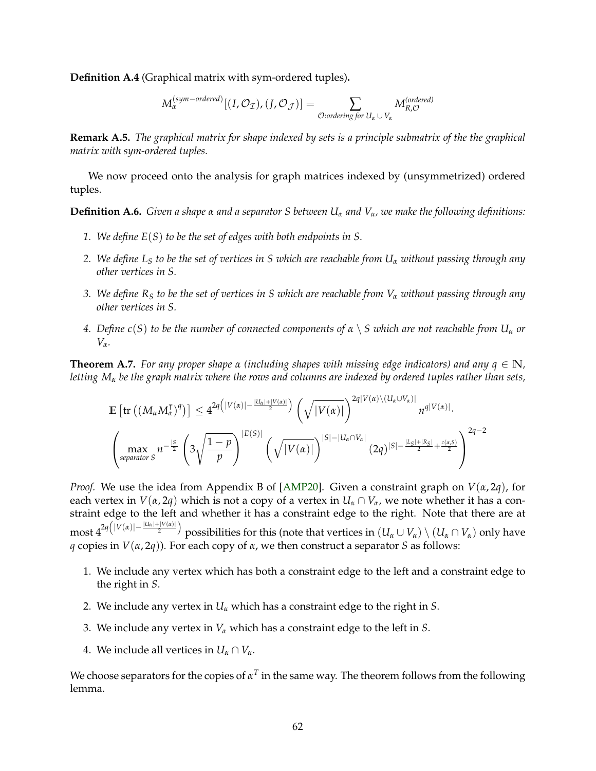<span id="page-64-1"></span>**Definition A.4** (Graphical matrix with sym-ordered tuples)**.**

$$
M_{\alpha}^{(sym-ordered)}[(I,\mathcal{O}_{\mathcal{I}}), (J,\mathcal{O}_{\mathcal{J}})] = \sum_{\mathcal{O}: ordering for U_{\alpha} \cup V_{\alpha}} M_{R,\mathcal{O}}^{(ordered)}
$$

**Remark A.5.** *The graphical matrix for shape indexed by sets is a principle submatrix of the the graphical matrix with sym-ordered tuples.*

We now proceed onto the analysis for graph matrices indexed by (unsymmetrized) ordered tuples.

**Definition A.6.** *Given a shape α and a separator S between U<sup>α</sup> and Vα, we make the following definitions:*

- *1. We define E*(*S*) *to be the set of edges with both endpoints in S.*
- *2. We define L<sup>S</sup> to be the set of vertices in S which are reachable from U<sup>α</sup> without passing through any other vertices in S.*
- *3. We define R<sup>S</sup> to be the set of vertices in S which are reachable from V<sup>α</sup> without passing through any other vertices in S.*
- *4. Define c*(*S*) *to be the number of connected components of α* \ *S which are not reachable from U<sup>α</sup> or Vα.*

<span id="page-64-0"></span>**Theorem A.7.** *For any proper shape*  $\alpha$  *(including shapes with missing edge indicators) and any*  $q \in \mathbb{N}$ *, letting M<sup>α</sup> be the graph matrix where the rows and columns are indexed by ordered tuples rather than sets,*

$$
\mathbb{E}\left[\text{tr}\left((M_{\alpha}M_{\alpha}^{\intercal})^{q}\right)\right] \leq 4^{2q\left(|V(\alpha)|-\frac{|U_{\alpha}|+|V(\alpha)|}{2}\right)}\left(\sqrt{|V(\alpha)|}\right)^{2q|V(\alpha)\setminus (U_{\alpha}\cup V_{\alpha})|}n^{q|V(\alpha)|}.
$$

$$
\left(\max_{\text{separation } S} n^{-\frac{|S|}{2}}\left(3\sqrt{\frac{1-p}{p}}\right)^{|E(S)|}\left(\sqrt{|V(\alpha)|}\right)^{|S|-|U_{\alpha}\cap V_{\alpha}|}\left(2q\right)^{|S|-\frac{|L_{S}|+|R_{S}|}{2}+\frac{c(\alpha,S)}{2}}\right)^{2q-2}
$$

*Proof.* We use the idea from Appendix B of [\[AMP20\]](#page-60-0). Given a constraint graph on *V*(*α*, 2*q*), for each vertex in  $V(\alpha, 2q)$  which is not a copy of a vertex in  $U_\alpha \cap V_\alpha$ , we note whether it has a constraint edge to the left and whether it has a constraint edge to the right. Note that there are at  $\max\limits_{\alpha}4^{2q\big(|V(\alpha)|-\frac{|U_\alpha|+|V(\alpha)|}{2}\big)}$  possibilities for this (note that vertices in  $(U_\alpha\cup V_\alpha)\setminus(U_\alpha\cap V_\alpha)$  only have *q* copies in  $V(\alpha, 2q)$ ). For each copy of  $\alpha$ , we then construct a separator *S* as follows:

- 1. We include any vertex which has both a constraint edge to the left and a constraint edge to the right in *S*.
- 2. We include any vertex in *U<sup>α</sup>* which has a constraint edge to the right in *S*.
- 3. We include any vertex in *V<sup>α</sup>* which has a constraint edge to the left in *S*.
- 4. We include all vertices in  $U_\alpha \cap V_\alpha$ .

We choose separators for the copies of  $\alpha^T$  in the same way. The theorem follows from the following lemma.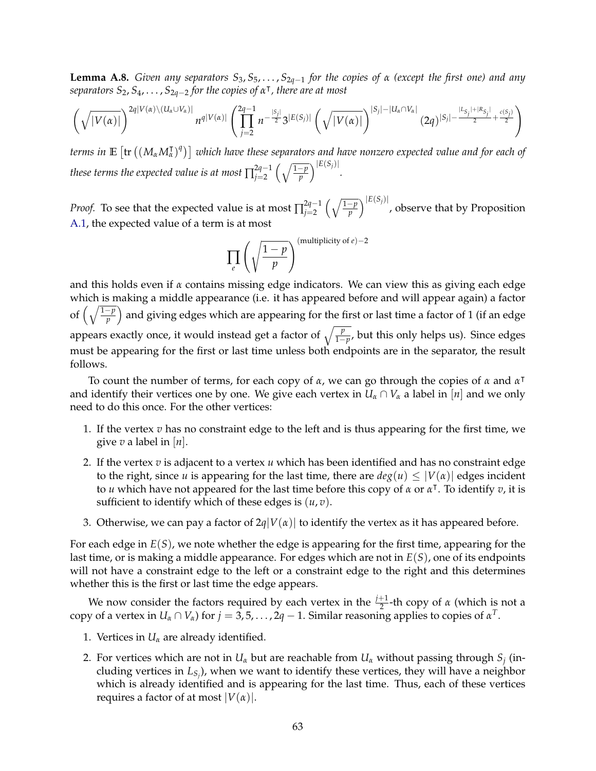**Lemma A.8.** *Given any separators S*3, *S*5, . . . , *S*2*q*−<sup>1</sup> *for the copies of α (except the first one) and any*  $s$ *eparators*  $S_2$ ,  $S_4$ , ...,  $S_{2q-2}$  *for the copies of*  $\alpha^{\dagger}$ , *there are at most* 

$$
\left(\sqrt{|V(\alpha)|}\right)^{2q|V(\alpha)\setminus (U_{\alpha}\cup V_{\alpha})|}n^{q|V(\alpha)|}\left(\prod_{j=2}^{2q-1}n^{-\frac{|S_j|}{2}}3^{|E(S_j)|}\left(\sqrt{|V(\alpha)|}\right)^{|S_j|-|U_{\alpha}\cap V_{\alpha}|}\left(2q\right)^{|S_j|-\frac{|L_{S_j}|+|R_{S_j}|}{2}+\frac{c(S_j)}{2}}\right)
$$

 $t$ erms in  $\mathbb{E}\left[{\rm tr}\left((M_\alpha M_\alpha^\intercal)^q\right)\right]$  which have these separators and have nonzero expected value and for each of *these terms the expected value is at most*  $\prod_{i=2}^{2q-1}$  $\int \frac{2q-1}{p} \left( \sqrt{\frac{1-p}{p}} \right)^{|E(S_j)|}$ .

*Proof.* To see that the expected value is at most  $\prod_{i=2}^{2q-1}$ 2q−1  $\left(\sqrt{\frac{1-p}{p}}\right)^{|E(S_j)|}$ , observe that by Proposition [A.1,](#page-63-0) the expected value of a term is at most

$$
\prod_{e} \left( \sqrt{\frac{1-p}{p}} \right)^{\text{(multiplicity of } e) - 2}
$$

and this holds even if *α* contains missing edge indicators. We can view this as giving each edge which is making a middle appearance (i.e. it has appeared before and will appear again) a factor of  $\left(\sqrt{\frac{1-p}{p}}\right)$  and giving edges which are appearing for the first or last time a factor of 1 (if an edge appears exactly once, it would instead get a factor of  $\sqrt{\frac{p}{1-p'}}$ , but this only helps us). Since edges must be appearing for the first or last time unless both endpoints are in the separator, the result follows.

To count the number of terms, for each copy of *α*, we can go through the copies of *α* and *α* | and identify their vertices one by one. We give each vertex in  $U_\alpha \cap V_\alpha$  a label in [*n*] and we only need to do this once. For the other vertices:

- 1. If the vertex *v* has no constraint edge to the left and is thus appearing for the first time, we give *v* a label in [*n*].
- 2. If the vertex *v* is adjacent to a vertex *u* which has been identified and has no constraint edge to the right, since *u* is appearing for the last time, there are  $deg(u) \leq |V(\alpha)|$  edges incident to *u* which have not appeared for the last time before this copy of *α* or *α* | . To identify *v*, it is sufficient to identify which of these edges is  $(u, v)$ .
- 3. Otherwise, we can pay a factor of  $2q|V(\alpha)|$  to identify the vertex as it has appeared before.

For each edge in *E*(*S*), we note whether the edge is appearing for the first time, appearing for the last time, or is making a middle appearance. For edges which are not in *E*(*S*), one of its endpoints will not have a constraint edge to the left or a constraint edge to the right and this determines whether this is the first or last time the edge appears.

We now consider the factors required by each vertex in the  $\frac{j+1}{2}$ -th copy of *α* (which is not a copy of a vertex in  $U_\alpha \cap V_\alpha$ ) for  $j = 3, 5, \ldots, 2q-1$ . Similar reasoning applies to copies of  $\alpha^T$ .

- 1. Vertices in  $U_\alpha$  are already identified.
- 2. For vertices which are not in  $U_\alpha$  but are reachable from  $U_\alpha$  without passing through  $S_j$  (including vertices in *LS<sup>j</sup>* ), when we want to identify these vertices, they will have a neighbor which is already identified and is appearing for the last time. Thus, each of these vertices requires a factor of at most  $|V(\alpha)|$ .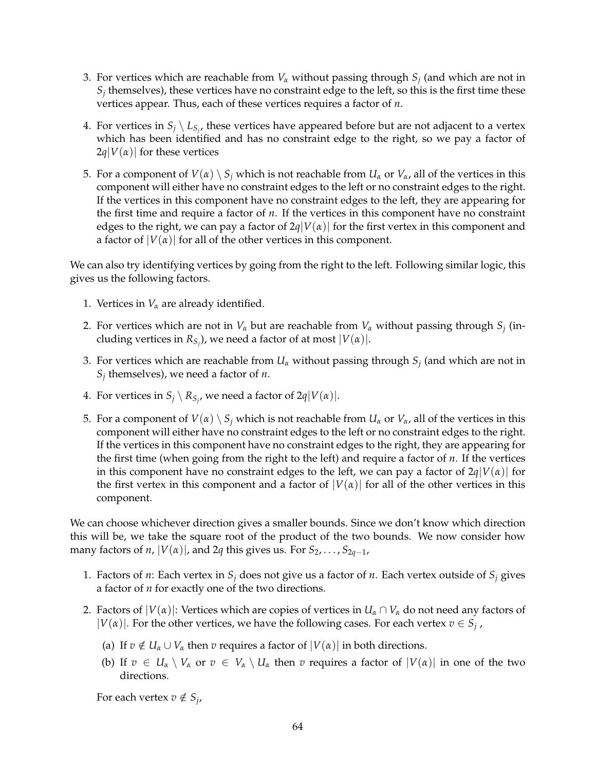- 3. For vertices which are reachable from *V<sup>α</sup>* without passing through *S<sup>j</sup>* (and which are not in  $S_j$  themselves), these vertices have no constraint edge to the left, so this is the first time these vertices appear. Thus, each of these vertices requires a factor of *n*.
- 4. For vertices in  $S_j \setminus L_{S_j}$ , these vertices have appeared before but are not adjacent to a vertex which has been identified and has no constraint edge to the right, so we pay a factor of  $2q|V(\alpha)|$  for these vertices
- 5. For a component of  $V(\alpha) \setminus S_i$  which is not reachable from  $U_\alpha$  or  $V_\alpha$ , all of the vertices in this component will either have no constraint edges to the left or no constraint edges to the right. If the vertices in this component have no constraint edges to the left, they are appearing for the first time and require a factor of *n*. If the vertices in this component have no constraint edges to the right, we can pay a factor of  $2q|V(\alpha)|$  for the first vertex in this component and a factor of  $|V(\alpha)|$  for all of the other vertices in this component.

We can also try identifying vertices by going from the right to the left. Following similar logic, this gives us the following factors.

- 1. Vertices in  $V_\alpha$  are already identified.
- 2. For vertices which are not in *V<sup>α</sup>* but are reachable from *V<sup>α</sup>* without passing through *S<sup>j</sup>* (including vertices in  $R_{S_j}$ ), we need a factor of at most  $|V(\alpha)|$ .
- 3. For vertices which are reachable from *U<sup>α</sup>* without passing through *S<sup>j</sup>* (and which are not in *Sj* themselves), we need a factor of *n*.
- 4. For vertices in  $S_j \setminus R_{S_j}$ , we need a factor of  $2q|V(\alpha)|$ .
- 5. For a component of  $V(\alpha) \setminus S_i$  which is not reachable from  $U_\alpha$  or  $V_\alpha$ , all of the vertices in this component will either have no constraint edges to the left or no constraint edges to the right. If the vertices in this component have no constraint edges to the right, they are appearing for the first time (when going from the right to the left) and require a factor of *n*. If the vertices in this component have no constraint edges to the left, we can pay a factor of  $2q|V(\alpha)|$  for the first vertex in this component and a factor of  $|V(\alpha)|$  for all of the other vertices in this component.

We can choose whichever direction gives a smaller bounds. Since we don't know which direction this will be, we take the square root of the product of the two bounds. We now consider how many factors of *n*,  $|V(\alpha)|$ , and 2*q* this gives us. For  $S_2, \ldots, S_{2q-1}$ ,

- 1. Factors of *n*: Each vertex in  $S_i$  does not give us a factor of *n*. Each vertex outside of  $S_i$  gives a factor of *n* for exactly one of the two directions.
- 2. Factors of  $|V(\alpha)|$ : Vertices which are copies of vertices in  $U_\alpha \cap V_\alpha$  do not need any factors of  $|V(\alpha)|$ . For the other vertices, we have the following cases. For each vertex  $v \in S_j$ ,
	- (a) If  $v \notin U_\alpha \cup V_\alpha$  then  $v$  requires a factor of  $|V(\alpha)|$  in both directions.
	- (b) If  $v \in U_\alpha \setminus V_\alpha$  or  $v \in V_\alpha \setminus U_\alpha$  then  $v$  requires a factor of  $|V(\alpha)|$  in one of the two directions.

For each vertex  $v \notin S_j$ ,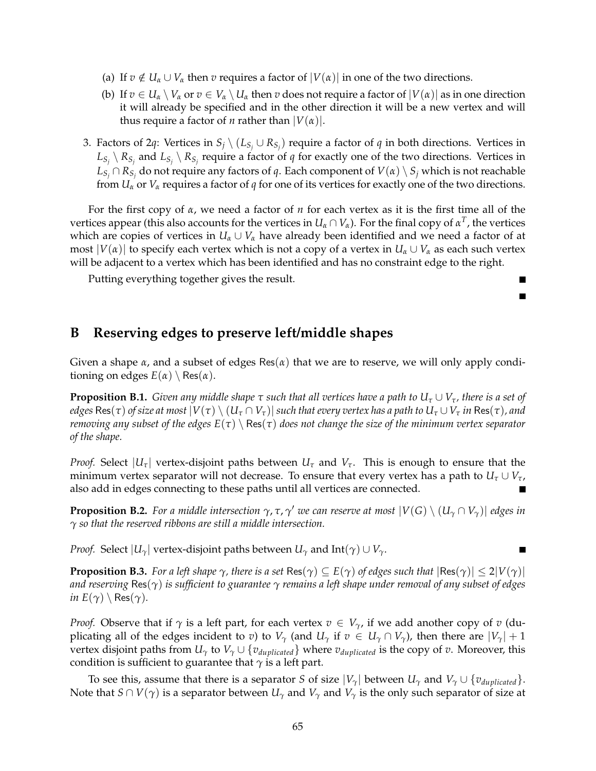- (a) If  $v \notin U_\alpha \cup V_\alpha$  then  $v$  requires a factor of  $|V(\alpha)|$  in one of the two directions.
- (b) If  $v \in U_\alpha \setminus V_\alpha$  or  $v \in V_\alpha \setminus U_\alpha$  then  $v$  does not require a factor of  $|V(\alpha)|$  as in one direction it will already be specified and in the other direction it will be a new vertex and will thus require a factor of *n* rather than  $|V(\alpha)|$ .
- 3. Factors of 2*q*: Vertices in  $S_j \setminus (L_{S_j} \cup R_{S_j})$  require a factor of *q* in both directions. Vertices in  $L_{S_j} \setminus R_{S_j}$  and  $L_{S_j} \setminus R_{S_j}$  require a factor of *q* for exactly one of the two directions. Vertices in  $L_{S_j} \cap R_{S_j}$  do not require any factors of *q*. Each component of  $V(\alpha) \setminus S_j$  which is not reachable from  $U_\alpha$  or  $V_\alpha$  requires a factor of *q* for one of its vertices for exactly one of the two directions.

For the first copy of *α*, we need a factor of *n* for each vertex as it is the first time all of the vertices appear (this also accounts for the vertices in  $U_\alpha\cap V_\alpha$ ). For the final copy of  $\alpha^T$ , the vertices which are copies of vertices in  $U_\alpha \cup V_\alpha$  have already been identified and we need a factor of at most  $|V(\alpha)|$  to specify each vertex which is not a copy of a vertex in  $U_\alpha \cup V_\alpha$  as each such vertex will be adjacent to a vertex which has been identified and has no constraint edge to the right.

> П П

Putting everything together gives the result.

# <span id="page-67-0"></span>**B Reserving edges to preserve left/middle shapes**

Given a shape *α*, and a subset of edges Res(*α*) that we are to reserve, we will only apply conditioning on edges  $E(\alpha) \setminus Res(\alpha)$ .

**Proposition B.1.** *Given any middle shape*  $\tau$  *such that all vertices have a path to*  $U_{\tau} \cup V_{\tau}$ *, there is a set of edges*  $\text{Res}(\tau)$  *of size at most*  $|V(\tau) \setminus (U_\tau \cap V_\tau)|$  *such that every vertex has a path to*  $U_\tau \cup V_\tau$  *in*  $\text{Res}(\tau)$ *, and removing any subset of the edges*  $E(\tau) \setminus Res(\tau)$  *does not change the size of the minimum vertex separator of the shape.*

*Proof.* Select  $|U_\tau|$  vertex-disjoint paths between  $U_\tau$  and  $V_\tau$ . This is enough to ensure that the minimum vertex separator will not decrease. To ensure that every vertex has a path to  $U_{\tau} \cup V_{\tau}$ , also add in edges connecting to these paths until all vertices are connected.

**Proposition B.2.** For a middle intersection  $\gamma$ ,  $\tau$ ,  $\gamma'$  we can reserve at most  $|V(G) \setminus (U_\gamma \cap V_\gamma)|$  edges in *γ so that the reserved ribbons are still a middle intersection.*

*Proof.* Select  $|U_\gamma|$  vertex-disjoint paths between  $U_\gamma$  and  $Int(\gamma) \cup V_\gamma$ .

**Proposition B.3.** For a left shape  $\gamma$ , there is a set Res( $\gamma$ )  $\subseteq E(\gamma)$  of edges such that  $|\text{Res}(\gamma)| \leq 2|V(\gamma)|$ *and reserving* Res(*γ*) *is sufficient to guarantee γ remains a left shape under removal of any subset of edges in*  $E(\gamma) \setminus Res(\gamma)$ .

*Proof.* Observe that if  $\gamma$  is a left part, for each vertex  $v \in V_{\gamma}$ , if we add another copy of  $v$  (duplicating all of the edges incident to *v*) to  $V_\gamma$  (and  $U_\gamma$  if  $v \in U_\gamma \cap V_\gamma$ ), then there are  $|V_\gamma| + 1$ vertex disjoint paths from  $U_\gamma$  to  $V_\gamma \cup \{v_{duplicated}\}\$  where  $v_{duplicated}\$  is the copy of *v*. Moreover, this condition is sufficient to guarantee that  $\gamma$  is a left part.

To see this, assume that there is a separator *S* of size  $|V_\gamma|$  between  $U_\gamma$  and  $V_\gamma \cup \{v_{duplicated}\}.$ Note that  $S \cap V(\gamma)$  is a separator between  $U_\gamma$  and  $V_\gamma$  and  $V_\gamma$  is the only such separator of size at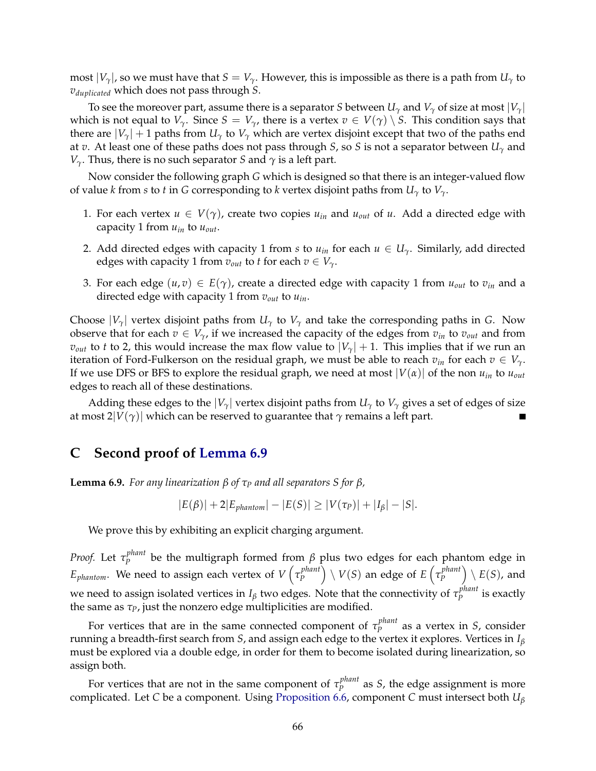most  $|V_\gamma|$ , so we must have that  $S = V_\gamma$ . However, this is impossible as there is a path from  $U_\gamma$  to *vduplicated* which does not pass through *S*.

To see the moreover part, assume there is a separator *S* between  $U_\gamma$  and  $V_\gamma$  of size at most  $|V_\gamma|$ which is not equal to  $V_\gamma$ . Since  $S = V_\gamma$ , there is a vertex  $v \in V(\gamma) \setminus S$ . This condition says that there are  $|V_\gamma| + 1$  paths from  $U_\gamma$  to  $V_\gamma$  which are vertex disjoint except that two of the paths end at *v*. At least one of these paths does not pass through *S*, so *S* is not a separator between *U<sup>γ</sup>* and *V*<sub>γ</sub>. Thus, there is no such separator *S* and  $\gamma$  is a left part.

Now consider the following graph *G* which is designed so that there is an integer-valued flow of value *k* from *s* to *t* in *G* corresponding to *k* vertex disjoint paths from  $U_{\gamma}$  to  $V_{\gamma}$ .

- 1. For each vertex  $u \in V(\gamma)$ , create two copies  $u_{in}$  and  $u_{out}$  of  $u$ . Add a directed edge with capacity 1 from *uin* to *uout*.
- 2. Add directed edges with capacity 1 from *s* to  $u_{in}$  for each  $u \in U_\gamma$ . Similarly, add directed edges with capacity 1 from  $v_{out}$  to *t* for each  $v \in V_{\gamma}$ .
- 3. For each edge  $(u, v) \in E(\gamma)$ , create a directed edge with capacity 1 from  $u_{out}$  to  $v_{in}$  and a directed edge with capacity 1 from *vout* to *uin*.

Choose  $|V_\gamma|$  vertex disjoint paths from  $U_\gamma$  to  $V_\gamma$  and take the corresponding paths in *G*. Now observe that for each  $v \in V_{\gamma}$ , if we increased the capacity of the edges from  $v_{in}$  to  $v_{out}$  and from *v*<sub>out</sub> to *t* to 2, this would increase the max flow value to  $|V_{\gamma}| + 1$ . This implies that if we run an iteration of Ford-Fulkerson on the residual graph, we must be able to reach  $v_{in}$  for each  $v \in V_{\gamma}$ . If we use DFS or BFS to explore the residual graph, we need at most  $|V(\alpha)|$  of the non  $u_{in}$  to  $u_{out}$ edges to reach all of these destinations.

Adding these edges to the  $|V_\gamma|$  vertex disjoint paths from  $U_\gamma$  to  $V_\gamma$  gives a set of edges of size at most  $2|V(\gamma)|$  which can be reserved to guarantee that  $\gamma$  remains a left part.

### **C Second proof of [Lemma 6.9](#page-25-3)**

**Lemma 6.9.** *For any linearization*  $β$  *of*  $τ<sub>P</sub>$  *and all separators*  $S$  *for*  $β$ *,* 

$$
|E(\beta)| + 2|E_{\text{phantom}}| - |E(S)| \ge |V(\tau_P)| + |I_\beta| - |S|.
$$

We prove this by exhibiting an explicit charging argument.

*Proof.* Let *τ phant P* be the multigraph formed from *β* plus two edges for each phantom edge in  $E_{phantom}$ . We need to assign each vertex of  $V\left(\tau_{p}^{phant}\right)$  $\binom{p$   $p$   $p$   $\}$   $\setminus$   $V(S)$  an edge of  $E\left(\tau_{p}^{phant}\right)$  $\binom{planet}{P} \setminus E(S)$ , and we need to assign isolated vertices in  $I_\beta$  two edges. Note that the connectivity of  $\tau^{phant}_P$ *P*<sup>*phant*</sup> is exactly the same as *τP*, just the nonzero edge multiplicities are modified.

For vertices that are in the same connected component of  $\tau^{phant}_p$ *P* as a vertex in *S*, consider running a breadth-first search from *S*, and assign each edge to the vertex it explores. Vertices in *I<sup>β</sup>* must be explored via a double edge, in order for them to become isolated during linearization, so assign both.

For vertices that are not in the same component of  $\tau^{phant}_p$  $P_P^{pnum}$  as *S*, the edge assignment is more complicated. Let *C* be a component. Using [Proposition 6.6,](#page-24-2) component *C* must intersect both *U<sup>β</sup>*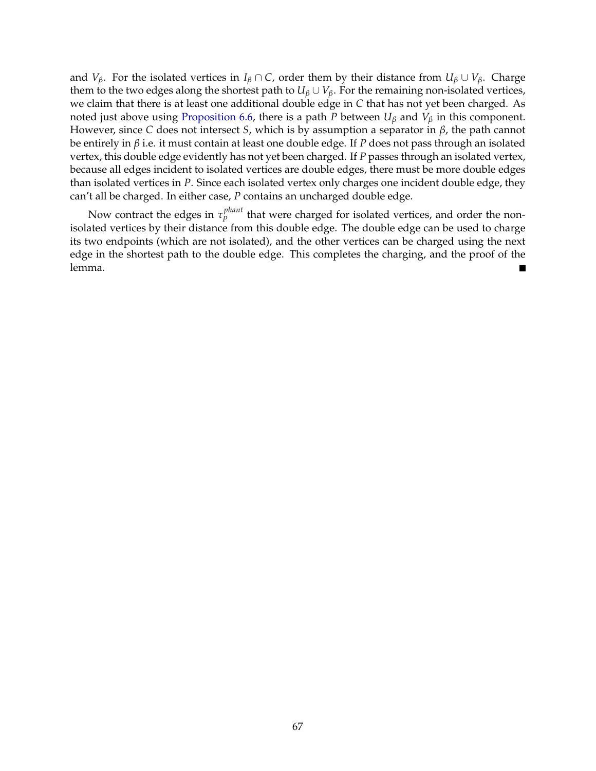and *V*<sup>*β*</sup>. For the isolated vertices in *I*<sup>β</sup> ∩ *C*, order them by their distance from  $U_{\beta} \cup V_{\beta}$ . Charge them to the two edges along the shortest path to  $U_\beta \cup V_\beta$ . For the remaining non-isolated vertices, we claim that there is at least one additional double edge in *C* that has not yet been charged. As noted just above using [Proposition 6.6,](#page-24-2) there is a path *P* between *U<sup>β</sup>* and *V<sup>β</sup>* in this component. However, since *C* does not intersect *S*, which is by assumption a separator in *β*, the path cannot be entirely in *β* i.e. it must contain at least one double edge. If *P* does not pass through an isolated vertex, this double edge evidently has not yet been charged. If *P* passes through an isolated vertex, because all edges incident to isolated vertices are double edges, there must be more double edges than isolated vertices in *P*. Since each isolated vertex only charges one incident double edge, they can't all be charged. In either case, *P* contains an uncharged double edge.

Now contract the edges in *τ phant P*<sup>*pmant*</sup> that were charged for isolated vertices, and order the nonisolated vertices by their distance from this double edge. The double edge can be used to charge its two endpoints (which are not isolated), and the other vertices can be charged using the next edge in the shortest path to the double edge. This completes the charging, and the proof of the lemma. Е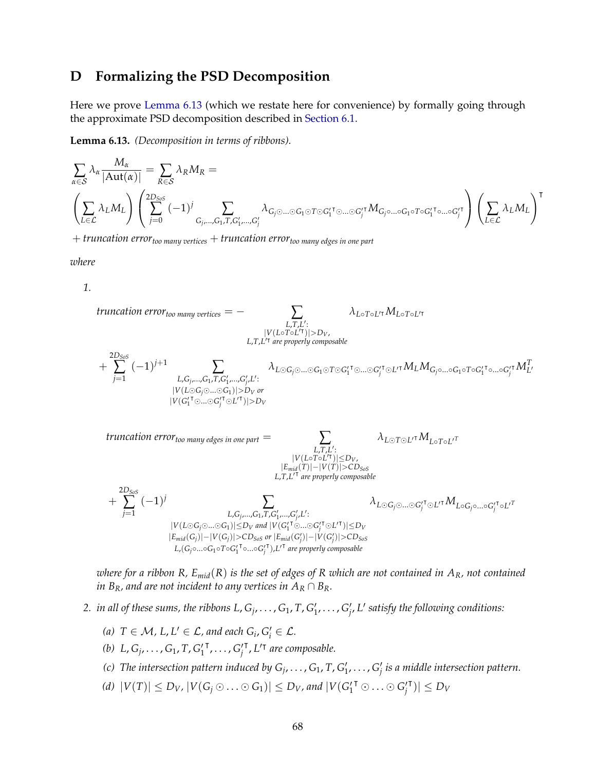# **D Formalizing the PSD Decomposition**

Here we prove [Lemma 6.13](#page-28-1) (which we restate here for convenience) by formally going through the approximate PSD decomposition described in [Section 6.1.](#page-21-1)

**Lemma 6.13.** *(Decomposition in terms of ribbons).*

$$
\sum_{\alpha \in \mathcal{S}} \lambda_{\alpha} \frac{M_{\alpha}}{|\text{Aut}(\alpha)|} = \sum_{R \in \mathcal{S}} \lambda_{R} M_{R} = \left( \sum_{j=0}^{2D_{S^{0}S}} (-1)^{j} \sum_{G_{j},...,G_{1},T,G'_{1},...,G'_{j}} \lambda_{G_{j} \odot ... \odot G_{1} \odot T \odot G'_{1} \cdots \odot G_{j}^{\prime \dagger}} M_{G_{j} \circ ... \circ G_{1} \circ T \circ G_{1}^{\prime \dagger} \cdots \circ G_{j}^{\prime \dagger}} \right) \left( \sum_{L \in \mathcal{L}} \lambda_{L} M_{L} \right)^{\dagger}
$$

+ *truncation errortoo many vertices* + *truncation errortoo many edges in one part*

*where*

*1.*

truncation error<sub>too many vertices</sub> = -  
\n
$$
\sum_{L,T,L',T} \lambda_{L \circ T \circ L'T} M_{L \circ T \circ L'T}
$$
\n
$$
= \sum_{L,T,L',T} \lambda_{L \circ T \circ L'T} M_{L \circ T \circ L'T}
$$
\n
$$
+ \sum_{j=1}^{2D_{SoS}} (-1)^{j+1} \sum_{L, G_j, ..., G_1, T, G'_1, ..., G'_j, L'} \lambda_{L \circ G_j \circ ... \circ G_1 \circ T \circ G'_1 \circ ... \circ G'_j \circ L' \circ M_L M_{G_j \circ ... \circ G_1 \circ T \circ G'_1 \circ ... \circ G'_j} M_L^T
$$
\n
$$
= \sum_{V(G'_1 \circ ... \circ G'_j \circ L'I \circ I) > D_V \text{ or } V(G'_1 \circ ... \circ G'_j \circ L'I \circ I) > D_V}
$$
\n
$$
= \sum_{L,T,L': \atop |V(L \circ T \circ L'T)| \le D_V, \atop |L,T,L': \text{ are properly composite}}
$$
\n
$$
+ \sum_{j=1}^{2D_{SoS}} (-1)^j \sum_{L, G_j, ..., G_1, T, G'_1, ..., G'_j, L'} \sum_{L, T, L': \atop |V(L \circ G_j \circ ... \circ G'_1 \circ L'I \circ M_{L \circ G_j \circ ... \circ G'_j \circ L'I} M_{L \circ G_j \circ ... \circ G'_j \circ L'I}
$$
\n
$$
= \sum_{L, G_j, ..., G_1, T, G'_1, ..., G'_j, L'} \lambda_{L \circ G_j \circ ... \circ G'_j \circ L'I} M_{L \circ G_j \circ ... \circ G'_j \circ L'I}
$$
\n
$$
= \sum_{L, G_j, ..., G_1, T, G'_1, ..., G'_j, L' : \atop |V(L \circ G_j \circ ... \circ G_1 \circ I) \le D_V \text{ and } |V(G'_1 \circ ... \circ G'_j \circ L'I \circ L' \circ L' \circ M_{L \circ G_j \circ ... \circ G'_j \circ L'I}
$$
\n
$$
= \sum_{L, G_j, ..., G_1, T, G'_1, ..., G'_j, L' : \atop |V(G'_1 \circ ... \circ G'_j \circ L'I \circ M_{L \circ G_j \circ ... \circ G'_j \circ L'I}
$$
\n
$$
= \sum_{L, G_j, ..., G_
$$

*where for a ribbon R, Emid*(*R*) *is the set of edges of R which are not contained in AR, not contained in*  $B_R$ *, and are not incident to any vertices in*  $A_R \cap B_R$ *.* 

- 2. *in all of these sums, the ribbons L,*  $G_j, \ldots, G_1, T, G'_1, \ldots, G'_{j'}$  *L' satisfy the following conditions:* 
	- (a)  $T \in \mathcal{M}$ ,  $L$ ,  $L' \in \mathcal{L}$ , and each  $G_i$ ,  $G'_i \in \mathcal{L}$ .
	- (*b*)  $L, G_j, \ldots, G_1, T, G'_1$  $\mathbf{F}_j, \ldots, \mathbf{G}_j'$ <sup>T</sup>, L<sup>'T</sup> are composable.
	- (c) The intersection pattern induced by  $G_j, \ldots, G_1, T, G'_1, \ldots, G'_j$  is a middle intersection pattern.
	- *(d)*  $|V(T)| \le D_V$ ,  $|V(G_j \odot \ldots \odot G_1)| \le D_V$ , and  $|V(G_1^{\prime \dagger} \odot \ldots \odot G_j^{\prime})|$  $|\mathbf{v}| \leq D_V$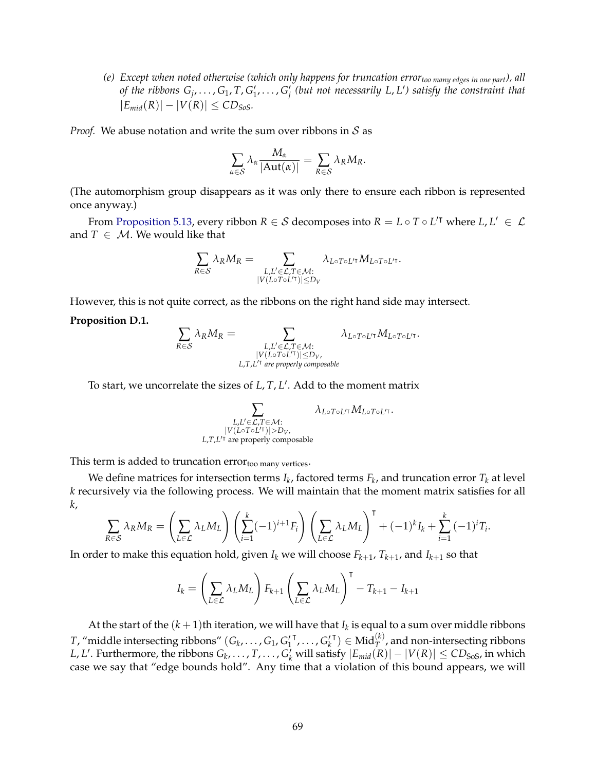*(e) Except when noted otherwise (which only happens for truncation errortoo many edges in one part), all* of the ribbons  $G_j, \ldots, G_1, T, G'_1, \ldots, G'_j$  (but not necessarily L, L') satisfy the constraint that  $|E_{mid}(R)| - |V(R)| \leq CD_{SoS}$ .

*Proof.* We abuse notation and write the sum over ribbons in  $S$  as

$$
\sum_{\alpha \in \mathcal{S}} \lambda_{\alpha} \frac{M_{\alpha}}{|\text{Aut}(\alpha)|} = \sum_{R \in \mathcal{S}} \lambda_{R} M_{R}.
$$

(The automorphism group disappears as it was only there to ensure each ribbon is represented once anyway.)

From [Proposition 5.13,](#page-21-2) every ribbon  $R \in S$  decomposes into  $R = L \circ T \circ L'^{\intercal}$  where  $L, L' \in \mathcal{L}$ and  $T \in M$ . We would like that

$$
\sum_{R\in\mathcal{S}} \lambda_R M_R = \sum_{\substack{L,L'\in\mathcal{L}, T\in\mathcal{M}:\\ |V(L\circ T\circ L'^\intercal)|\leq D_V}} \lambda_{L\circ T\circ L'^\intercal} M_{L\circ T\circ L'^\intercal}.
$$

However, this is not quite correct, as the ribbons on the right hand side may intersect.

#### **Proposition D.1.**

$$
\sum_{R \in S} \lambda_R M_R = \sum_{\substack{L, L' \in \mathcal{L}, T \in \mathcal{M}: \\ |V(L \circ T \circ L'')| \le D_V, \\ L, T, L'^{\dagger} \text{ are properly composite}}} \lambda_{L \circ T \circ L'^{\dagger}} M_{L \circ T \circ L'^{\dagger}}.
$$

To start, we uncorrelate the sizes of *L*, *T*, *L* 0 . Add to the moment matrix

∑ *L*,*L* <sup>0</sup>∈L,*T*∈M:  $|V(L \circ T \circ L'T)| > D_V$ ,<br><sup>7</sup> are properly composable *L*,*T*, $L$ <sup> $T$ </sup> are properly composable  $\lambda_{L \circ T \circ L^\prime}$ τ $M_{L \circ T \circ L^\prime}$ τ

This term is added to truncation  $error<sub>too many vertices</sub>$ .

We define matrices for intersection terms  $I_k$ , factored terms  $F_k$ , and truncation error  $T_k$  at level *k* recursively via the following process. We will maintain that the moment matrix satisfies for all *k*,

$$
\sum_{R \in \mathcal{S}} \lambda_R M_R = \left(\sum_{L \in \mathcal{L}} \lambda_L M_L\right) \left(\sum_{i=1}^k (-1)^{i+1} F_i\right) \left(\sum_{L \in \mathcal{L}} \lambda_L M_L\right)^{\mathsf{T}} + (-1)^k I_k + \sum_{i=1}^k (-1)^i T_i.
$$

In order to make this equation hold, given  $I_k$  we will choose  $F_{k+1}$ ,  $T_{k+1}$ , and  $I_{k+1}$  so that

$$
I_k = \left(\sum_{L \in \mathcal{L}} \lambda_L M_L\right) F_{k+1} \left(\sum_{L \in \mathcal{L}} \lambda_L M_L\right)^{\mathsf{T}} - T_{k+1} - I_{k+1}
$$

At the start of the  $(k+1)$ th iteration, we will have that  $I_k$  is equal to a sum over middle ribbons *T*, "middle intersecting ribbons"  $(G_k, \ldots, G_1, G'_1)$  $\sigma^{\mathsf{T}}_k, \ldots, \sigma^{\mathsf{T}}_k$  $(T) \in Mid_T^{(k)}$ , and non-intersecting ribbons *L*, *L'*. Furthermore, the ribbons *G*<sub>*k*</sub>, . . . , *T*, . . . , *G*<sup>7</sup><sub>*k*</sub> will satisfy  $|E_{mid}(R)| - |V(R)| ≤ CD$ <sub>SoS</sub>, in which case we say that "edge bounds hold". Any time that a violation of this bound appears, we will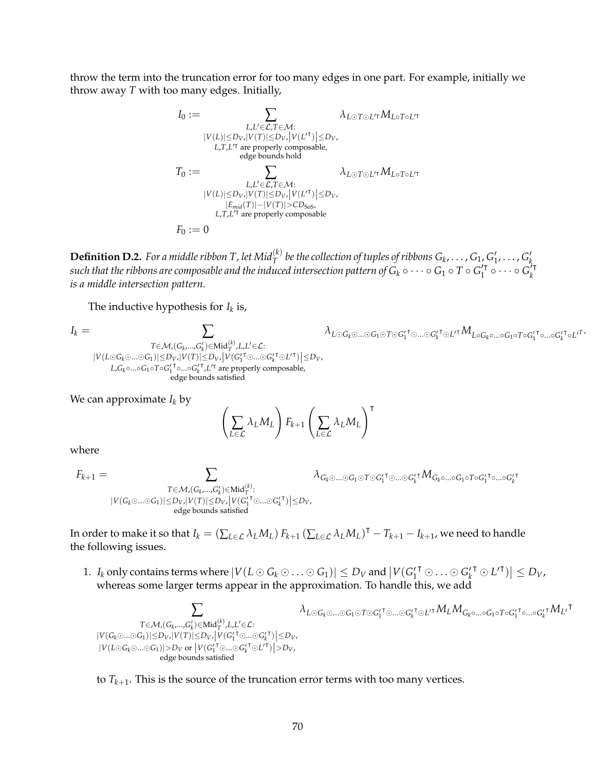throw the term into the truncation error for too many edges in one part. For example, initially we throw away *T* with too many edges. Initially,

$$
I_0 := \sum_{\substack{L, L' \in \mathcal{L}, T \in \mathcal{M}: \\ |V(L)| \le D_V, |V(T)| \le D_V, \\ L, T, L'^{\dagger} \text{ are properly composable,} \\ \text{edge bounds hold} }} \lambda_{L \odot T \odot L'^{\dagger}} M_{L \circ T \circ L'^{\dagger}}
$$
\n
$$
T_0 := \sum_{\substack{L, L' \in \mathcal{L}, T \in \mathcal{M}: \\ |V(L)| \le D_V, |V(T)| \le D_V, \\ |E_{mid}(T)| - |V(T)| > CD_{S \circ S}, \\ L, T, L'^{\dagger} \text{ are properly composable} }} \lambda_{L \odot T \odot L'^{\dagger}} M_{L \circ T \circ L'^{\dagger}}
$$
\n
$$
F_0 := 0
$$

 ${\bf Definition~D.2.}$  *For a middle ribbon T* , let  $Mid_T^{(k)}$  be the collection of tuples of ribbons  $G_k,\ldots,G_1,G'_1,\ldots,G'_k$  $s$ uch that the ribbons are composable and the induced intersection pattern of  $G_k \circ \cdots \circ G_1 \circ T \circ G_1'$  $\overline{G}_1^{\prime\dagger} \circ \cdots \circ \overline{G}_k^{\prime\dagger}$ *k is a middle intersection pattern.*

The inductive hypothesis for  $I_k$  is,

*I<sup>k</sup>* = ∑ *T*∈M,(*G<sup>k</sup>* ,...,*G* 0 *k* )∈Mid(*k*) *T* ,*L*,*L* <sup>0</sup>∈L: |*V*(*L G<sup>k</sup>*...*G*1)|≤*DV*,|*V*(*T*)|≤*DV*,|*V*(*G* 0 1 <sup>|</sup>...*<sup>G</sup>* 0 *k* <sup>|</sup> *<sup>L</sup>* 0| )|≤*DV*, *L*,*Gk*◦...◦*G*1◦*T*◦*G* 0 1 | ◦...◦*G* 0 *k* | ,*L* <sup>0</sup><sup>|</sup> are properly composable, edge bounds satisfied *λ<sup>L</sup> <sup>G</sup><sup>k</sup>*...*<sup>G</sup>*<sup>1</sup> *<sup>T</sup> <sup>G</sup>*<sup>0</sup> 1 <sup>|</sup>...*<sup>G</sup>*<sup>0</sup> *k* <sup>|</sup> *<sup>L</sup>* <sup>0</sup><sup>|</sup>*ML*◦*Gk*◦...◦*G*1◦*T*◦*G*<sup>0</sup> 1

We can approximate  $I_k$  by

$$
\left(\sum_{L\in\mathcal{L}}\lambda_L M_L\right)F_{k+1}\left(\sum_{L\in\mathcal{L}}\lambda_L M_L\right)^{\intercal}
$$

where

$$
F_{k+1} = \sum_{\substack{T \in \mathcal{M}, (G_k, \ldots, G'_k) \in \text{Mid}_T^{(k)} : \\ |V(G_k \odot \ldots \odot G_1)| \leq D_{V}, |V(T)| \leq D_{V}, \\ \text{edge bounds satisfied}}} \lambda_{G_k \odot \ldots \odot G_1 \odot T \odot G'_1} \cdot \tau_{\odot \ldots \odot G'_k} \cdot \tau} M_{G_k \odot \ldots \odot G_1 \circ T \circ G'_1} \cdot \tau_{\odot \ldots \odot G'_1} \cdot \tau_{\odot \ldots \odot G'_k} \cdot \tau_{\odot \odot G'_1} \cdot \tau_{\odot \odot G'_1} \cdot \tau_{\odot \odot G'_1} \cdot \tau_{\odot \odot G'_1} \cdot \tau_{\odot \odot G'_1} \cdot \tau_{\odot \odot G'_1} \cdot \tau_{\odot \odot G'_1} \cdot \tau_{\odot \odot G'_1} \cdot \tau_{\odot \odot G'_1} \cdot \tau_{\odot \odot G'_1} \cdot \tau_{\odot \odot G'_1} \cdot \tau_{\odot \odot G'_1} \cdot \tau_{\odot \odot G'_1} \cdot \tau_{\odot \odot G'_1} \cdot \tau_{\odot \odot G'_1} \cdot \tau_{\odot \odot G'_1} \cdot \tau_{\odot \odot G'_1} \cdot \tau_{\odot \odot G'_1} \cdot \tau_{\odot \odot G'_1} \cdot \tau_{\odot \odot G'_1} \cdot \tau_{\odot \odot G'_1} \cdot \tau_{\odot \odot G'_1} \cdot \tau_{\odot \odot G'_1} \cdot \tau_{\odot \odot G'_1} \cdot \tau_{\odot \odot G'_1} \cdot \tau_{\odot \odot G'_1} \cdot \tau_{\odot \odot G'_1} \cdot \tau_{\odot \odot G'_1} \cdot \tau_{\odot \odot G'_1} \cdot \tau_{\odot \odot G'_1} \cdot \tau_{\odot \odot G'_1} \cdot \tau_{\odot \odot G'_1} \cdot \tau_{\odot \odot G'_1} \cdot \tau_{\odot \odot G'_1} \cdot \tau_{\odot \odot G'_1} \cdot \tau_{\odot \odot G'_1} \cdot \tau_{\odot \odot G'_1} \
$$

In order to make it so that  $I_k=(\sum_{L\in\mathcal{L}}\lambda_L M_L)\,F_{k+1}\,(\sum_{L\in\mathcal{L}}\lambda_L M_L)^\intercal-T_{k+1}-I_{k+1}$ , we need to handle the following issues.

1.  $I_k$  only contains terms where  $|V(L \odot G_k \odot ... \odot G_1)| \le D_V$  and  $|V(G_1'^{\mathsf{T}} \odot ... \odot G_k'^{\mathsf{T}} \odot L'^{\mathsf{T}})| \le D_V$ , whereas some larger terms appear in the approximation. To handle this, we add

$$
\sum_{\substack{T\in\mathcal{M}, (G_k,\ldots, G'_k)\in \text{Mid}_T^{(k)}, L, L'\in \mathcal{L}:\\ |V(G_k\odot \ldots \odot G_1)|\leq D_{V}, |V(T)|\leq D_{V},\\ |V(L\odot G_k\odot \ldots \odot G_1)|>D_{V}}}\lambda_{L\odot}\\\times \sum_{\substack{|V(G'_1\uparrow \odot \ldots \odot G'_k\uparrow \odot L'^{\intercal})|>D_{V},\\ \text{edge bounds satisfied}}} \lambda_{L\odot}
$$

 $\lambda_{L\odot G_k \odot ... \odot G_1 \odot T \odot G_1'}$ <sup>T</sup>⊙… $\odot$ G $_k'$ <sup>T</sup>⊙L<sup>/T</sup> $M_L M_{G_k \circ ... \circ G_1 \circ T \circ G_1'}$  $\sigma_{\circ\ldots\circ G_k^{\prime}}\tau M_{L^{\prime}}\tau$ 

<sup>T</sup>⊙…○ $G'_{k}$ 

 $\mathsf{T} \circ L'^T$ 

to *Tk*+<sup>1</sup> . This is the source of the truncation error terms with too many vertices.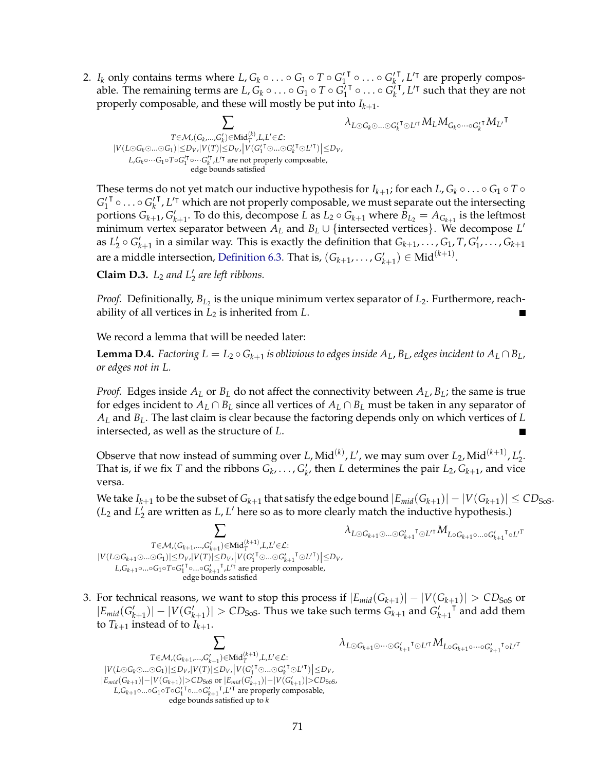2. *I<sub>k</sub>* only contains terms where *L*,  $G_k \circ \ldots \circ G_1 \circ T \circ G_1'$ **<sup>T</sup> ○ ... ○**  $G'_{k}$  $<sup>T</sup>, L<sup>T</sup>$  are properly compos-</sup> able. The remaining terms are  $L, G_k \circ \ldots \circ G_1 \circ T \circ G_1'$  $\begin{bmatrix} \overline{c} & \overline{c} & \overline{c} \\ \overline{c} & \overline{c} & \overline{c} \end{bmatrix}$  $\frac{1}{2}$ ,  $L^{\prime}$  such that they are not properly composable, and these will mostly be put into *Ik*+<sup>1</sup> .

$$
\sum_{\substack{T\in \mathcal{M}, (G_k,\ldots, G'_k)\in \text{Mid}_T^{(k)}, L, L'\in \mathcal{L}:\\ |V(L\odot G_k\odot \ldots \odot G_1)|\leq D_{V}, |V(T)|\leq D_{V}, \\ L, G_k\circ \cdots G_1\circ T\circ G_1^{'\intercal}\circ \cdots G_k^{'\intercal}, L'^{\intercal} \text{ are not properly composable}, \\ \text{edge bounds satisfied} }}\lambda_{L\odot G_k\odot \ldots \odot G_k^{'\intercal}\odot L'^{\intercal} }M_LM_{G_k\circ \cdots \circ G_k^{'\intercal}}M_{L'}\intercal
$$

These terms do not yet match our inductive hypothesis for  $I_{k+1}$ ; for each  $L$ ,  $G_k \circ \ldots \circ G_1 \circ T \circ T$  $G_1'$  $^{\mathsf{T}}$   $\circ \ldots \circ G'_{k}$ <sup>1</sup>, *L*<sup>T</sup> which are not properly composable, we must separate out the intersecting portions  $G_{k+1}$ ,  $G'_{k+1}$ . To do this, decompose *L* as  $L_2 \circ G_{k+1}$  where  $B_{L_2} = A_{G_{k+1}}$  is the leftmost minimum vertex separator between  $A_L$  and  $B_L \cup \{$  intersected vertices}. We decompose  $L'$ as  $L'_2 \circ G'_{k+1}$  in a similar way. This is exactly the definition that  $G_{k+1}, \ldots, G_1, T, G'_1, \ldots, G_{k+1}$ are a middle intersection, [Definition 6.3.](#page-24-0) That is,  $(G_{k+1},...,G'_{k+1}) \in \text{Mid}^{(k+1)}$ .

**Claim D.3.**  $L_2$  *and*  $L'_2$  *are left ribbons.* 

*Proof.* Definitionally, *BL*<sup>2</sup> is the unique minimum vertex separator of *L*2. Furthermore, reachability of all vertices in *L*<sup>2</sup> is inherited from *L*.

We record a lemma that will be needed later:

**Lemma D.4.** Factoring  $L = L_2 \circ G_{k+1}$  is oblivious to edges inside  $A_L$ ,  $B_L$ , edges incident to  $A_L \cap B_L$ , *or edges not in L.*

*Proof.* Edges inside  $A_L$  or  $B_L$  do not affect the connectivity between  $A_L$ ,  $B_L$ ; the same is true for edges incident to  $A_L \cap B_L$  since all vertices of  $A_L \cap B_L$  must be taken in any separator of *A<sup>L</sup>* and *BL*. The last claim is clear because the factoring depends only on which vertices of *L* intersected, as well as the structure of *L*. Е

Observe that now instead of summing over *L*, Mid<sup>(k)</sup>, *L'*, we may sum over *L*<sub>2</sub>, Mid<sup>(k+1)</sup>, *L*'<sub>2</sub>. That is, if we fix *T* and the ribbons  $G_k, \ldots, G'_{k'}$  then *L* determines the pair  $L_2, G_{k+1}$ , and vice versa.

We take  $I_{k+1}$  to be the subset of  $G_{k+1}$  that satisfy the edge bound  $|E_{mid}(G_{k+1})|-|V(G_{k+1})|\leq CD_{\rm{SoS}}.$  $(L_2 \text{ and } L_2'$  are written as  $L, L'$  here so as to more clearly match the inductive hypothesis.)

 $\lambda_{L\odot G_{k+1}\odot...\odot G'_{k+1}}$ <sup>τ</sup>⊙L'<sup>τ</sup>  $M$ <sub>L</sub>◦ $G_{k+1}$ ◦...◦ $G'_{k+1}$ 

 $\tau \circ L'^T$ 

 $\tau \circ L'^T$ 

∑ *T*∈ $\mathcal{M}$ , $(G_{k+1},...,G'_{k+1})$ ∈Mid $_T^{(k+1)}$ , $L,L' \in \mathcal{L}$ :  $|V(L \odot G_{k+1} \odot ... \odot G_1)| \leq D_V, |V(T)| \leq D_V, |V(G_1^{\prime \dagger} \odot ... \odot G_{k+1}^{\prime \dagger} \odot L^{\prime \dagger})| \leq D_V,$  $L$ , $G$ <sub>*k*+1</sub> ○...◦ $G$ <sub>1</sub><sup>o</sup>*T* ◦ $G$ <sub>*k*+1</sub><sup> $T$ </sup>, $L$ <sup> $T$ </sup> are properly composable, edge bounds satisfied

3. For technical reasons, we want to stop this process if  $|E_{mid}(G_{k+1})| - |V(G_{k+1})| > CD_{SoS}$  or  $|E_{mid}(G'_{k+1})| - |V(G'_{k+1})| > CD_{SoS}$ . Thus we take such terms  $G_{k+1}$  and  $G'_{k+1}$  $T$  and add them to  $T_{k+1}$  instead of to  $I_{k+1}$ .

$$
\sum_{\substack{T \in \mathcal{M}, (G_{k+1}, \ldots, G'_{k+1}) \in \text{Mid}_T^{(k+1)}, L, L' \in \mathcal{L}: \\ |V(L \odot G_k \odot \ldots \odot G_1)| \leq D_V, |V(T)| \leq D_{V'}}} \lambda_{L \odot G_{k+1} \odot \cdots \odot G'_{k+1}} \tau_{\odot L'} \tau M_{L \circ G_{k+1} \circ \cdots \circ G'_{k+1}}
$$
\n
$$
\sum_{\substack{|E_{mid}(G_{k+1})| - |V(G_{k+1})| > CD_{S \circ S} \\ L, G_{k+1} \circ \ldots \circ G_1 \circ T \circ G_1'^T \circ \ldots \circ G_{k+1}^T, L'^T \text{ are properly composable,} \\ \text{edge bounds satisfied up to } k}} \lambda_{L \odot G_{k+1} \odot \cdots \circ G_{k+1}^T \circ L'^T M_{L \circ G_{k+1} \circ \cdots \circ G'_{k+1}}}
$$